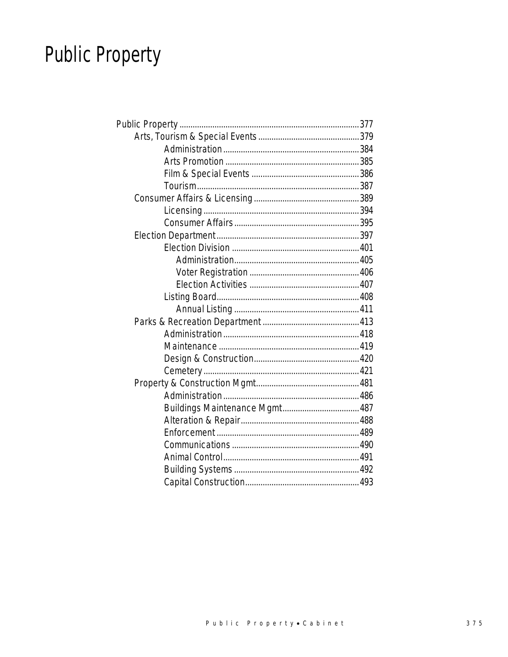# **Public Property**

| Buildings Maintenance Mgmt 487 |  |
|--------------------------------|--|
|                                |  |
|                                |  |
|                                |  |
|                                |  |
|                                |  |
|                                |  |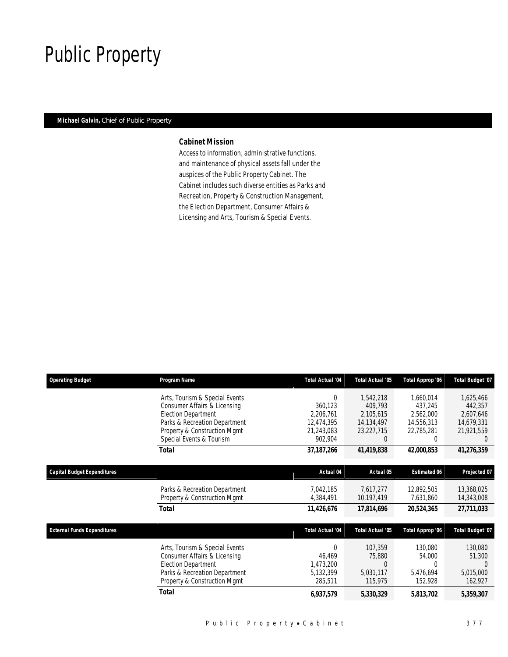## Public Property

#### *Michael Galvin, Chief of Public Property*

#### *Cabinet Mission*

Access to information, administrative functions, and maintenance of physical assets fall under the auspices of the Public Property Cabinet. The Cabinet includes such diverse entities as Parks and Recreation, Property & Construction Management, the Election Department, Consumer Affairs & Licensing and Arts, Tourism & Special Events.

| <b>Operating Budget</b>            | Program Name                                                                                                                                                                              | <b>Total Actual '04</b>                                                 | <b>Total Actual '05</b>                                                   | Total Approp '06                                                   | <b>Total Budget '07</b>                                                   |
|------------------------------------|-------------------------------------------------------------------------------------------------------------------------------------------------------------------------------------------|-------------------------------------------------------------------------|---------------------------------------------------------------------------|--------------------------------------------------------------------|---------------------------------------------------------------------------|
|                                    | Arts, Tourism & Special Events<br>Consumer Affairs & Licensing<br><b>Election Department</b><br>Parks & Recreation Department<br>Property & Construction Mgmt<br>Special Events & Tourism | $\Omega$<br>360,123<br>2,206,761<br>12,474,395<br>21,243,083<br>902,904 | 1,542,218<br>409.793<br>2,105,615<br>14,134,497<br>23,227,715<br>$\Omega$ | 1,660,014<br>437,245<br>2,562,000<br>14,556,313<br>22,785,281<br>0 | 1,625,466<br>442,357<br>2,607,646<br>14,679,331<br>21,921,559<br>$\Omega$ |
|                                    | Total                                                                                                                                                                                     | 37,187,266                                                              | 41,419,838                                                                | 42,000,853                                                         | 41,276,359                                                                |
| Capital Budget Expenditures        |                                                                                                                                                                                           | Actual 04                                                               | Actual 05                                                                 | <b>Estimated 06</b>                                                | Projected 07                                                              |
|                                    | Parks & Recreation Department<br>Property & Construction Mgmt                                                                                                                             | 7.042.185<br>4,384,491                                                  | 7.617.277<br>10,197,419                                                   | 12,892,505<br>7,631,860                                            | 13,368,025<br>14,343,008                                                  |
|                                    | <b>Total</b>                                                                                                                                                                              | 11,426,676                                                              | 17,814,696                                                                | 20,524,365                                                         | 27,711,033                                                                |
| <b>External Funds Expenditures</b> |                                                                                                                                                                                           | Total Actual '04                                                        | <b>Total Actual '05</b>                                                   | Total Approp '06                                                   | <b>Total Budget '07</b>                                                   |
|                                    | Arts, Tourism & Special Events<br>Consumer Affairs & Licensing<br><b>Election Department</b><br>Parks & Recreation Department<br>Property & Construction Mgmt                             | $\Omega$<br>46,469<br>1,473,200<br>5,132,399<br>285,511                 | 107,359<br>75,880<br>$\left($<br>5,031,117<br>115,975                     | 130,080<br>54,000<br>5,476,694<br>152,928                          | 130,080<br>51,300<br>5,015,000<br>162,927                                 |
|                                    | <b>Total</b>                                                                                                                                                                              | 6,937,579                                                               | 5,330,329                                                                 | 5,813,702                                                          | 5,359,307                                                                 |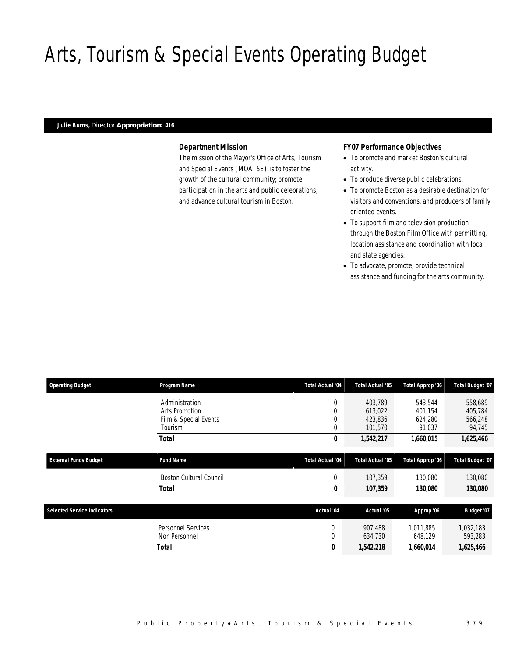# Arts, Tourism & Special Events Operating Budget

#### *Julie Burns, Director Appropriation: 416*

### *Department Mission*

The mission of the Mayor's Office of Arts, Tourism and Special Events (MOATSE) is to foster the growth of the cultural community; promote participation in the arts and public celebrations; and advance cultural tourism in Boston.

#### *FY07 Performance Objectives*

- To promote and market Boston's cultural activity.
- To produce diverse public celebrations.
- To promote Boston as a desirable destination for visitors and conventions, and producers of family oriented events.
- To support film and television production through the Boston Film Office with permitting, location assistance and coordination with local and state agencies.
- To advocate, promote, provide technical assistance and funding for the arts community.

| <b>Operating Budget</b>            | Program Name                   | <b>Total Actual '04</b> | <b>Total Actual '05</b> | Total Approp '06      | <b>Total Budget '07</b> |
|------------------------------------|--------------------------------|-------------------------|-------------------------|-----------------------|-------------------------|
|                                    | Administration                 | 0                       | 403,789                 | 543,544               | 558,689                 |
|                                    | Arts Promotion                 | 0                       | 613,022                 | 401,154               | 405,784                 |
|                                    | Film & Special Events          | $\theta$                | 423,836                 | 624,280               | 566,248                 |
|                                    | Tourism                        | $\mathbf{0}$            | 101,570                 | 91,037                | 94,745                  |
|                                    | <b>Total</b>                   | 0                       | 1,542,217               | 1,660,015             | 1,625,466               |
|                                    |                                |                         |                         |                       |                         |
| <b>External Funds Budget</b>       | <b>Fund Name</b>               | Total Actual '04        | <b>Total Actual '05</b> | Total Approp '06      | Total Budget '07        |
|                                    | <b>Boston Cultural Council</b> | 0                       | 107,359                 | 130,080               | 130,080                 |
|                                    | <b>Total</b>                   | 0                       | 107,359                 | <i><b>130,080</b></i> | 130,080                 |
|                                    |                                |                         |                         |                       |                         |
| <b>Selected Service Indicators</b> |                                | Actual '04              | Actual '05              | Approp '06            | Budget '07              |
|                                    | <b>Personnel Services</b>      | 0                       | 907,488                 | 1,011,885             | 1,032,183               |
|                                    | Non Personnel                  | $\Omega$                | 634,730                 | 648,129               | 593,283                 |
|                                    | Total                          | 0                       | 1,542,218               | 1,660,014             | 1,625,466               |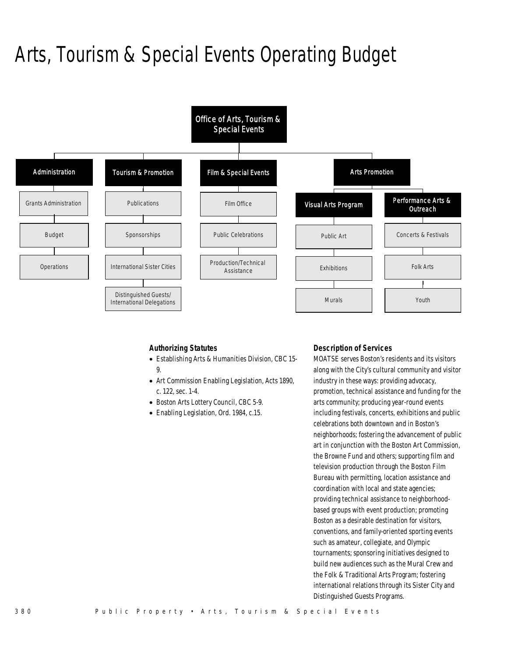# Arts, Tourism & Special Events Operating Budget



#### *Authorizing Statutes*

- Establishing Arts & Humanities Division, CBC 15- 9.
- Art Commission Enabling Legislation, Acts 1890, c. 122, sec. 1-4.
- Boston Arts Lottery Council, CBC 5-9.
- Enabling Legislation, Ord. 1984, c.15.

#### *Description of Services*

MOATSE serves Boston's residents and its visitors along with the City's cultural community and visitor industry in these ways: providing advocacy, promotion, technical assistance and funding for the arts community; producing year-round events including festivals, concerts, exhibitions and public celebrations both downtown and in Boston's neighborhoods; fostering the advancement of public art in conjunction with the Boston Art Commission, the Browne Fund and others; supporting film and television production through the Boston Film Bureau with permitting, location assistance and coordination with local and state agencies; providing technical assistance to neighborhoodbased groups with event production; promoting Boston as a desirable destination for visitors, conventions, and family-oriented sporting events such as amateur, collegiate, and Olympic tournaments; sponsoring initiatives designed to build new audiences such as the Mural Crew and the Folk & Traditional Arts Program; fostering international relations through its Sister City and Distinguished Guests Programs.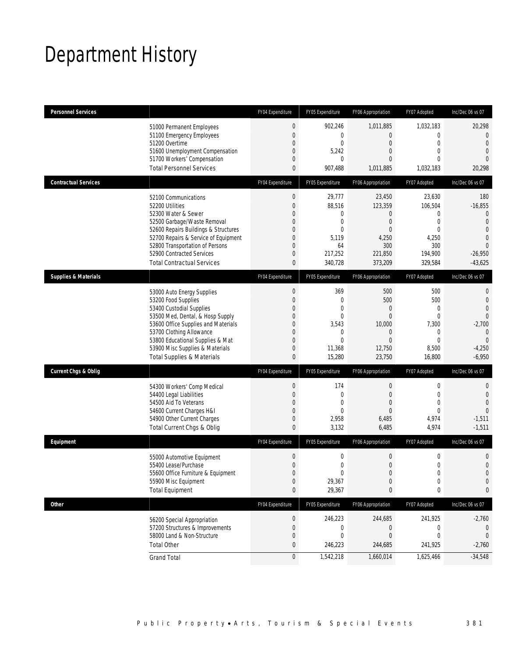## Department History

| <b>Personnel Services</b>       |                                                                                                                                                                                                                                                                                                      | FY04 Expenditure                                                                                                                           | FY05 Expenditure                                                                                               | FY06 Appropriation                                                                                         | FY07 Adopted                                                                          | Inc/Dec 06 vs 07                                                                                                                     |
|---------------------------------|------------------------------------------------------------------------------------------------------------------------------------------------------------------------------------------------------------------------------------------------------------------------------------------------------|--------------------------------------------------------------------------------------------------------------------------------------------|----------------------------------------------------------------------------------------------------------------|------------------------------------------------------------------------------------------------------------|---------------------------------------------------------------------------------------|--------------------------------------------------------------------------------------------------------------------------------------|
|                                 | 51000 Permanent Employees<br>51100 Emergency Employees<br>51200 Overtime<br>51600 Unemployment Compensation<br>51700 Workers' Compensation<br><b>Total Personnel Services</b>                                                                                                                        | $\mathbf 0$<br>$\mathbf{0}$<br>$\mathbf{0}$<br>$\overline{0}$<br>$\mathbf{0}$<br>$\mathbf{0}$                                              | 902,246<br>$\mathbf 0$<br>0<br>5,242<br>0<br>907,488                                                           | 1,011,885<br>$\overline{0}$<br>$\mathbf{0}$<br>$\overline{0}$<br>$\Omega$<br>1,011,885                     | 1,032,183<br>$\mathbf 0$<br>$\mathbf 0$<br>0<br>$\Omega$<br>1,032,183                 | 20,298<br>$\overline{0}$<br>$\overline{0}$<br>$\overline{0}$<br>$\overline{0}$<br>20,298                                             |
| <b>Contractual Services</b>     |                                                                                                                                                                                                                                                                                                      | FY04 Expenditure                                                                                                                           | FY05 Expenditure                                                                                               | FY06 Appropriation                                                                                         | FY07 Adopted                                                                          | Inc/Dec 06 vs 07                                                                                                                     |
|                                 | 52100 Communications<br>52200 Utilities<br>52300 Water & Sewer<br>52500 Garbage/Waste Removal<br>52600 Repairs Buildings & Structures<br>52700 Repairs & Service of Equipment<br>52800 Transportation of Persons<br>52900 Contracted Services<br><b>Total Contractual Services</b>                   | $\boldsymbol{0}$<br>$\mathbf{0}$<br>$\mathbf{0}$<br>$\mathbf 0$<br>$\theta$<br>$\mathbf{0}$<br>$\theta$<br>$\mathbf{0}$<br>$\mathbf{0}$    | 29,777<br>88,516<br>0<br>$\mathbf 0$<br>$\mathbf{0}$<br>5,119<br>64<br>217,252<br>340,728                      | 23,450<br>123,359<br>$\overline{0}$<br>$\mathbf 0$<br>$\overline{0}$<br>4,250<br>300<br>221,850<br>373,209 | 23,630<br>106.504<br>0<br>$\boldsymbol{0}$<br>0<br>4,250<br>300<br>194,900<br>329,584 | 180<br>$-16,855$<br>$\overline{0}$<br>$\overline{0}$<br>$\overline{0}$<br>$\overline{0}$<br>$\overline{0}$<br>$-26,950$<br>$-43,625$ |
| <b>Supplies &amp; Materials</b> |                                                                                                                                                                                                                                                                                                      | FY04 Expenditure                                                                                                                           | FY05 Expenditure                                                                                               | FY06 Appropriation                                                                                         | FY07 Adopted                                                                          | Inc/Dec 06 vs 07                                                                                                                     |
|                                 | 53000 Auto Energy Supplies<br>53200 Food Supplies<br>53400 Custodial Supplies<br>53500 Med, Dental, & Hosp Supply<br>53600 Office Supplies and Materials<br>53700 Clothing Allowance<br>53800 Educational Supplies & Mat<br>53900 Misc Supplies & Materials<br><b>Total Supplies &amp; Materials</b> | $\boldsymbol{0}$<br>$\mathbf{0}$<br>$\theta$<br>$\mathbf{0}$<br>$\theta$<br>$\mathbf{0}$<br>$\overline{0}$<br>$\mathbf{0}$<br>$\mathbf{0}$ | 369<br>$\mathbf{0}$<br>$\mathbf{0}$<br>$\overline{0}$<br>3,543<br>$\mathbf{0}$<br>$\theta$<br>11,368<br>15,280 | 500<br>500<br>$\Omega$<br>$\mathbf{0}$<br>10,000<br>0<br>$\Omega$<br>12,750<br>23,750                      | 500<br>500<br>0<br>$\mathbf 0$<br>7,300<br>0<br>$\mathbf 0$<br>8,500<br>16,800        | 0<br>$\mathbf{0}$<br>$\overline{0}$<br>$\overline{0}$<br>$-2,700$<br>$\mathbf{0}$<br>$\overline{0}$<br>$-4,250$<br>$-6,950$          |
| <b>Current Chgs &amp; Oblig</b> |                                                                                                                                                                                                                                                                                                      | FY04 Expenditure                                                                                                                           | FY05 Expenditure                                                                                               | FY06 Appropriation                                                                                         | FY07 Adopted                                                                          | Inc/Dec 06 vs 07                                                                                                                     |
|                                 | 54300 Workers' Comp Medical<br>54400 Legal Liabilities<br>54500 Aid To Veterans<br>54600 Current Charges H&I<br>54900 Other Current Charges<br>Total Current Chgs & Oblig                                                                                                                            | $\boldsymbol{0}$<br>$\mathbf{0}$<br>$\theta$<br>$\mathbf{0}$<br>$\mathbf 0$<br>$\mathbf{0}$                                                | 174<br>$\mathbf{0}$<br>$\theta$<br>$\theta$<br>2,958<br>3,132                                                  | $\boldsymbol{0}$<br>$\boldsymbol{0}$<br>$\Omega$<br>$\mathbf{0}$<br>6,485<br>6,485                         | 0<br>$\mathbf 0$<br>$\Omega$<br>$\mathbf 0$<br>4,974<br>4,974                         | 0<br>$\mathbf{0}$<br>$\overline{0}$<br>$\Omega$<br>$-1,511$<br>$-1,511$                                                              |
| Equipment                       |                                                                                                                                                                                                                                                                                                      | FY04 Expenditure                                                                                                                           | FY05 Expenditure                                                                                               | FY06 Appropriation                                                                                         | FY07 Adopted                                                                          | Inc/Dec 06 vs 07                                                                                                                     |
|                                 | 55000 Automotive Equipment<br>55400 Lease/Purchase<br>55600 Office Furniture & Equipment<br>55900 Misc Equipment<br><b>Total Equipment</b>                                                                                                                                                           | $\theta$<br>$\boldsymbol{0}$<br>$\Omega$<br>$\boldsymbol{0}$<br>$\pmb{0}$                                                                  | $\mathbf 0$<br>0<br>$\Omega$<br>29,367<br>29,367                                                               | $\boldsymbol{0}$<br>$\boldsymbol{0}$<br>$\Omega$<br>$\boldsymbol{0}$<br>0                                  | 0<br>$\mathbf 0$<br>0<br>$\boldsymbol{0}$<br>0                                        | $\mathbf 0$<br>$\overline{0}$<br>$\Omega$<br>$\mathbf{0}$<br>0                                                                       |
| Other                           |                                                                                                                                                                                                                                                                                                      | FY04 Expenditure                                                                                                                           | FY05 Expenditure                                                                                               | FY06 Appropriation                                                                                         | FY07 Adopted                                                                          | Inc/Dec 06 vs 07                                                                                                                     |
|                                 | 56200 Special Appropriation<br>57200 Structures & Improvements<br>58000 Land & Non-Structure<br><b>Total Other</b>                                                                                                                                                                                   | $\boldsymbol{0}$<br>$\mathbf 0$<br>$\theta$<br>$\pmb{0}$                                                                                   | 246,223<br>0<br>0<br>246,223                                                                                   | 244,685<br>0<br>$\overline{0}$<br>244,685                                                                  | 241,925<br>0<br>0<br>241,925                                                          | $-2,760$<br>0<br>$-2,760$                                                                                                            |
|                                 | <b>Grand Total</b>                                                                                                                                                                                                                                                                                   | $\boldsymbol{0}$                                                                                                                           | 1,542,218                                                                                                      | 1,660,014                                                                                                  | 1,625,466                                                                             | $-34,548$                                                                                                                            |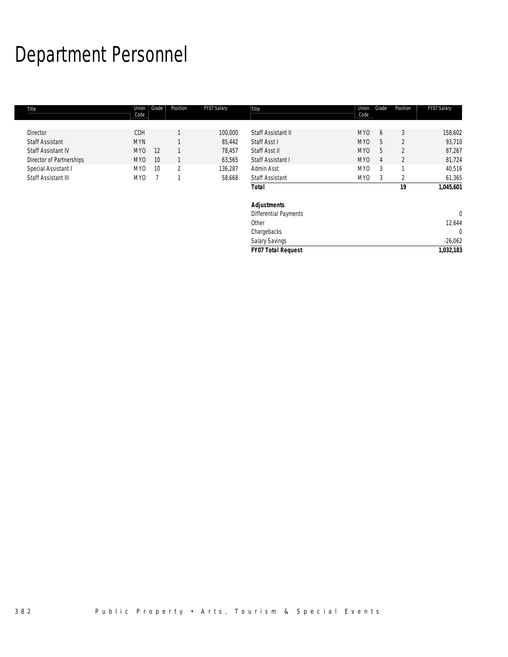# Department Personnel

| Title                    | Union<br>Code   | Grade | Position       | FY07 Salary | Title                        | Union<br>Code   | Grade | Position       | FY07 Salary  |
|--------------------------|-----------------|-------|----------------|-------------|------------------------------|-----------------|-------|----------------|--------------|
|                          |                 |       |                |             |                              |                 |       |                |              |
| <b>Director</b>          | CDH             |       |                | 100,000     | Staff Assistant II           | MY <sub>0</sub> | 6     | 3              | 158,602      |
| <b>Staff Assistant</b>   | <b>MYN</b>      |       |                | 85,442      | Staff Asst I                 | <b>MYO</b>      | 5     | $\overline{2}$ | 93,710       |
| Staff Assistant IV       | MY <sub>0</sub> | 12    |                | 78,457      | Staff Asst II                | <b>MYO</b>      | 5     | $\overline{2}$ | 87,267       |
| Director of Partnerships | MY <sub>0</sub> | 10    |                | 63,565      | Staff Assistant I            | <b>MYO</b>      | 4     | 2              | 81,724       |
| Special Assistant I      | MY <sub>0</sub> | 10    | $\overline{2}$ | 136,287     | Admin Asst                   | MY0             | 3     | $\overline{ }$ | 40,516       |
| Staff Assistant III      | MY <sub>0</sub> |       |                | 58,668      | <b>Staff Assistant</b>       | MY0             | 3     | 2              | 61,365       |
|                          |                 |       |                |             | <b>Total</b>                 |                 |       | 19             | 1,045,601    |
|                          |                 |       |                |             | <b>Adjustments</b>           |                 |       |                |              |
|                          |                 |       |                |             | <b>Differential Payments</b> |                 |       |                | $\mathbf{0}$ |
|                          |                 |       |                |             | Other                        |                 |       |                | 12,644       |
|                          |                 |       |                |             | Chargebacks                  |                 |       |                | $\mathbf 0$  |
|                          |                 |       |                |             | Salary Savings               |                 |       |                | $-26,062$    |
|                          |                 |       |                |             | <b>FY07 Total Request</b>    |                 |       |                | 1,032,183    |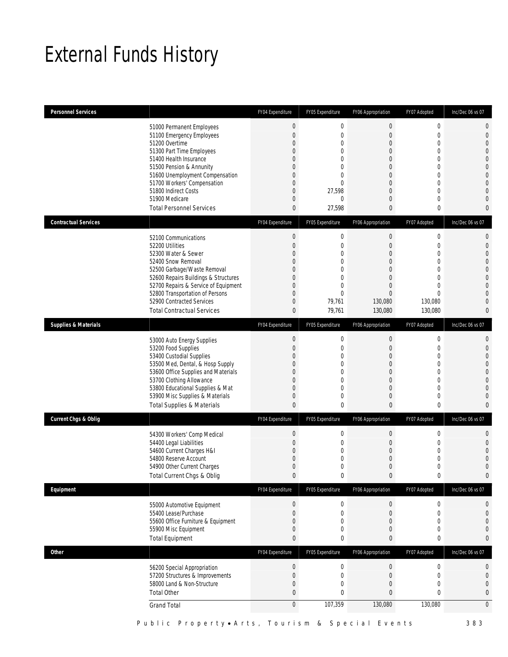## External Funds History

| <b>Personnel Services</b>       |                                                                                                                                                                                                                                                                                                            | FY04 Expenditure                                                                                                                                                               | FY05 Expenditure                                                                          | FY06 Appropriation                                                                                                                                                                 | FY07 Adopted                                                                             | Inc/Dec 06 vs 07                                                                                                                                                                    |
|---------------------------------|------------------------------------------------------------------------------------------------------------------------------------------------------------------------------------------------------------------------------------------------------------------------------------------------------------|--------------------------------------------------------------------------------------------------------------------------------------------------------------------------------|-------------------------------------------------------------------------------------------|------------------------------------------------------------------------------------------------------------------------------------------------------------------------------------|------------------------------------------------------------------------------------------|-------------------------------------------------------------------------------------------------------------------------------------------------------------------------------------|
|                                 | 51000 Permanent Employees<br>51100 Emergency Employees<br>51200 Overtime<br>51300 Part Time Employees<br>51400 Health Insurance<br>51500 Pension & Annunity<br>51600 Unemployment Compensation<br>51700 Workers' Compensation<br>51800 Indirect Costs<br>51900 Medicare<br><b>Total Personnel Services</b> | $\boldsymbol{0}$<br>$\mathbf{0}$<br>$\mathbf{0}$<br>$\mathbf{0}$<br>$\mathbf{0}$<br>$\theta$<br>$\mathbf{0}$<br>$\mathbf{0}$<br>$\overline{0}$<br>$\mathbf{0}$<br>$\mathbf{0}$ | $\mathbf 0$<br>$\mathbf{0}$<br>0<br>0<br>0<br>0<br>$\Omega$<br>0<br>27,598<br>0<br>27,598 | $\boldsymbol{0}$<br>$\mathbf{0}$<br>$\mathbf 0$<br>$\mathbf{0}$<br>$\mathbf{0}$<br>$\mathbf{0}$<br>$\mathbf{0}$<br>$\mathbf 0$<br>$\boldsymbol{0}$<br>$\mathbf{0}$<br>$\mathbf{0}$ | $\boldsymbol{0}$<br>0<br>0<br>0<br>0<br>0<br>0<br>0<br>0<br>0<br>0                       | $\mathbf 0$<br>$\mathbf 0$<br>$\mathbf{0}$<br>$\mathbf{0}$<br>$\overline{0}$<br>$\overline{0}$<br>$\mathbf 0$<br>$\overline{0}$<br>$\overline{0}$<br>$\overline{0}$<br>$\mathbf{0}$ |
| <b>Contractual Services</b>     |                                                                                                                                                                                                                                                                                                            | FY04 Expenditure                                                                                                                                                               | FY05 Expenditure                                                                          | FY06 Appropriation                                                                                                                                                                 | FY07 Adopted                                                                             | Inc/Dec 06 vs 07                                                                                                                                                                    |
|                                 | 52100 Communications<br>52200 Utilities<br>52300 Water & Sewer<br>52400 Snow Removal<br>52500 Garbage/Waste Removal<br>52600 Repairs Buildings & Structures<br>52700 Repairs & Service of Equipment<br>52800 Transportation of Persons<br>52900 Contracted Services<br><b>Total Contractual Services</b>   | $\boldsymbol{0}$<br>$\mathbf{0}$<br>$\mathbf{0}$<br>$\theta$<br>$\mathbf{0}$<br>$\mathbf{0}$<br>$\mathbf{0}$<br>$\mathbf{0}$<br>$\mathbf{0}$<br>$\mathbf{0}$                   | $\mathbf 0$<br>$\mathbf 0$<br>0<br>0<br>0<br>0<br>0<br>$\Omega$<br>79,761<br>79,761       | $\boldsymbol{0}$<br>$\boldsymbol{0}$<br>$\mathbf{0}$<br>$\boldsymbol{0}$<br>$\mathbf{0}$<br>$\mathbf 0$<br>$\mathbf{0}$<br>$\Omega$<br>130,080<br>130,080                          | $\boldsymbol{0}$<br>$\boldsymbol{0}$<br>0<br>0<br>0<br>0<br>0<br>0<br>130,080<br>130,080 | $\mathbf{0}$<br>$\mathbf{0}$<br>$\overline{0}$<br>$\overline{0}$<br>$\mathbf 0$<br>$\mathbf{0}$<br>$\mathbf{0}$<br>$\overline{0}$<br>$\overline{0}$<br>$\mathbf{0}$                 |
| <b>Supplies &amp; Materials</b> |                                                                                                                                                                                                                                                                                                            | FY04 Expenditure                                                                                                                                                               | FY05 Expenditure                                                                          | FY06 Appropriation                                                                                                                                                                 | FY07 Adopted                                                                             | Inc/Dec 06 vs 07                                                                                                                                                                    |
|                                 | 53000 Auto Energy Supplies<br>53200 Food Supplies<br>53400 Custodial Supplies<br>53500 Med, Dental, & Hosp Supply<br>53600 Office Supplies and Materials<br>53700 Clothing Allowance<br>53800 Educational Supplies & Mat<br>53900 Misc Supplies & Materials<br><b>Total Supplies &amp; Materials</b>       | $\boldsymbol{0}$<br>$\mathbf{0}$<br>$\Omega$<br>$\mathbf{0}$<br>$\mathbf{0}$<br>$\mathbf{0}$<br>$\mathbf{0}$<br>$\mathbf{0}$<br>$\mathbf{0}$                                   | $\mathbf 0$<br>$\mathbf{0}$<br>0<br>0<br>0<br>0<br>0<br>0<br>0                            | 0<br>$\boldsymbol{0}$<br>$\mathbf{0}$<br>$\mathbf{0}$<br>$\mathbf 0$<br>$\boldsymbol{0}$<br>$\mathbf{0}$<br>$\boldsymbol{0}$<br>$\mathbf{0}$                                       | 0<br>0<br>0<br>0<br>0<br>0<br>0<br>0<br>0                                                | 0<br>$\mathbf{0}$<br>$\overline{0}$<br>$\mathbf 0$<br>$\overline{0}$<br>$\overline{0}$<br>$\overline{0}$<br>$\overline{0}$<br>$\mathbf{0}$                                          |
| <b>Current Chgs &amp; Oblig</b> |                                                                                                                                                                                                                                                                                                            | FY04 Expenditure                                                                                                                                                               | FY05 Expenditure                                                                          | FY06 Appropriation                                                                                                                                                                 | FY07 Adopted                                                                             | Inc/Dec 06 vs 07                                                                                                                                                                    |
|                                 | 54300 Workers' Comp Medical<br>54400 Legal Liabilities<br>54600 Current Charges H&I<br>54800 Reserve Account<br>54900 Other Current Charges<br>Total Current Chgs & Oblig                                                                                                                                  | $\boldsymbol{0}$<br>$\mathbf{0}$<br>$\mathbf{0}$<br>$\mathbf{0}$<br>$\mathbf{0}$<br>$\pmb{0}$                                                                                  | $\mathbf 0$<br>$\mathbf{0}$<br>0<br>0<br>0<br>0                                           | 0<br>$\mathbf 0$<br>$\mathbf 0$<br>$\boldsymbol{0}$<br>$\mathbf 0$                                                                                                                 | 0<br>0<br>0<br>0<br>0<br>0                                                               | 0<br>$\overline{0}$<br>$\overline{0}$<br>$\mathbf 0$<br>$\mathbf{0}$<br>$\mathbf{0}$                                                                                                |
| Equipment                       |                                                                                                                                                                                                                                                                                                            | FY04 Expenditure                                                                                                                                                               | FY05 Expenditure                                                                          | FY06 Appropriation                                                                                                                                                                 | FY07 Adopted                                                                             | Inc/Dec 06 vs 07                                                                                                                                                                    |
|                                 | 55000 Automotive Equipment<br>55400 Lease/Purchase<br>55600 Office Furniture & Equipment<br>55900 Misc Equipment<br><b>Total Equipment</b>                                                                                                                                                                 | $\boldsymbol{0}$<br>$\mathbf 0$<br>$\mathbf{0}$<br>$\mathbf 0$<br>$\bf{0}$                                                                                                     | $\mathbf 0$<br>$\mathbf 0$<br>0<br>0<br>0                                                 | $\boldsymbol{0}$<br>$\mathbf 0$<br>0<br>$\mathbf 0$<br>0                                                                                                                           | $\boldsymbol{0}$<br>$\boldsymbol{0}$<br>0<br>$\boldsymbol{0}$<br>0                       | 0<br>$\mathbf{0}$<br>$\mathbf{0}$<br>$\mathbf 0$<br>0                                                                                                                               |
| <b>Other</b>                    |                                                                                                                                                                                                                                                                                                            | FY04 Expenditure                                                                                                                                                               | FY05 Expenditure                                                                          | FY06 Appropriation                                                                                                                                                                 | FY07 Adopted                                                                             | Inc/Dec 06 vs 07                                                                                                                                                                    |
|                                 | 56200 Special Appropriation<br>57200 Structures & Improvements<br>58000 Land & Non-Structure<br><b>Total Other</b>                                                                                                                                                                                         | $\boldsymbol{0}$<br>$\boldsymbol{0}$<br>$\mathbf 0$<br>$\bf{0}$                                                                                                                | $\boldsymbol{0}$<br>$\mathbf 0$<br>$\mathbf 0$<br>0                                       | $\boldsymbol{0}$<br>$\boldsymbol{0}$<br>$\mathbf 0$<br>$\mathbf 0$                                                                                                                 | $\boldsymbol{0}$<br>$\boldsymbol{0}$<br>0<br>0                                           | $\mathbf 0$<br>$\mathbf 0$<br>$\mathbf 0$<br>0                                                                                                                                      |
|                                 | <b>Grand Total</b>                                                                                                                                                                                                                                                                                         | $\boldsymbol{0}$                                                                                                                                                               | 107,359                                                                                   | 130,080                                                                                                                                                                            | 130,080                                                                                  | $\mathbf 0$                                                                                                                                                                         |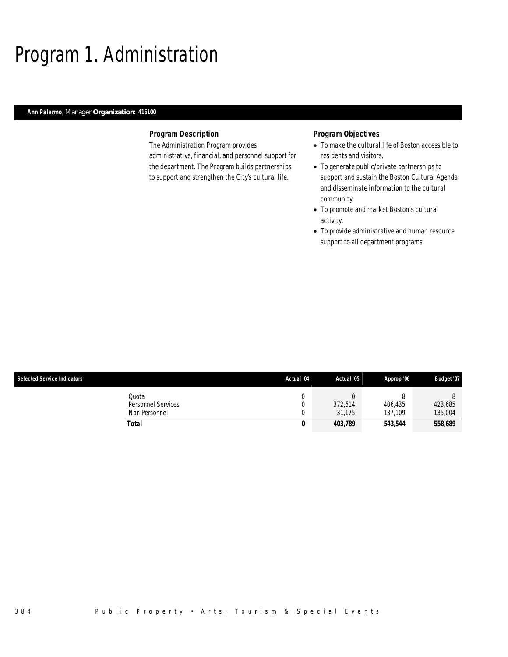## Program 1. Administration

### *Ann Palermo, Manager Organization: 416100*

#### *Program Description*

The Administration Program provides administrative, financial, and personnel support for the department. The Program builds partnerships to support and strengthen the City's cultural life.

- To make the cultural life of Boston accessible to residents and visitors.
- To generate public/private partnerships to support and sustain the Boston Cultural Agenda and disseminate information to the cultural community.
- To promote and market Boston's cultural activity.
- To provide administrative and human resource support to all department programs.

| <b>Selected Service Indicators</b> |                                              | Actual '04 | Actual '05        | Approp '06         | Budget '07         |
|------------------------------------|----------------------------------------------|------------|-------------------|--------------------|--------------------|
|                                    | Quota<br>Personnel Services<br>Non Personnel |            | 372,614<br>31.175 | 406.435<br>137.109 | 423,685<br>135,004 |
|                                    | Total                                        | 0          | 403,789           | 543,544            | 558,689            |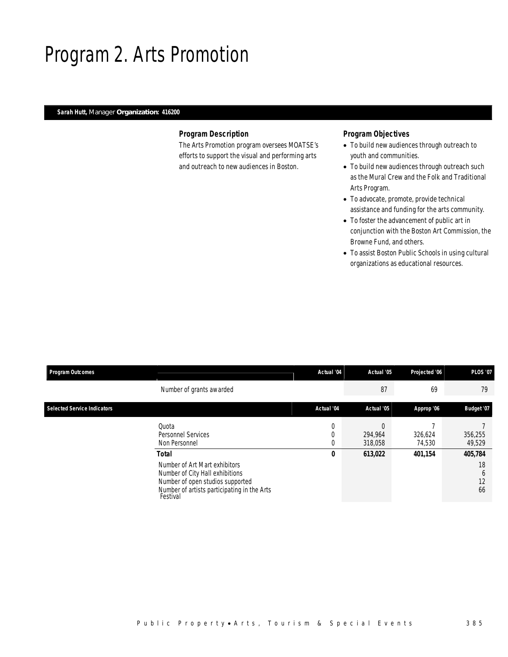## Program 2. Arts Promotion

### *Sarah Hutt, Manager Organization: 416200*

#### *Program Description*

The Arts Promotion program oversees MOATSE's efforts to support the visual and performing arts and outreach to new audiences in Boston.

- To build new audiences through outreach to youth and communities.
- To build new audiences through outreach such as the Mural Crew and the Folk and Traditional Arts Program.
- To advocate, promote, provide technical assistance and funding for the arts community.
- To foster the advancement of public art in conjunction with the Boston Art Commission, the Browne Fund, and others.
- To assist Boston Public Schools in using cultural organizations as educational resources.

| <b>Program Outcomes</b>            |                                                                                                                                                                          | Actual '04  | Actual '05         | Projected '06     | <b>PLOS '07</b>                |
|------------------------------------|--------------------------------------------------------------------------------------------------------------------------------------------------------------------------|-------------|--------------------|-------------------|--------------------------------|
|                                    | Number of grants awarded                                                                                                                                                 |             | 87                 | 69                | 79                             |
| <b>Selected Service Indicators</b> |                                                                                                                                                                          | Actual '04  | Actual '05         | Approp '06        | Budget '07                     |
|                                    | Quota<br><b>Personnel Services</b><br>Non Personnel                                                                                                                      | 0<br>0<br>0 | 294.964<br>318,058 | 326,624<br>74,530 | 356,255<br>49,529              |
|                                    | Total<br>Number of Art Mart exhibitors<br>Number of City Hall exhibitions<br>Number of open studios supported<br>Number of artists participating in the Arts<br>Festival | 0           | 613,022            | 401.154           | 405,784<br>18<br>b<br>12<br>66 |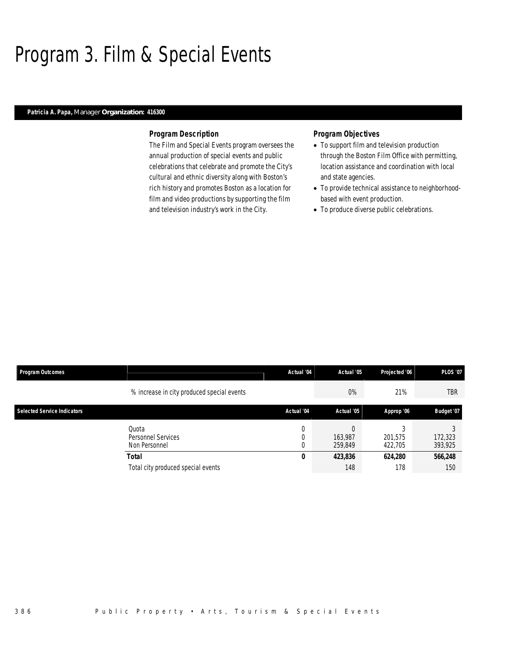## Program 3. Film & Special Events

#### *Patricia A. Papa, Manager Organization: 416300*

#### *Program Description*

The Film and Special Events program oversees the annual production of special events and public celebrations that celebrate and promote the City's cultural and ethnic diversity along with Boston's rich history and promotes Boston as a location for film and video productions by supporting the film and television industry's work in the City.

- To support film and television production through the Boston Film Office with permitting, location assistance and coordination with local and state agencies.
- To provide technical assistance to neighborhoodbased with event production.
- To produce diverse public celebrations.

| <b>Program Outcomes</b>            |                                              | Actual '04 | Actual '05         | Projected '06      | <b>PLOS '07</b>    |
|------------------------------------|----------------------------------------------|------------|--------------------|--------------------|--------------------|
|                                    | % increase in city produced special events   |            | $0\%$              | 21%                | <b>TBR</b>         |
| <b>Selected Service Indicators</b> |                                              | Actual '04 | Actual '05         | Approp '06         | Budget '07         |
|                                    | Ouota<br>Personnel Services<br>Non Personnel | 0          | 163.987<br>259.849 | 201.575<br>422.705 | 172,323<br>393,925 |
|                                    | Total                                        | 0          | 423,836            | 624,280            | 566,248            |
|                                    | Total city produced special events           |            | 148                | 178                | 150                |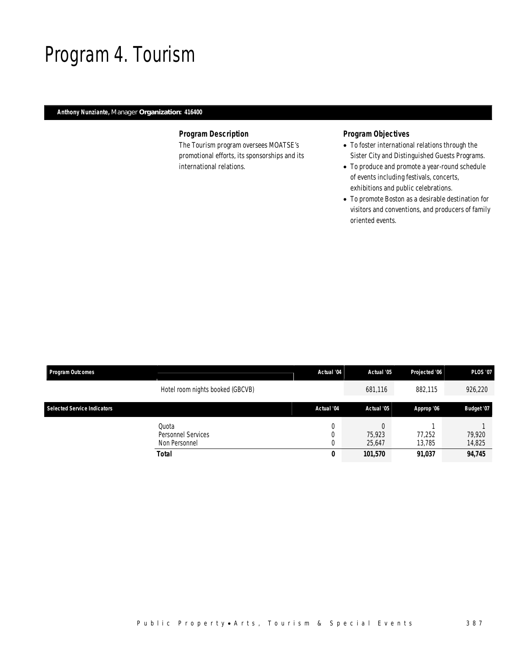## Program 4. Tourism

### *Anthony Nunziante, Manager Organization: 416400*

#### *Program Description*

The Tourism program oversees MOATSE's promotional efforts, its sponsorships and its international relations.

- To foster international relations through the Sister City and Distinguished Guests Programs.
- To produce and promote a year-round schedule of events including festivals, concerts, exhibitions and public celebrations.
- To promote Boston as a desirable destination for visitors and conventions, and producers of family oriented events.

| <b>Program Outcomes</b>            |                                                     | Actual '04  | Actual '05       | Projected '06    | <b>PLOS '07</b>  |
|------------------------------------|-----------------------------------------------------|-------------|------------------|------------------|------------------|
|                                    | Hotel room nights booked (GBCVB)                    |             | 681,116          | 882,115          | 926,220          |
| <b>Selected Service Indicators</b> |                                                     | Actual '04  | Actual '05       | Approp '06       | Budget '07       |
|                                    | Ouota<br><b>Personnel Services</b><br>Non Personnel | 0<br>0<br>0 | 75.923<br>25,647 | 77.252<br>13.785 | 79.920<br>14,825 |
|                                    | Total                                               | 0           | 101,570          | 91,037           | 94,745           |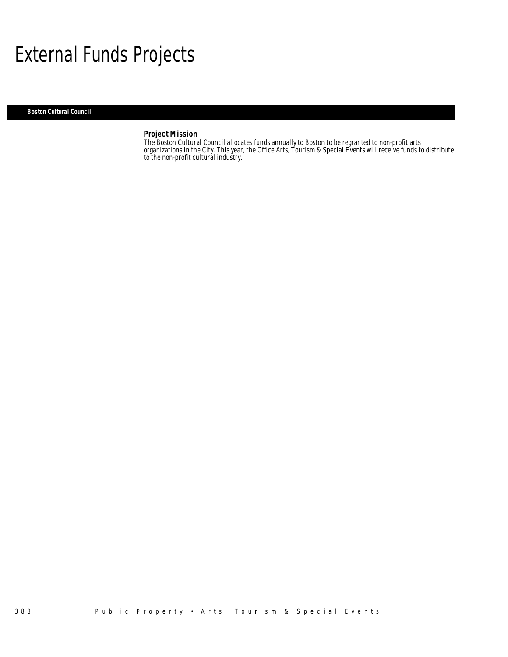## External Funds Projects

*Boston Cultural Council* 

#### *Project Mission*

The Boston Cultural Council allocates funds annually to Boston to be regranted to non-profit arts organizations in the City. This year, the Office Arts, Tourism & Special Events will receive funds to distribute to the non-profit cultural industry.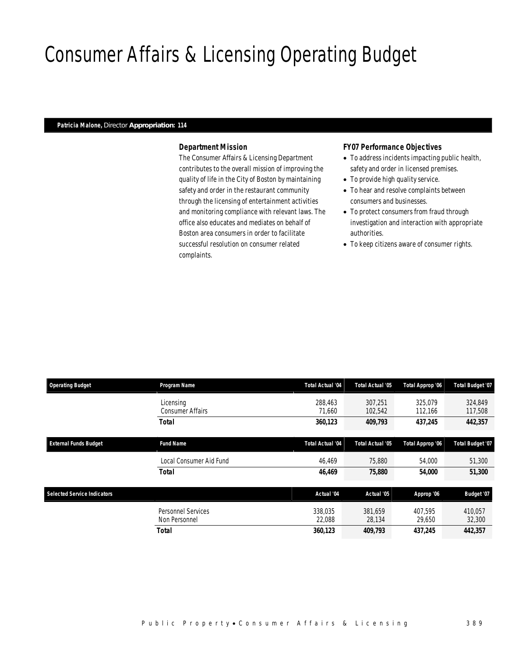# Consumer Affairs & Licensing Operating Budget

#### *Patricia Malone, Director Appropriation: 114*

#### *Department Mission*

The Consumer Affairs & Licensing Department contributes to the overall mission of improving the quality of life in the City of Boston by maintaining safety and order in the restaurant community through the licensing of entertainment activities and monitoring compliance with relevant laws. The office also educates and mediates on behalf of Boston area consumers in order to facilitate successful resolution on consumer related complaints.

#### *FY07 Performance Objectives*

- To address incidents impacting public health, safety and order in licensed premises.
- To provide high quality service.
- To hear and resolve complaints between consumers and businesses.
- To protect consumers from fraud through investigation and interaction with appropriate authorities.
- To keep citizens aware of consumer rights.

| <b>Operating Budget</b>            | Program Name                         | <b>Total Actual '04</b> | <b>Total Actual '05</b> | Total Approp '06   | Total Budget '07   |
|------------------------------------|--------------------------------------|-------------------------|-------------------------|--------------------|--------------------|
|                                    | Licensing<br><b>Consumer Affairs</b> | 288,463<br>71,660       | 307.251<br>102,542      | 325,079<br>112,166 | 324.849<br>117,508 |
|                                    | <b>Total</b>                         | 360,123                 | 409,793                 | 437.245            | 442,357            |
| <b>External Funds Budget</b>       | <b>Fund Name</b>                     | <b>Total Actual '04</b> | <b>Total Actual '05</b> | Total Approp '06   | Total Budget '07   |
|                                    | Local Consumer Aid Fund              | 46,469                  | 75,880                  | 54,000             | 51,300             |
|                                    | <b>Total</b>                         | 46,469                  | 75,880                  | 54,000             | 51,300             |
| <b>Selected Service Indicators</b> |                                      | Actual '04              | Actual '05              | Approp '06         | Budget '07         |
|                                    | Personnel Services<br>Non Personnel  | 338.035<br>22,088       | 381.659<br>28,134       | 407.595<br>29,650  | 410.057<br>32,300  |
|                                    | <b>Total</b>                         | 360,123                 | 409,793                 | 437,245            | 442,357            |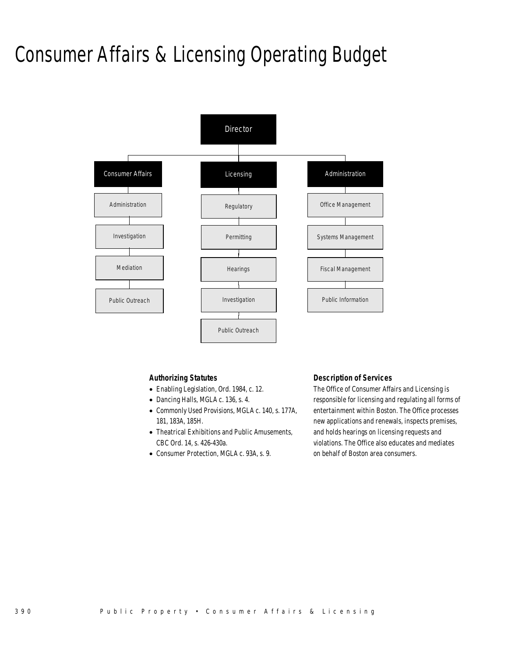## Consumer Affairs & Licensing Operating Budget



#### *Authorizing Statutes*

- Enabling Legislation, Ord. 1984, c. 12.
- Dancing Halls, MGLA c. 136, s. 4.
- Commonly Used Provisions, MGLA c. 140, s. 177A, 181, 183A, 185H.
- Theatrical Exhibitions and Public Amusements, CBC Ord. 14, s. 426-430a.
- Consumer Protection, MGLA c. 93A, s. 9.

#### *Description of Services*

The Office of Consumer Affairs and Licensing is responsible for licensing and regulating all forms of entertainment within Boston. The Office processes new applications and renewals, inspects premises, and holds hearings on licensing requests and violations. The Office also educates and mediates on behalf of Boston area consumers.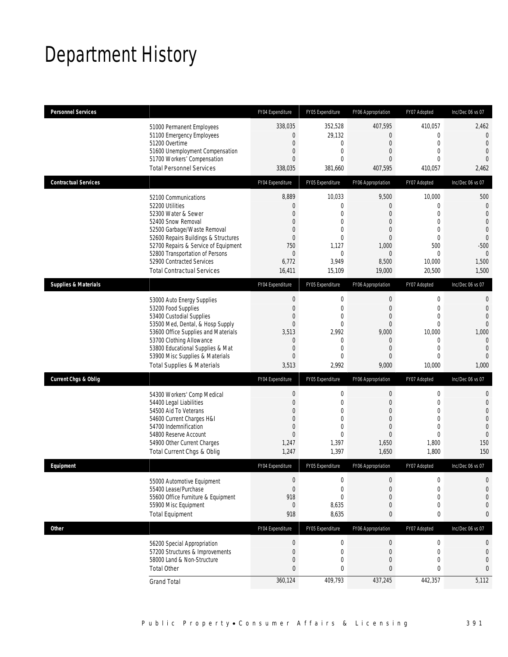## Department History

| <b>Personnel Services</b>       |                                       | FY04 Expenditure | FY05 Expenditure | FY06 Appropriation | FY07 Adopted     | Inc/Dec 06 vs 07 |
|---------------------------------|---------------------------------------|------------------|------------------|--------------------|------------------|------------------|
|                                 | 51000 Permanent Employees             | 338,035          | 352,528          | 407,595            | 410,057          | 2,462            |
|                                 | 51100 Emergency Employees             | $\mathbf 0$      | 29,132           | $\overline{0}$     | $\mathbf{0}$     | $\theta$         |
|                                 | 51200 Overtime                        | $\overline{0}$   | $\mathbf{0}$     | $\overline{0}$     | $\Omega$         | $\mathbf{0}$     |
|                                 | 51600 Unemployment Compensation       | $\mathbf 0$      | $\mathbf 0$      | $\boldsymbol{0}$   | $\mathbf{0}$     | $\mathbf{0}$     |
|                                 | 51700 Workers' Compensation           | $\mathbf{0}$     | $\mathbf{0}$     | $\mathbf{0}$       | $\Omega$         | $\overline{0}$   |
|                                 | <b>Total Personnel Services</b>       | 338,035          | 381,660          | 407,595            | 410,057          | 2,462            |
| <b>Contractual Services</b>     |                                       | FY04 Expenditure | FY05 Expenditure | FY06 Appropriation | FY07 Adopted     | Inc/Dec 06 vs 07 |
|                                 | 52100 Communications                  | 8,889            | 10,033           | 9,500              | 10,000           | 500              |
|                                 | 52200 Utilities                       | $\mathbf{0}$     | 0                | $\overline{0}$     | $\mathbf{0}$     | $\mathbf 0$      |
|                                 | 52300 Water & Sewer                   | $\overline{0}$   | $\mathbf{0}$     | $\overline{0}$     | $\mathbf{0}$     | $\mathbf{0}$     |
|                                 | 52400 Snow Removal                    | $\mathbf{0}$     | $\mathbf{0}$     | $\overline{0}$     | $\mathbf{0}$     | $\mathbf{0}$     |
|                                 | 52500 Garbage/Waste Removal           | $\overline{0}$   | $\mathbf{0}$     | $\overline{0}$     | $\mathbf{0}$     | $\mathbf 0$      |
|                                 | 52600 Repairs Buildings & Structures  | $\overline{0}$   | $\Omega$         | $\Omega$           | $\theta$         | $\overline{0}$   |
|                                 | 52700 Repairs & Service of Equipment  | 750              | 1,127            | 1,000              | 500              | $-500$           |
|                                 | 52800 Transportation of Persons       | $\overline{0}$   | $\mathbf{0}$     | $\overline{0}$     | $\Omega$         | $\mathbf{0}$     |
|                                 | 52900 Contracted Services             | 6,772            | 3,949            | 8,500              | 10,000           | 1,500            |
|                                 | <b>Total Contractual Services</b>     | 16,411           | 15,109           | 19,000             | 20,500           | 1,500            |
| <b>Supplies &amp; Materials</b> |                                       | FY04 Expenditure | FY05 Expenditure | FY06 Appropriation | FY07 Adopted     | Inc/Dec 06 vs 07 |
|                                 | 53000 Auto Energy Supplies            | $\mathbf 0$      | $\mathbf 0$      | $\mathbf 0$        | $\mathbf 0$      | $\mathbf 0$      |
|                                 | 53200 Food Supplies                   | $\mathbf 0$      | $\mathbf{0}$     | $\boldsymbol{0}$   | $\overline{0}$   | $\mathbf{0}$     |
|                                 | 53400 Custodial Supplies              | $\overline{0}$   | $\mathbf{0}$     | $\overline{0}$     | $\overline{0}$   | $\overline{0}$   |
|                                 | 53500 Med, Dental, & Hosp Supply      | $\mathbf 0$      | $\mathbf 0$      | $\boldsymbol{0}$   | $\overline{0}$   | $\mathbf 0$      |
|                                 | 53600 Office Supplies and Materials   | 3,513            | 2,992            | 9,000              | 10,000           | 1,000            |
|                                 | 53700 Clothing Allowance              | $\mathbf{0}$     | $\mathbf{0}$     | $\overline{0}$     | $\theta$         | $\overline{0}$   |
|                                 | 53800 Educational Supplies & Mat      | $\mathbf{0}$     | $\mathbf{0}$     | $\mathbf{0}$       | $\mathbf{0}$     | $\mathbf{0}$     |
|                                 | 53900 Misc Supplies & Materials       | $\overline{0}$   | $\mathbf{0}$     | $\overline{0}$     | $\theta$         | $\overline{0}$   |
|                                 | <b>Total Supplies &amp; Materials</b> | 3,513            | 2,992            | 9,000              | 10,000           | 1,000            |
| <b>Current Chgs &amp; Oblig</b> |                                       | FY04 Expenditure | FY05 Expenditure | FY06 Appropriation | FY07 Adopted     | Inc/Dec 06 vs 07 |
|                                 | 54300 Workers' Comp Medical           | $\boldsymbol{0}$ | 0                | $\theta$           | $\mathbf 0$      | $\mathbf 0$      |
|                                 | 54400 Legal Liabilities               | $\overline{0}$   | $\mathbf{0}$     | $\overline{0}$     | $\mathbf{0}$     | $\mathbf{0}$     |
|                                 | 54500 Aid To Veterans                 | $\overline{0}$   | $\mathbf{0}$     | $\overline{0}$     | $\mathbf 0$      | $\theta$         |
|                                 | 54600 Current Charges H&I             | $\overline{0}$   | $\mathbf{0}$     | $\Omega$           | $\theta$         | $\mathbf 0$      |
|                                 | 54700 Indemnification                 | $\overline{0}$   | $\mathbf{0}$     | $\overline{0}$     | $\overline{0}$   | $\mathbf{0}$     |
|                                 | 54800 Reserve Account                 | $\overline{0}$   | $\mathbf{0}$     | $\Omega$           | $\theta$         | $\overline{0}$   |
|                                 | 54900 Other Current Charges           | 1,247            | 1,397            | 1,650              | 1,800            | 150              |
|                                 | Total Current Chgs & Oblig            | 1,247            | 1,397            | 1,650              | 1,800            | 150              |
| Equipment                       |                                       | FY04 Expenditure | FY05 Expenditure | FY06 Appropriation | FY07 Adopted     | Inc/Dec 06 vs 07 |
|                                 | 55000 Automotive Equipment            | $\boldsymbol{0}$ | $\mathbf 0$      | $\boldsymbol{0}$   | $\mathbf 0$      | $\mathbf 0$      |
|                                 | 55400 Lease/Purchase                  | $\mathbf{0}$     | $\mathbf 0$      | $\overline{0}$     | $\overline{0}$   | $\mathbf 0$      |
|                                 | 55600 Office Furniture & Equipment    | 918              | $\mathbf{0}$     | $\overline{0}$     | $\overline{0}$   | $\mathbf{0}$     |
|                                 | 55900 Misc Equipment                  | $\mathbf 0$      | 8,635            | $\mathbf 0$        | $\boldsymbol{0}$ | $\theta$         |
|                                 | <b>Total Equipment</b>                | 918              | 8,635            | 0                  | 0                | $\mathbf{0}$     |
| <b>Other</b>                    |                                       | FY04 Expenditure | FY05 Expenditure | FY06 Appropriation | FY07 Adopted     | Inc/Dec 06 vs 07 |
|                                 | 56200 Special Appropriation           | 0                | $\boldsymbol{0}$ | $\boldsymbol{0}$   | $\boldsymbol{0}$ | 0                |
|                                 | 57200 Structures & Improvements       | $\boldsymbol{0}$ | $\mathbf 0$      | $\mathbf 0$        | $\mathbf 0$      | $\mathbf 0$      |
|                                 | 58000 Land & Non-Structure            | $\mathbf 0$      | $\mathbf 0$      | $\boldsymbol{0}$   | $\mathbf 0$      | $\boldsymbol{0}$ |
|                                 | <b>Total Other</b>                    | $\mathbf{0}$     | $\mathbf 0$      | 0                  | 0                | $\mathbf{0}$     |
|                                 | <b>Grand Total</b>                    | 360,124          | 409,793          | 437,245            | 442,357          | 5,112            |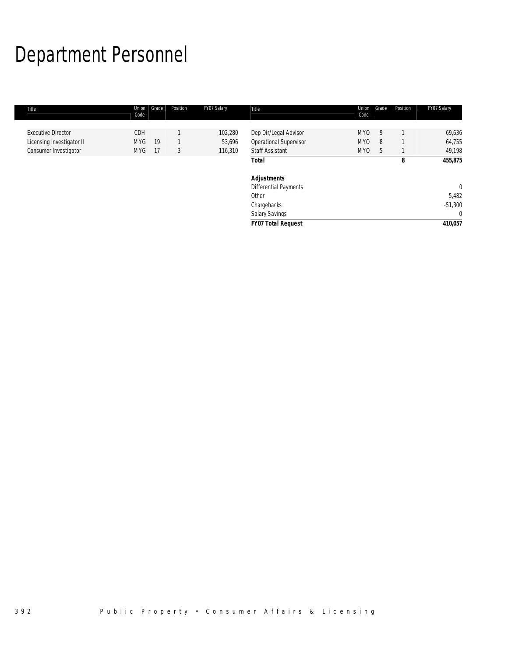# Department Personnel

| Title                     | Union<br>Code | Grade | Position | FY07 Salary | Title                         | Union<br>Code   | Grade | Position | FY07 Salary |
|---------------------------|---------------|-------|----------|-------------|-------------------------------|-----------------|-------|----------|-------------|
|                           |               |       |          |             |                               |                 |       |          |             |
| <b>Executive Director</b> | <b>CDH</b>    |       |          | 102,280     | Dep Dir/Legal Advisor         | MY <sub>0</sub> | 9     |          | 69,636      |
| Licensing Investigator II | <b>MYG</b>    | 19    |          | 53,696      | <b>Operational Supervisor</b> | MY <sub>0</sub> | 8     |          | 64,755      |
| Consumer Investigator     | MYG.          | -17   | 3        | 116,310     | <b>Staff Assistant</b>        | <b>MYO</b>      | 5     |          | 49,198      |
|                           |               |       |          |             | <b>Total</b>                  |                 |       | 8        | 455,875     |
|                           |               |       |          |             | <b>Adjustments</b>            |                 |       |          |             |
|                           |               |       |          |             | Differential Payments         |                 |       |          | $\theta$    |
|                           |               |       |          |             | Other                         |                 |       |          | 5,482       |
|                           |               |       |          |             | Chargebacks                   |                 |       |          | $-51,300$   |
|                           |               |       |          |             | Salary Savings                |                 |       |          | $\Omega$    |
|                           |               |       |          |             | <b>FY07 Total Request</b>     |                 |       |          | 410,057     |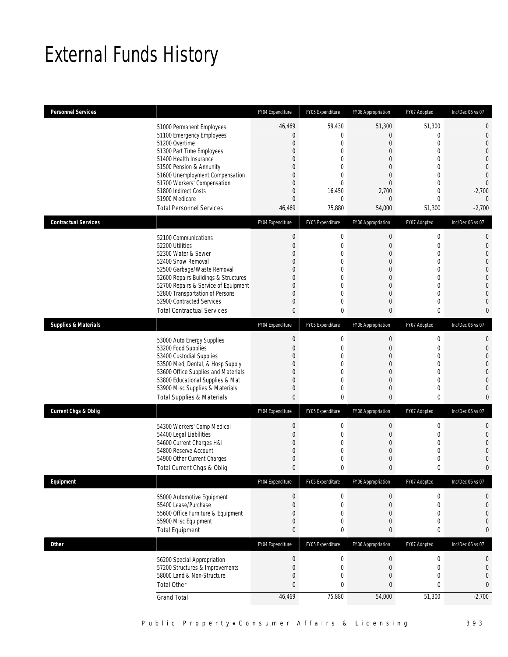## External Funds History

| <b>Personnel Services</b>       |                                                                                                                                                                                                                                                                                                            | FY04 Expenditure                                                                                                                                               | FY05 Expenditure                                                                                                                                      | FY06 Appropriation                                                                                                                                                        | FY07 Adopted                                                                                                                                  | Inc/Dec 06 vs 07                                                                                                                                                            |
|---------------------------------|------------------------------------------------------------------------------------------------------------------------------------------------------------------------------------------------------------------------------------------------------------------------------------------------------------|----------------------------------------------------------------------------------------------------------------------------------------------------------------|-------------------------------------------------------------------------------------------------------------------------------------------------------|---------------------------------------------------------------------------------------------------------------------------------------------------------------------------|-----------------------------------------------------------------------------------------------------------------------------------------------|-----------------------------------------------------------------------------------------------------------------------------------------------------------------------------|
|                                 | 51000 Permanent Employees<br>51100 Emergency Employees<br>51200 Overtime<br>51300 Part Time Employees<br>51400 Health Insurance<br>51500 Pension & Annunity<br>51600 Unemployment Compensation<br>51700 Workers' Compensation<br>51800 Indirect Costs<br>51900 Medicare<br><b>Total Personnel Services</b> | 46,469<br>$\overline{0}$<br>$\mathbf{0}$<br>$\mathbf{0}$<br>$\Omega$<br>$\mathbf{0}$<br>$\mathbf{0}$<br>$\mathbf{0}$<br>$\mathbf{0}$<br>$\mathbf{0}$<br>46,469 | 59.430<br>$\mathbf 0$<br>$\mathbf{0}$<br>$\mathbf{0}$<br>$\theta$<br>$\mathbf{0}$<br>$\mathbf{0}$<br>$\theta$<br>16,450<br>$\mathbf{0}$<br>75,880     | 51,300<br>$\mathbf{0}$<br>$\boldsymbol{0}$<br>$\overline{0}$<br>$\Omega$<br>$\overline{0}$<br>$\overline{0}$<br>$\mathbf{0}$<br>2,700<br>$\mathbf{0}$<br>54,000           | 51,300<br>$\mathbf 0$<br>$\boldsymbol{0}$<br>0<br>0<br>$\mathbf 0$<br>0<br>$\boldsymbol{0}$<br>0<br>$\mathbf 0$<br>51,300                     | $\mathbf 0$<br>$\mathbf 0$<br>$\mathbf{0}$<br>$\overline{0}$<br>$\overline{0}$<br>$\overline{0}$<br>$\mathbf 0$<br>$\overline{0}$<br>$-2,700$<br>$\overline{0}$<br>$-2,700$ |
| <b>Contractual Services</b>     |                                                                                                                                                                                                                                                                                                            | FY04 Expenditure                                                                                                                                               | FY05 Expenditure                                                                                                                                      | FY06 Appropriation                                                                                                                                                        | FY07 Adopted                                                                                                                                  | Inc/Dec 06 vs 07                                                                                                                                                            |
|                                 | 52100 Communications<br>52200 Utilities<br>52300 Water & Sewer<br>52400 Snow Removal<br>52500 Garbage/Waste Removal<br>52600 Repairs Buildings & Structures<br>52700 Repairs & Service of Equipment<br>52800 Transportation of Persons<br>52900 Contracted Services<br><b>Total Contractual Services</b>   | $\boldsymbol{0}$<br>$\mathbf{0}$<br>$\Omega$<br>$\mathbf{0}$<br>$\mathbf{0}$<br>$\mathbf{0}$<br>$\mathbf{0}$<br>$\Omega$<br>$\mathbf{0}$<br>$\mathbf{0}$       | $\mathbf 0$<br>$\mathbf 0$<br>$\mathbf{0}$<br>$\mathbf{0}$<br>$\mathbf{0}$<br>$\mathbf{0}$<br>$\mathbf{0}$<br>$\theta$<br>$\mathbf{0}$<br>$\mathbf 0$ | $\boldsymbol{0}$<br>$\boldsymbol{0}$<br>$\overline{0}$<br>$\overline{0}$<br>$\overline{0}$<br>$\boldsymbol{0}$<br>$\overline{0}$<br>$\overline{0}$<br>$\overline{0}$<br>0 | $\boldsymbol{0}$<br>$\boldsymbol{0}$<br>$\mathbf 0$<br>$\boldsymbol{0}$<br>0<br>$\boldsymbol{0}$<br>$\mathbf 0$<br>0<br>$\boldsymbol{0}$<br>0 | $\mathbf 0$<br>$\mathbf{0}$<br>$\overline{0}$<br>$\overline{0}$<br>$\overline{0}$<br>$\overline{0}$<br>$\overline{0}$<br>$\overline{0}$<br>$\overline{0}$<br>$\mathbf{0}$   |
| <b>Supplies &amp; Materials</b> |                                                                                                                                                                                                                                                                                                            | FY04 Expenditure                                                                                                                                               | FY05 Expenditure                                                                                                                                      | FY06 Appropriation                                                                                                                                                        | FY07 Adopted                                                                                                                                  | Inc/Dec 06 vs 07                                                                                                                                                            |
|                                 | 53000 Auto Energy Supplies<br>53200 Food Supplies<br>53400 Custodial Supplies<br>53500 Med, Dental, & Hosp Supply<br>53600 Office Supplies and Materials<br>53800 Educational Supplies & Mat<br>53900 Misc Supplies & Materials<br><b>Total Supplies &amp; Materials</b>                                   | $\boldsymbol{0}$<br>$\mathbf{0}$<br>$\overline{0}$<br>$\mathbf{0}$<br>$\mathbf{0}$<br>$\overline{0}$<br>$\mathbf{0}$<br>$\mathbf{0}$                           | 0<br>$\mathbf{0}$<br>0<br>$\mathbf{0}$<br>$\mathbf{0}$<br>$\mathbf{0}$<br>$\mathbf{0}$<br>$\mathbf 0$                                                 | $\mathbf 0$<br>$\overline{0}$<br>$\overline{0}$<br>$\overline{0}$<br>$\boldsymbol{0}$<br>$\overline{0}$<br>$\overline{0}$<br>0                                            | 0<br>$\mathbf 0$<br>$\boldsymbol{0}$<br>0<br>$\boldsymbol{0}$<br>$\boldsymbol{0}$<br>0<br>0                                                   | $\mathbf 0$<br>$\mathbf{0}$<br>$\overline{0}$<br>$\overline{0}$<br>$\overline{0}$<br>$\overline{0}$<br>$\overline{0}$<br>$\mathbf{0}$                                       |
| <b>Current Chgs &amp; Oblig</b> |                                                                                                                                                                                                                                                                                                            | FY04 Expenditure                                                                                                                                               | FY05 Expenditure                                                                                                                                      | FY06 Appropriation                                                                                                                                                        | FY07 Adopted                                                                                                                                  | Inc/Dec 06 vs 07                                                                                                                                                            |
|                                 | 54300 Workers' Comp Medical<br>54400 Legal Liabilities<br>54600 Current Charges H&I<br>54800 Reserve Account<br>54900 Other Current Charges<br>Total Current Chgs & Oblig                                                                                                                                  | $\boldsymbol{0}$<br>$\mathbf 0$<br>$\Omega$<br>$\mathbf{0}$<br>$\mathbf{0}$<br>$\theta$                                                                        | $\mathbf 0$<br>$\mathbf 0$<br>$\mathbf{0}$<br>$\mathbf 0$<br>$\mathbf{0}$<br>$\theta$                                                                 | $\boldsymbol{0}$<br>$\mathbf 0$<br>$\overline{0}$<br>$\boldsymbol{0}$<br>0<br>$\mathbf{0}$                                                                                | $\boldsymbol{0}$<br>0<br>0<br>$\boldsymbol{0}$<br>0<br>0                                                                                      | $\mathbf{0}$<br>$\mathbf{0}$<br>$\overline{0}$<br>$\overline{0}$<br>$\mathbf 0$<br>$\mathbf{0}$                                                                             |
| Equipment                       |                                                                                                                                                                                                                                                                                                            | FY04 Expenditure                                                                                                                                               | FY05 Expenditure                                                                                                                                      | FY06 Appropriation                                                                                                                                                        | FY07 Adopted                                                                                                                                  | Inc/Dec 06 vs 07                                                                                                                                                            |
|                                 | 55000 Automotive Equipment<br>55400 Lease/Purchase<br>55600 Office Furniture & Equipment<br>55900 Misc Equipment<br><b>Total Equipment</b>                                                                                                                                                                 | $\boldsymbol{0}$<br>$\mathbf 0$<br>$\mathbf 0$<br>$\mathbf 0$<br>$\mathbf{0}$                                                                                  | $\boldsymbol{0}$<br>$\mathbf 0$<br>$\mathbf{0}$<br>0<br>$\pmb{0}$                                                                                     | $\boldsymbol{0}$<br>$\boldsymbol{0}$<br>$\overline{0}$<br>0<br>$\mathbf{0}$                                                                                               | 0<br>$\boldsymbol{0}$<br>$\boldsymbol{0}$<br>0<br>$\bf{0}$                                                                                    | 0<br>$\mathbf{0}$<br>$\mathbf 0$<br>$\mathbf{0}$<br>$\bf{0}$                                                                                                                |
| Other                           |                                                                                                                                                                                                                                                                                                            | FY04 Expenditure                                                                                                                                               | FY05 Expenditure                                                                                                                                      | FY06 Appropriation                                                                                                                                                        | FY07 Adopted                                                                                                                                  | Inc/Dec 06 vs 07                                                                                                                                                            |
|                                 | 56200 Special Appropriation<br>57200 Structures & Improvements<br>58000 Land & Non-Structure<br><b>Total Other</b>                                                                                                                                                                                         | $\boldsymbol{0}$<br>$\mathbf 0$<br>$\mathbf{0}$<br>$\mathbf{0}$<br>46,469                                                                                      | $\mathbf 0$<br>$\mathbf 0$<br>0<br>$\mathbf 0$<br>75,880                                                                                              | $\boldsymbol{0}$<br>$\boldsymbol{0}$<br>0<br>$\mathbf 0$<br>54,000                                                                                                        | $\boldsymbol{0}$<br>$\boldsymbol{0}$<br>0<br>$\bf{0}$<br>51,300                                                                               | 0<br>0<br>$\mathbf 0$<br>0<br>$-2,700$                                                                                                                                      |
|                                 | <b>Grand Total</b>                                                                                                                                                                                                                                                                                         |                                                                                                                                                                |                                                                                                                                                       |                                                                                                                                                                           |                                                                                                                                               |                                                                                                                                                                             |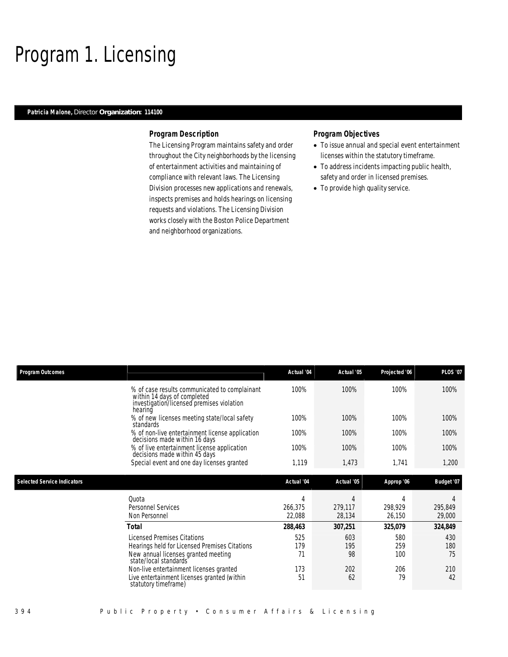### Program 1. Licensing

### *Patricia Malone, Director Organization: 114100*

#### *Program Description*

The Licensing Program maintains safety and order throughout the City neighborhoods by the licensing of entertainment activities and maintaining of compliance with relevant laws. The Licensing Division processes new applications and renewals, inspects premises and holds hearings on licensing requests and violations. The Licensing Division works closely with the Boston Police Department and neighborhood organizations.

- To issue annual and special event entertainment licenses within the statutory timeframe.
- To address incidents impacting public health, safety and order in licensed premises.
- To provide high quality service.

| <b>Program Outcomes</b>            |                                                                                                                                                     | Actual '04             | Actual '05             | Projected '06          | <b>PLOS '07</b>        |
|------------------------------------|-----------------------------------------------------------------------------------------------------------------------------------------------------|------------------------|------------------------|------------------------|------------------------|
|                                    | % of case results communicated to complainant<br>within 14 days of completed<br>investigation/licensed premises violation<br>hearing                | 100%                   | 100%                   | 100%                   | 100%                   |
|                                    | % of new licenses meeting state/local safety<br>standards                                                                                           | 100%                   | 100%                   | 100%                   | 100%                   |
|                                    | % of non-live entertainment license application<br>decisions made within 16 days                                                                    | 100%                   | 100%                   | 100%                   | 100%                   |
|                                    | % of live entertainment license application<br>decisions made within 45 days                                                                        | 100%                   | 100%                   | 100%                   | 100%                   |
|                                    | Special event and one day licenses granted                                                                                                          | 1,119                  | 1,473                  | 1,741                  | 1,200                  |
| <b>Selected Service Indicators</b> |                                                                                                                                                     | Actual '04             | Actual '05             | Approp '06             | Budget '07             |
|                                    | Quota<br><b>Personnel Services</b><br>Non Personnel                                                                                                 | 4<br>266,375<br>22,088 | 4<br>279,117<br>28,134 | 4<br>298,929<br>26,150 | 4<br>295,849<br>29,000 |
|                                    | Total                                                                                                                                               | 288,463                | 307,251                | 325,079                | 324,849                |
|                                    | <b>Licensed Premises Citations</b><br>Hearings held for Licensed Premises Citations<br>New annual licenses granted meeting<br>state/local standards | 525<br>179<br>71       | 603<br>195<br>98       | 580<br>259<br>100      | 430<br>180<br>75       |
|                                    | Non-live entertainment licenses granted<br>Live entertainment licenses granted (within<br>statutory timeframe)                                      | 173<br>51              | 202<br>62              | 206<br>79              | 210<br>42              |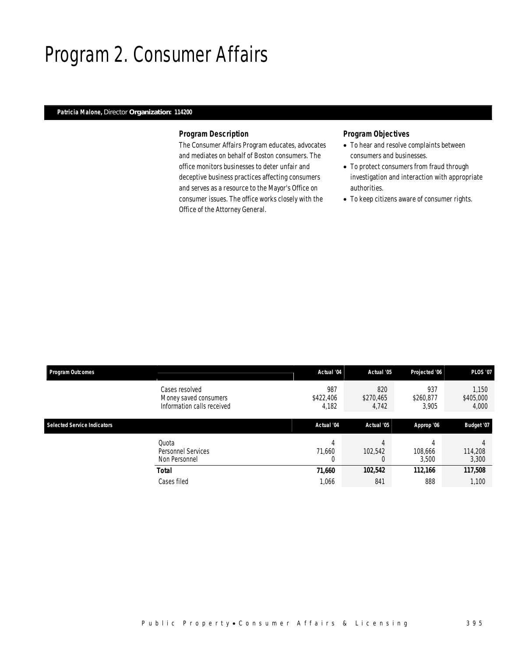## Program 2. Consumer Affairs

### *Patricia Malone, Director Organization: 114200*

#### *Program Description*

The Consumer Affairs Program educates, advocates and mediates on behalf of Boston consumers. The office monitors businesses to deter unfair and deceptive business practices affecting consumers and serves as a resource to the Mayor's Office on consumer issues. The office works closely with the Office of the Attorney General.

- To hear and resolve complaints between consumers and businesses.
- To protect consumers from fraud through investigation and interaction with appropriate authorities.
- To keep citizens aware of consumer rights.

| <b>Program Outcomes</b>            |                                                                       | Actual '04                | Actual '05                | Projected '06             | <b>PLOS '07</b>             |
|------------------------------------|-----------------------------------------------------------------------|---------------------------|---------------------------|---------------------------|-----------------------------|
|                                    | Cases resolved<br>Money saved consumers<br>Information calls received | 987<br>\$422,406<br>4,182 | 820<br>\$270,465<br>4,742 | 937<br>\$260,877<br>3,905 | 1.150<br>\$405,000<br>4,000 |
| <b>Selected Service Indicators</b> |                                                                       | Actual '04                | Actual '05                | Approp '06                | Budget '07                  |
|                                    | Quota<br>Personnel Services<br>Non Personnel                          | 4<br>71.660<br>0          | 102,542<br>0              | 108,666<br>3,500          | 114,208<br>3,300            |
|                                    | Total                                                                 | 71,660                    | 102,542                   | 112,166                   | 117,508                     |
|                                    | Cases filed                                                           | 1,066                     | 841                       | 888                       | 1,100                       |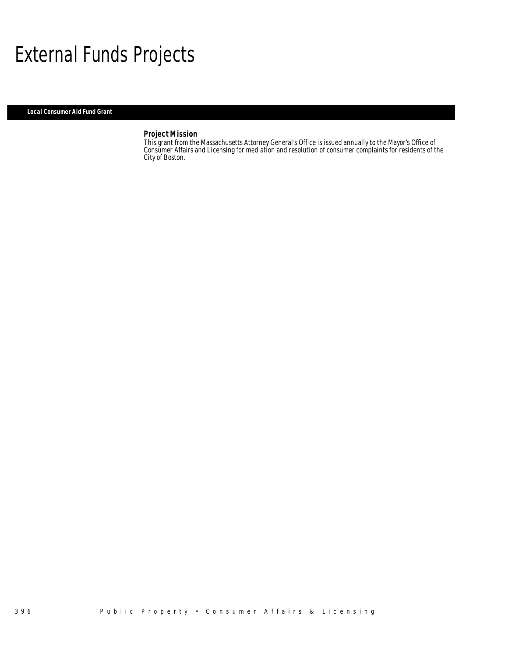## External Funds Projects

*Local Consumer Aid Fund Grant* 

#### *Project Mission*

This grant from the Massachusetts Attorney General's Office is issued annually to the Mayor's Office of Consumer Affairs and Licensing for mediation and resolution of consumer complaints for residents of the City of Boston.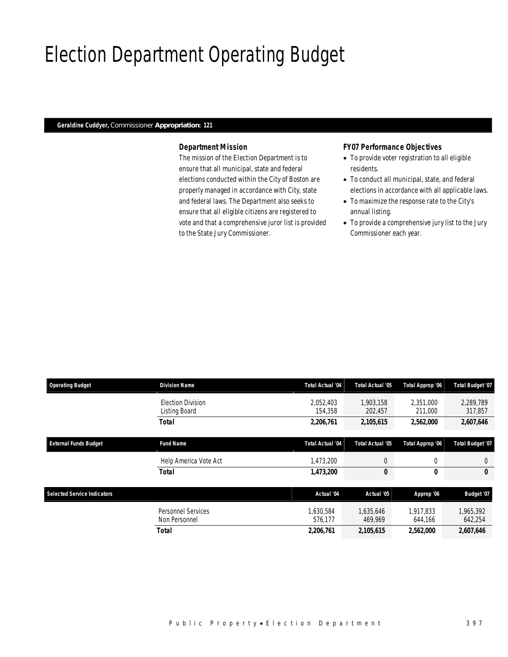# Election Department Operating Budget

#### *Geraldine Cuddyer, Commissioner Appropriation: 121*

#### *Department Mission*

The mission of the Election Department is to ensure that all municipal, state and federal elections conducted within the City of Boston are properly managed in accordance with City, state and federal laws. The Department also seeks to ensure that all eligible citizens are registered to vote and that a comprehensive juror list is provided to the State Jury Commissioner.

#### *FY07 Performance Objectives*

- To provide voter registration to all eligible residents.
- To conduct all municipal, state, and federal elections in accordance with all applicable laws.
- To maximize the response rate to the City's annual listing.
- To provide a comprehensive jury list to the Jury Commissioner each year.

| <b>Operating Budget</b>            | <b>Division Name</b>                      | <b>Total Actual '04</b> | Total Actual '05     | Total Approp '06     | <b>Total Budget '07</b> |
|------------------------------------|-------------------------------------------|-------------------------|----------------------|----------------------|-------------------------|
|                                    | <b>Election Division</b><br>Listing Board | 2,052,403<br>154,358    | 1,903,158<br>202,457 | 2,351,000<br>211,000 | 2,289,789<br>317,857    |
|                                    | <b>Total</b>                              | 2,206,761               | 2,105,615            | 2,562,000            | 2,607,646               |
| <b>External Funds Budget</b>       | <b>Fund Name</b>                          | <b>Total Actual '04</b> | Total Actual '05     | Total Approp '06     | <b>Total Budget '07</b> |
|                                    | Help America Vote Act                     | 1,473,200               | $\theta$             | 0                    | $\theta$                |
|                                    | <b>Total</b>                              | 1,473,200               | 0                    | 0                    | 0                       |
| <b>Selected Service Indicators</b> |                                           | Actual '04              | Actual '05           | Approp '06           | Budget '07              |
|                                    | Personnel Services<br>Non Personnel       | 1,630,584<br>576.177    | 1,635,646<br>469.969 | 1,917,833<br>644,166 | 1,965,392<br>642,254    |
|                                    | Total                                     | 2,206,761               | 2,105,615            | 2,562,000            | 2,607,646               |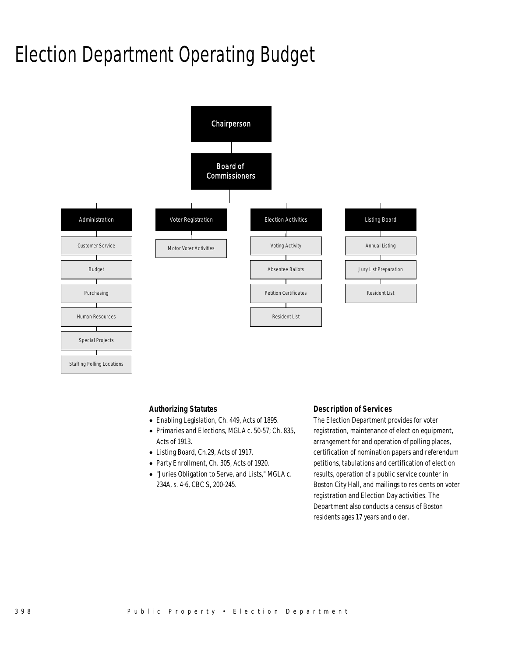# Election Department Operating Budget



#### *Authorizing Statutes*

- Enabling Legislation, Ch. 449, Acts of 1895.
- Primaries and Elections, MGLA c. 50-57; Ch. 835, Acts of 1913.
- Listing Board, Ch.29, Acts of 1917.
- Party Enrollment, Ch. 305, Acts of 1920.
- "Juries Obligation to Serve, and Lists," MGLA c. 234A, s. 4-6, CBC S, 200-245.

#### *Description of Services*

The Election Department provides for voter registration, maintenance of election equipment, arrangement for and operation of polling places, certification of nomination papers and referendum petitions, tabulations and certification of election results, operation of a public service counter in Boston City Hall, and mailings to residents on voter registration and Election Day activities. The Department also conducts a census of Boston residents ages 17 years and older.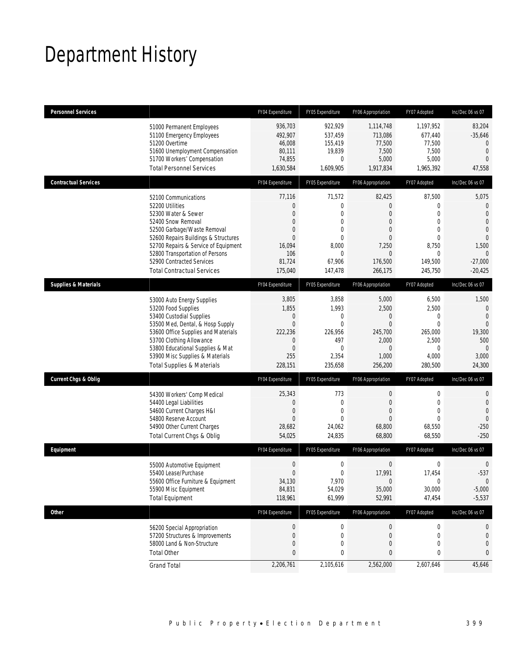## Department History

| Personnel Services              |                                                                                                                                                                                                                                                                                                          | FY04 Expenditure                                                                                                             | FY05 Expenditure                                                                                                  | FY06 Appropriation                                                                                                                          | FY07 Adopted                                                                                                            | Inc/Dec 06 vs 07                                                                                                                  |
|---------------------------------|----------------------------------------------------------------------------------------------------------------------------------------------------------------------------------------------------------------------------------------------------------------------------------------------------------|------------------------------------------------------------------------------------------------------------------------------|-------------------------------------------------------------------------------------------------------------------|---------------------------------------------------------------------------------------------------------------------------------------------|-------------------------------------------------------------------------------------------------------------------------|-----------------------------------------------------------------------------------------------------------------------------------|
|                                 | 51000 Permanent Employees<br>51100 Emergency Employees<br>51200 Overtime<br>51600 Unemployment Compensation<br>51700 Workers' Compensation<br><b>Total Personnel Services</b>                                                                                                                            | 936,703<br>492,907<br>46,008<br>80,111<br>74,855<br>1,630,584                                                                | 922,929<br>537,459<br>155,419<br>19,839<br>0<br>1,609,905                                                         | 1,114,748<br>713,086<br>77,500<br>7,500<br>5,000<br>1,917,834                                                                               | 1,197,952<br>677,440<br>77,500<br>7,500<br>5,000<br>1,965,392                                                           | 83,204<br>$-35,646$<br>$\mathbf{0}$<br>$\mathbf{0}$<br>$\overline{0}$<br>47,558                                                   |
| <b>Contractual Services</b>     |                                                                                                                                                                                                                                                                                                          | FY04 Expenditure                                                                                                             | FY05 Expenditure                                                                                                  | FY06 Appropriation                                                                                                                          | FY07 Adopted                                                                                                            | Inc/Dec 06 vs 07                                                                                                                  |
|                                 | 52100 Communications<br>52200 Utilities<br>52300 Water & Sewer<br>52400 Snow Removal<br>52500 Garbage/Waste Removal<br>52600 Repairs Buildings & Structures<br>52700 Repairs & Service of Equipment<br>52800 Transportation of Persons<br>52900 Contracted Services<br><b>Total Contractual Services</b> | 77,116<br>$\mathbf{0}$<br>$\overline{0}$<br>$\overline{0}$<br>$\mathbf{0}$<br>$\Omega$<br>16,094<br>106<br>81,724<br>175,040 | 71,572<br>0<br>$\overline{0}$<br>$\overline{0}$<br>$\theta$<br>$\theta$<br>8,000<br>$\theta$<br>67,906<br>147,478 | 82,425<br>$\overline{0}$<br>$\overline{0}$<br>$\overline{0}$<br>$\overline{0}$<br>$\overline{0}$<br>7,250<br>$\Omega$<br>176,500<br>266,175 | 87,500<br>0<br>$\overline{0}$<br>$\overline{0}$<br>$\overline{0}$<br>$\overline{0}$<br>8,750<br>0<br>149,500<br>245,750 | 5,075<br>0<br>$\overline{0}$<br>$\overline{0}$<br>$\overline{0}$<br>$\overline{0}$<br>1,500<br>$\Omega$<br>$-27,000$<br>$-20,425$ |
| <b>Supplies &amp; Materials</b> |                                                                                                                                                                                                                                                                                                          | FY04 Expenditure                                                                                                             | FY05 Expenditure                                                                                                  | FY06 Appropriation                                                                                                                          | FY07 Adopted                                                                                                            | Inc/Dec 06 vs 07                                                                                                                  |
|                                 | 53000 Auto Energy Supplies<br>53200 Food Supplies<br>53400 Custodial Supplies<br>53500 Med, Dental, & Hosp Supply<br>53600 Office Supplies and Materials<br>53700 Clothing Allowance<br>53800 Educational Supplies & Mat<br>53900 Misc Supplies & Materials<br><b>Total Supplies &amp; Materials</b>     | 3,805<br>1,855<br>$\mathbf 0$<br>$\mathbf{0}$<br>222,236<br>$\overline{0}$<br>$\mathbf{0}$<br>255<br>228,151                 | 3,858<br>1,993<br>$\mathbf 0$<br>$\mathbf{0}$<br>226,956<br>497<br>$\Omega$<br>2,354<br>235,658                   | 5,000<br>2,500<br>$\boldsymbol{0}$<br>$\overline{0}$<br>245,700<br>2,000<br>$\Omega$<br>1,000<br>256,200                                    | 6,500<br>2,500<br>$\mathbf 0$<br>$\overline{0}$<br>265,000<br>2,500<br>0<br>4,000<br>280,500                            | 1,500<br>$\mathbf{0}$<br>$\overline{0}$<br>$\overline{0}$<br>19,300<br>500<br>$\Omega$<br>3,000<br>24,300                         |
| Current Chgs & Oblig            |                                                                                                                                                                                                                                                                                                          | FY04 Expenditure                                                                                                             | FY05 Expenditure                                                                                                  | FY06 Appropriation                                                                                                                          | FY07 Adopted                                                                                                            | Inc/Dec 06 vs 07                                                                                                                  |
|                                 | 54300 Workers' Comp Medical<br>54400 Legal Liabilities<br>54600 Current Charges H&I<br>54800 Reserve Account<br>54900 Other Current Charges<br>Total Current Chgs & Oblig                                                                                                                                | 25,343<br>$\overline{0}$<br>$\mathbf 0$<br>$\Omega$<br>28,682<br>54,025                                                      | 773<br>$\mathbf{0}$<br>$\mathbf{0}$<br>$\Omega$<br>24,062<br>24,835                                               | 0<br>$\overline{0}$<br>$\overline{0}$<br>$\Omega$<br>68,800<br>68,800                                                                       | 0<br>$\overline{0}$<br>$\overline{0}$<br>0<br>68,550<br>68,550                                                          | 0<br>$\mathbf{0}$<br>$\overline{0}$<br>$\mathbf 0$<br>$-250$<br>$-250$                                                            |
| Equipment                       |                                                                                                                                                                                                                                                                                                          | FY04 Expenditure                                                                                                             | FY05 Expenditure                                                                                                  | FY06 Appropriation                                                                                                                          | FY07 Adopted                                                                                                            | Inc/Dec 06 vs 07                                                                                                                  |
|                                 | 55000 Automotive Equipment<br>55400 Lease/Purchase<br>55600 Office Furniture & Equipment<br>55900 Misc Equipment<br><b>Total Equipment</b>                                                                                                                                                               | $\mathbf 0$<br>$\Omega$<br>34,130<br>84,831<br>118,961                                                                       | $\mathbf 0$<br>$\theta$<br>7,970<br>54,029<br>61,999                                                              | 0<br>17,991<br>$\mathbf 0$<br>35,000<br>52,991                                                                                              | 0<br>17,454<br>0<br>30,000<br>47,454                                                                                    | $\mathbf 0$<br>$-537$<br>$\mathbf 0$<br>$-5,000$<br>$-5,537$                                                                      |
| Other                           |                                                                                                                                                                                                                                                                                                          | FY04 Expenditure                                                                                                             | FY05 Expenditure                                                                                                  | FY06 Appropriation                                                                                                                          | FY07 Adopted                                                                                                            | Inc/Dec 06 vs 07                                                                                                                  |
|                                 | 56200 Special Appropriation<br>57200 Structures & Improvements<br>58000 Land & Non-Structure<br><b>Total Other</b>                                                                                                                                                                                       | $\boldsymbol{0}$<br>$\mathbf 0$<br>$\mathbf{0}$<br>$\mathbf{0}$                                                              | $\boldsymbol{0}$<br>$\mathbf 0$<br>0<br>0                                                                         | 0<br>0<br>0<br>0                                                                                                                            | $\boldsymbol{0}$<br>0<br>0<br>0                                                                                         | 0<br>$\mathbf 0$<br>0<br>0                                                                                                        |
|                                 | <b>Grand Total</b>                                                                                                                                                                                                                                                                                       | 2,206,761                                                                                                                    | 2,105,616                                                                                                         | 2,562,000                                                                                                                                   | 2,607,646                                                                                                               | 45,646                                                                                                                            |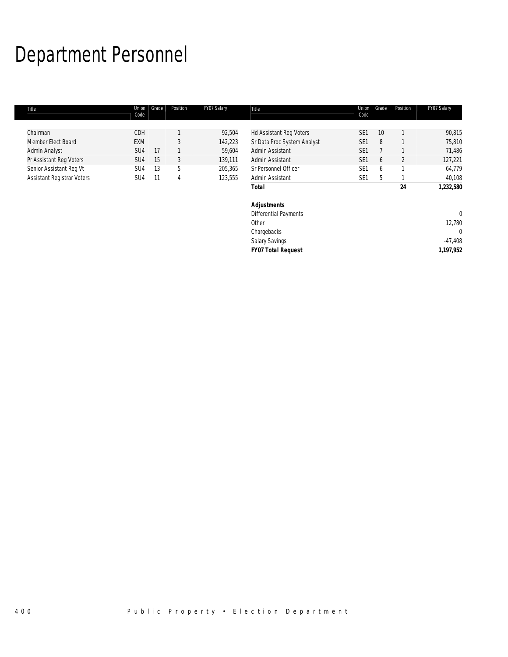# Department Personnel

г

| Title                             | Union<br>Code   | Grade | Position | FY07 Salary | Title                        | Union<br>Code   | Grade | Position | FY07 Salary |
|-----------------------------------|-----------------|-------|----------|-------------|------------------------------|-----------------|-------|----------|-------------|
|                                   |                 |       |          |             |                              |                 |       |          |             |
| Chairman                          | CDH             |       |          | 92,504      | Hd Assistant Reg Voters      | SE <sub>1</sub> | 10    |          | 90,815      |
| Member Elect Board                | <b>EXM</b>      |       | 3        | 142,223     | Sr Data Proc System Analyst  | SE <sub>1</sub> | 8     |          | 75,810      |
| Admin Analyst                     | SU4             | 17    |          | 59,604      | Admin Assistant              | SE <sub>1</sub> |       |          | 71,486      |
| Pr Assistant Reg Voters           | SU <sub>4</sub> | 15    | 3        | 139,111     | Admin Assistant              | SE <sub>1</sub> | 6     | 2        | 127,221     |
| Senior Assistant Reg Vt           | SU4             | 13    | 5        | 205,365     | Sr Personnel Officer         | SE <sub>1</sub> | 6     |          | 64,779      |
| <b>Assistant Registrar Voters</b> | SU4             | 11    | 4        | 123,555     | Admin Assistant              | SE <sub>1</sub> | 5     |          | 40,108      |
|                                   |                 |       |          |             | <b>Total</b>                 |                 |       | 24       | 1,232,580   |
|                                   |                 |       |          |             | <b>Adjustments</b>           |                 |       |          |             |
|                                   |                 |       |          |             | <b>Differential Payments</b> |                 |       |          | $\mathbf 0$ |
|                                   |                 |       |          |             | Other                        |                 |       |          | 12,780      |
|                                   |                 |       |          |             | Chargebacks                  |                 |       |          | 0           |
|                                   |                 |       |          |             | <b>Salary Savings</b>        |                 |       |          | $-47,408$   |

*FY07 Total Request 1,197,952*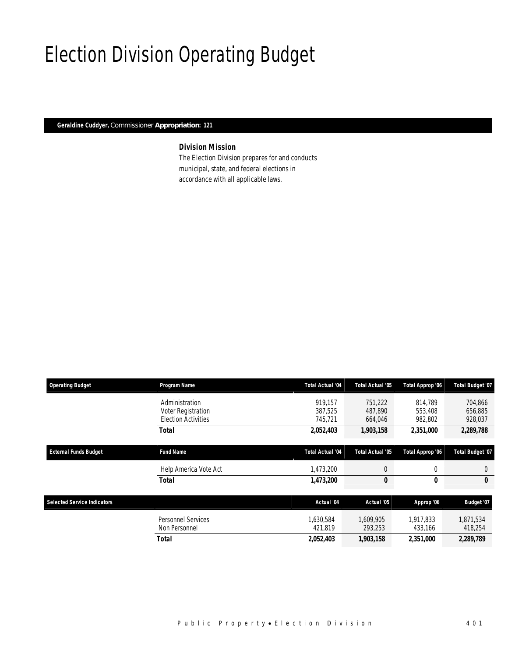## Election Division Operating Budget

*Geraldine Cuddyer, Commissioner Appropriation: 121* 

### *Division Mission*

The Election Division prepares for and conducts municipal, state, and federal elections in accordance with all applicable laws.

| <b>Operating Budget</b>            | Program Name                                                       | <b>Total Actual '04</b>       | <b>Total Actual '05</b>       | Total Approp '06              | Total Budget '07              |
|------------------------------------|--------------------------------------------------------------------|-------------------------------|-------------------------------|-------------------------------|-------------------------------|
|                                    | Administration<br>Voter Registration<br><b>Election Activities</b> | 919.157<br>387,525<br>745,721 | 751.222<br>487,890<br>664,046 | 814.789<br>553,408<br>982,802 | 704,866<br>656,885<br>928,037 |
|                                    | Total                                                              | 2,052,403                     | 1,903,158                     | 2,351,000                     | 2,289,788                     |
| <b>External Funds Budget</b>       | <b>Fund Name</b>                                                   | Total Actual '04              | <b>Total Actual '05</b>       | Total Approp '06              | Total Budget '07              |
|                                    | Help America Vote Act                                              | 1,473,200                     | $\overline{0}$                | 0                             | $\theta$                      |
|                                    | Total                                                              | 1,473,200                     | 0                             | 0                             | 0                             |
| <b>Selected Service Indicators</b> |                                                                    | Actual '04                    | Actual '05                    | Approp '06                    | Budget '07                    |
|                                    | Personnel Services<br>Non Personnel                                | 1,630,584<br>421.819          | 1,609,905<br>293,253          | 1,917,833<br>433,166          | 1,871,534<br>418,254          |
|                                    | Total                                                              | 2,052,403                     | 1,903,158                     | 2,351,000                     | 2,289,789                     |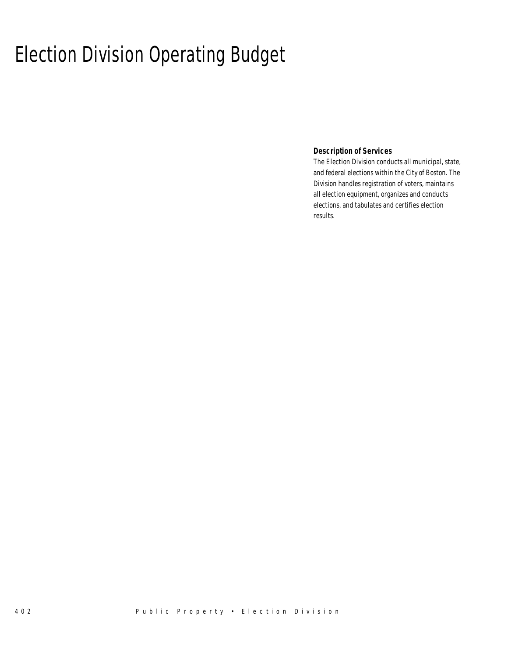# Election Division Operating Budget

 *Description of Services* 

The Election Division conducts all municipal, state, and federal elections within the City of Boston. The Division handles registration of voters, maintains all election equipment, organizes and conducts elections, and tabulates and certifies election results.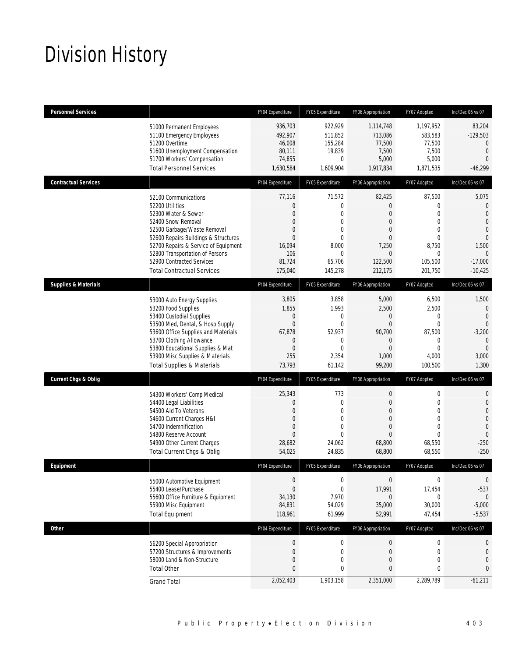# Division History

| <b>Personnel Services</b>       |                                                                                                                                                                                                                                                                                                          | FY04 Expenditure                                                                                                         | FY05 Expenditure                                                                                                             | FY06 Appropriation                                                                                                              | FY07 Adopted                                                                                                       | Inc/Dec 06 vs 07                                                                                                                       |
|---------------------------------|----------------------------------------------------------------------------------------------------------------------------------------------------------------------------------------------------------------------------------------------------------------------------------------------------------|--------------------------------------------------------------------------------------------------------------------------|------------------------------------------------------------------------------------------------------------------------------|---------------------------------------------------------------------------------------------------------------------------------|--------------------------------------------------------------------------------------------------------------------|----------------------------------------------------------------------------------------------------------------------------------------|
|                                 | 51000 Permanent Employees<br>51100 Emergency Employees<br>51200 Overtime<br>51600 Unemployment Compensation<br>51700 Workers' Compensation<br><b>Total Personnel Services</b>                                                                                                                            | 936.703<br>492,907<br>46,008<br>80,111<br>74,855<br>1,630,584                                                            | 922,929<br>511,852<br>155,284<br>19,839<br>$\mathbf{0}$<br>1,609,904                                                         | 1,114,748<br>713,086<br>77,500<br>7,500<br>5,000<br>1,917,834                                                                   | 1.197.952<br>583,583<br>77,500<br>7,500<br>5,000<br>1,871,535                                                      | 83,204<br>$-129,503$<br>$\mathbf{0}$<br>$\overline{0}$<br>$\Omega$<br>$-46,299$                                                        |
| <b>Contractual Services</b>     |                                                                                                                                                                                                                                                                                                          | FY04 Expenditure                                                                                                         | FY05 Expenditure                                                                                                             | FY06 Appropriation                                                                                                              | FY07 Adopted                                                                                                       | Inc/Dec 06 vs 07                                                                                                                       |
|                                 | 52100 Communications<br>52200 Utilities<br>52300 Water & Sewer<br>52400 Snow Removal<br>52500 Garbage/Waste Removal<br>52600 Repairs Buildings & Structures<br>52700 Repairs & Service of Equipment<br>52800 Transportation of Persons<br>52900 Contracted Services<br><b>Total Contractual Services</b> | 77,116<br>$\mathbf{0}$<br>$\mathbf{0}$<br>$\mathbf{0}$<br>$\mathbf{0}$<br>$\Omega$<br>16,094<br>106<br>81,724<br>175,040 | 71,572<br>$\mathbf{0}$<br>$\mathbf{0}$<br>$\mathbf{0}$<br>$\theta$<br>$\theta$<br>8,000<br>$\mathbf{0}$<br>65,706<br>145,278 | 82,425<br>$\overline{0}$<br>$\Omega$<br>$\overline{0}$<br>$\overline{0}$<br>$\Omega$<br>7,250<br>$\Omega$<br>122,500<br>212,175 | 87,500<br>0<br>$\mathbf 0$<br>$\mathbf 0$<br>$\mathbf 0$<br>$\mathbf 0$<br>8,750<br>$\Omega$<br>105,500<br>201,750 | 5,075<br>$\mathbf{0}$<br>$\overline{0}$<br>$\overline{0}$<br>$\theta$<br>$\overline{0}$<br>1,500<br>$\Omega$<br>$-17,000$<br>$-10,425$ |
| <b>Supplies &amp; Materials</b> |                                                                                                                                                                                                                                                                                                          | FY04 Expenditure                                                                                                         | FY05 Expenditure                                                                                                             | FY06 Appropriation                                                                                                              | FY07 Adopted                                                                                                       | Inc/Dec 06 vs 07                                                                                                                       |
|                                 | 53000 Auto Energy Supplies<br>53200 Food Supplies<br>53400 Custodial Supplies<br>53500 Med, Dental, & Hosp Supply<br>53600 Office Supplies and Materials<br>53700 Clothing Allowance<br>53800 Educational Supplies & Mat<br>53900 Misc Supplies & Materials<br><b>Total Supplies &amp; Materials</b>     | 3,805<br>1,855<br>$\boldsymbol{0}$<br>$\mathbf{0}$<br>67,878<br>$\mathbf{0}$<br>$\overline{0}$<br>255<br>73,793          | 3,858<br>1,993<br>$\mathbf 0$<br>$\mathbf{0}$<br>52,937<br>$\mathbf{0}$<br>$\theta$<br>2,354<br>61,142                       | 5,000<br>2,500<br>$\boldsymbol{0}$<br>$\Omega$<br>90,700<br>$\overline{0}$<br>$\Omega$<br>1,000<br>99,200                       | 6,500<br>2,500<br>$\boldsymbol{0}$<br>$\mathbf 0$<br>87,500<br>$\mathbf 0$<br>$\theta$<br>4,000<br>100,500         | 1,500<br>$\overline{0}$<br>$\overline{0}$<br>$\theta$<br>$-3,200$<br>$\mathbf{0}$<br>$\Omega$<br>3,000<br>1,300                        |
| <b>Current Chgs &amp; Oblig</b> |                                                                                                                                                                                                                                                                                                          | FY04 Expenditure                                                                                                         | FY05 Expenditure                                                                                                             | FY06 Appropriation                                                                                                              | FY07 Adopted                                                                                                       | Inc/Dec 06 vs 07                                                                                                                       |
|                                 | 54300 Workers' Comp Medical<br>54400 Legal Liabilities<br>54500 Aid To Veterans<br>54600 Current Charges H&I<br>54700 Indemnification<br>54800 Reserve Account<br>54900 Other Current Charges<br>Total Current Chgs & Oblig                                                                              | 25,343<br>$\mathbf{0}$<br>$\mathbf{0}$<br>$\mathbf{0}$<br>$\mathbf{0}$<br>$\mathbf{0}$<br>28,682<br>54,025               | 773<br>$\mathbf{0}$<br>$\mathbf{0}$<br>$\theta$<br>$\mathbf{0}$<br>$\theta$<br>24,062<br>24,835                              | $\mathbf 0$<br>$\overline{0}$<br>$\overline{0}$<br>$\overline{0}$<br>$\mathbf{0}$<br>$\Omega$<br>68,800<br>68,800               | 0<br>$\mathbf 0$<br>$\mathbf 0$<br>0<br>$\mathbf 0$<br>$\theta$<br>68,550<br>68,550                                | $\mathbf 0$<br>$\overline{0}$<br>$\overline{0}$<br>$\overline{0}$<br>$\overline{0}$<br>$\overline{0}$<br>$-250$<br>$-250$              |
| Equipment                       |                                                                                                                                                                                                                                                                                                          | FY04 Expenditure                                                                                                         | FY05 Expenditure                                                                                                             | FY06 Appropriation                                                                                                              | FY07 Adopted                                                                                                       | Inc/Dec 06 vs 07                                                                                                                       |
|                                 | 55000 Automotive Equipment<br>55400 Lease/Purchase<br>55600 Office Furniture & Equipment<br>55900 Misc Equipment<br><b>Total Equipment</b>                                                                                                                                                               | $\boldsymbol{0}$<br>$\overline{0}$<br>34,130<br>84,831<br>118,961                                                        | $\mathbf 0$<br>$\mathbf{0}$<br>7,970<br>54,029<br>61,999                                                                     | $\boldsymbol{0}$<br>17,991<br>$\mathbf{0}$<br>35,000<br>52,991                                                                  | $\boldsymbol{0}$<br>17,454<br>0<br>30,000<br>47,454                                                                | $\boldsymbol{0}$<br>$-537$<br>$\mathbf{0}$<br>$-5,000$<br>$-5,537$                                                                     |
| <b>Other</b>                    |                                                                                                                                                                                                                                                                                                          | FY04 Expenditure                                                                                                         | FY05 Expenditure                                                                                                             | FY06 Appropriation                                                                                                              | FY07 Adopted                                                                                                       | Inc/Dec 06 vs 07                                                                                                                       |
|                                 | 56200 Special Appropriation<br>57200 Structures & Improvements<br>58000 Land & Non-Structure<br><b>Total Other</b>                                                                                                                                                                                       | $\boldsymbol{0}$<br>$\mathbf 0$<br>$\mathbf{0}$<br>$\mathbf{0}$                                                          | $\mathbf 0$<br>$\mathbf 0$<br>$\mathbf 0$<br>$\mathbf 0$                                                                     | $\boldsymbol{0}$<br>0<br>$\boldsymbol{0}$<br>0                                                                                  | 0<br>0<br>$\boldsymbol{0}$<br>0                                                                                    | 0<br>$\mathbf{0}$<br>$\overline{0}$<br>0                                                                                               |
|                                 | <b>Grand Total</b>                                                                                                                                                                                                                                                                                       | 2,052,403                                                                                                                | 1,903,158                                                                                                                    | 2,351,000                                                                                                                       | 2,289,789                                                                                                          | $-61,211$                                                                                                                              |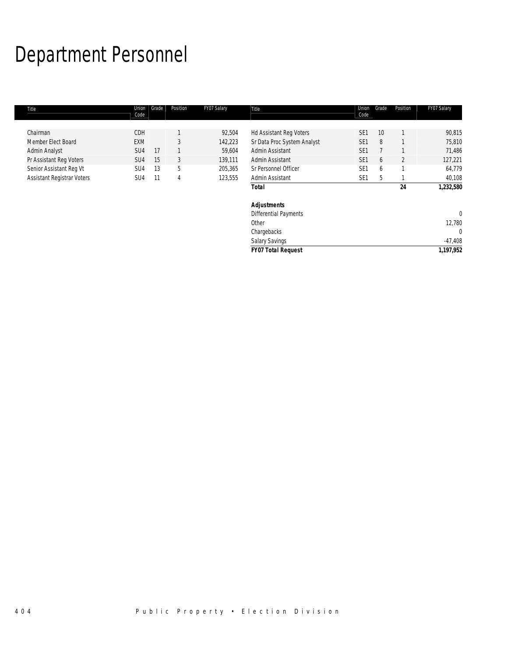# Department Personnel

г

| Title                             | Union<br>Code   | Grade | Position | FY07 Salary | Title                        | Union<br>Code   | Grade           | Position | FY07 Salary  |
|-----------------------------------|-----------------|-------|----------|-------------|------------------------------|-----------------|-----------------|----------|--------------|
|                                   |                 |       |          |             |                              |                 |                 |          |              |
| Chairman                          | CDH             |       |          | 92,504      | Hd Assistant Reg Voters      | SE <sub>1</sub> | 10 <sup>°</sup> |          | 90,815       |
| Member Elect Board                | <b>EXM</b>      |       | 3        | 142,223     | Sr Data Proc System Analyst  | SE <sub>1</sub> | 8               |          | 75,810       |
| Admin Analyst                     | SU <sub>4</sub> | 17    |          | 59,604      | Admin Assistant              | SE <sub>1</sub> |                 |          | 71,486       |
| Pr Assistant Reg Voters           | SU <sub>4</sub> | 15    | 3        | 139,111     | Admin Assistant              | SE <sub>1</sub> | 6               | 2        | 127,221      |
| Senior Assistant Reg Vt           | SU4             | 13    | 5        | 205,365     | Sr Personnel Officer         | SE <sub>1</sub> | 6               |          | 64,779       |
| <b>Assistant Registrar Voters</b> | SU4             | 11    | 4        | 123,555     | Admin Assistant              | SE <sub>1</sub> | 5               |          | 40,108       |
|                                   |                 |       |          |             | <b>Total</b>                 |                 |                 | 24       | 1,232,580    |
|                                   |                 |       |          |             | <b>Adjustments</b>           |                 |                 |          |              |
|                                   |                 |       |          |             | <b>Differential Payments</b> |                 |                 |          | $\mathbf 0$  |
|                                   |                 |       |          |             | Other                        |                 |                 |          | 12,780       |
|                                   |                 |       |          |             | Chargebacks                  |                 |                 |          | $\mathbf{0}$ |
|                                   |                 |       |          |             | <b>Salary Savings</b>        |                 |                 |          | $-47,408$    |

*FY07 Total Request 1,197,952*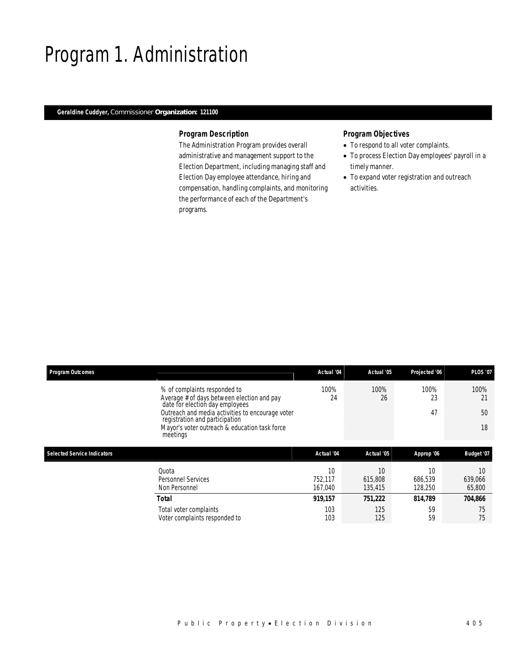## Program 1. Administration

### *Geraldine Cuddyer, Commissioner Organization: 121100*

#### *Program Description*

The Administration Program provides overall administrative and management support to the Election Department, including managing staff and Election Day employee attendance, hiring and compensation, handling complaints, and monitoring the performance of each of the Department's programs.

- To respond to all voter complaints.
- To process Election Day employees' payroll in a timely manner.
- To expand voter registration and outreach activities.

|                                                                            | Actual '04                                                                                         | Actual '05               | Projected '06            | <b>PLOS '07</b>         |
|----------------------------------------------------------------------------|----------------------------------------------------------------------------------------------------|--------------------------|--------------------------|-------------------------|
| % of complaints responded to<br>Average # of days between election and pay | 100%<br>24                                                                                         | 100%<br>26               | 100%<br>23               | 100%<br>21              |
| Outreach and media activities to encourage voter                           |                                                                                                    |                          | 47                       | 50                      |
| Mayor's voter outreach & education task force<br>meetings                  |                                                                                                    |                          |                          | 18                      |
|                                                                            |                                                                                                    |                          |                          |                         |
|                                                                            |                                                                                                    |                          |                          | Budget '07              |
| Quota<br>Personnel Services<br>Non Personnel                               | 10<br>752,117<br>167.040                                                                           | 10<br>615,808<br>135,415 | 10<br>686,539<br>128,250 | 10<br>639,066<br>65,800 |
| <b>Total</b>                                                               | 919.157                                                                                            | 751,222                  | 814.789                  | 704.866                 |
| Total voter complaints                                                     | 103<br>103                                                                                         | 125<br>125               | 59                       | 75<br>75                |
|                                                                            | date for election day employees<br>registration and participation<br>Voter complaints responded to | Actual '04               | Actual '05               | Approp '06<br>59        |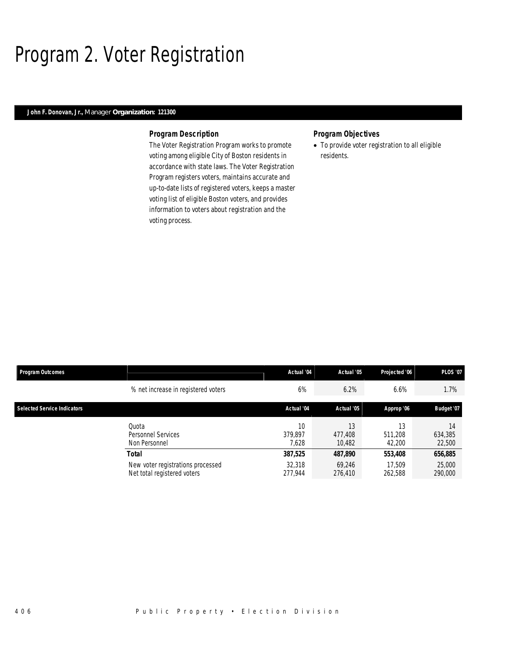## Program 2. Voter Registration

#### *John F. Donovan, Jr., Manager Organization: 121300*

#### *Program Description*

The Voter Registration Program works to promote voting among eligible City of Boston residents in accordance with state laws. The Voter Registration Program registers voters, maintains accurate and up-to-date lists of registered voters, keeps a master voting list of eligible Boston voters, and provides information to voters about registration and the voting process.

### *Program Objectives*

• To provide voter registration to all eligible residents.

| <b>Program Outcomes</b>            |                                                                  | Actual '04             | Actual '05              | Projected '06           | <b>PLOS '07</b>         |
|------------------------------------|------------------------------------------------------------------|------------------------|-------------------------|-------------------------|-------------------------|
|                                    | % net increase in registered voters                              | 6%                     | 6.2%                    | 6.6%                    | 1.7%                    |
| <b>Selected Service Indicators</b> |                                                                  | Actual '04             | Actual '05              | Approp '06              | Budget '07              |
|                                    | Ouota<br>Personnel Services<br>Non Personnel                     | 10<br>379.897<br>7.628 | 13<br>477.408<br>10.482 | 13<br>511.208<br>42,200 | 14<br>634,385<br>22,500 |
| <b>Total</b>                       |                                                                  | 387,525                | 487,890                 | 553,408                 | 656,885                 |
|                                    | New voter registrations processed<br>Net total registered voters | 32,318<br>277.944      | 69,246<br>276,410       | 17.509<br>262,588       | 25,000<br>290,000       |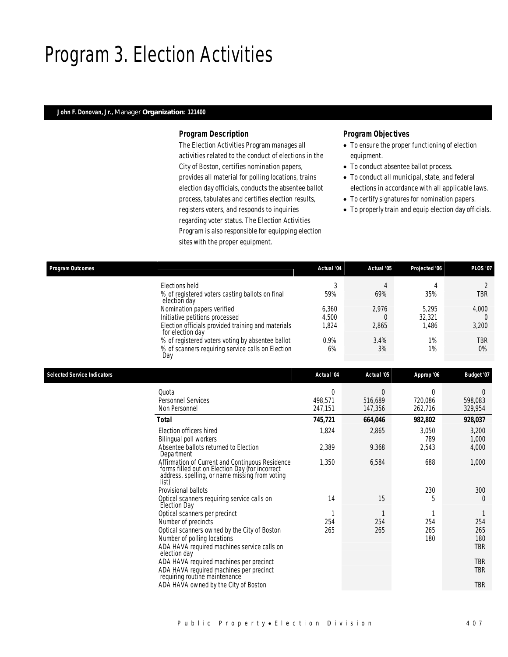## Program 3. Election Activities

#### *John F. Donovan, Jr., Manager Organization: 121400*

#### *Program Description*

The Election Activities Program manages all activities related to the conduct of elections in the City of Boston, certifies nomination papers, provides all material for polling locations, trains election day officials, conducts the absentee ballot process, tabulates and certifies election results, registers voters, and responds to inquiries regarding voter status. The Election Activities Program is also responsible for equipping election sites with the proper equipment.

- To ensure the proper functioning of election equipment.
- To conduct absentee ballot process.
- To conduct all municipal, state, and federal elections in accordance with all applicable laws.
- To certify signatures for nomination papers.
- To properly train and equip election day officials.

| Program Outcomes                                                       | Actual '04 | Actual '05 | Projected '06 | <b>PLOS '07</b> |
|------------------------------------------------------------------------|------------|------------|---------------|-----------------|
| Elections held                                                         | c          |            |               |                 |
| % of registered voters casting ballots on final<br>election day        | 59%        | 69%        | 35%           | <b>TBR</b>      |
| Nomination papers verified                                             | 6.360      | 2.976      | 5.295         | 4,000           |
| Initiative petitions processed                                         | 4.500      |            | 32,321        |                 |
| Election officials provided training and materials<br>for election day | 1,824      | 2,865      | 1,486         | 3,200           |
| % of registered voters voting by absentee ballot                       | 0.9%       | 3.4%       | 1%            | <b>TBR</b>      |
| % of scanners requiring service calls on Election<br>Day               | 6%         | 3%         | 1%            | 0%              |

| <b>Selected Service Indicators</b> |                                                                                                                                                               | Actual '04 | Actual '05 | Approp '06   | Budget '07     |
|------------------------------------|---------------------------------------------------------------------------------------------------------------------------------------------------------------|------------|------------|--------------|----------------|
|                                    | Quota                                                                                                                                                         | $\Omega$   | 0          | $\Omega$     |                |
|                                    | <b>Personnel Services</b>                                                                                                                                     | 498,571    | 516,689    | 720,086      | 598,083        |
|                                    | Non Personnel                                                                                                                                                 | 247,151    | 147,356    | 262,716      | 329,954        |
|                                    | Total                                                                                                                                                         | 745,721    | 664,046    | 982,802      | 928,037        |
|                                    | Election officers hired<br>Bilingual poll workers                                                                                                             | 1,824      | 2,865      | 3,050<br>789 | 3,200<br>1,000 |
|                                    | Absentee ballots returned to Election<br>Department                                                                                                           | 2,389      | 9.368      | 2,543        | 4,000          |
|                                    | Affirmation of Current and Continuous Residence<br>forms filled out on Election Day (for incorrect<br>address, spelling, or name missing from voting<br>list) | 1,350      | 6,584      | 688          | 1,000          |
|                                    | Provisional ballots                                                                                                                                           |            |            | 230          | 300            |
|                                    | Optical scanners requiring service calls on<br>Election Day                                                                                                   | 14         | 15         | 5            | 0              |
|                                    | Optical scanners per precinct                                                                                                                                 |            |            |              |                |
|                                    | Number of precincts                                                                                                                                           | 254        | 254        | 254          | 254            |
|                                    | Optical scanners owned by the City of Boston                                                                                                                  | 265        | 265        | 265          | 265            |
|                                    | Number of polling locations                                                                                                                                   |            |            | 180          | 180            |
|                                    | ADA HAVA required machines service calls on<br>election day                                                                                                   |            |            |              | TBR            |
|                                    | ADA HAVA required machines per precinct                                                                                                                       |            |            |              | <b>TBR</b>     |
|                                    | ADA HAVA required machines per precinct<br>requiring routine maintenance                                                                                      |            |            |              | TBR            |
|                                    | ADA HAVA owned by the City of Boston                                                                                                                          |            |            |              | <b>TBR</b>     |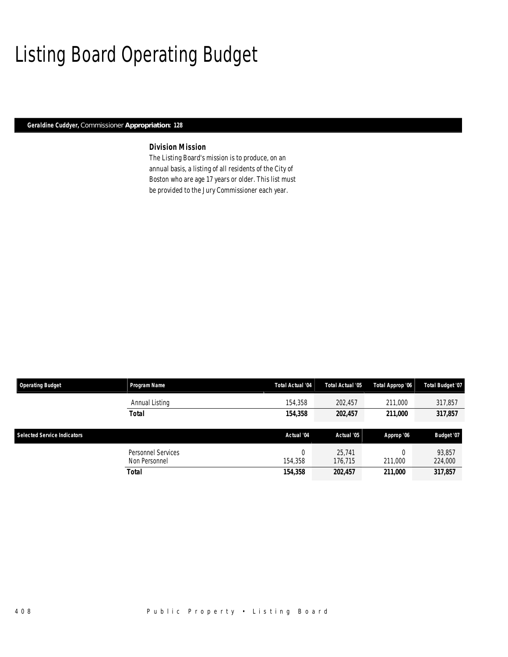## Listing Board Operating Budget

*Geraldine Cuddyer, Commissioner Appropriation: 128* 

### *Division Mission*

The Listing Board's mission is to produce, on an annual basis, a listing of all residents of the City of Boston who are age 17 years or older. This list must be provided to the Jury Commissioner each year.

| <b>Operating Budget</b>            | Program Name                               | Total Actual '04 | Total Actual '05  | Total Approp '06 | <b>Total Budget '07</b> |
|------------------------------------|--------------------------------------------|------------------|-------------------|------------------|-------------------------|
|                                    | Annual Listing                             | 154,358          | 202,457           | 211,000          | 317,857                 |
|                                    | <b>Total</b>                               | 154,358          | 202,457           | 211,000          | 317,857                 |
| <b>Selected Service Indicators</b> |                                            | Actual '04       | Actual '05        | Approp '06       | Budget '07              |
|                                    |                                            |                  |                   |                  |                         |
|                                    | <b>Personnel Services</b><br>Non Personnel | 0<br>154.358     | 25.741<br>176,715 | 211,000          | 93,857<br>224,000       |
|                                    | <b>Total</b>                               | 154,358          | 202,457           | 211,000          | 317,857                 |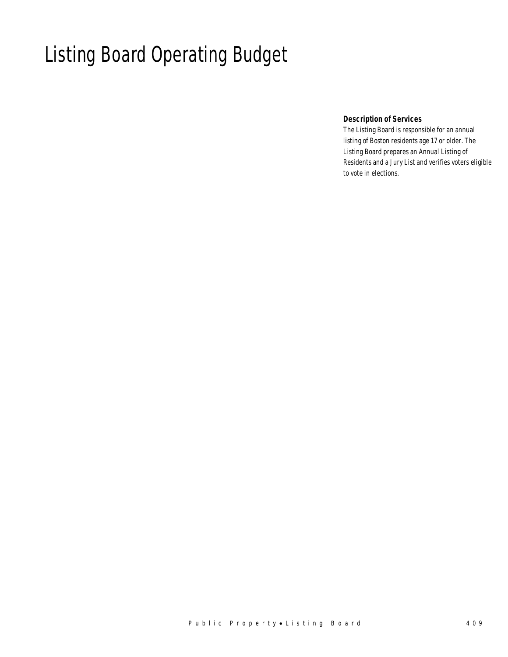# Listing Board Operating Budget

### *Description of Services*

The Listing Board is responsible for an annual listing of Boston residents age 17 or older. The Listing Board prepares an Annual Listing of Residents and a Jury List and verifies voters eligible to vote in elections.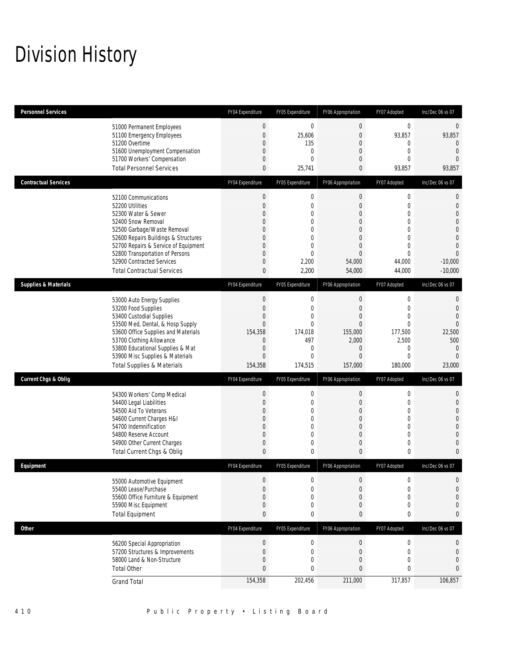# Division History

| <b>Personnel Services</b>       |                                                                                                                                                                                                                                                                                                          | FY04 Expenditure                                                                                                                                                | FY05 Expenditure                                                                                                                | FY06 Appropriation                                                                                                                       | FY07 Adopted                                                                                                                                  | Inc/Dec 06 vs 07                                                                                                                    |
|---------------------------------|----------------------------------------------------------------------------------------------------------------------------------------------------------------------------------------------------------------------------------------------------------------------------------------------------------|-----------------------------------------------------------------------------------------------------------------------------------------------------------------|---------------------------------------------------------------------------------------------------------------------------------|------------------------------------------------------------------------------------------------------------------------------------------|-----------------------------------------------------------------------------------------------------------------------------------------------|-------------------------------------------------------------------------------------------------------------------------------------|
|                                 | 51000 Permanent Employees<br>51100 Emergency Employees<br>51200 Overtime<br>51600 Unemployment Compensation<br>51700 Workers' Compensation<br><b>Total Personnel Services</b>                                                                                                                            | $\boldsymbol{0}$<br>$\mathbf{0}$<br>$\mathbf{0}$<br>$\overline{0}$<br>$\mathbf{0}$<br>$\mathbf{0}$                                                              | $\mathbf{0}$<br>25,606<br>135<br>$\mathbf{0}$<br>$\theta$<br>25,741                                                             | $\boldsymbol{0}$<br>$\mathbf{0}$<br>$\mathbf{0}$<br>$\mathbf{0}$<br>$\mathbf{0}$<br>$\mathbf{0}$                                         | 0<br>93,857<br>0<br>0<br>$\Omega$<br>93,857                                                                                                   | 0<br>93,857<br>$\theta$<br>$\overline{0}$<br>$\Omega$<br>93,857                                                                     |
| <b>Contractual Services</b>     |                                                                                                                                                                                                                                                                                                          | FY04 Expenditure                                                                                                                                                | FY05 Expenditure                                                                                                                | FY06 Appropriation                                                                                                                       | FY07 Adopted                                                                                                                                  | Inc/Dec 06 vs 07                                                                                                                    |
|                                 | 52100 Communications<br>52200 Utilities<br>52300 Water & Sewer<br>52400 Snow Removal<br>52500 Garbage/Waste Removal<br>52600 Repairs Buildings & Structures<br>52700 Repairs & Service of Equipment<br>52800 Transportation of Persons<br>52900 Contracted Services<br><b>Total Contractual Services</b> | $\boldsymbol{0}$<br>$\mathbf{0}$<br>$\Omega$<br>$\mathbf 0$<br>$\mathbf{0}$<br>$\overline{0}$<br>$\overline{0}$<br>$\mathbf{0}$<br>$\mathbf{0}$<br>$\mathbf{0}$ | $\mathbf 0$<br>$\mathbf{0}$<br>$\theta$<br>$\overline{0}$<br>$\theta$<br>$\mathbf{0}$<br>$\theta$<br>$\theta$<br>2,200<br>2,200 | $\mathbf{0}$<br>$\mathbf{0}$<br>$\mathbf{0}$<br>$\mathbf{0}$<br>$\Omega$<br>$\mathbf{0}$<br>$\mathbf{0}$<br>$\Omega$<br>54,000<br>54,000 | $\boldsymbol{0}$<br>$\overline{0}$<br>$\Omega$<br>$\overline{0}$<br>$\theta$<br>$\overline{0}$<br>$\mathbf 0$<br>$\Omega$<br>44,000<br>44,000 | $\theta$<br>$\mathbf 0$<br>$\theta$<br>$\overline{0}$<br>$\theta$<br>$\mathbf{0}$<br>$\theta$<br>$\Omega$<br>$-10,000$<br>$-10,000$ |
| <b>Supplies &amp; Materials</b> |                                                                                                                                                                                                                                                                                                          | FY04 Expenditure                                                                                                                                                | FY05 Expenditure                                                                                                                | FY06 Appropriation                                                                                                                       | FY07 Adopted                                                                                                                                  | Inc/Dec 06 vs 07                                                                                                                    |
|                                 | 53000 Auto Energy Supplies<br>53200 Food Supplies<br>53400 Custodial Supplies<br>53500 Med, Dental, & Hosp Supply<br>53600 Office Supplies and Materials<br>53700 Clothing Allowance<br>53800 Educational Supplies & Mat<br>53900 Misc Supplies & Materials<br><b>Total Supplies &amp; Materials</b>     | $\mathbf 0$<br>$\mathbf{0}$<br>$\mathbf 0$<br>$\mathbf{0}$<br>154,358<br>$\mathbf{0}$<br>$\mathbf{0}$<br>$\mathbf{0}$<br>154,358                                | $\mathbf 0$<br>$\mathbf{0}$<br>$\overline{0}$<br>$\theta$<br>174.018<br>497<br>$\mathbf{0}$<br>$\mathbf{0}$<br>174,515          | $\mathbf{0}$<br>$\mathbf{0}$<br>$\mathbf{0}$<br>$\Omega$<br>155,000<br>2,000<br>$\mathbf{0}$<br>$\mathbf{0}$<br>157,000                  | 0<br>$\overline{0}$<br>$\overline{0}$<br>$\theta$<br>177,500<br>2,500<br>$\mathbf 0$<br>$\mathbf 0$<br>180,000                                | 0<br>$\mathbf{0}$<br>$\mathbf{0}$<br>$\theta$<br>22,500<br>500<br>$\overline{0}$<br>$\mathbf{0}$<br>23,000                          |
| <b>Current Chgs &amp; Oblig</b> |                                                                                                                                                                                                                                                                                                          | FY04 Expenditure                                                                                                                                                | FY05 Expenditure                                                                                                                | FY06 Appropriation                                                                                                                       | FY07 Adopted                                                                                                                                  | Inc/Dec 06 vs 07                                                                                                                    |
|                                 | 54300 Workers' Comp Medical<br>54400 Legal Liabilities<br>54500 Aid To Veterans<br>54600 Current Charges H&I<br>54700 Indemnification<br>54800 Reserve Account<br>54900 Other Current Charges<br>Total Current Chgs & Oblig                                                                              | $\mathbf 0$<br>$\mathbf{0}$<br>$\mathbf{0}$<br>$\theta$<br>$\mathbf{0}$<br>$\overline{0}$<br>$\mathbf 0$<br>$\mathbf{0}$                                        | $\mathbf{0}$<br>$\mathbf{0}$<br>$\overline{0}$<br>$\mathbf{0}$<br>$\mathbf{0}$<br>$\mathbf{0}$<br>$\mathbf{0}$<br>0             | $\mathbf{0}$<br>$\mathbf{0}$<br>$\mathbf{0}$<br>$\mathbf{0}$<br>$\mathbf{0}$<br>$\mathbf{0}$<br>$\mathbf{0}$<br>$\mathbf{0}$             | $\mathbf 0$<br>$\mathbf 0$<br>$\overline{0}$<br>$\mathbf 0$<br>$\mathbf 0$<br>$\overline{0}$<br>$\mathbf 0$<br>0                              | 0<br>$\theta$<br>$\overline{0}$<br>0<br>$\theta$<br>$\boldsymbol{0}$<br>$\Omega$<br>0                                               |
| Equipment                       |                                                                                                                                                                                                                                                                                                          | FY04 Expenditure                                                                                                                                                | FY05 Expenditure                                                                                                                | FY06 Appropriation                                                                                                                       | FY07 Adopted                                                                                                                                  | Inc/Dec 06 vs 07                                                                                                                    |
|                                 | 55000 Automotive Equipment<br>55400 Lease/Purchase<br>55600 Office Furniture & Equipment<br>55900 Misc Equipment<br><b>Total Equipment</b>                                                                                                                                                               | $\theta$<br>$\mathbf{0}$<br>$\mathbf{0}$<br>$\mathbf{0}$<br>$\mathbf{0}$                                                                                        | $\mathbf 0$<br>$\theta$<br>$\mathbf{0}$<br>0<br>$\mathbf 0$                                                                     | 0<br>$\mathbf{0}$<br>$\mathbf{0}$<br>$\mathbf{0}$<br>0                                                                                   | 0<br>$\overline{0}$<br>0<br>$\boldsymbol{0}$<br>0                                                                                             | $\theta$<br>$\mathbf 0$<br>$\theta$<br>$\mathbf{0}$<br>0                                                                            |
| <b>Other</b>                    |                                                                                                                                                                                                                                                                                                          | FY04 Expenditure                                                                                                                                                | FY05 Expenditure                                                                                                                | FY06 Appropriation                                                                                                                       | FY07 Adopted                                                                                                                                  | Inc/Dec 06 vs 07                                                                                                                    |
|                                 | 56200 Special Appropriation<br>57200 Structures & Improvements<br>58000 Land & Non-Structure<br><b>Total Other</b>                                                                                                                                                                                       | $\mathbf 0$<br>$\mathbf 0$<br>$\mathbf{0}$<br>$\mathbf{0}$                                                                                                      | $\mathbf 0$<br>$\mathbf{0}$<br>$\mathbf{0}$<br>$\mathbf 0$                                                                      | 0<br>$\mathbf{0}$<br>$\mathbf{0}$<br>0                                                                                                   | $\boldsymbol{0}$<br>0<br>$\mathbf 0$<br>0                                                                                                     | 0<br>$\theta$<br>$\theta$<br>0                                                                                                      |
|                                 | <b>Grand Total</b>                                                                                                                                                                                                                                                                                       | 154,358                                                                                                                                                         | 202,456                                                                                                                         | 211,000                                                                                                                                  | 317,857                                                                                                                                       | 106,857                                                                                                                             |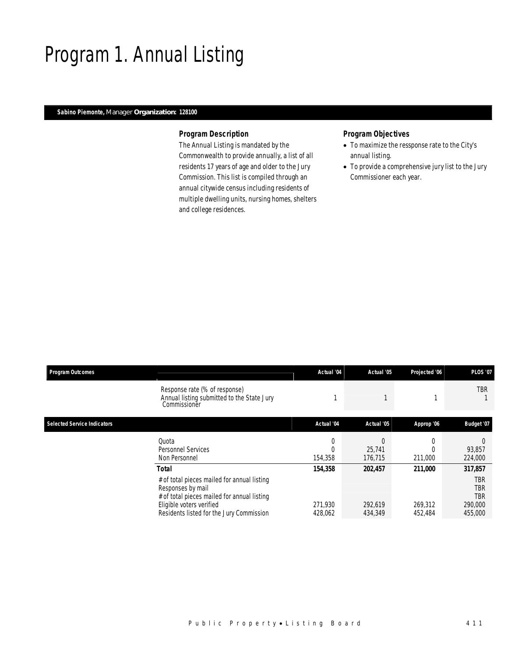# Program 1. Annual Listing

## *Sabino Piemonte, Manager Organization: 128100*

## *Program Description*

The Annual Listing is mandated by the Commonwealth to provide annually, a list of all residents 17 years of age and older to the Jury Commission. This list is compiled through an annual citywide census including residents of multiple dwelling units, nursing homes, shelters and college residences.

## *Program Objectives*

- To maximize the ressponse rate to the City's annual listing.
- To provide a comprehensive jury list to the Jury Commissioner each year.

| <b>Program Outcomes</b>            |                                                                                                                                                                                                  | Actual '04                    | Actual '05                    | Projected '06                 | <b>PLOS '07</b>                                    |
|------------------------------------|--------------------------------------------------------------------------------------------------------------------------------------------------------------------------------------------------|-------------------------------|-------------------------------|-------------------------------|----------------------------------------------------|
|                                    | Response rate (% of response)<br>Annual listing submitted to the State Jury<br>Commissioner                                                                                                      |                               |                               |                               | <b>TBR</b>                                         |
| <b>Selected Service Indicators</b> |                                                                                                                                                                                                  | Actual '04                    | Actual '05                    | Approp '06                    | Budget '07                                         |
|                                    | Quota<br>Personnel Services<br>Non Personnel                                                                                                                                                     | 154,358                       | 25,741<br>176,715             | 211,000                       | 93,857<br>224,000                                  |
|                                    | Total<br># of total pieces mailed for annual listing<br>Responses by mail<br># of total pieces mailed for annual listing<br>Eligible voters verified<br>Residents listed for the Jury Commission | 154,358<br>271,930<br>428,062 | 202,457<br>292,619<br>434,349 | 211,000<br>269,312<br>452,484 | 317,857<br>TBR<br>TBR<br>TBR<br>290,000<br>455,000 |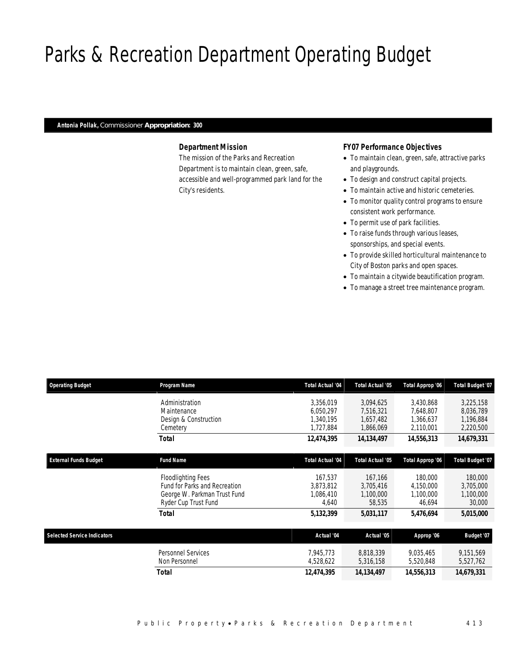# Parks & Recreation Department Operating Budget

#### *Antonia Pollak, Commissioner Appropriation: 300*

### *Department Mission*

The mission of the Parks and Recreation Department is to maintain clean, green, safe, accessible and well-programmed park land for the City's residents.

#### *FY07 Performance Objectives*

- To maintain clean, green, safe, attractive parks and playgrounds.
- To design and construct capital projects.
- To maintain active and historic cemeteries.
- To monitor quality control programs to ensure consistent work performance.
- To permit use of park facilities.
- To raise funds through various leases, sponsorships, and special events.
- To provide skilled horticultural maintenance to City of Boston parks and open spaces.
- To maintain a citywide beautification program.
- To manage a street tree maintenance program.

| <b>Operating Budget</b>            | Program Name                                                                                                | <b>Total Actual '04</b>                          | Total Actual '05                                 | Total Approp '06                                 | Total Budget '07                                 |
|------------------------------------|-------------------------------------------------------------------------------------------------------------|--------------------------------------------------|--------------------------------------------------|--------------------------------------------------|--------------------------------------------------|
|                                    | Administration<br>Maintenance<br>Design & Construction<br>Cemetery                                          | 3.356.019<br>6.050.297<br>1,340,195<br>1,727,884 | 3,094,625<br>7,516,321<br>1,657,482<br>1,866,069 | 3,430,868<br>7,648,807<br>1,366,637<br>2,110,001 | 3,225,158<br>8,036,789<br>1,196,884<br>2,220,500 |
|                                    | <b>Total</b>                                                                                                | 12,474,395                                       | 14,134,497                                       | 14,556,313                                       | 14,679,331                                       |
| <b>External Funds Budget</b>       | <b>Fund Name</b>                                                                                            | <b>Total Actual '04</b>                          | Total Actual '05                                 | Total Approp '06                                 | Total Budget '07                                 |
|                                    | Floodlighting Fees<br>Fund for Parks and Recreation<br>George W. Parkman Trust Fund<br>Ryder Cup Trust Fund | 167.537<br>3,873,812<br>1,086,410<br>4,640       | 167.166<br>3,705,416<br>1,100,000<br>58,535      | 180,000<br>4,150,000<br>1,100,000<br>46,694      | 180,000<br>3,705,000<br>1,100,000<br>30,000      |
|                                    | <b>Total</b>                                                                                                | 5,132,399                                        | 5,031,117                                        | 5,476,694                                        | 5,015,000                                        |
| <b>Selected Service Indicators</b> |                                                                                                             | Actual '04                                       | Actual '05                                       | Approp '06                                       | <b>Budget '07</b>                                |
|                                    | <b>Personnel Services</b><br>Non Personnel                                                                  | 7,945,773<br>4,528,622                           | 8,818,339<br>5,316,158                           | 9,035,465<br>5,520,848                           | 9,151,569<br>5,527,762                           |
|                                    | Total                                                                                                       | 12,474,395                                       | 14, 134, 497                                     | 14,556,313                                       | 14,679,331                                       |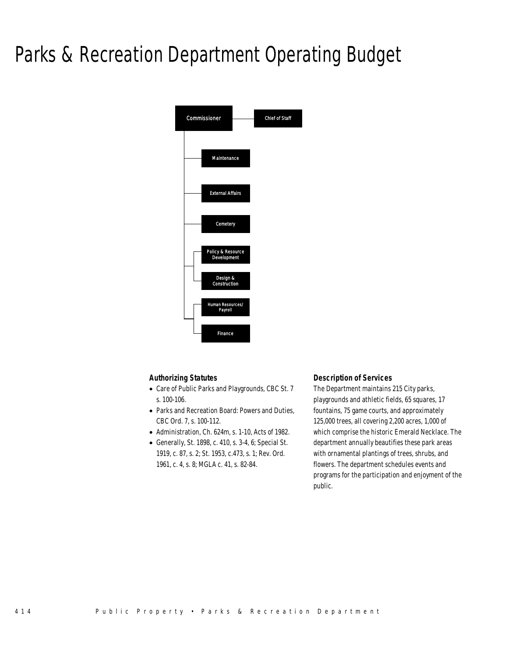# Parks & Recreation Department Operating Budget



## *Authorizing Statutes*

- Care of Public Parks and Playgrounds, CBC St. 7 s. 100-106.
- Parks and Recreation Board: Powers and Duties, CBC Ord. 7, s. 100-112.
- Administration, Ch. 624m, s. 1-10, Acts of 1982.
- Generally, St. 1898, c. 410, s. 3-4, 6; Special St. 1919, c. 87, s. 2; St. 1953, c.473, s. 1; Rev. Ord. 1961, c. 4, s. 8; MGLA c. 41, s. 82-84.

### *Description of Services*

The Department maintains 215 City parks, playgrounds and athletic fields, 65 squares, 17 fountains, 75 game courts, and approximately 125,000 trees, all covering 2,200 acres, 1,000 of which comprise the historic Emerald Necklace. The department annually beautifies these park areas with ornamental plantings of trees, shrubs, and flowers. The department schedules events and programs for the participation and enjoyment of the public.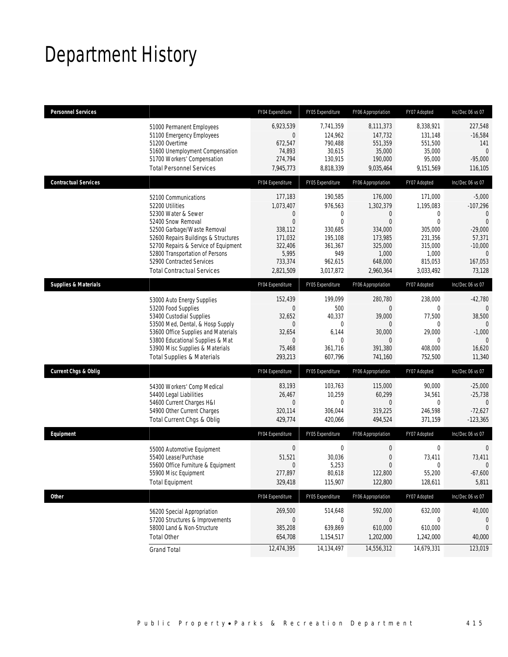# Department History

| <b>Personnel Services</b>       |                                                                                                                                                                                                                                                                                                          | FY04 Expenditure                                                                                                   | FY05 Expenditure                                                                                           | FY06 Appropriation                                                                                             | FY07 Adopted                                                                                            | Inc/Dec 06 vs 07                                                                                                          |
|---------------------------------|----------------------------------------------------------------------------------------------------------------------------------------------------------------------------------------------------------------------------------------------------------------------------------------------------------|--------------------------------------------------------------------------------------------------------------------|------------------------------------------------------------------------------------------------------------|----------------------------------------------------------------------------------------------------------------|---------------------------------------------------------------------------------------------------------|---------------------------------------------------------------------------------------------------------------------------|
|                                 | 51000 Permanent Employees<br>51100 Emergency Employees<br>51200 Overtime<br>51600 Unemployment Compensation<br>51700 Workers' Compensation<br><b>Total Personnel Services</b>                                                                                                                            | 6,923,539<br>$\mathbf 0$<br>672,547<br>74,893<br>274,794<br>7,945,773                                              | 7,741,359<br>124,962<br>790,488<br>30,615<br>130,915<br>8,818,339                                          | 8,111,373<br>147,732<br>551,359<br>35,000<br>190,000<br>9,035,464                                              | 8,338,921<br>131,148<br>551,500<br>35,000<br>95,000<br>9,151,569                                        | 227,548<br>$-16,584$<br>141<br>$\overline{0}$<br>$-95,000$<br>116,105                                                     |
| <b>Contractual Services</b>     |                                                                                                                                                                                                                                                                                                          | FY04 Expenditure                                                                                                   | FY05 Expenditure                                                                                           | FY06 Appropriation                                                                                             | FY07 Adopted                                                                                            | Inc/Dec 06 vs 07                                                                                                          |
|                                 | 52100 Communications<br>52200 Utilities<br>52300 Water & Sewer<br>52400 Snow Removal<br>52500 Garbage/Waste Removal<br>52600 Repairs Buildings & Structures<br>52700 Repairs & Service of Equipment<br>52800 Transportation of Persons<br>52900 Contracted Services<br><b>Total Contractual Services</b> | 177,183<br>1,073,407<br>$\mathbf{0}$<br>$\Omega$<br>338,112<br>171,032<br>322,406<br>5,995<br>733,374<br>2,821,509 | 190,585<br>976,563<br>$\theta$<br>$\theta$<br>330,685<br>195,108<br>361,367<br>949<br>962,615<br>3,017,872 | 176,000<br>1,302,379<br>$\Omega$<br>$\Omega$<br>334,000<br>173,985<br>325,000<br>1,000<br>648,000<br>2,960,364 | 171,000<br>1,195,083<br>0<br>$\theta$<br>305,000<br>231,356<br>315,000<br>1,000<br>815,053<br>3,033,492 | $-5,000$<br>$-107,296$<br>$\Omega$<br>$\Omega$<br>$-29,000$<br>57,371<br>$-10,000$<br>$\overline{0}$<br>167,053<br>73,128 |
| <b>Supplies &amp; Materials</b> |                                                                                                                                                                                                                                                                                                          | FY04 Expenditure                                                                                                   | FY05 Expenditure                                                                                           | FY06 Appropriation                                                                                             | FY07 Adopted                                                                                            | Inc/Dec 06 vs 07                                                                                                          |
|                                 | 53000 Auto Energy Supplies<br>53200 Food Supplies<br>53400 Custodial Supplies<br>53500 Med, Dental, & Hosp Supply<br>53600 Office Supplies and Materials<br>53800 Educational Supplies & Mat<br>53900 Misc Supplies & Materials<br><b>Total Supplies &amp; Materials</b>                                 | 152,439<br>$\Omega$<br>32,652<br>$\mathbf{0}$<br>32,654<br>$\overline{0}$<br>75,468<br>293,213                     | 199,099<br>500<br>40,337<br>0<br>6,144<br>$\mathbf{0}$<br>361,716<br>607,796                               | 280,780<br>$\overline{0}$<br>39,000<br>$\Omega$<br>30,000<br>$\Omega$<br>391,380<br>741,160                    | 238.000<br>0<br>77,500<br>0<br>29,000<br>0<br>408,000<br>752,500                                        | $-42,780$<br>38,500<br>$\theta$<br>$-1,000$<br>$\theta$<br>16,620<br>11,340                                               |
| <b>Current Chgs &amp; Oblig</b> |                                                                                                                                                                                                                                                                                                          | FY04 Expenditure                                                                                                   | FY05 Expenditure                                                                                           | FY06 Appropriation                                                                                             | FY07 Adopted                                                                                            | Inc/Dec 06 vs 07                                                                                                          |
|                                 | 54300 Workers' Comp Medical<br>54400 Legal Liabilities<br>54600 Current Charges H&I<br>54900 Other Current Charges<br>Total Current Chgs & Oblig                                                                                                                                                         | 83,193<br>26,467<br>$\mathbf{0}$<br>320,114<br>429,774                                                             | 103,763<br>10,259<br>$\mathbf{0}$<br>306,044<br>420,066                                                    | 115,000<br>60,299<br>$\overline{0}$<br>319,225<br>494,524                                                      | 90,000<br>34,561<br>0<br>246,598<br>371,159                                                             | $-25,000$<br>$-25,738$<br>$\mathbf{0}$<br>$-72,627$<br>$-123,365$                                                         |
| Equipment                       |                                                                                                                                                                                                                                                                                                          | FY04 Expenditure                                                                                                   | FY05 Expenditure                                                                                           | FY06 Appropriation                                                                                             | FY07 Adopted                                                                                            | Inc/Dec 06 vs 07                                                                                                          |
|                                 | 55000 Automotive Equipment<br>55400 Lease/Purchase<br>55600 Office Furniture & Equipment<br>55900 Misc Equipment<br><b>Total Equipment</b>                                                                                                                                                               | $\mathbf 0$<br>51,521<br>$\mathbf{0}$<br>277,897<br>329,418                                                        | $\mathbf{0}$<br>30,036<br>5,253<br>80,618<br>115,907                                                       | 0<br>$\overline{0}$<br>$\Omega$<br>122,800<br>122,800                                                          | $\boldsymbol{0}$<br>73,411<br>0<br>55,200<br>128,611                                                    | 0<br>73,411<br>$\theta$<br>$-67,600$<br>5,811                                                                             |
| Other                           |                                                                                                                                                                                                                                                                                                          | FY04 Expenditure                                                                                                   | FY05 Expenditure                                                                                           | FY06 Appropriation                                                                                             | FY07 Adopted                                                                                            | Inc/Dec 06 vs 07                                                                                                          |
|                                 | 56200 Special Appropriation<br>57200 Structures & Improvements<br>58000 Land & Non-Structure<br><b>Total Other</b>                                                                                                                                                                                       | 269,500<br>$\boldsymbol{0}$<br>385,208<br>654,708                                                                  | 514,648<br>$\mathbf{0}$<br>639,869<br>1,154,517                                                            | 592,000<br>$\overline{0}$<br>610,000<br>1,202,000                                                              | 632,000<br>$\mathbf 0$<br>610,000<br>1,242,000                                                          | 40,000<br>$\theta$<br>0<br>40,000                                                                                         |
|                                 | <b>Grand Total</b>                                                                                                                                                                                                                                                                                       | 12,474,395                                                                                                         | 14,134,497                                                                                                 | 14,556,312                                                                                                     | 14,679,331                                                                                              | 123,019                                                                                                                   |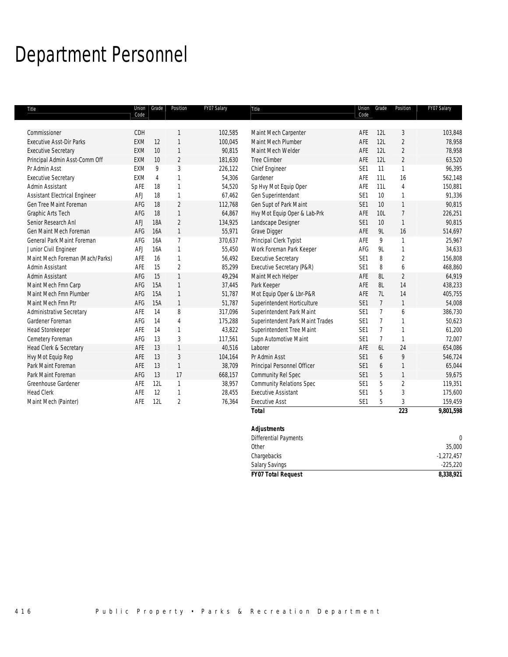# Department Personnel

| Title                                | Code       | Union Grade    | Position       | FY07 Salary | Title                            | Code            | Union Grade    | Position       | FY07 Salary  |
|--------------------------------------|------------|----------------|----------------|-------------|----------------------------------|-----------------|----------------|----------------|--------------|
|                                      |            |                |                |             |                                  |                 |                |                |              |
| Commissioner                         | CDH        |                | 1              | 102,585     | Maint Mech Carpenter             | AFE             | 12L            | 3              | 103,848      |
| <b>Executive Asst-Dir Parks</b>      | EXM        | 12             | $\mathbf{1}$   | 100,045     | Maint Mech Plumber               | AFE             | 12L            | $\overline{2}$ | 78,958       |
| <b>Executive Secretary</b>           | <b>EXM</b> | 10             | $\mathbf{1}$   | 90,815      | Maint Mech Welder                | AFE             | 12L            | $\overline{2}$ | 78,958       |
| Principal Admin Asst-Comm Off        | <b>EXM</b> | 10             | $\overline{2}$ | 181,630     | <b>Tree Climber</b>              | AFE             | 12L            | $\overline{2}$ | 63,520       |
| Pr Admin Asst                        | EXM        | 9              | 3              | 226,122     | Chief Engineer                   | SE1             | 11             | $\mathbf{1}$   | 96,395       |
| <b>Executive Secretary</b>           | <b>EXM</b> | $\overline{4}$ | $\mathbf{1}$   | 54,306      | Gardener                         | AFE             | 11L            | 16             | 562,148      |
| Admin Assistant                      | AFE        | 18             | $\mathbf{1}$   | 54,520      | Sp Hvy Mot Equip Oper            | AFE             | 11L            | $\overline{4}$ | 150,881      |
| <b>Assistant Electrical Engineer</b> | AFJ        | 18             | $\mathbf{1}$   | 67,462      | Gen Superintendant               | SE <sub>1</sub> | 10             | $\mathbf{1}$   | 91,336       |
| Gen Tree Maint Foreman               | AFG        | 18             | $\overline{2}$ | 112,768     | Gen Supt of Park Maint           | SE1             | 10             | $\mathbf{1}$   | 90,815       |
| Graphic Arts Tech                    | AFG        | 18             | $\mathbf{1}$   | 64,867      | Hvy Mot Equip Oper & Lab-Prk     | AFE             | 10L            | $\overline{7}$ | 226,251      |
| Senior Research Anl                  | AFJ        | <b>18A</b>     | $\overline{2}$ | 134,925     | Landscape Designer               | SE1             | 10             | $\mathbf{1}$   | 90,815       |
| Gen Maint Mech Foreman               | AFG        | <b>16A</b>     | $\mathbf{1}$   | 55,971      | Grave Digger                     | AFE             | <b>9L</b>      | 16             | 514,697      |
| General Park Maint Foreman           | AFG        | 16A            | $\overline{7}$ | 370,637     | Principal Clerk Typist           | AFE             | 9              | $\mathbf{1}$   | 25,967       |
| Junior Civil Engineer                | AFJ        | 16A            | $\mathbf{1}$   | 55,450      | Work Foreman Park Keeper         | AFG             | 9L             | $\mathbf{1}$   | 34,633       |
| Maint Mech Foreman (Mach/Parks)      | AFE        | 16             | $\mathbf{1}$   | 56,492      | <b>Executive Secretary</b>       | SE <sub>1</sub> | 8              | $\overline{2}$ | 156,808      |
| Admin Assistant                      | AFE        | 15             | $\overline{2}$ | 85,299      | Executive Secretary (P&R)        | SE <sub>1</sub> | 8              | 6              | 468,860      |
| Admin Assistant                      | AFG        | 15             | $\mathbf{1}$   | 49,294      | Maint Mech Helper                | AFE             | 8L             | $\overline{2}$ | 64,919       |
| Maint Mech Fmn Carp                  | AFG        | 15A            | $\mathbf{1}$   | 37,445      | Park Keeper                      | AFE             | 8L             | 14             | 438,233      |
| Maint Mech Fmn Plumber               | AFG        | 15A            | $\mathbf{1}$   | 51,787      | Mot Equip Oper & Lbr-P&R         | AFE             | 7L             | 14             | 405,755      |
| Maint Mech Fmn Ptr                   | AFG        | <b>15A</b>     | $\mathbf{1}$   | 51,787      | Superintendent Horticulture      | SE1             | $\overline{7}$ | $\mathbf{1}$   | 54,008       |
| <b>Administrative Secretary</b>      | AFE        | 14             | 8              | 317,096     | Superintendent Park Maint        | SE <sub>1</sub> | $\overline{7}$ | 6              | 386,730      |
| Gardener Foreman                     | AFG        | 14             | 4              | 175,288     | Superintendent Park Maint Trades | SE <sub>1</sub> | $\overline{7}$ | $\mathbf{1}$   | 50,623       |
| <b>Head Storekeeper</b>              | AFE        | 14             | $\mathbf{1}$   | 43,822      | Superintendent Tree Maint        | SE <sub>1</sub> | $\overline{7}$ | $\mathbf{1}$   | 61,200       |
| Cemetery Foreman                     | AFG        | 13             | 3              | 117,561     | Supn Automotive Maint            | SE1             | $\overline{7}$ | $\mathbf{1}$   | 72,007       |
| Head Clerk & Secretary               | AFE        | 13             | $\mathbf{1}$   | 40,516      | Laborer                          | AFE             | 6L             | 24             | 654,086      |
| Hvy Mot Equip Rep                    | AFE        | 13             | 3              | 104,164     | Pr Admin Asst                    | SE1             | 6              | 9              | 546,724      |
| Park Maint Foreman                   | AFE        | 13             | $\mathbf{1}$   | 38,709      | Principal Personnel Officer      | SE1             | 6              | $\mathbf{1}$   | 65,044       |
| Park Maint Foreman                   | AFG        | 13             | 17             | 668,157     | Community Rel Spec               | SE1             | 5              | $\mathbf{1}$   | 59,675       |
| Greenhouse Gardener                  | AFE        | 12L            | $\mathbf{1}$   | 38,957      | <b>Community Relations Spec</b>  | SE1             | 5              | $\overline{2}$ | 119,351      |
| <b>Head Clerk</b>                    | AFE        | 12             | $\mathbf{1}$   | 28,455      | <b>Executive Assistant</b>       | SE1             | 5              | 3              | 175,600      |
| Maint Mech (Painter)                 | AFE        | 12L            | $\overline{2}$ | 76,364      | <b>Executive Asst</b>            | SE1             | 5              | $\sqrt{3}$     | 159,459      |
|                                      |            |                |                |             | <b>Total</b>                     |                 |                | 223            | 9,801,598    |
|                                      |            |                |                |             | <b>Adjustments</b>               |                 |                |                |              |
|                                      |            |                |                |             | <b>Differential Payments</b>     |                 |                |                | $\theta$     |
|                                      |            |                |                |             | Other                            |                 |                |                | 35,000       |
|                                      |            |                |                |             | Chargebacks                      |                 |                |                | $-1,272,457$ |

Salary Savings -225,220 *FY07 Total Request 8,338,921*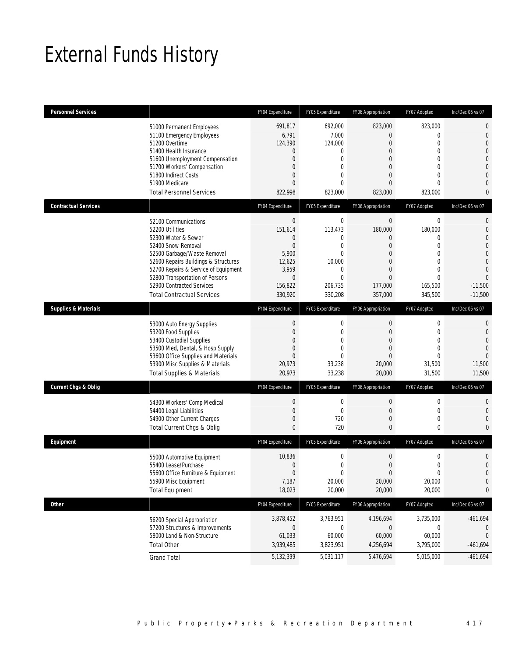# External Funds History

| <b>Personnel Services</b>       |                                                                                                                                                                                                                                                                                                          | FY04 Expenditure                                                                                          | FY05 Expenditure                                                                                                          | FY06 Appropriation                                                                                                                   | FY07 Adopted                                                                                                                      | Inc/Dec 06 vs 07                                                                                                                    |
|---------------------------------|----------------------------------------------------------------------------------------------------------------------------------------------------------------------------------------------------------------------------------------------------------------------------------------------------------|-----------------------------------------------------------------------------------------------------------|---------------------------------------------------------------------------------------------------------------------------|--------------------------------------------------------------------------------------------------------------------------------------|-----------------------------------------------------------------------------------------------------------------------------------|-------------------------------------------------------------------------------------------------------------------------------------|
|                                 | 51000 Permanent Employees<br>51100 Emergency Employees<br>51200 Overtime<br>51400 Health Insurance<br>51600 Unemployment Compensation<br>51700 Workers' Compensation<br>51800 Indirect Costs<br>51900 Medicare<br><b>Total Personnel Services</b>                                                        | 691,817<br>6,791<br>124,390<br>0<br>$\overline{0}$<br>$\mathbf{0}$<br>$\Omega$<br>$\Omega$<br>822,998     | 692,000<br>7,000<br>124,000<br>0<br>$\mathbf{0}$<br>$\Omega$<br>$\overline{0}$<br>$\Omega$<br>823,000                     | 823,000<br>0<br>$\overline{0}$<br>$\mathbf 0$<br>0<br>$\overline{0}$<br>$\overline{0}$<br>$\Omega$<br>823,000                        | 823,000<br>$\overline{0}$<br>0<br>$\overline{0}$<br>$\overline{0}$<br>$\Omega$<br>$\overline{0}$<br>$\Omega$<br>823,000           | 0<br>$\overline{0}$<br>$\overline{0}$<br>$\overline{0}$<br>$\overline{0}$<br>$\Omega$<br>$\overline{0}$<br>$\Omega$<br>$\mathbf{0}$ |
| <b>Contractual Services</b>     |                                                                                                                                                                                                                                                                                                          | FY04 Expenditure                                                                                          | FY05 Expenditure                                                                                                          | FY06 Appropriation                                                                                                                   | FY07 Adopted                                                                                                                      | Inc/Dec 06 vs 07                                                                                                                    |
|                                 | 52100 Communications<br>52200 Utilities<br>52300 Water & Sewer<br>52400 Snow Removal<br>52500 Garbage/Waste Removal<br>52600 Repairs Buildings & Structures<br>52700 Repairs & Service of Equipment<br>52800 Transportation of Persons<br>52900 Contracted Services<br><b>Total Contractual Services</b> | $\mathbf{0}$<br>151,614<br>0<br>$\mathbf 0$<br>5,900<br>12,625<br>3,959<br>$\theta$<br>156,822<br>330,920 | $\mathbf 0$<br>113,473<br>0<br>$\mathbf{0}$<br>$\Omega$<br>10,000<br>$\overline{0}$<br>$\mathbf{0}$<br>206,735<br>330,208 | $\boldsymbol{0}$<br>180,000<br>0<br>$\theta$<br>$\overline{0}$<br>$\Omega$<br>$\overline{0}$<br>$\overline{0}$<br>177,000<br>357,000 | $\boldsymbol{0}$<br>180,000<br>0<br>$\mathbf 0$<br>$\overline{0}$<br>$\Omega$<br>$\Omega$<br>$\overline{0}$<br>165,500<br>345,500 | 0<br>$\overline{0}$<br>$\overline{0}$<br>$\overline{0}$<br>$\Omega$<br>$\Omega$<br>$\Omega$<br>$\Omega$<br>$-11,500$<br>$-11.500$   |
| <b>Supplies &amp; Materials</b> |                                                                                                                                                                                                                                                                                                          | FY04 Expenditure                                                                                          | FY05 Expenditure                                                                                                          | FY06 Appropriation                                                                                                                   | FY07 Adopted                                                                                                                      | Inc/Dec 06 vs 07                                                                                                                    |
|                                 | 53000 Auto Energy Supplies<br>53200 Food Supplies<br>53400 Custodial Supplies<br>53500 Med, Dental, & Hosp Supply<br>53600 Office Supplies and Materials<br>53900 Misc Supplies & Materials<br>Total Supplies & Materials                                                                                | $\mathbf 0$<br>$\mathbf{0}$<br>$\Omega$<br>$\overline{0}$<br>$\mathbf{0}$<br>20,973<br>20,973             | $\mathbf 0$<br>$\overline{0}$<br>$\theta$<br>$\overline{0}$<br>$\theta$<br>33,238<br>33,238                               | $\mathbf 0$<br>$\mathbf 0$<br>$\theta$<br>$\overline{0}$<br>0<br>20,000<br>20,000                                                    | 0<br>$\mathbf 0$<br>0<br>$\mathbf{0}$<br>0<br>31,500<br>31,500                                                                    | 0<br>$\Omega$<br>$\Omega$<br>$\Omega$<br>$\Omega$<br>11,500<br>11,500                                                               |
| <b>Current Chgs &amp; Oblig</b> |                                                                                                                                                                                                                                                                                                          | FY04 Expenditure                                                                                          | FY05 Expenditure                                                                                                          | FY06 Appropriation                                                                                                                   | FY07 Adopted                                                                                                                      | Inc/Dec 06 vs 07                                                                                                                    |
|                                 | 54300 Workers' Comp Medical<br>54400 Legal Liabilities<br>54900 Other Current Charges<br>Total Current Chgs & Oblig                                                                                                                                                                                      | $\boldsymbol{0}$<br>$\mathbf{0}$<br>$\mathbf 0$<br>$\mathbf{0}$                                           | $\mathbf 0$<br>$\mathbf{0}$<br>720<br>720                                                                                 | $\theta$<br>$\theta$<br>$\theta$<br>$\mathbf{0}$                                                                                     | 0<br>$\mathbf 0$<br>0<br>0                                                                                                        | $\Omega$<br>$\mathbf{0}$<br>$\Omega$<br>$\Omega$                                                                                    |
| Equipment                       |                                                                                                                                                                                                                                                                                                          | FY04 Expenditure                                                                                          | FY05 Expenditure                                                                                                          | FY06 Appropriation                                                                                                                   | FY07 Adopted                                                                                                                      | Inc/Dec 06 vs 07                                                                                                                    |
|                                 | 55000 Automotive Equipment<br>55400 Lease/Purchase<br>55600 Office Furniture & Equipment<br>55900 Misc Equipment<br><b>Total Equipment</b>                                                                                                                                                               | 10,836<br>$\mathbf{0}$<br>$\Omega$<br>7,187<br>18,023                                                     | $\mathbf 0$<br>$\mathbf{0}$<br>$\Omega$<br>20,000<br>20,000                                                               | $\boldsymbol{0}$<br>$\mathbf 0$<br>$\Omega$<br>20,000<br>20,000                                                                      | $\boldsymbol{0}$<br>0<br>$\Omega$<br>20,000<br>20,000                                                                             | $\overline{0}$<br>$\mathbf{0}$<br>$\Omega$<br>$\mathbf 0$<br>0                                                                      |
| Other                           |                                                                                                                                                                                                                                                                                                          | FY04 Expenditure                                                                                          | FY05 Expenditure                                                                                                          | FY06 Appropriation                                                                                                                   | FY07 Adopted                                                                                                                      | Inc/Dec 06 vs 07                                                                                                                    |
|                                 | 56200 Special Appropriation<br>57200 Structures & Improvements<br>58000 Land & Non-Structure<br><b>Total Other</b>                                                                                                                                                                                       | 3,878,452<br>$\theta$<br>61,033<br>3,939,485                                                              | 3,763,951<br>$\boldsymbol{0}$<br>60,000<br>3,823,951                                                                      | 4,196,694<br>$\mathbf 0$<br>60,000<br>4,256,694                                                                                      | 3,735,000<br>0<br>60,000<br>3,795,000                                                                                             | $-461,694$<br>$\mathbf{0}$<br>$-461,694$                                                                                            |
|                                 | <b>Grand Total</b>                                                                                                                                                                                                                                                                                       | 5,132,399                                                                                                 | 5,031,117                                                                                                                 | 5,476,694                                                                                                                            | 5,015,000                                                                                                                         | $-461,694$                                                                                                                          |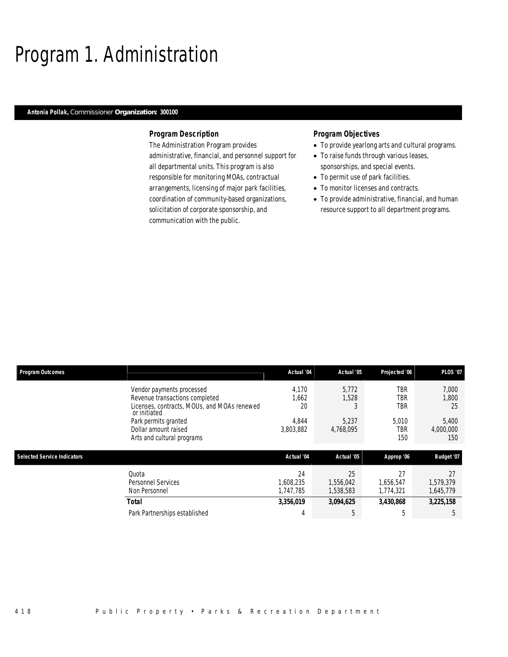# Program 1. Administration

#### *Antonia Pollak, Commissioner Organization: 300100*

### *Program Description*

The Administration Program provides administrative, financial, and personnel support for all departmental units. This program is also responsible for monitoring MOAs, contractual arrangements, licensing of major park facilities, coordination of community-based organizations, solicitation of corporate sponsorship, and communication with the public.

### *Program Objectives*

- To provide yearlong arts and cultural programs.
- To raise funds through various leases, sponsorships, and special events.
- To permit use of park facilities.
- To monitor licenses and contracts.
- To provide administrative, financial, and human resource support to all department programs.

| <b>Program Outcomes</b>            |                                                             | Actual '04 | Actual '05 | Projected '06 | <b>PLOS '07</b> |
|------------------------------------|-------------------------------------------------------------|------------|------------|---------------|-----------------|
|                                    | Vendor payments processed                                   | 4.170      | 5.772      | TBR           | 7,000           |
|                                    | Revenue transactions completed                              | 1,662      | 1,528      | TBR           | 1,800           |
|                                    | Licenses, contracts, MOUs, and MOAs renewed<br>or initiated | 20         |            | TBR           | 25              |
|                                    | Park permits granted                                        | 4.844      | 5.237      | 5,010         | 5,400           |
|                                    | Dollar amount raised                                        | 3,803,882  | 4,768,095  | TBR           | 4,000,000       |
|                                    | Arts and cultural programs                                  |            |            | 150           | 150             |
|                                    |                                                             |            |            |               |                 |
| <b>Selected Service Indicators</b> |                                                             | Actual '04 | Actual '05 | Approp '06    | Budget '07      |
|                                    | Quota                                                       | 24         | 25         | 27            | 27              |
|                                    | Personnel Services                                          | 1.608.235  | 1.556.042  | 1.656.547     | 1,579,379       |
|                                    | Non Personnel                                               | 1,747,785  | 1,538,583  | 1,774,321     | 1,645,779       |
|                                    |                                                             |            |            |               |                 |
|                                    | <b>Total</b>                                                | 3,356,019  | 3,094,625  | 3,430,868     | 3,225,158       |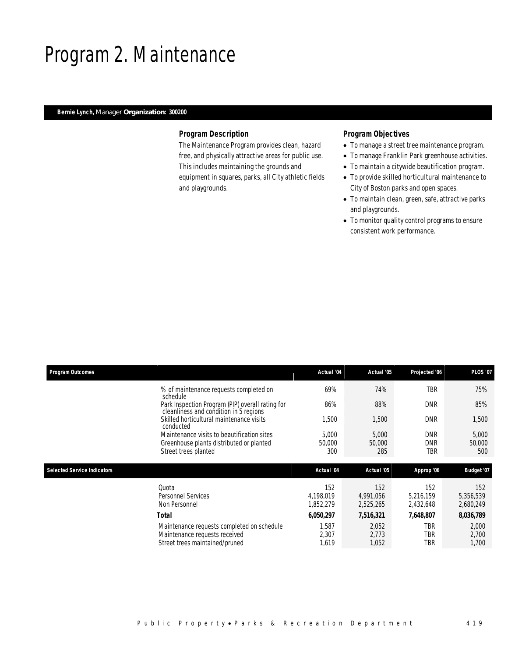## Program 2. Maintenance

## *Bernie Lynch, Manager Organization: 300200*

### *Program Description*

The Maintenance Program provides clean, hazard free, and physically attractive areas for public use. This includes maintaining the grounds and equipment in squares, parks, all City athletic fields and playgrounds.

### *Program Objectives*

- To manage a street tree maintenance program.
- To manage Franklin Park greenhouse activities.
- To maintain a citywide beautification program.
- To provide skilled horticultural maintenance to City of Boston parks and open spaces.
- To maintain clean, green, safe, attractive parks and playgrounds.
- To monitor quality control programs to ensure consistent work performance.

| <b>Program Outcomes</b>            |                                                                                                                | Actual '04                    | Actual '05                    | Projected '06                   | <b>PLOS '07</b>               |
|------------------------------------|----------------------------------------------------------------------------------------------------------------|-------------------------------|-------------------------------|---------------------------------|-------------------------------|
|                                    | % of maintenance requests completed on<br>schedule                                                             | 69%                           | 74%                           | <b>TBR</b>                      | 75%                           |
|                                    | Park Inspection Program (PIP) overall rating for<br>cleanliness and condition in 5 regions                     | 86%                           | 88%                           | <b>DNR</b>                      | 85%                           |
|                                    | Skilled horticultural maintenance visits<br>conducted                                                          | 1,500                         | 1,500                         | <b>DNR</b>                      | 1,500                         |
|                                    | Maintenance visits to beautification sites<br>Greenhouse plants distributed or planted<br>Street trees planted | 5,000<br>50,000<br>300        | 5,000<br>50,000<br>285        | <b>DNR</b><br><b>DNR</b><br>TBR | 5,000<br>50,000<br>500        |
|                                    |                                                                                                                |                               |                               |                                 |                               |
|                                    |                                                                                                                |                               |                               |                                 |                               |
| <b>Selected Service Indicators</b> |                                                                                                                | Actual '04                    | Actual '05                    | Approp '06                      | Budget '07                    |
|                                    | Quota<br><b>Personnel Services</b><br>Non Personnel                                                            | 152<br>4.198.019<br>1,852,279 | 152<br>4.991.056<br>2,525,265 | 152<br>5,216,159<br>2,432,648   | 152<br>5,356,539<br>2,680,249 |
|                                    | Total                                                                                                          | 6,050,297                     | 7,516,321                     | 7,648,807                       | 8,036,789                     |
|                                    | Maintenance requests completed on schedule<br>Maintenance requests received<br>Street trees maintained/pruned  | 1,587<br>2,307<br>1,619       | 2,052<br>2.773<br>1,052       | TBR<br>TBR<br>TBR               | 2,000<br>2,700<br>1,700       |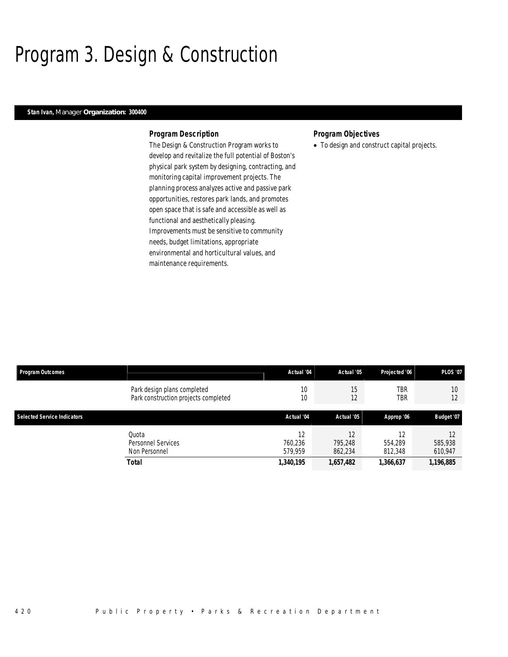# Program 3. Design & Construction

### *Stan Ivan, Manager Organization: 300400*

#### *Program Description*

The Design & Construction Program works to develop and revitalize the full potential of Boston's physical park system by designing, contracting, and monitoring capital improvement projects. The planning process analyzes active and passive park opportunities, restores park lands, and promotes open space that is safe and accessible as well as functional and aesthetically pleasing. Improvements must be sensitive to community needs, budget limitations, appropriate environmental and horticultural values, and maintenance requirements.

### *Program Objectives*

• To design and construct capital projects.

| Program Outcomes                   |                                                                     | Actual '04               | Actual '05               | Projected '06            | <b>PLOS '07</b>          |
|------------------------------------|---------------------------------------------------------------------|--------------------------|--------------------------|--------------------------|--------------------------|
|                                    | Park design plans completed<br>Park construction projects completed | 10<br>10                 | 15<br>12                 | <b>TBR</b><br>TBR        | 10<br>12                 |
| <b>Selected Service Indicators</b> |                                                                     | Actual '04               | Actual '05               | Approp '06               | Budget '07               |
|                                    | Ouota<br>Personnel Services<br>Non Personnel                        | 12<br>760,236<br>579.959 | 12<br>795.248<br>862,234 | 12<br>554.289<br>812,348 | 12<br>585,938<br>610,947 |
|                                    | <b>Total</b>                                                        | 1,340,195                | 1,657,482                | 1,366,637                | 1,196,885                |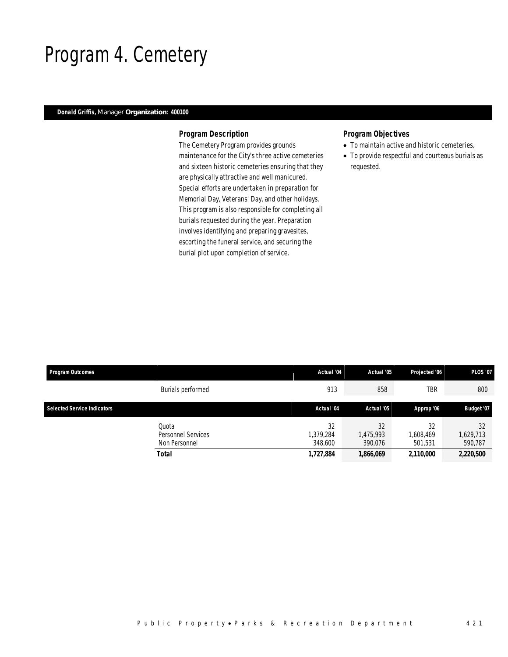## Program 4. Cemetery

## *Donald Griffis, Manager Organization: 400100*

#### *Program Description*

The Cemetery Program provides grounds maintenance for the City's three active cemeteries and sixteen historic cemeteries ensuring that they are physically attractive and well manicured. Special efforts are undertaken in preparation for Memorial Day, Veterans' Day, and other holidays. This program is also responsible for completing all burials requested during the year. Preparation involves identifying and preparing gravesites, escorting the funeral service, and securing the burial plot upon completion of service.

## *Program Objectives*

- To maintain active and historic cemeteries.
- To provide respectful and courteous burials as requested.

| <b>Program Outcomes</b>            |                                                       | Actual '04                              | Actual '05                              | Projected '06                           | <b>PLOS '07</b>                         |
|------------------------------------|-------------------------------------------------------|-----------------------------------------|-----------------------------------------|-----------------------------------------|-----------------------------------------|
|                                    | Burials performed                                     | 913                                     | 858                                     | TBR                                     | 800                                     |
| <b>Selected Service Indicators</b> |                                                       | Actual '04                              | Actual '05                              | Approp '06                              | Budget '07                              |
|                                    | Ouota<br>Personnel Services<br>Non Personnel<br>Total | 32<br>1.379.284<br>348,600<br>1,727,884 | 32<br>1.475.993<br>390.076<br>1,866,069 | 32<br>1,608,469<br>501.531<br>2,110,000 | 32<br>1,629,713<br>590,787<br>2,220,500 |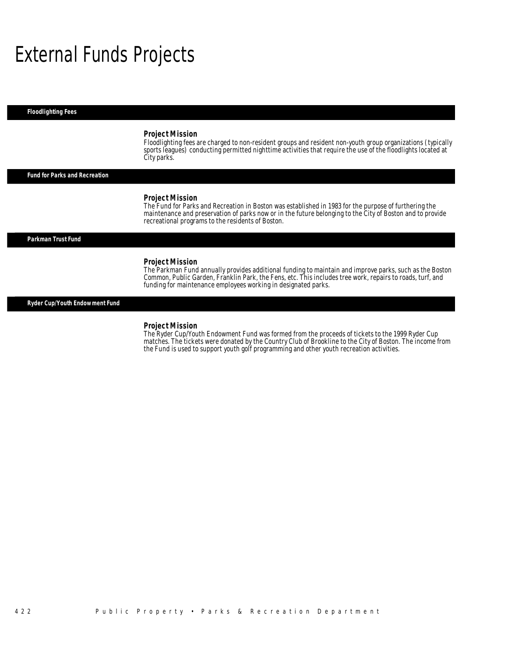## External Funds Projects

*Floodlighting Fees* 

#### *Project Mission*

Floodlighting fees are charged to non-resident groups and resident non-youth group organizations (typically sports leagues) conducting permitted nighttime activities that require the use of the floodlights located at City parks.

#### *Fund for Parks and Recreation*

#### *Project Mission*

The Fund for Parks and Recreation in Boston was established in 1983 for the purpose of furthering the maintenance and preservation of parks now or in the future belonging to the City of Boston and to provide recreational programs to the residents of Boston.

#### *Parkman Trust Fund*

#### *Project Mission*

The Parkman Fund annually provides additional funding to maintain and improve parks, such as the Boston Common, Public Garden, Franklin Park, the Fens, etc. This includes tree work, repairs to roads, turf, and funding for maintenance employees working in designated parks.

*Ryder Cup/Youth Endowment Fund* 

#### *Project Mission*

The Ryder Cup/Youth Endowment Fund was formed from the proceeds of tickets to the 1999 Ryder Cup matches. The tickets were donated by the Country Club of Brookline to the City of Boston. The income from the Fund is used to support youth golf programming and other youth recreation activities.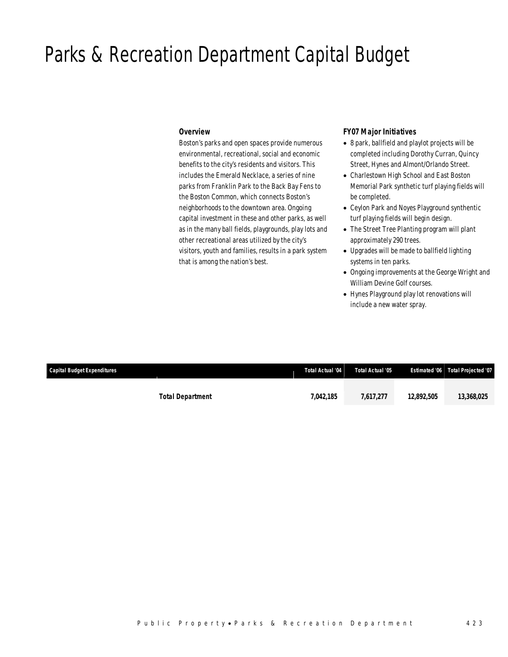## Parks & Recreation Department Capital Budget

### *Overview*

Boston's parks and open spaces provide numerous environmental, recreational, social and economic benefits to the city's residents and visitors. This includes the Emerald Necklace, a series of nine parks from Franklin Park to the Back Bay Fens to the Boston Common, which connects Boston's neighborhoods to the downtown area. Ongoing capital investment in these and other parks, as well as in the many ball fields, playgrounds, play lots and other recreational areas utilized by the city's visitors, youth and families, results in a park system that is among the nation's best.

## *FY07 Major Initiatives*

- 8 park, ballfield and playlot projects will be completed including Dorothy Curran, Quincy Street, Hynes and Almont/Orlando Street.
- Charlestown High School and East Boston Memorial Park synthetic turf playing fields will be completed.
- Ceylon Park and Noyes Playground synthentic turf playing fields will begin design.
- The Street Tree Planting program will plant approximately 290 trees.
- Upgrades will be made to ballfield lighting systems in ten parks.
- Ongoing improvements at the George Wright and William Devine Golf courses.
- Hynes Playground play lot renovations will include a new water spray.

|           |                         |                  | Estimated '06 Total Projected '07 |
|-----------|-------------------------|------------------|-----------------------------------|
| 7,042,185 | 7,617,277               | 12,892,505       | 13,368,025                        |
|           | <b>Total Department</b> | Total Actual '04 | Total Actual '05                  |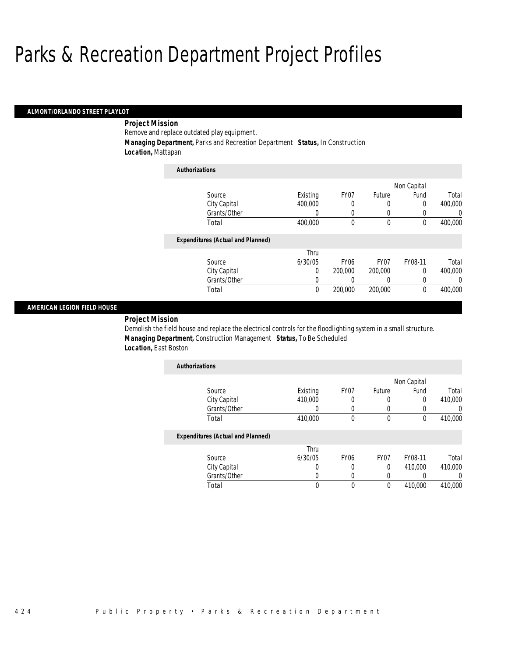#### *ALMONT/ORLANDO STREET PLAYLOT*

## *Project Mission*

Remove and replace outdated play equipment.

*Managing Department,* Parks and Recreation Department *Status,* In Construction

*Location,* Mattapan

| <b>Authorizations</b>                    |          |                  |                  |             |         |
|------------------------------------------|----------|------------------|------------------|-------------|---------|
|                                          |          |                  |                  | Non Capital |         |
| Source                                   | Existing | FY <sub>07</sub> | Future           | Fund        | Total   |
| City Capital                             | 400,000  | 0                | 0                | 0           | 400,000 |
| Grants/Other                             | 0        | 0                | 0                | 0           | 0       |
| Total                                    | 400,000  | 0                | 0                | $\theta$    | 400,000 |
| <b>Expenditures (Actual and Planned)</b> |          |                  |                  |             |         |
|                                          | Thru     |                  |                  |             |         |
| Source                                   | 6/30/05  | FY <sub>06</sub> | FY <sub>07</sub> | FY08-11     | Total   |
| City Capital                             | 0        | 200,000          | 200,000          | $\Omega$    | 400.000 |
| Grants/Other                             | 0        | 0                | 0                | 0           | 0       |
| Total                                    | $\theta$ | 200,000          | 200,000          | $\theta$    | 400.000 |

#### *AMERICAN LEGION FIELD HOUSE*

*Project Mission* 

Demolish the field house and replace the electrical controls for the floodlighting system in a small structure. *Managing Department,* Construction Management *Status,* To Be Scheduled *Location,* East Boston

| <b>Authorizations</b>             |          |      |        |             |         |
|-----------------------------------|----------|------|--------|-------------|---------|
|                                   |          |      |        | Non Capital |         |
| Source                            | Existing | FY07 | Future | Fund        | Total   |
| City Capital                      | 410,000  |      |        | 0           | 410,000 |
| Grants/Other                      |          |      | 0      |             |         |
| Total                             | 410,000  |      |        |             | 410,000 |
| Evnandituras (Actual and Diannad) |          |      |        |             |         |

|              | Thru    |      |      |         |         |
|--------------|---------|------|------|---------|---------|
| Source       | 6/30/05 | FY06 | FY07 | FY08-11 | Total   |
| City Capital |         |      |      | 410,000 | 410,000 |
| Grants/Other |         |      |      |         |         |
| Total        |         |      |      | 410,000 | 410,000 |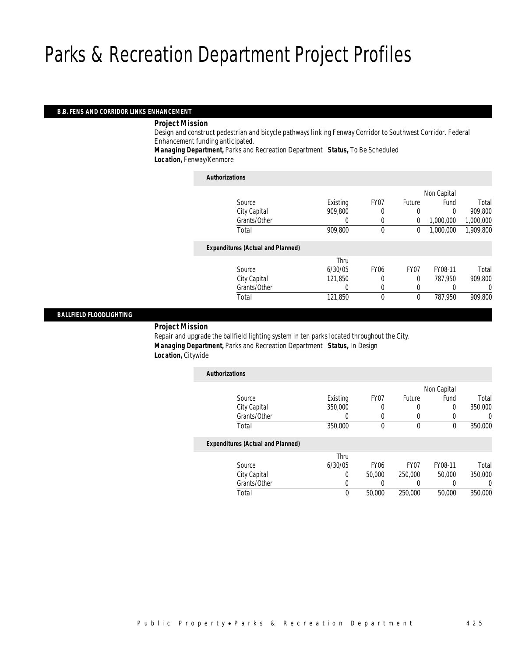#### *B.B. FENS AND CORRIDOR LINKS ENHANCEMENT*

#### *Project Mission*

Design and construct pedestrian and bicycle pathways linking Fenway Corridor to Southwest Corridor. Federal Enhancement funding anticipated.

*Managing Department,* Parks and Recreation Department *Status,* To Be Scheduled *Location,* Fenway/Kenmore

| <b>Authorizations</b>                    |          |             |                |             |           |
|------------------------------------------|----------|-------------|----------------|-------------|-----------|
|                                          |          |             |                | Non Capital |           |
| Source                                   | Existing | FY07        | Future         | Fund        | Total     |
| City Capital                             | 909,800  | 0           | 0              | 0           | 909.800   |
| Grants/Other                             | 0        | 0           | $\overline{0}$ | 1,000,000   | 1,000,000 |
| Total                                    | 909,800  | $\theta$    | 0              | 1,000,000   | 1,909,800 |
| <b>Expenditures (Actual and Planned)</b> |          |             |                |             |           |
|                                          | Thru     |             |                |             |           |
| Source                                   | 6/30/05  | <b>FY06</b> | FY07           | FY08-11     | Total     |
| City Capital                             | 121.850  |             | 0              | 787.950     | 909,800   |
| Grants/Other                             | 0        | 0           | 0              |             | 0         |
| Total                                    | 121,850  | 0           | $\mathbf 0$    | 787.950     | 909,800   |
|                                          |          |             |                |             |           |

### *BALLFIELD FLOODLIGHTING*

#### *Project Mission*

Repair and upgrade the ballfield lighting system in ten parks located throughout the City. *Managing Department,* Parks and Recreation Department *Status,* In Design *Location,* Citywide

| <b>Authorizations</b>                    |          |                  |             |             |         |
|------------------------------------------|----------|------------------|-------------|-------------|---------|
|                                          |          |                  |             | Non Capital |         |
| Source                                   | Existing | FY07             | Future      | Fund        | Total   |
| City Capital                             | 350,000  | 0                | 0           | 0           | 350,000 |
| Grants/Other                             | 0        | 0                | 0           |             | 0       |
| Total                                    | 350,000  | 0                | $\mathbf 0$ | $\mathbf 0$ | 350,000 |
| <b>Expenditures (Actual and Planned)</b> |          |                  |             |             |         |
|                                          | Thru     |                  |             |             |         |
| Source                                   | 6/30/05  | FY <sub>06</sub> | FY07        | FY08-11     | Total   |
| City Capital                             | 0        | 50,000           | 250,000     | 50,000      | 350,000 |
| Grants/Other                             | 0        |                  |             |             | 0       |
| Total                                    | 0        | 50,000           | 250,000     | 50,000      | 350,000 |
|                                          |          |                  |             |             |         |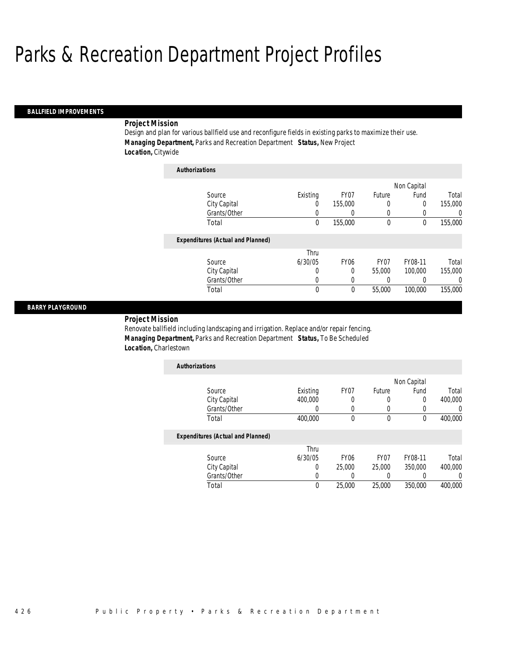*Authorizations*

#### *BALLFIELD IMPROVEMENTS*

#### *Project Mission*

Design and plan for various ballfield use and reconfigure fields in existing parks to maximize their use. *Managing Department,* Parks and Recreation Department *Status,* New Project *Location,* Citywide

| Authorizations                           |          |                  |        |             |          |
|------------------------------------------|----------|------------------|--------|-------------|----------|
|                                          |          |                  |        | Non Capital |          |
| Source                                   | Existing | FY07             | Future | Fund        | Total    |
| City Capital                             | 0        | 155,000          | 0      | 0           | 155,000  |
| Grants/Other                             | 0        | 0                | 0      | 0           | 0        |
| Total                                    | 0        | 155,000          | 0      | 0           | 155,000  |
| <b>Expenditures (Actual and Planned)</b> |          |                  |        |             |          |
|                                          | Thru     |                  |        |             |          |
| Source                                   | 6/30/05  | FY <sub>06</sub> | FY07   | FY08-11     | Total    |
| City Capital                             | 0        | 0                | 55,000 | 100,000     | 155,000  |
| Grants/Other                             | 0        | 0                | 0      | 0           | $\Omega$ |
| Total                                    | 0        | 0                | 55,000 | 100,000     | 155,000  |

#### *BARRY PLAYGROUND*

*Project Mission* 

Renovate ballfield including landscaping and irrigation. Replace and/or repair fencing. *Managing Department,* Parks and Recreation Department *Status,* To Be Scheduled *Location,* Charlestown

| <b>Authorizations</b> |          |      |        |             |         |
|-----------------------|----------|------|--------|-------------|---------|
|                       |          |      |        | Non Capital |         |
| Source                | Existing | FY07 | Future | Fund        | Total   |
| City Capital          | 400,000  | 0    | U      | U           | 400,000 |
| Grants/Other          |          |      |        |             |         |
| Total                 | 400,000  |      |        |             | 400,000 |
|                       |          |      |        |             |         |

|              | Thru    |                  |        |         |         |
|--------------|---------|------------------|--------|---------|---------|
| Source       | 6/30/05 | FY <sub>06</sub> | FY07   | FY08-11 | Total   |
| City Capital |         | 25.000           | 25,000 | 350,000 | 400,000 |
| Grants/Other |         |                  |        |         |         |
| Total        | 0       | 25,000           | 25,000 | 350,000 | 400,000 |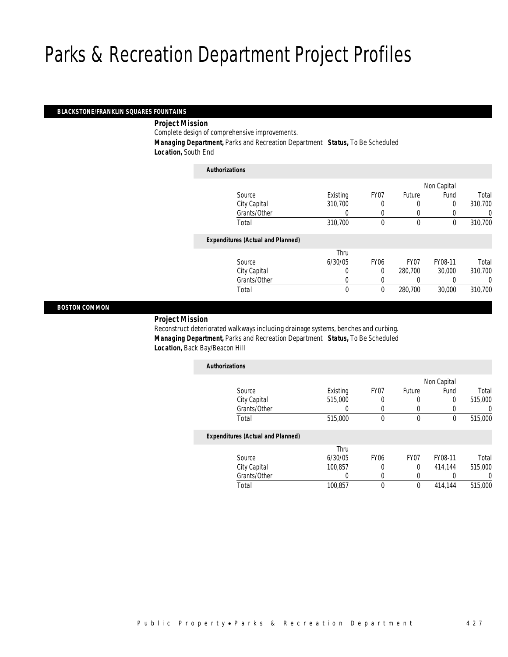### *BLACKSTONE/FRANKLIN SQUARES FOUNTAINS*

#### *Project Mission*

Complete design of comprehensive improvements.

 *Managing Department,* Parks and Recreation Department *Status,* To Be Scheduled *Location,* South End

| <b>Authorizations</b>                    |          |             |                  |             |         |
|------------------------------------------|----------|-------------|------------------|-------------|---------|
|                                          |          |             |                  | Non Capital |         |
| Source                                   | Existing | FY07        | Future           | Fund        | Total   |
| City Capital                             | 310,700  | 0           | 0                | $\Omega$    | 310,700 |
| Grants/Other                             | 0        | 0           | 0                |             | 0       |
| Total                                    | 310,700  | 0           | $\theta$         | $\theta$    | 310,700 |
| <b>Expenditures (Actual and Planned)</b> |          |             |                  |             |         |
|                                          | Thru     |             |                  |             |         |
| Source                                   | 6/30/05  | <b>FY06</b> | FY <sub>07</sub> | FY08-11     | Total   |
| City Capital                             | 0        | $\Omega$    | 280,700          | 30,000      | 310,700 |
| Grants/Other                             | 0        | 0           | 0                |             | 0       |
| Total                                    | $\theta$ | $\theta$    | 280.700          | 30,000      | 310,700 |
|                                          |          |             |                  |             |         |

#### *BOSTON COMMON*

### *Project Mission*

Reconstruct deteriorated walkways including drainage systems, benches and curbing. *Managing Department,* Parks and Recreation Department *Status,* To Be Scheduled *Location,* Back Bay/Beacon Hill

| <b>Authorizations</b>                    |          |                  |                  |             |         |
|------------------------------------------|----------|------------------|------------------|-------------|---------|
|                                          |          |                  |                  | Non Capital |         |
| Source                                   | Existing | FY <sub>07</sub> | Future           | Fund        | Total   |
| City Capital                             | 515,000  | 0                | 0                | 0           | 515,000 |
| Grants/Other                             |          | 0                | 0                | 0           |         |
| Total                                    | 515,000  | 0                | $\theta$         | 0           | 515,000 |
| <b>Expenditures (Actual and Planned)</b> |          |                  |                  |             |         |
|                                          | Thru     |                  |                  |             |         |
| Source                                   | 6/30/05  | FY <sub>06</sub> | FY <sub>07</sub> | FY08-11     | Total   |
| City Capital                             | 100,857  | 0                | 0                | 414.144     | 515,000 |
| Grants/Other                             |          |                  | N                |             |         |

Total 100,857 0 0 414,144 515,000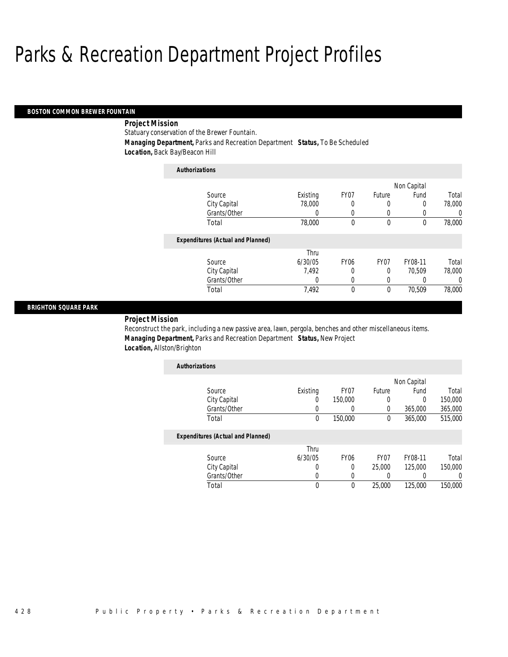#### *BOSTON COMMON BREWER FOUNTAIN*

## *Project Mission*

Statuary conservation of the Brewer Fountain.

*Authorizations*

*Managing Department,* Parks and Recreation Department *Status,* To Be Scheduled

*Location,* Back Bay/Beacon Hill

| Authorizations                           |          |                  |                  |             |          |
|------------------------------------------|----------|------------------|------------------|-------------|----------|
|                                          |          |                  |                  | Non Capital |          |
| Source                                   | Existing | FY07             | Future           | Fund        | Total    |
| City Capital                             | 78,000   | 0                | 0                | 0           | 78,000   |
| Grants/Other                             | O        | 0                | 0                |             | 0        |
| Total                                    | 78,000   | 0                | 0                | $\theta$    | 78,000   |
| <b>Expenditures (Actual and Planned)</b> |          |                  |                  |             |          |
|                                          | Thru     |                  |                  |             |          |
| Source                                   | 6/30/05  | FY <sub>06</sub> | FY <sub>07</sub> | FY08-11     | Total    |
| City Capital                             | 7.492    | 0                | 0                | 70.509      | 78,000   |
| Grants/Other                             | 0        | 0                | 0                | 0           | $\left($ |
| Total                                    | 7,492    | 0                | $\mathbf{0}$     | 70.509      | 78,000   |

#### *BRIGHTON SQUARE PARK*

## *Project Mission*

Reconstruct the park, including a new passive area, lawn, pergola, benches and other miscellaneous items. *Managing Department,* Parks and Recreation Department *Status,* New Project *Location,* Allston/Brighton

| <b>Authorizations</b> |          |         |        |             |         |
|-----------------------|----------|---------|--------|-------------|---------|
|                       |          |         |        | Non Capital |         |
| Source                | Existing | FY07    | Future | Fund        | Total   |
| City Capital          | 0        | 150,000 |        |             | 150,000 |
| Grants/Other          |          |         |        | 365,000     | 365,000 |
| Total                 | 0        | 150,000 | 0      | 365,000     | 515,000 |

| Source       | Thru<br>6/30/05 | FY06 | FY07   | FY08-11 | Total   |
|--------------|-----------------|------|--------|---------|---------|
| City Capital |                 |      | 25,000 | 125,000 | 150,000 |
| Grants/Other |                 |      |        |         |         |
| Гоtal        |                 |      | 25,000 | 125,000 | 150,000 |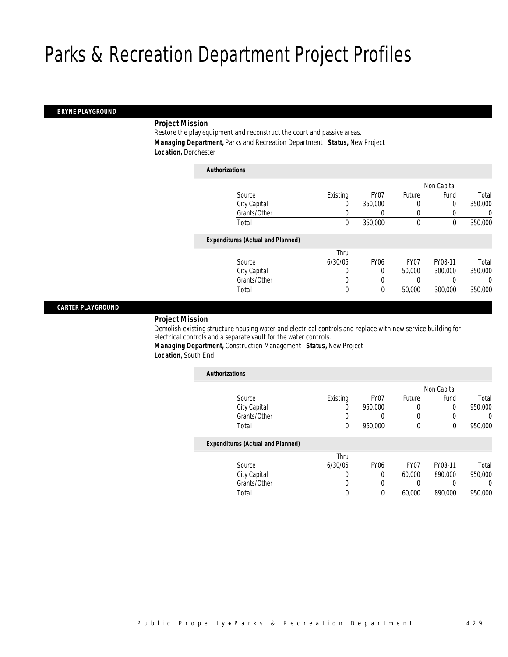#### *BRYNE PLAYGROUND*

#### *Project Mission*

Restore the play equipment and reconstruct the court and passive areas. *Managing Department,* Parks and Recreation Department *Status,* New Project *Location,* Dorchester

| <b>Authorizations</b>                    |          |             |             |             |         |
|------------------------------------------|----------|-------------|-------------|-------------|---------|
|                                          |          |             |             | Non Capital |         |
| Source                                   | Existing | FY07        | Future      | Fund        | Total   |
| City Capital                             | $\left($ | 350,000     | 0           | 0           | 350,000 |
| Grants/Other                             | 0        |             | 0           |             | 0       |
| Total                                    | 0        | 350,000     | $\mathbf 0$ | $\mathbf 0$ | 350,000 |
| <b>Expenditures (Actual and Planned)</b> |          |             |             |             |         |
|                                          | Thru     |             |             |             |         |
| Source                                   | 6/30/05  | <b>FY06</b> | FY07        | FY08-11     | Total   |
| City Capital                             | 0        | 0           | 50,000      | 300,000     | 350,000 |
| Grants/Other                             | 0        | 0           |             |             | 0       |
| Total                                    | 0        | 0           | 50,000      | 300,000     | 350,000 |
|                                          |          |             |             |             |         |

#### *CARTER PLAYGROUND*

### *Project Mission*

Demolish existing structure housing water and electrical controls and replace with new service building for electrical controls and a separate vault for the water controls.

*Managing Department,* Construction Management *Status,* New Project *Location,* South End

| <b>Authorizations</b> |                                          |             |                  |             |             |         |
|-----------------------|------------------------------------------|-------------|------------------|-------------|-------------|---------|
|                       |                                          |             |                  |             | Non Capital |         |
|                       | Source                                   | Existing    | FY <sub>07</sub> | Future      | Fund        | Total   |
|                       | City Capital                             | 0           | 950,000          | 0           | 0           | 950.000 |
|                       | Grants/Other                             | 0           |                  | 0           |             | 0       |
|                       | Total                                    | $\mathbf 0$ | 950.000          | $\mathbf 0$ | $\mathbf 0$ | 950,000 |
|                       | <b>Expenditures (Actual and Planned)</b> |             |                  |             |             |         |
|                       |                                          | Thru        |                  |             |             |         |
|                       | Source                                   | 6/30/05     | <b>FY06</b>      | FY07        | FY08-11     | Total   |
|                       | City Capital                             | 0           | 0                | 60,000      | 890,000     | 950,000 |
|                       | Grants/Other                             | 0           | 0                |             |             | 0       |
|                       | Total                                    | 0           | 0                | 60,000      | 890.000     | 950.000 |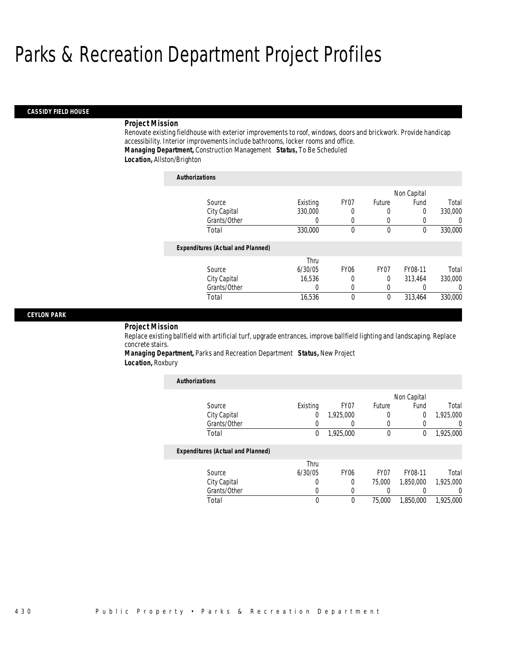#### *CASSIDY FIELD HOUSE*

#### *Project Mission*

Renovate existing fieldhouse with exterior improvements to roof, windows, doors and brickwork. Provide handicap accessibility. Interior improvements include bathrooms, locker rooms and office. *Managing Department,* Construction Management *Status,* To Be Scheduled *Location,* Allston/Brighton

| <b>Authorizations</b>                    |          |                  |                  |             |          |
|------------------------------------------|----------|------------------|------------------|-------------|----------|
|                                          |          |                  |                  | Non Capital |          |
| Source                                   | Existing | FY07             | Future           | Fund        | Total    |
| City Capital                             | 330,000  | 0                |                  | 0           | 330,000  |
| Grants/Other                             | 0        | $\left($         | 0                |             | $\Omega$ |
| Total                                    | 330,000  | 0                | $\theta$         | $\Omega$    | 330,000  |
| <b>Expenditures (Actual and Planned)</b> |          |                  |                  |             |          |
|                                          | Thru     |                  |                  |             |          |
| Source                                   | 6/30/05  | FY <sub>06</sub> | FY <sub>07</sub> | FY08-11     | Total    |
| City Capital                             | 16.536   | 0                | $\theta$         | 313.464     | 330,000  |
| Grants/Other                             | O        | $\Omega$         | $\left( \right)$ |             | $\Omega$ |
| Total                                    | 16,536   | 0                | 0                | 313,464     | 330,000  |

#### *CEYLON PARK*

#### *Project Mission*

Replace existing ballfield with artificial turf, upgrade entrances, improve ballfield lighting and landscaping. Replace concrete stairs.

### *Managing Department,* Parks and Recreation Department *Status,* New Project *Location,* Roxbury

| <b>Authorizations</b>                    |          |                  |          |             |           |
|------------------------------------------|----------|------------------|----------|-------------|-----------|
|                                          |          |                  |          | Non Capital |           |
| Source                                   | Existing | FY07             | Future   | Fund        | Total     |
| City Capital                             | 0        | 1,925,000        | 0        | 0           | 1,925,000 |
| Grants/Other                             | 0        |                  | 0        |             | 0         |
| Total                                    | 0        | 1,925,000        | $\theta$ | 0           | 1,925,000 |
| <b>Expenditures (Actual and Planned)</b> |          |                  |          |             |           |
|                                          | Thru     |                  |          |             |           |
| Source                                   | 6/30/05  | FY <sub>06</sub> | FY07     | FY08-11     | Total     |
| City Capital                             | 0        | 0                | 75,000   | 1,850,000   | 1,925,000 |
| Grants/Other                             | U        | 0                |          |             | 0         |
| Total                                    | 0        | $\mathbf 0$      | 75,000   | 1,850,000   | 1,925,000 |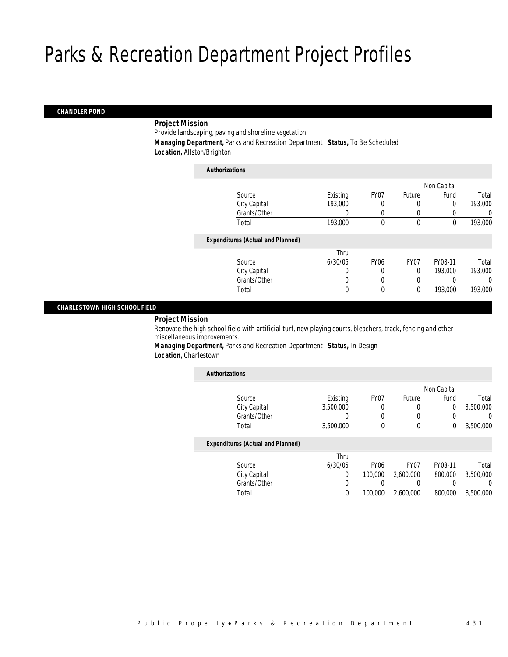#### *CHANDLER POND*

### *Project Mission*

Provide landscaping, paving and shoreline vegetation.

 *Managing Department,* Parks and Recreation Department *Status,* To Be Scheduled *Location,* Allston/Brighton

| <b>Authorizations</b>                    |              |             |             |             |         |
|------------------------------------------|--------------|-------------|-------------|-------------|---------|
|                                          |              |             |             | Non Capital |         |
| Source                                   | Existing     | FY07        | Future      | Fund        | Total   |
| City Capital                             | 193,000      | 0           | 0           | 0           | 193,000 |
| Grants/Other                             |              |             | 0           |             | 0       |
| Total                                    | 193,000      | 0           | $\mathbf 0$ | $\mathbf 0$ | 193,000 |
| <b>Expenditures (Actual and Planned)</b> |              |             |             |             |         |
|                                          | Thru         |             |             |             |         |
| Source                                   | 6/30/05      | <b>FY06</b> | FY07        | FY08-11     | Total   |
| City Capital                             | 0            | 0           | $\Omega$    | 193,000     | 193,000 |
| Grants/Other                             | 0            |             | 0           |             | 0       |
| Total                                    | $\mathbf{0}$ | 0           | $\mathbf 0$ | 193,000     | 193,000 |
|                                          |              |             |             |             |         |

#### *CHARLESTOWN HIGH SCHOOL FIELD*

*Project Mission* 

Renovate the high school field with artificial turf, new playing courts, bleachers, track, fencing and other miscellaneous improvements.

*Managing Department,* Parks and Recreation Department *Status,* In Design *Location,* Charlestown

| <b>Authorizations</b>                    |           |                  |                  |             |           |
|------------------------------------------|-----------|------------------|------------------|-------------|-----------|
|                                          |           |                  |                  | Non Capital |           |
| Source                                   | Existing  | FY07             | Future           | Fund        | Total     |
| City Capital                             | 3.500.000 | 0                | 0                | 0           | 3,500,000 |
| Grants/Other                             |           | 0                | 0                |             | 0         |
| Total                                    | 3,500,000 | 0                | 0                | 0           | 3,500,000 |
| <b>Expenditures (Actual and Planned)</b> |           |                  |                  |             |           |
|                                          | Thru      |                  |                  |             |           |
| Source                                   | 6/30/05   | FY <sub>06</sub> | FY <sub>07</sub> | FY08-11     | Total     |
| City Capital                             | $\Omega$  | 100,000          | 2.600.000        | 800,000     | 3.500.000 |
| Grants/Other                             | 0         |                  | 0                |             | 0         |
| Total                                    | 0         | 100,000          | 2,600,000        | 800,000     | 3,500,000 |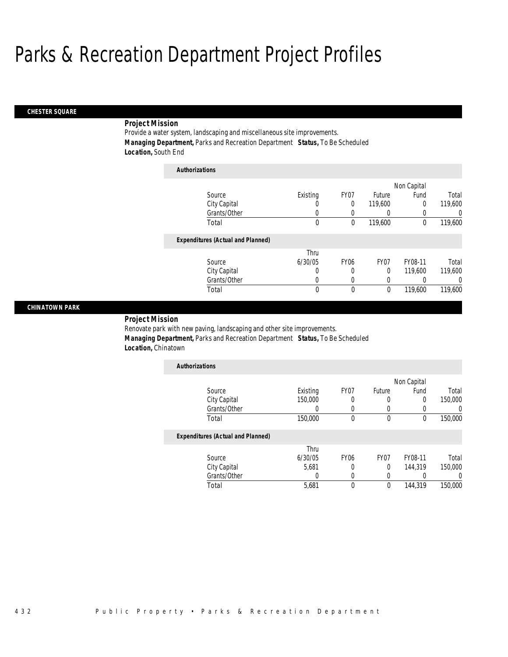#### *CHESTER SQUARE*

## *Project Mission*

Provide a water system, landscaping and miscellaneous site improvements. *Managing Department,* Parks and Recreation Department *Status,* To Be Scheduled *Location,* South End

| <b>Authorizations</b>                    |          |             |                  |             |          |
|------------------------------------------|----------|-------------|------------------|-------------|----------|
|                                          |          |             |                  | Non Capital |          |
| Source                                   | Existing | FY07        | Future           | Fund        | Total    |
| City Capital                             | 0        | $\Omega$    | 119,600          | 0           | 119,600  |
| Grants/Other                             | 0        | 0           |                  |             | $\Omega$ |
| Total                                    | 0        | 0           | 119,600          | $\theta$    | 119,600  |
| <b>Expenditures (Actual and Planned)</b> |          |             |                  |             |          |
|                                          | Thru     |             |                  |             |          |
| Source                                   | 6/30/05  | <b>FY06</b> | FY <sub>07</sub> | FY08-11     | Total    |
| City Capital                             | 0        | 0           | $\Omega$         | 119,600     | 119,600  |
| Grants/Other                             | 0        | 0           | $\Omega$         |             | $\Omega$ |
| Total                                    | 0        | $\theta$    | 0                | 119,600     | 119,600  |

#### *CHINATOWN PARK*

*Project Mission* 

Renovate park with new paving, landscaping and other site improvements. *Managing Department,* Parks and Recreation Department *Status,* To Be Scheduled *Location,* Chinatown

|        | Non Capital |         |
|--------|-------------|---------|
| Future | Fund        | Total   |
|        |             | 150,000 |
| Ω      |             |         |
|        |             | 150,000 |
|        |             |         |

|       |              | Thru    |                  |      |         |         |
|-------|--------------|---------|------------------|------|---------|---------|
|       | Source       | 6/30/05 | FY <sub>06</sub> | FY07 | FY08-11 | Total   |
|       | City Capital | 5.681   |                  |      | 144.319 | 150,000 |
|       | Grants/Other |         |                  |      |         |         |
| Total |              | 5.681   |                  |      | 144,319 | 150,000 |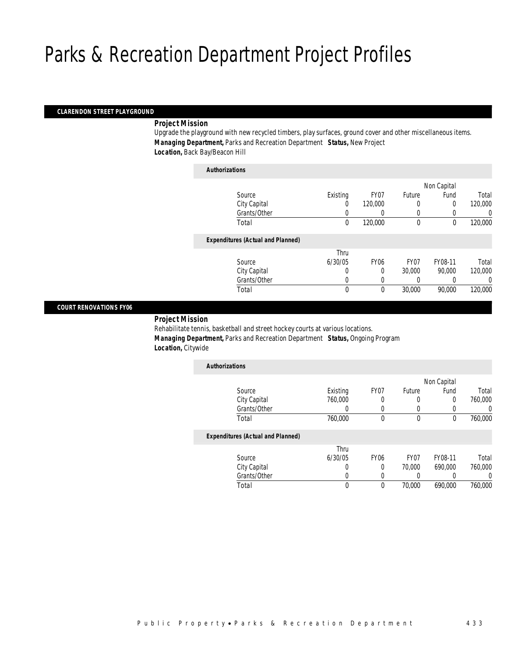*Authorizations*

#### *CLARENDON STREET PLAYGROUND*

#### *Project Mission*

Upgrade the playground with new recycled timbers, play surfaces, ground cover and other miscellaneous items. *Managing Department,* Parks and Recreation Department *Status,* New Project *Location,* Back Bay/Beacon Hill

| Authorizations                           |             |             |             |             |         |
|------------------------------------------|-------------|-------------|-------------|-------------|---------|
|                                          |             |             |             | Non Capital |         |
| Source                                   | Existing    | FY07        | Future      | Fund        | Total   |
| City Capital                             | $\left($    | 120,000     | 0           | 0           | 120,000 |
| Grants/Other                             | 0           |             | 0           |             | 0       |
| Total                                    | $\mathbf 0$ | 120,000     | $\mathbf 0$ | $\theta$    | 120,000 |
| <b>Expenditures (Actual and Planned)</b> |             |             |             |             |         |
|                                          | Thru        |             |             |             |         |
| Source                                   | 6/30/05     | <b>FY06</b> | FY07        | FY08-11     | Total   |
| City Capital                             | 0           | 0           | 30,000      | 90.000      | 120,000 |
| Grants/Other                             | 0           |             |             |             | 0       |
| Total                                    | $\mathbf 0$ | 0           | 30,000      | 90,000      | 120,000 |
|                                          |             |             |             |             |         |

#### *COURT RENOVATIONS FY06*

#### *Project Mission*

Rehabilitate tennis, basketball and street hockey courts at various locations. *Managing Department,* Parks and Recreation Department *Status,* Ongoing Program *Location,* Citywide

| <b>Authorizations</b>                    |          |                  |                  |             |         |
|------------------------------------------|----------|------------------|------------------|-------------|---------|
|                                          |          |                  |                  | Non Capital |         |
| Source                                   | Existing | FY <sub>07</sub> | Future           | Fund        | Total   |
| City Capital                             | 760,000  | 0                | 0                | 0           | 760,000 |
| Grants/Other                             |          |                  |                  | 0           |         |
| Total                                    | 760,000  | 0                | $\Omega$         | 0           | 760,000 |
| <b>Expenditures (Actual and Planned)</b> |          |                  |                  |             |         |
|                                          | Thru     |                  |                  |             |         |
| Source                                   | 6/30/05  | FY <sub>06</sub> | FY <sub>07</sub> | FY08-11     | Total   |
| City Capital                             | 0        | $\Omega$         | 70,000           | 690,000     | 760,000 |
| Grants/Other                             |          |                  |                  |             | 0       |

Total 0 0 70,000 690,000 760,000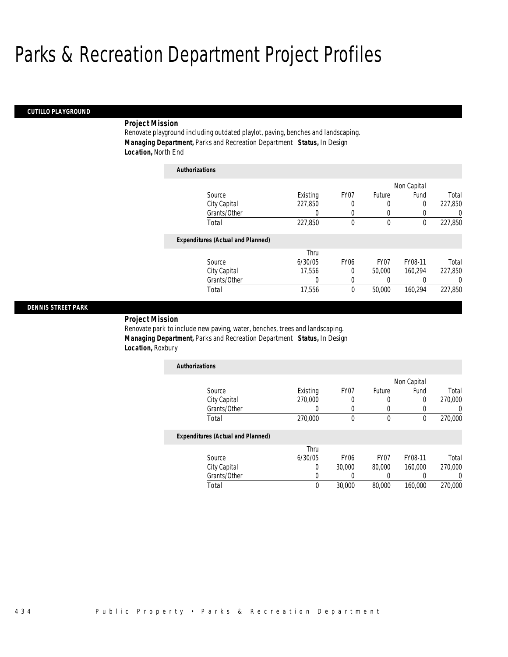*Authorizations*

#### *CUTILLO PLAYGROUND*

### *Project Mission*

Renovate playground including outdated playlot, paving, benches and landscaping. *Managing Department,* Parks and Recreation Department *Status,* In Design *Location,* North End

| AUUDULLAUVUS |                                          |          |             |        |             |          |
|--------------|------------------------------------------|----------|-------------|--------|-------------|----------|
|              |                                          |          |             |        | Non Capital |          |
|              | Source                                   | Existing | FY07        | Future | Fund        | Total    |
|              | City Capital                             | 227,850  | 0           | 0      | 0           | 227,850  |
|              | Grants/Other                             | 0        | 0           | 0      | 0           | 0        |
|              | Total                                    | 227,850  | 0           | 0      | 0           | 227,850  |
|              | <b>Expenditures (Actual and Planned)</b> |          |             |        |             |          |
|              |                                          | Thru     |             |        |             |          |
|              | Source                                   | 6/30/05  | <b>FY06</b> | FY07   | FY08-11     | Total    |
|              | City Capital                             | 17.556   | 0           | 50,000 | 160.294     | 227.850  |
|              | Grants/Other                             | 0        | 0           | 0      | 0           | $\left($ |
|              | Total                                    | 17,556   | 0           | 50,000 | 160.294     | 227,850  |

#### *DENNIS STREET PARK*

*Project Mission* 

Renovate park to include new paving, water, benches, trees and landscaping. *Managing Department,* Parks and Recreation Department *Status,* In Design *Location,* Roxbury

| Existing | FY07 | Future | Fund | Total       |
|----------|------|--------|------|-------------|
| 270,000  |      |        | 0    | 270,000     |
|          |      | 0      |      |             |
| 270,000  |      |        |      | 270,000     |
|          |      |        |      | Non Capital |

|              | Thru    |                  |        |         |         |
|--------------|---------|------------------|--------|---------|---------|
| Source       | 6/30/05 | FY <sub>06</sub> | FY07   | FY08-11 | Total   |
| City Capital |         | 30,000           | 80,000 | 160,000 | 270,000 |
| Grants/Other |         |                  |        |         |         |
| Total        | 0       | 30,000           | 80,000 | 160,000 | 270,000 |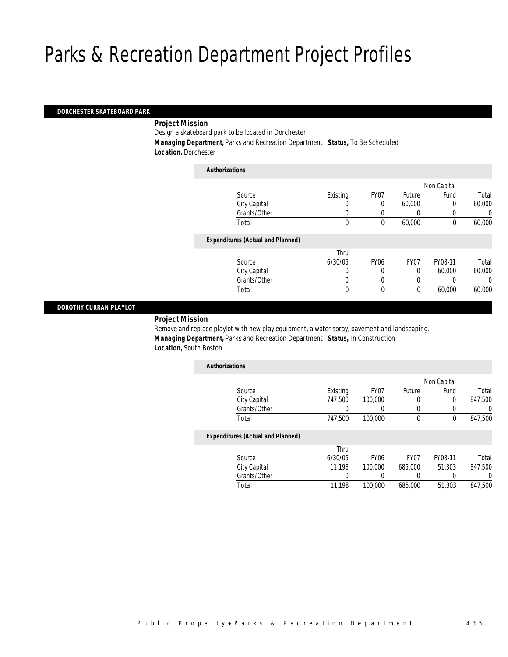#### *DORCHESTER SKATEBOARD PARK*

#### *Project Mission*

Design a skateboard park to be located in Dorchester.

 *Managing Department,* Parks and Recreation Department *Status,* To Be Scheduled *Location,* Dorchester

| <b>Authorizations</b>                    |          |             |             |             |        |
|------------------------------------------|----------|-------------|-------------|-------------|--------|
|                                          |          |             |             | Non Capital |        |
| Source                                   | Existing | FY07        | Future      | Fund        | Total  |
| City Capital                             | 0        | 0           | 60,000      | 0           | 60,000 |
| Grants/Other                             | 0        |             | 0           |             | 0      |
| Total                                    | 0        | 0           | 60,000      | $\mathbf 0$ | 60,000 |
| <b>Expenditures (Actual and Planned)</b> |          |             |             |             |        |
|                                          | Thru     |             |             |             |        |
| Source                                   | 6/30/05  | <b>FY06</b> | FY07        | FY08-11     | Total  |
| City Capital                             | 0        | 0           | 0           | 60,000      | 60,000 |
| Grants/Other                             | 0        |             | 0           |             | 0      |
| Total                                    | 0        | 0           | $\mathbf 0$ | 60,000      | 60,000 |
|                                          |          |             |             |             |        |

#### *DOROTHY CURRAN PLAYLOT*

*Project Mission* 

Remove and replace playlot with new play equipment, a water spray, pavement and landscaping. *Managing Department,* Parks and Recreation Department *Status,* In Construction *Location,* South Boston

| <b>Authorizations</b>                    |          |                  |                  |             |                  |
|------------------------------------------|----------|------------------|------------------|-------------|------------------|
|                                          |          |                  |                  | Non Capital |                  |
| Source                                   | Existing | FY07             | Future           | Fund        | Total            |
| City Capital                             | 747.500  | 100,000          | 0                | 0           | 847.500          |
| Grants/Other                             |          |                  |                  | $\Omega$    | $\left( \right)$ |
| Total                                    | 747,500  | 100,000          | 0                | 0           | 847,500          |
| <b>Expenditures (Actual and Planned)</b> |          |                  |                  |             |                  |
|                                          | Thru     |                  |                  |             |                  |
| Source                                   | 6/30/05  | FY <sub>06</sub> | FY <sub>07</sub> | FY08-11     | Total            |
| City Capital                             | 11.198   | 100,000          | 685,000          | 51.303      | 847,500          |
| Grants/Other                             |          |                  | 0                | 0           | 0                |
| Total                                    | 11.198   | 100,000          | 685,000          | 51,303      | 847.500          |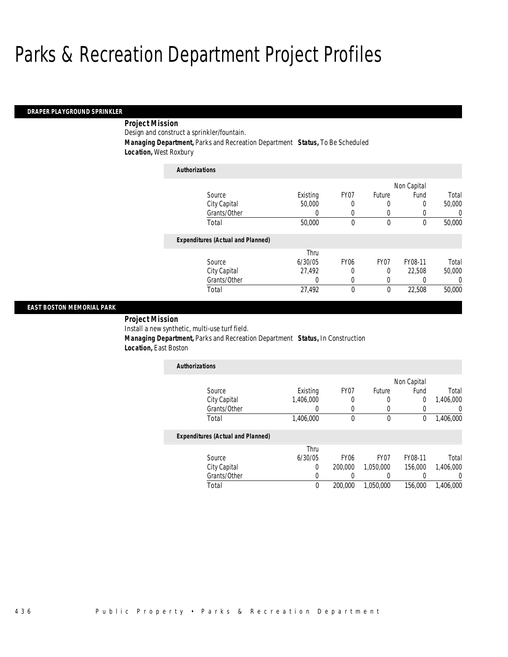#### *DRAPER PLAYGROUND SPRINKLER*

## *Project Mission*

Design and construct a sprinkler/fountain.

*Authorizations*

*Managing Department,* Parks and Recreation Department *Status,* To Be Scheduled

*Location,* West Roxbury

| <b>Authorizations</b>                    |          |                  |             |             |          |
|------------------------------------------|----------|------------------|-------------|-------------|----------|
|                                          |          |                  |             | Non Capital |          |
| Source                                   | Existing | FY07             | Future      | Fund        | Total    |
| City Capital                             | 50,000   | 0                | 0           | $\Omega$    | 50,000   |
| Grants/Other                             | O        | 0                | U           |             | 0        |
| Total                                    | 50,000   | 0                | $\mathbf 0$ | $\theta$    | 50,000   |
| <b>Expenditures (Actual and Planned)</b> |          |                  |             |             |          |
|                                          | Thru     |                  |             |             |          |
| Source                                   | 6/30/05  | FY <sub>06</sub> | FY07        | FY08-11     | Total    |
| City Capital                             | 27,492   | 0                | 0           | 22,508      | 50,000   |
| Grants/Other                             | 0        | 0                | 0           |             | $\Omega$ |
| Total                                    | 27,492   | 0                | $\theta$    | 22.508      | 50,000   |

#### *EAST BOSTON MEMORIAL PARK*

*Project Mission* 

Install a new synthetic, multi-use turf field.

 *Managing Department,* Parks and Recreation Department *Status,* In Construction *Location,* East Boston

| <b>Authorizations</b> |           |      |        |             |           |
|-----------------------|-----------|------|--------|-------------|-----------|
|                       |           |      |        | Non Capital |           |
| Source                | Existing  | FY07 | Future | Fund        | Total     |
| City Capital          | 1,406,000 |      |        |             | 1,406,000 |
| Grants/Other          |           |      |        |             |           |
| Total                 | 1,406,000 |      |        |             | 1,406,000 |

|              | Thru    |                  |                  |         |           |
|--------------|---------|------------------|------------------|---------|-----------|
| Source       | 6/30/05 | FY <sub>06</sub> | FY <sub>07</sub> | FY08-11 | Total     |
| City Capital |         | 200,000          | 1.050.000        | 156,000 | 1,406,000 |
| Grants/Other |         |                  |                  |         |           |
| Total        |         | 200,000          | 1.050.000        | 156,000 | 1,406,000 |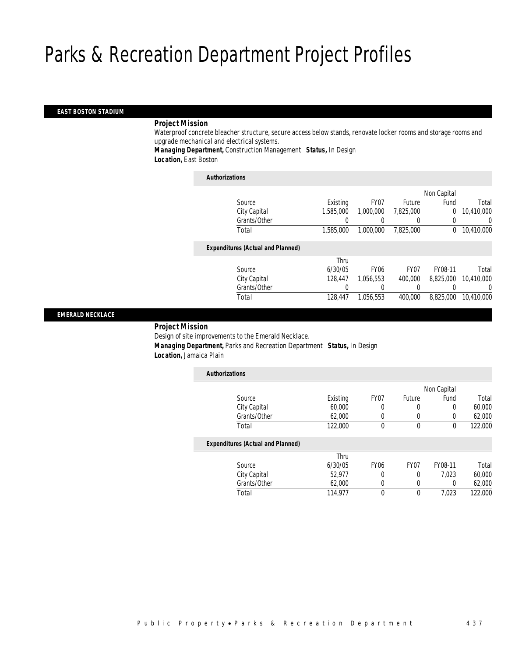#### *EAST BOSTON STADIUM*

#### *Project Mission*

Waterproof concrete bleacher structure, secure access below stands, renovate locker rooms and storage rooms and upgrade mechanical and electrical systems.

*Managing Department,* Construction Management *Status,* In Design *Location,* East Boston

| <b>Authorizations</b>                    |           |                  |           |             |                  |
|------------------------------------------|-----------|------------------|-----------|-------------|------------------|
|                                          |           |                  |           | Non Capital |                  |
| Source                                   | Existing  | FY07             | Future    | Fund        | Total            |
| City Capital                             | 1.585.000 | 1,000,000        | 7,825,000 | $\theta$    | 10,410,000       |
| Grants/Other                             |           |                  |           |             | $\left( \right)$ |
| Total                                    | 1,585,000 | 1,000,000        | 7.825.000 | $\Omega$    | 10,410,000       |
| <b>Expenditures (Actual and Planned)</b> |           |                  |           |             |                  |
|                                          | Thru      |                  |           |             |                  |
| Source                                   | 6/30/05   | FY <sub>06</sub> | FY07      | FY08-11     | Total            |
| City Capital                             | 128,447   | 1.056.553        | 400,000   | 8.825.000   | 10,410,000       |
| Grants/Other                             | 0         |                  | $\Omega$  |             | 0                |
| Total                                    | 128,447   | 1.056.553        | 400.000   | 8.825.000   | 10,410,000       |
|                                          |           |                  |           |             |                  |

### *EMERALD NECKLACE*

## *Project Mission*

Design of site improvements to the Emerald Necklace. *Managing Department,* Parks and Recreation Department *Status,* In Design *Location,* Jamaica Plain

| <b>Authorizations</b>                    |          |                  |                  |             |         |
|------------------------------------------|----------|------------------|------------------|-------------|---------|
|                                          |          |                  |                  | Non Capital |         |
| Source                                   | Existing | FY <sub>07</sub> | Future           | Fund        | Total   |
| City Capital                             | 60,000   | 0                | 0                | 0           | 60,000  |
| Grants/Other                             | 62,000   | 0                | 0                | 0           | 62.000  |
| Total                                    | 122,000  | 0                | 0                | 0           | 122,000 |
| <b>Expenditures (Actual and Planned)</b> |          |                  |                  |             |         |
|                                          | Thru     |                  |                  |             |         |
| Source                                   | 6/30/05  | FY <sub>06</sub> | FY <sub>07</sub> | FY08-11     | Total   |
| City Capital                             | 52.977   | 0                | 0                | 7.023       | 60,000  |
| Grants/Other                             | 62,000   | 0                | 0                | 0           | 62,000  |
| Total                                    | 114,977  | 0                | 0                | 7,023       | 122,000 |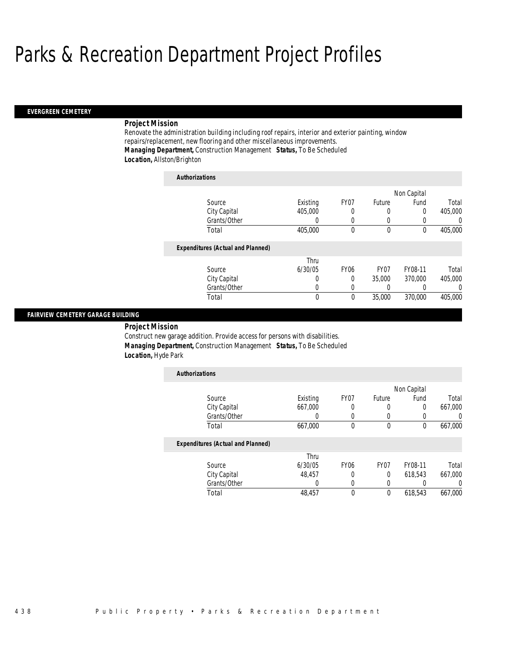#### *EVERGREEN CEMETERY*

#### *Project Mission*

Renovate the administration building including roof repairs, interior and exterior painting, window repairs/replacement, new flooring and other miscellaneous improvements. *Managing Department,* Construction Management *Status,* To Be Scheduled *Location,* Allston/Brighton

| <b>Authorizations</b>                    |          |                  |                  |             |                  |
|------------------------------------------|----------|------------------|------------------|-------------|------------------|
|                                          |          |                  |                  | Non Capital |                  |
| Source                                   | Existing | FY07             | Future           | Fund        | Total            |
| City Capital                             | 405,000  |                  |                  | 0           | 405,000          |
| Grants/Other                             | 0        |                  | $\left($         |             | $\left( \right)$ |
| Total                                    | 405,000  | $\theta$         | $\theta$         | 0           | 405,000          |
| <b>Expenditures (Actual and Planned)</b> |          |                  |                  |             |                  |
|                                          | Thru     |                  |                  |             |                  |
| Source                                   | 6/30/05  | FY <sub>06</sub> | FY <sub>07</sub> | FY08-11     | Total            |
| City Capital                             | O        | 0                | 35,000           | 370,000     | 405,000          |
| Grants/Other                             | 0        |                  | 0                |             | 0                |
| Total                                    | $\theta$ | $\Omega$         | 35,000           | 370,000     | 405,000          |

## *FAIRVIEW CEMETERY GARAGE BUILDING*

 *Project Mission* Construct new garage addition. Provide access for persons with disabilities. *Managing Department,* Construction Management *Status,* To Be Scheduled *Location,* Hyde Park

| <b>Authorizations</b>                    |          |                  |                  |             |                  |
|------------------------------------------|----------|------------------|------------------|-------------|------------------|
|                                          |          |                  |                  | Non Capital |                  |
| Source                                   | Existing | FY07             | Future           | Fund        | Total            |
| City Capital                             | 667,000  | 0                | 0                | 0           | 667,000          |
| Grants/Other                             |          | 0                | 0                | 0           | 0                |
| Total                                    | 667,000  | 0                | $\mathbf 0$      | 0           | 667,000          |
| <b>Expenditures (Actual and Planned)</b> |          |                  |                  |             |                  |
|                                          | Thru     |                  |                  |             |                  |
| Source                                   | 6/30/05  | FY <sub>06</sub> | FY <sub>07</sub> | FY08-11     | Total            |
| City Capital                             | 48.457   | $\Omega$         | $\Omega$         | 618.543     | 667.000          |
| Grants/Other                             | 0        | 0                | 0                | 0           | $\left( \right)$ |
| Total                                    | 48.457   | 0                | $\mathbf{0}$     | 618.543     | 667.000          |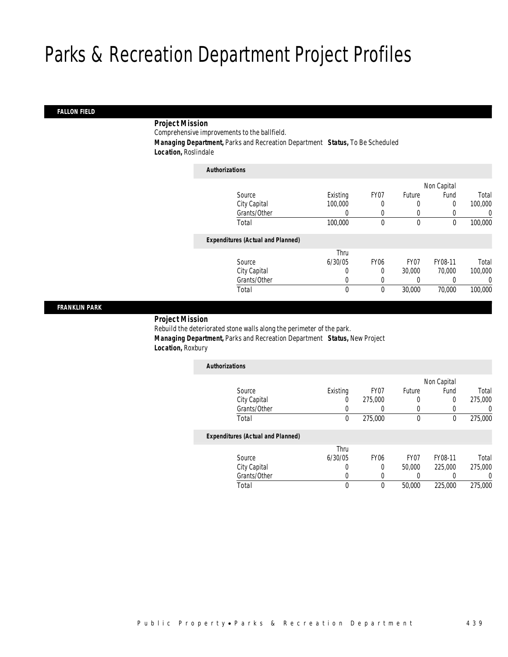### *FALLON FIELD*

### *Project Mission*

Comprehensive improvements to the ballfield.

 *Managing Department,* Parks and Recreation Department *Status,* To Be Scheduled *Location,* Roslindale

| <b>Authorizations</b>                    |          |                  |                  |             |          |
|------------------------------------------|----------|------------------|------------------|-------------|----------|
|                                          |          |                  |                  | Non Capital |          |
| Source                                   | Existing | FY07             | Future           | Fund        | Total    |
| City Capital                             | 100,000  | 0                | 0                | 0           | 100,000  |
| Grants/Other                             | 0        | 0                | 0                |             | $\Omega$ |
| Total                                    | 100,000  | 0                | $\mathbf 0$      | 0           | 100,000  |
| <b>Expenditures (Actual and Planned)</b> |          |                  |                  |             |          |
|                                          | Thru     |                  |                  |             |          |
| Source                                   | 6/30/05  | FY <sub>06</sub> | FY <sub>07</sub> | FY08-11     | Total    |
| City Capital                             | 0        | 0                | 30,000           | 70,000      | 100,000  |
| Grants/Other                             | 0        | 0                | 0                |             | $\Omega$ |
| Total                                    | 0        | 0                | 30,000           | 70,000      | 100,000  |

#### *FRANKLIN PARK*

#### *Project Mission*

Rebuild the deteriorated stone walls along the perimeter of the park. *Managing Department,* Parks and Recreation Department *Status,* New Project *Location,* Roxbury

| <b>Authorizations</b>                    |          |                  |        |             |         |
|------------------------------------------|----------|------------------|--------|-------------|---------|
|                                          |          |                  |        | Non Capital |         |
| Source                                   | Existing | FY07             | Future | Fund        | Total   |
| City Capital                             | 0        | 275,000          | 0      | 0           | 275,000 |
| Grants/Other                             | 0        |                  | 0      |             | 0       |
| Total                                    | 0        | 275,000          | 0      | 0           | 275,000 |
| <b>Expenditures (Actual and Planned)</b> |          |                  |        |             |         |
|                                          | Thru     |                  |        |             |         |
| Source                                   | 6/30/05  | FY <sub>06</sub> | FY07   | FY08-11     | Total   |

Total 0 0 50,000 225,000 275,000

 City Capital 0 0 50,000 225,000 275,000 Grants/Other 0 0 0 0 0 0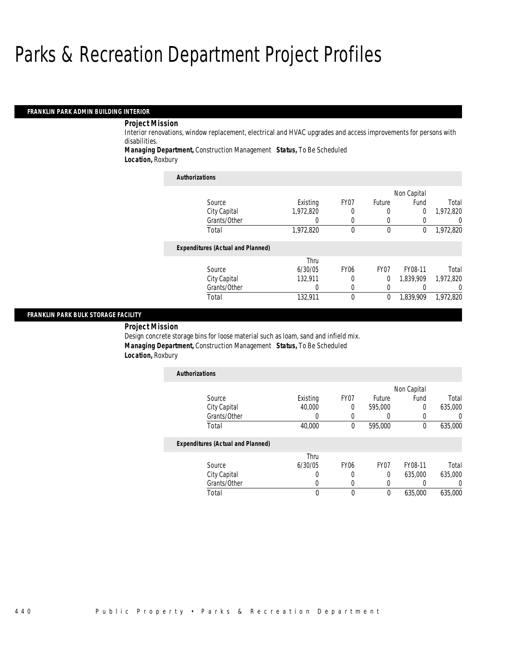#### *FRANKLIN PARK ADMIN BUILDING INTERIOR*

## *Project Mission*

Interior renovations, window replacement, electrical and HVAC upgrades and access improvements for persons with disabilities.

*Managing Department,* Construction Management *Status,* To Be Scheduled

*Location,* Roxbury

| <b>Authorizations</b>                    |           |             |                  |             |           |
|------------------------------------------|-----------|-------------|------------------|-------------|-----------|
|                                          |           |             |                  | Non Capital |           |
| Source                                   | Existing  | FY07        | Future           | Fund        | Total     |
| City Capital                             | 1,972,820 | 0           | $\left($         | 0           | 1,972,820 |
| Grants/Other                             | 0         | $\left($    | 0                |             | $\left($  |
| Total                                    | 1,972,820 | $\theta$    | $\theta$         | $\theta$    | 1,972,820 |
| <b>Expenditures (Actual and Planned)</b> |           |             |                  |             |           |
|                                          | Thru      |             |                  |             |           |
| Source                                   | 6/30/05   | <b>FY06</b> | FY <sub>07</sub> | FY08-11     | Total     |
| City Capital                             | 132.911   | 0           | $\Omega$         | 1.839.909   | 1.972.820 |
| Grants/Other                             | 0         | 0           | $\left( \right)$ |             | $\Omega$  |
| Total                                    | 132.911   | $\theta$    | $\mathbf{0}$     | 1,839,909   | 1.972.820 |

#### *FRANKLIN PARK BULK STORAGE FACILITY*

*Project Mission* 

Design concrete storage bins for loose material such as loam, sand and infield mix. *Managing Department,* Construction Management *Status,* To Be Scheduled *Location,* Roxbury

| <b>Authorizations</b>                    |          |                  |                  |             |                  |
|------------------------------------------|----------|------------------|------------------|-------------|------------------|
|                                          |          |                  |                  | Non Capital |                  |
| Source                                   | Existing | FY07             | Future           | Fund        | Total            |
| City Capital                             | 40,000   | $\Omega$         | 595,000          | 0           | 635,000          |
| Grants/Other                             | 0        |                  |                  |             | 0                |
| Total                                    | 40,000   | $\theta$         | 595,000          | 0           | 635,000          |
| <b>Expenditures (Actual and Planned)</b> |          |                  |                  |             |                  |
|                                          | Thru     |                  |                  |             |                  |
| Source                                   | 6/30/05  | FY <sub>06</sub> | FY <sub>07</sub> | FY08-11     | Total            |
| City Capital                             | 0        |                  | $\theta$         | 635,000     | 635,000          |
| Grants/Other                             | 0        |                  |                  |             | $\left( \right)$ |
| Total                                    | 0        | $\Omega$         | $\theta$         | 635,000     | 635,000          |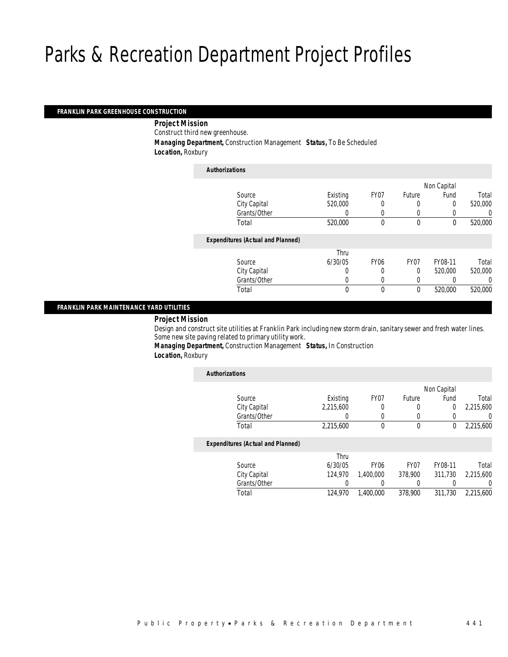#### *FRANKLIN PARK GREENHOUSE CONSTRUCTION*

*Project Mission* 

Construct third new greenhouse.

*Managing Department,* Construction Management *Status,* To Be Scheduled

*Location,* Roxbury

| <b>Authorizations</b>                    |          |                  |        |             |         |
|------------------------------------------|----------|------------------|--------|-------------|---------|
|                                          |          |                  |        | Non Capital |         |
| Source                                   | Existing | FY07             | Future | Fund        | Total   |
| City Capital                             | 520,000  | 0                | 0      | 0           | 520,000 |
| Grants/Other                             | 0        |                  | 0      |             | 0       |
| Total                                    | 520,000  | 0                | 0      | 0           | 520,000 |
| <b>Expenditures (Actual and Planned)</b> |          |                  |        |             |         |
|                                          | Thru     |                  |        |             |         |
| Source                                   | 6/30/05  | FY <sub>06</sub> | FY07   | FY08-11     | Total   |
| City Capital                             | 0        | 0                | 0      | 520,000     | 520,000 |
| Grants/Other                             | 0        |                  | 0      |             | 0       |
| Total                                    | 0        | 0                | 0      | 520,000     | 520,000 |

### *FRANKLIN PARK MAINTENANCE YARD UTILITIES*

## *Project Mission*

Design and construct site utilities at Franklin Park including new storm drain, sanitary sewer and fresh water lines. Some new site paving related to primary utility work.

*Managing Department,* Construction Management *Status,* In Construction *Location,* Roxbury

| <b>Authorizations</b>                    |           |                  |                  |             |           |
|------------------------------------------|-----------|------------------|------------------|-------------|-----------|
|                                          |           |                  |                  | Non Capital |           |
| Source                                   | Existing  | FY07             | Future           | Fund        | Total     |
| City Capital                             | 2,215,600 | 0                | 0                | 0           | 2,215,600 |
| Grants/Other                             | 0         | 0                | 0                | 0           | 0         |
| Total                                    | 2,215,600 | 0                | $\mathbf 0$      | 0           | 2,215,600 |
| <b>Expenditures (Actual and Planned)</b> |           |                  |                  |             |           |
|                                          | Thru      |                  |                  |             |           |
| Source                                   | 6/30/05   | FY <sub>06</sub> | FY <sub>07</sub> | FY08-11     | Total     |
| City Capital                             | 124.970   | 1.400.000        | 378,900          | 311.730     | 2.215.600 |
| Grants/Other                             | 0         | 0                | 0                |             | 0         |
| Total                                    | 124,970   | 1,400,000        | 378,900          | 311,730     | 2.215.600 |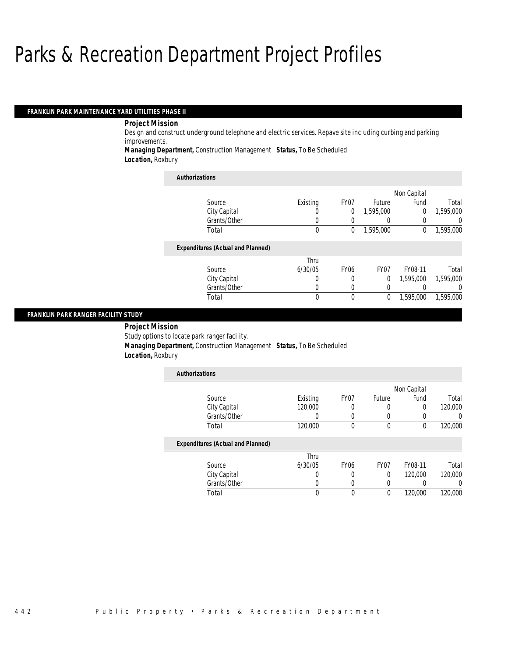#### *FRANKLIN PARK MAINTENANCE YARD UTILITIES PHASE II*

#### *Project Mission*

Design and construct underground telephone and electric services. Repave site including curbing and parking improvements.

*Managing Department,* Construction Management *Status,* To Be Scheduled

*Location,* Roxbury

| <b>Authorizations</b>                    |          |                  |                  |             |           |
|------------------------------------------|----------|------------------|------------------|-------------|-----------|
|                                          |          |                  |                  | Non Capital |           |
| Source                                   | Existing | FY07             | Future           | Fund        | Total     |
| City Capital                             | O        | 0                | 1.595.000        | $\theta$    | 1,595,000 |
| Grants/Other                             | O        | 0                |                  |             | $\Omega$  |
| Total                                    | 0        | 0                | 1,595,000        | $\theta$    | 1,595,000 |
| <b>Expenditures (Actual and Planned)</b> |          |                  |                  |             |           |
|                                          | Thru     |                  |                  |             |           |
| Source                                   | 6/30/05  | FY <sub>06</sub> | FY <sub>07</sub> | FY08-11     | Total     |
| City Capital                             | 0        | 0                | $\Omega$         | 1,595,000   | 1,595,000 |
| Grants/Other                             | 0        | $\left($         |                  |             | $\Omega$  |
| Total                                    | 0        | $\theta$         | 0                | 1,595,000   | 1,595,000 |

#### *FRANKLIN PARK RANGER FACILITY STUDY*

 *Project Mission* Study options to locate park ranger facility. *Managing Department,* Construction Management *Status,* To Be Scheduled *Location,* Roxbury

| <b>Authorizations</b>                    |          |                  |                  |             |         |
|------------------------------------------|----------|------------------|------------------|-------------|---------|
|                                          |          |                  |                  | Non Capital |         |
| Source                                   | Existing | FY <sub>07</sub> | Future           | Fund        | Total   |
| City Capital                             | 120,000  | 0                | 0                | 0           | 120,000 |
| Grants/Other                             |          | 0                | 0                | 0           |         |
| Total                                    | 120,000  | 0                | $\mathbf 0$      | $\theta$    | 120,000 |
| <b>Expenditures (Actual and Planned)</b> |          |                  |                  |             |         |
|                                          | Thru     |                  |                  |             |         |
| Source                                   | 6/30/05  | <b>FY06</b>      | FY <sub>07</sub> | FY08-11     | Total   |
| City Capital                             |          | 0                | 0                | 120,000     | 120,000 |
| Grants/Other                             |          | 0                | 0                | 0           |         |
| Total                                    | 0        | 0                | 0                | 120,000     | 120,000 |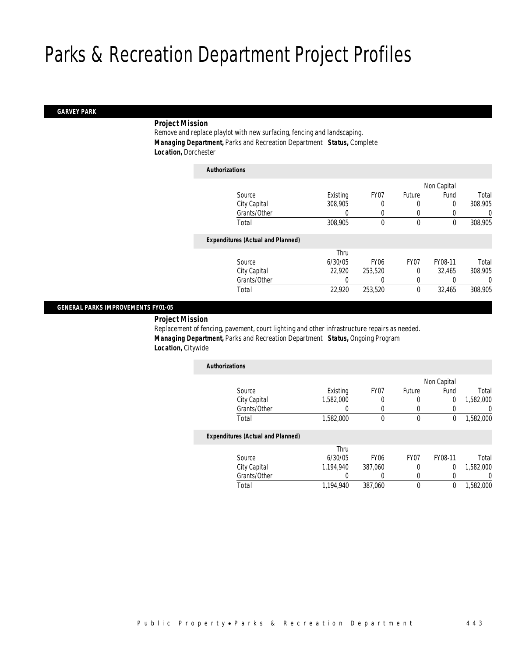#### *GARVEY PARK*

### *Project Mission*

Remove and replace playlot with new surfacing, fencing and landscaping. *Managing Department,* Parks and Recreation Department *Status,* Complete *Location,* Dorchester

| <b>Authorizations</b>                    |          |             |             |             |         |
|------------------------------------------|----------|-------------|-------------|-------------|---------|
|                                          |          |             |             | Non Capital |         |
| Source                                   | Existing | FY07        | Future      | Fund        | Total   |
| City Capital                             | 308,905  |             | 0           | 0           | 308,905 |
| Grants/Other                             | 0        | 0           | 0           |             | 0       |
| Total                                    | 308,905  | 0           | $\mathbf 0$ | $\mathbf 0$ | 308,905 |
| <b>Expenditures (Actual and Planned)</b> |          |             |             |             |         |
|                                          | Thru     |             |             |             |         |
| Source                                   | 6/30/05  | <b>FY06</b> | FY07        | FY08-11     | Total   |
| City Capital                             | 22,920   | 253,520     | $\Omega$    | 32,465      | 308,905 |
| Grants/Other                             | 0        | 0           | 0           |             | 0       |
| Total                                    | 22,920   | 253,520     | $\theta$    | 32,465      | 308,905 |
|                                          |          |             |             |             |         |

### *GENERAL PARKS IMPROVEMENTS FY01-05*

*Project Mission* 

Replacement of fencing, pavement, court lighting and other infrastructure repairs as needed. *Managing Department,* Parks and Recreation Department *Status,* Ongoing Program *Location,* Citywide

| <b>Authorizations</b>                    |           |                  |                  |             |                  |
|------------------------------------------|-----------|------------------|------------------|-------------|------------------|
|                                          |           |                  |                  | Non Capital |                  |
| Source                                   | Existing  | FY07             | Future           | Fund        | Total            |
| City Capital                             | 1,582,000 | 0                | 0                | 0           | 1,582,000        |
| Grants/Other                             |           |                  | $\left($         | 0           | $\left( \right)$ |
| Total                                    | 1,582,000 | 0                | 0                | 0           | 1,582,000        |
| <b>Expenditures (Actual and Planned)</b> |           |                  |                  |             |                  |
|                                          | Thru      |                  |                  |             |                  |
| Source                                   | 6/30/05   | FY <sub>06</sub> | FY <sub>07</sub> | FY08-11     | Total            |
| City Capital                             | 1,194,940 | 387,060          | 0                | 0           | 1,582,000        |
| Grants/Other                             |           |                  |                  | 0           | $\left( \right)$ |

Total 1,194,940 387,060 0 0 1,582,000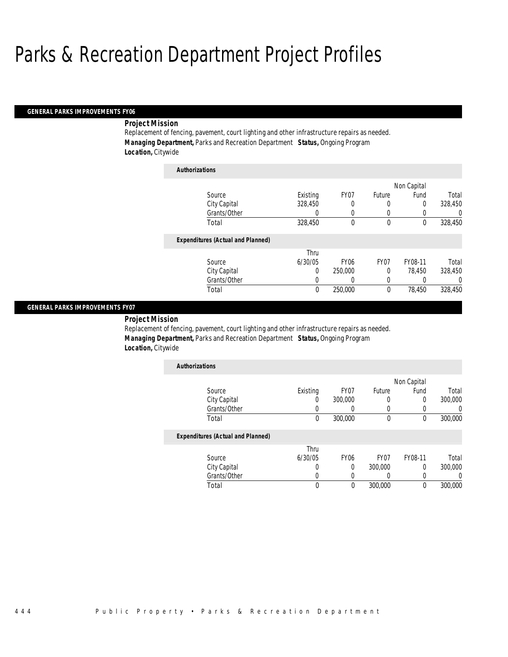*Authorizations*

#### *GENERAL PARKS IMPROVEMENTS FY06*

### *Project Mission*

Replacement of fencing, pavement, court lighting and other infrastructure repairs as needed. *Managing Department,* Parks and Recreation Department *Status,* Ongoing Program *Location,* Citywide

| Authorizations                           |          |                  |                  |             |          |
|------------------------------------------|----------|------------------|------------------|-------------|----------|
|                                          |          |                  |                  | Non Capital |          |
| Source                                   | Existing | FY07             | Future           | Fund        | Total    |
| City Capital                             | 328,450  | 0                | 0                | 0           | 328,450  |
| Grants/Other                             | 0        | 0                | 0                | 0           | 0        |
| Total                                    | 328,450  | 0                | 0                | $\theta$    | 328,450  |
| <b>Expenditures (Actual and Planned)</b> |          |                  |                  |             |          |
|                                          | Thru     |                  |                  |             |          |
| Source                                   | 6/30/05  | FY <sub>06</sub> | FY <sub>07</sub> | FY08-11     | Total    |
| City Capital                             | 0        | 250,000          | 0                | 78.450      | 328.450  |
| Grants/Other                             | 0        | 0                | 0                |             | $\Omega$ |
| Total                                    | 0        | 250,000          | 0                | 78.450      | 328,450  |

#### *GENERAL PARKS IMPROVEMENTS FY07*

#### *Project Mission*

Replacement of fencing, pavement, court lighting and other infrastructure repairs as needed. *Managing Department,* Parks and Recreation Department *Status,* Ongoing Program *Location,* Citywide

| <b>Authorizations</b> |          |         |        |             |         |
|-----------------------|----------|---------|--------|-------------|---------|
|                       |          |         |        | Non Capital |         |
| Source                | Existing | FY07    | Future | Fund        | Total   |
| City Capital          |          | 300,000 |        |             | 300,000 |
| Grants/Other          |          |         |        |             |         |
| Total                 |          | 300,000 |        |             | 300,000 |

|              | Thru    |      |         |         |         |
|--------------|---------|------|---------|---------|---------|
| Source       | 6/30/05 | FY06 | FY07    | FY08-11 | Total   |
| City Capital |         |      | 300,000 |         | 300,000 |
| Grants/Other |         |      |         |         |         |
| Total        |         |      | 300,000 |         | 300,000 |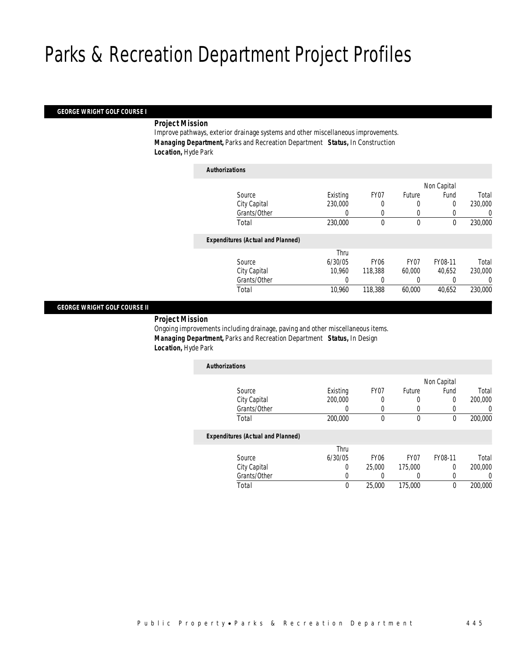*Authorizations*

#### *GEORGE WRIGHT GOLF COURSE I*

#### *Project Mission*

Improve pathways, exterior drainage systems and other miscellaneous improvements. *Managing Department,* Parks and Recreation Department *Status,* In Construction *Location,* Hyde Park

| Authorizations                           |          |             |             |             |         |
|------------------------------------------|----------|-------------|-------------|-------------|---------|
|                                          |          |             |             | Non Capital |         |
| Source                                   | Existing | FY07        | Future      | Fund        | Total   |
| City Capital                             | 230,000  | 0           | 0           | $\Omega$    | 230,000 |
| Grants/Other                             | 0        | 0           | 0           |             | 0       |
| Total                                    | 230,000  | 0           | $\mathbf 0$ | $\theta$    | 230,000 |
| <b>Expenditures (Actual and Planned)</b> |          |             |             |             |         |
|                                          | Thru     |             |             |             |         |
| Source                                   | 6/30/05  | <b>FY06</b> | FY07        | FY08-11     | Total   |
| City Capital                             | 10.960   | 118,388     | 60.000      | 40.652      | 230,000 |
| Grants/Other                             |          |             |             |             | 0       |
| Total                                    | 10,960   | 118,388     | 60,000      | 40,652      | 230,000 |
|                                          |          |             |             |             |         |

#### *GEORGE WRIGHT GOLF COURSE II*

*Project Mission* 

Ongoing improvements including drainage, paving and other miscellaneous items. *Managing Department,* Parks and Recreation Department *Status,* In Design *Location,* Hyde Park

| <b>Authorizations</b>                    |          |                  |             |         |                  |
|------------------------------------------|----------|------------------|-------------|---------|------------------|
|                                          |          |                  | Non Capital |         |                  |
| Source                                   | Existing | FY07             | Future      | Fund    | Total            |
| City Capital                             | 200,000  |                  | $\left($    | 0       | 200,000          |
| Grants/Other                             | O        |                  |             |         | $\left( \right)$ |
| Total                                    | 200,000  | 0                | $\theta$    | 0       | 200,000          |
| <b>Expenditures (Actual and Planned)</b> |          |                  |             |         |                  |
|                                          | Thru     |                  |             |         |                  |
| Source                                   | 6/30/05  | FY <sub>06</sub> | FY07        | FY08-11 | Total            |
| City Capital                             | 0        | 25,000           | 175,000     | 0       | 200,000          |
| Grants/Other                             |          |                  |             |         | 0                |

Total 0 25,000 175,000 0 200,000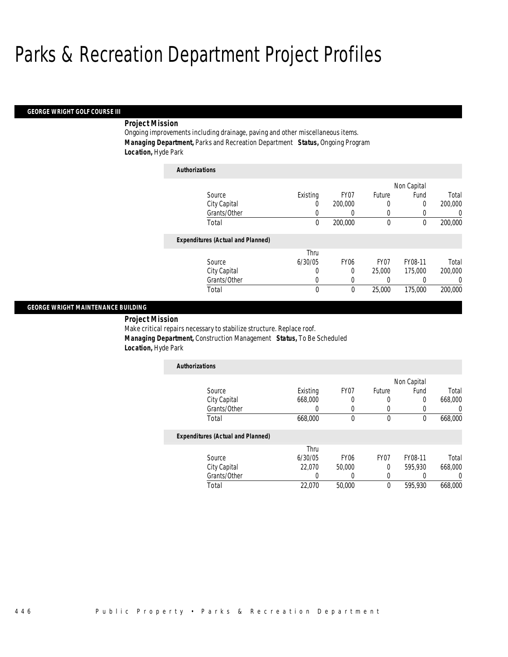#### *GEORGE WRIGHT GOLF COURSE III*

## *Project Mission*

Ongoing improvements including drainage, paving and other miscellaneous items. *Managing Department,* Parks and Recreation Department *Status,* Ongoing Program *Location,* Hyde Park

| <b>Authorizations</b>                    |          |                  |                  |         |          |
|------------------------------------------|----------|------------------|------------------|---------|----------|
|                                          |          |                  | Non Capital      |         |          |
| Source                                   | Existing | FY <sub>07</sub> | Future           | Fund    | Total    |
| City Capital                             | 0        | 200,000          | 0                | 0       | 200,000  |
| Grants/Other                             | 0        | 0                | 0                |         | 0        |
| Total                                    | 0        | 200,000          | $\theta$         | 0       | 200,000  |
| <b>Expenditures (Actual and Planned)</b> |          |                  |                  |         |          |
|                                          | Thru     |                  |                  |         |          |
| Source                                   | 6/30/05  | FY <sub>06</sub> | FY <sub>07</sub> | FY08-11 | Total    |
| City Capital                             | 0        | 0                | 25,000           | 175,000 | 200,000  |
| Grants/Other                             | 0        | 0                | 0                | 0       | $\left($ |
| Total                                    | 0        | 0                | 25,000           | 175,000 | 200,000  |

#### *GEORGE WRIGHT MAINTENANCE BUILDING*

*Project Mission* 

Make critical repairs necessary to stabilize structure. Replace roof. *Managing Department,* Construction Management *Status,* To Be Scheduled *Location,* Hyde Park

|          |      | Non Capital |                  |         |  |
|----------|------|-------------|------------------|---------|--|
| Existing | FY07 | Future      | Fund             | Total   |  |
| 668,000  |      | O           | $\left( \right)$ | 668,000 |  |
|          |      |             |                  |         |  |
| 668,000  |      | 0           | U                | 668,000 |  |
|          |      |             |                  |         |  |

|              | Thru    |                  |                  |         |         |
|--------------|---------|------------------|------------------|---------|---------|
| Source       | 6/30/05 | FY <sub>06</sub> | FY <sub>07</sub> | FY08-11 | Total   |
| City Capital | 22,070  | 50,000           |                  | 595,930 | 668,000 |
| Grants/Other |         |                  |                  |         |         |
| Total        | 22,070  | 50,000           |                  | 595,930 | 668,000 |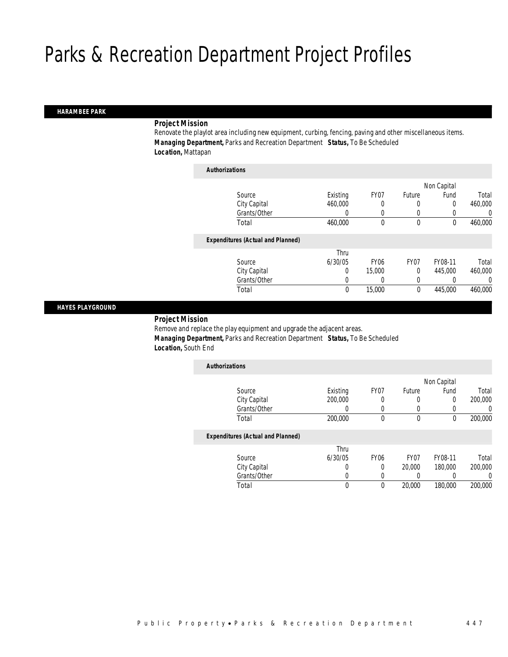#### *HARAMBEE PARK*

# *Project Mission*

Renovate the playlot area including new equipment, curbing, fencing, paving and other miscellaneous items. *Managing Department,* Parks and Recreation Department *Status,* To Be Scheduled *Location,* Mattapan

| <b>Authorizations</b>                    |          |             |                  |             |          |
|------------------------------------------|----------|-------------|------------------|-------------|----------|
|                                          |          |             |                  | Non Capital |          |
| Source                                   | Existing | FY07        | Future           | Fund        | Total    |
| City Capital                             | 460,000  | 0           | 0                | $\theta$    | 460,000  |
| Grants/Other                             | 0        | 0           | 0                | 0           | $\left($ |
| Total                                    | 460,000  | 0           | 0                | 0           | 460,000  |
| <b>Expenditures (Actual and Planned)</b> |          |             |                  |             |          |
|                                          | Thru     |             |                  |             |          |
| Source                                   | 6/30/05  | <b>FY06</b> | FY <sub>07</sub> | FY08-11     | Total    |
| City Capital                             | 0        | 15,000      | 0                | 445,000     | 460,000  |
| Grants/Other                             | 0        | 0           | 0                | 0           | $\Omega$ |
| Total                                    | 0        | 15,000      | 0                | 445,000     | 460,000  |

## *HAYES PLAYGROUND*

## *Project Mission*

Remove and replace the play equipment and upgrade the adjacent areas. *Managing Department,* Parks and Recreation Department *Status,* To Be Scheduled *Location,* South End

| <b>Authorizations</b>                    |          |                  |          |             |                  |
|------------------------------------------|----------|------------------|----------|-------------|------------------|
|                                          |          |                  |          | Non Capital |                  |
| Source                                   | Existing | FY07             | Future   | Fund        | Total            |
| City Capital                             | 200,000  | 0                | $\left($ | 0           | 200,000          |
| Grants/Other                             | 0        |                  | $\Omega$ | 0           | $\left( \right)$ |
| Total                                    | 200,000  | 0                | 0        | 0           | 200,000          |
| <b>Expenditures (Actual and Planned)</b> |          |                  |          |             |                  |
|                                          | Thru     |                  |          |             |                  |
| Source                                   | 6/30/05  | FY <sub>06</sub> | FY07     | FY08-11     | Total            |
| City Capital                             | 0        |                  | 20,000   | 180,000     | 200,000          |

Total 0 0 20,000 180,000 200,000

Grants/Other 0 0 0 0 0 0<br>
Total 0 0 20,000 180,000 200,000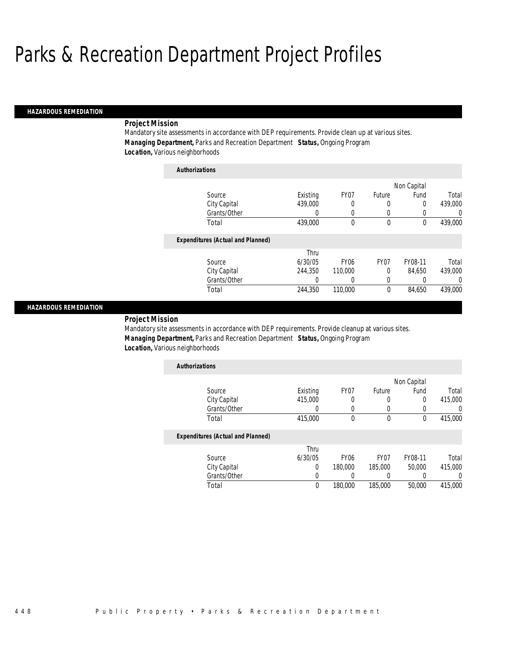#### *HAZARDOUS REMEDIATION*

## *Project Mission*

Mandatory site assessments in accordance with DEP requirements. Provide clean up at various sites. *Managing Department,* Parks and Recreation Department *Status,* Ongoing Program *Location,* Various neighborhoods

| <b>Authorizations</b>                    |          |             |                  |             |         |
|------------------------------------------|----------|-------------|------------------|-------------|---------|
|                                          |          |             |                  | Non Capital |         |
| Source                                   | Existing | FY07        | Future           | Fund        | Total   |
| City Capital                             | 439,000  | 0           | 0                | 0           | 439,000 |
| Grants/Other                             | 0        | 0           | 0                | 0           | 0       |
| Total                                    | 439,000  | 0           | 0                | 0           | 439,000 |
| <b>Expenditures (Actual and Planned)</b> |          |             |                  |             |         |
|                                          | Thru     |             |                  |             |         |
| Source                                   | 6/30/05  | <b>FY06</b> | FY <sub>07</sub> | FY08-11     | Total   |
| City Capital                             | 244,350  | 110,000     | 0                | 84.650      | 439,000 |
| Grants/Other                             | 0        | 0           | 0                | 0           | 0       |
| Total                                    | 244,350  | 110,000     | 0                | 84,650      | 439,000 |

#### *HAZARDOUS REMEDIATION*

## *Project Mission*

Mandatory site assessments in accordance with DEP requirements. Provide cleanup at various sites. *Managing Department,* Parks and Recreation Department *Status,* Ongoing Program *Location,* Various neighborhoods

| <b>Authorizations</b> |          |      |        |             |         |
|-----------------------|----------|------|--------|-------------|---------|
|                       |          |      |        | Non Capital |         |
| Source                | Existing | FY07 | Future | Fund        | Total   |
| City Capital          | 415,000  |      |        |             | 415,000 |
| Grants/Other          |          |      |        |             |         |
| Total                 | 415,000  |      |        |             | 415,000 |

|              | Thru    |                  |                  |         |         |
|--------------|---------|------------------|------------------|---------|---------|
| Source       | 6/30/05 | FY <sub>06</sub> | FY <sub>07</sub> | FY08-11 | Total   |
| City Capital |         | 180,000          | 185,000          | 50,000  | 415,000 |
| Grants/Other |         |                  |                  |         |         |
| Total        | 0       | 180,000          | 185,000          | 50,000  | 415,000 |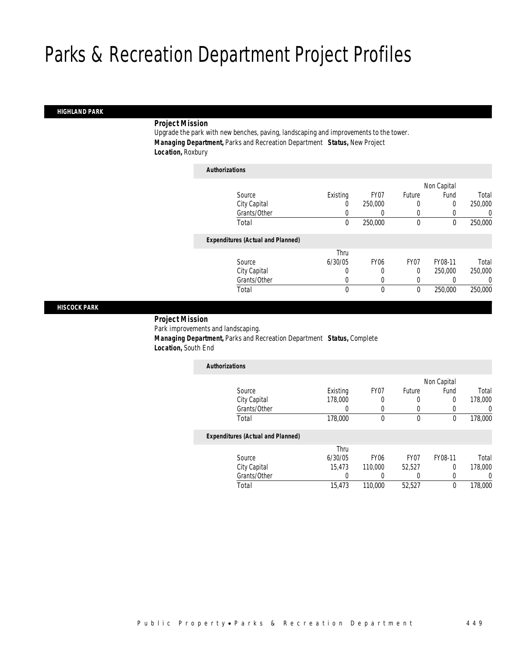#### *HIGHLAND PARK*

# *Project Mission*

Upgrade the park with new benches, paving, landscaping and improvements to the tower. *Managing Department,* Parks and Recreation Department *Status,* New Project *Location,* Roxbury

| <b>Authorizations</b>                    |          |                  |              |                  |         |
|------------------------------------------|----------|------------------|--------------|------------------|---------|
|                                          |          |                  |              | Non Capital      |         |
| Source                                   | Existing | FY <sub>07</sub> | Future       | Fund             | Total   |
| City Capital                             | 0        | 250,000          | 0            | 0                | 250,000 |
| Grants/Other                             | 0        | 0                | 0            | $\left( \right)$ | 0       |
| Total                                    | $\theta$ | 250,000          | $\mathbf{0}$ | 0                | 250,000 |
| <b>Expenditures (Actual and Planned)</b> |          |                  |              |                  |         |
|                                          | Thru     |                  |              |                  |         |
| Source                                   | 6/30/05  | FY <sub>06</sub> | FY07         | FY08-11          | Total   |
| City Capital                             | 0        | 0                | 0            | 250,000          | 250,000 |
| Grants/Other                             | 0        | 0                | 0            | 0                | 0       |
| Total                                    | 0        | 0                | $\mathbf{0}$ | 250,000          | 250,000 |
|                                          |          |                  |              |                  |         |

*HISCOCK PARK* 

# *Project Mission* Park improvements and landscaping. *Managing Department,* Parks and Recreation Department *Status,* Complete *Location,* South End

| <b>Authorizations</b>                    |                  |                  |                  |             |         |
|------------------------------------------|------------------|------------------|------------------|-------------|---------|
|                                          |                  |                  |                  | Non Capital |         |
| Source                                   | Existing         | FY07             | Future           | Fund        | Total   |
| City Capital                             | 178,000          | 0                | 0                | 0           | 178,000 |
| Grants/Other                             | $\left( \right)$ | 0                | 0                |             |         |
| Total                                    | 178,000          | 0                | 0                | $\theta$    | 178,000 |
| <b>Expenditures (Actual and Planned)</b> |                  |                  |                  |             |         |
|                                          | Thru             |                  |                  |             |         |
| Source                                   | 6/30/05          | FY <sub>06</sub> | FY <sub>07</sub> | FY08-11     | Total   |
| City Capital                             | 15.473           | 110,000          | 52.527           | $\Omega$    | 178,000 |
| Grants/Other                             |                  | 0                |                  |             |         |

Total 15,473 110,000 52,527 0 178,000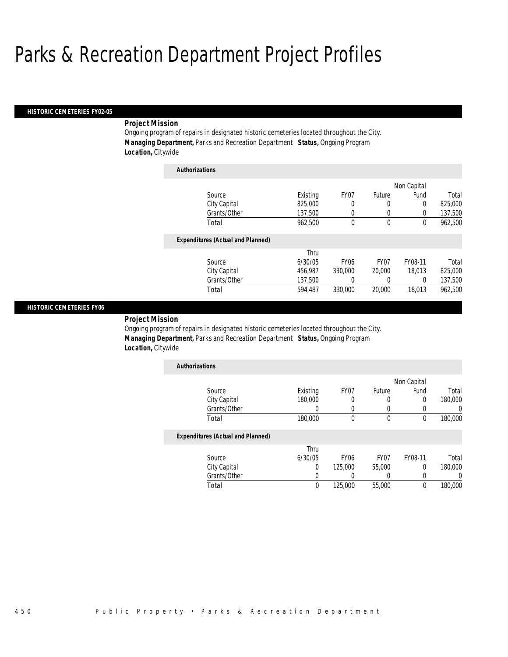#### *HISTORIC CEMETERIES FY02-05*

# *Project Mission*

Ongoing program of repairs in designated historic cemeteries located throughout the City. *Managing Department,* Parks and Recreation Department *Status,* Ongoing Program *Location,* Citywide

| <b>Authorizations</b>                    |          |                  |                  |             |         |
|------------------------------------------|----------|------------------|------------------|-------------|---------|
|                                          |          |                  |                  | Non Capital |         |
| Source                                   | Existing | FY07             | Future           | Fund        | Total   |
| City Capital                             | 825,000  | 0                | 0                | 0           | 825,000 |
| Grants/Other                             | 137.500  | 0                | 0                | $\Omega$    | 137,500 |
| Total                                    | 962,500  | 0                | 0                | $\theta$    | 962,500 |
| <b>Expenditures (Actual and Planned)</b> |          |                  |                  |             |         |
|                                          | Thru     |                  |                  |             |         |
| Source                                   | 6/30/05  | FY <sub>06</sub> | FY <sub>07</sub> | FY08-11     | Total   |
| City Capital                             | 456.987  | 330,000          | 20,000           | 18.013      | 825,000 |
| Grants/Other                             | 137.500  | 0                | 0                | 0           | 137,500 |
| Total                                    | 594.487  | 330,000          | 20,000           | 18.013      | 962.500 |

## *HISTORIC CEMETERIES FY06*

# *Project Mission*

Ongoing program of repairs in designated historic cemeteries located throughout the City. *Managing Department,* Parks and Recreation Department *Status,* Ongoing Program *Location,* Citywide

| <b>Authorizations</b> |          |      |        |             |         |
|-----------------------|----------|------|--------|-------------|---------|
|                       |          |      |        | Non Capital |         |
| Source                | Existing | FY07 | Future | Fund        | Total   |
| City Capital          | 180,000  |      |        |             | 180,000 |
| Grants/Other          |          |      |        |             |         |
| Total                 | 180,000  |      | 0      | U           | 180,000 |

|              | Thru    |                  |                  |         |         |
|--------------|---------|------------------|------------------|---------|---------|
| Source       | 6/30/05 | FY <sub>06</sub> | FY <sub>07</sub> | FY08-11 | Total   |
| City Capital |         | 125,000          | 55,000           |         | 180,000 |
| Grants/Other |         |                  |                  |         |         |
| Total        |         | 125,000          | 55,000           |         | 180,000 |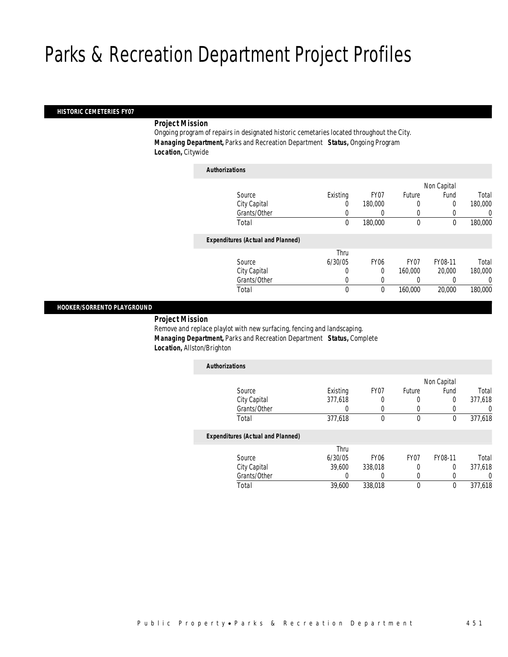## *HISTORIC CEMETERIES FY07*

# *Project Mission*

Ongoing program of repairs in designated historic cemetaries located throughout the City. *Managing Department,* Parks and Recreation Department *Status,* Ongoing Program *Location,* Citywide

| <b>Authorizations</b> |                                          |              |             |             |             |         |
|-----------------------|------------------------------------------|--------------|-------------|-------------|-------------|---------|
|                       |                                          |              |             |             | Non Capital |         |
|                       | Source                                   | Existing     | FY07        | Future      | Fund        | Total   |
|                       | City Capital                             | 0            | 180,000     | 0           | 0           | 180,000 |
|                       | Grants/Other                             |              |             | 0           |             | 0       |
|                       | Total                                    | 0            | 180,000     | $\mathbf 0$ | 0           | 180,000 |
|                       | <b>Expenditures (Actual and Planned)</b> |              |             |             |             |         |
|                       |                                          | Thru         |             |             |             |         |
|                       | Source                                   | 6/30/05      | <b>FY06</b> | FY07        | FY08-11     | Total   |
|                       | City Capital                             | 0            | $\Omega$    | 160,000     | 20,000      | 180,000 |
|                       | Grants/Other                             | 0            | 0           |             |             | 0       |
|                       | Total                                    | $\mathbf{0}$ | 0           | 160,000     | 20,000      | 180,000 |

## *HOOKER/SORRENTO PLAYGROUND*

*Project Mission* 

Remove and replace playlot with new surfacing, fencing and landscaping. *Managing Department,* Parks and Recreation Department *Status,* Complete *Location,* Allston/Brighton

| <b>Authorizations</b>                    |           |       |          |             |          |
|------------------------------------------|-----------|-------|----------|-------------|----------|
|                                          |           |       |          | Non Capital |          |
| Source                                   | Existing  | FY07  | Future   | Fund        | Total    |
| City Capital                             | 377,618   | 0     | U        | 0           | 377,618  |
| Grants/Other                             | 0         |       | O        |             | $\Omega$ |
| Total                                    | 377,618   | 0     | 0        | 0           | 377,618  |
| <b>Expenditures (Actual and Planned)</b> |           |       |          |             |          |
|                                          | Thru<br>. | _____ | -- - - - | ------      |          |

| Source       | 6/30/05 | FY06    | FY07 | FY08-11 | Total   |
|--------------|---------|---------|------|---------|---------|
| City Capital | 39.600  | 338,018 |      |         | 377.618 |
| Grants/Other |         |         |      |         |         |
| Total        | 39,600  | 338,018 |      |         | 377.618 |
|              |         |         |      |         |         |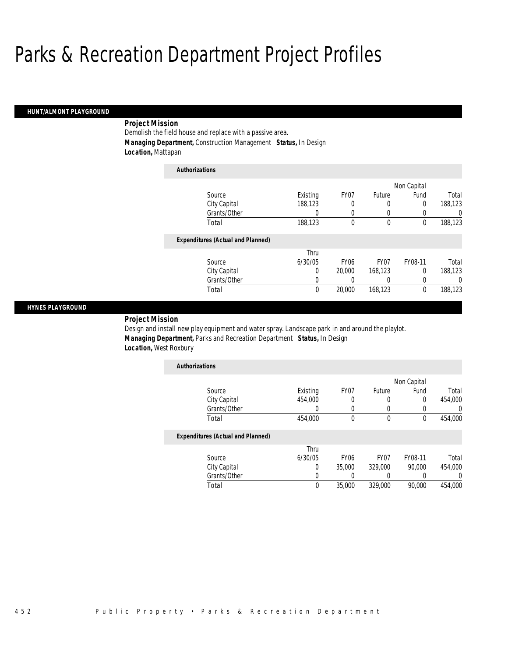#### *HUNT/ALMONT PLAYGROUND*

# *Project Mission*

Demolish the field house and replace with a passive area. *Managing Department,* Construction Management *Status,* In Design *Location,* Mattapan

| <b>Authorizations</b>                    |          |                  |         |             |         |
|------------------------------------------|----------|------------------|---------|-------------|---------|
|                                          |          |                  |         | Non Capital |         |
| Source                                   | Existing | FY07             | Future  | Fund        | Total   |
| City Capital                             | 188,123  | 0                | 0       | 0           | 188,123 |
| Grants/Other                             | 0        | 0                | 0       | 0           | 0       |
| Total                                    | 188,123  | 0                | 0       | 0           | 188,123 |
| <b>Expenditures (Actual and Planned)</b> |          |                  |         |             |         |
|                                          | Thru     |                  |         |             |         |
| Source                                   | 6/30/05  | FY <sub>06</sub> | FY07    | FY08-11     | Total   |
| City Capital                             | 0        | 20,000           | 168,123 | 0           | 188.123 |
| Grants/Other                             | 0        | 0                | 0       | 0           | 0       |
| Total                                    | 0        | 20,000           | 168,123 | 0           | 188,123 |

## *HYNES PLAYGROUND*

*Project Mission* 

Design and install new play equipment and water spray. Landscape park in and around the playlot. *Managing Department,* Parks and Recreation Department *Status,* In Design *Location,* West Roxbury

| Existing | FY07 | Future | Fund | Total       |
|----------|------|--------|------|-------------|
| 454,000  |      |        | 0    | 454,000     |
|          |      |        |      |             |
| 454,000  |      | 0      |      | 454,000     |
|          |      |        |      | Non Capital |

|              | Thru    |                  |                  |         |         |
|--------------|---------|------------------|------------------|---------|---------|
| Source       | 6/30/05 | FY <sub>06</sub> | FY <sub>07</sub> | FY08-11 | Total   |
| City Capital |         | 35.000           | 329,000          | 90.000  | 454,000 |
| Grants/Other |         |                  |                  |         |         |
| Total        | 0       | 35,000           | 329,000          | 90,000  | 454,000 |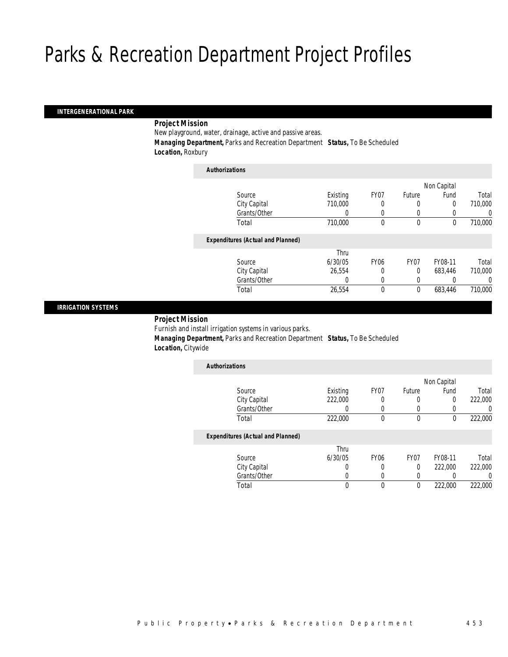## *INTERGENERATIONAL PARK*

# *Project Mission*

New playground, water, drainage, active and passive areas. *Managing Department,* Parks and Recreation Department *Status,* To Be Scheduled

*Location,* Roxbury

| <b>Authorizations</b>                    |          |             |             |             |         |
|------------------------------------------|----------|-------------|-------------|-------------|---------|
|                                          |          |             |             | Non Capital |         |
| Source                                   | Existing | FY07        | Future      | Fund        | Total   |
| City Capital                             | 710,000  | 0           | 0           | 0           | 710,000 |
| Grants/Other                             | 0        |             | 0           |             | 0       |
| Total                                    | 710,000  | 0           | $\mathbf 0$ | $\theta$    | 710,000 |
| <b>Expenditures (Actual and Planned)</b> |          |             |             |             |         |
|                                          | Thru     |             |             |             |         |
| Source                                   | 6/30/05  | <b>FY06</b> | FY07        | FY08-11     | Total   |
| City Capital                             | 26.554   | 0           | $\mathbf 0$ | 683,446     | 710,000 |
| Grants/Other                             | 0        | 0           | 0           |             | 0       |
| Total                                    | 26,554   | 0           | $\mathbf 0$ | 683,446     | 710,000 |
|                                          |          |             |             |             |         |

## *IRRIGATION SYSTEMS*

*Project Mission* 

Furnish and install irrigation systems in various parks. *Managing Department,* Parks and Recreation Department *Status,* To Be Scheduled *Location,* Citywide

| <b>Authorizations</b>                    |                  |                  |        |             |         |
|------------------------------------------|------------------|------------------|--------|-------------|---------|
|                                          |                  |                  |        | Non Capital |         |
| Source                                   | Existing         | FY07             | Future | Fund        | Total   |
| City Capital                             | 222,000          | 0                |        | 0           | 222,000 |
| Grants/Other                             | $\left( \right)$ | 0                |        | 0           |         |
| Total                                    | 222,000          | 0                | 0      | 0           | 222,000 |
| <b>Expenditures (Actual and Planned)</b> |                  |                  |        |             |         |
|                                          | Thru             |                  |        |             |         |
| Source                                   | 6/30/05          | FY <sub>06</sub> | FY07   | FY08-11     | Total   |
| City Capital                             | 0                | 0                | 0      | 222,000     | 222,000 |
| Grants/Other                             |                  | 0                |        |             |         |

Total 0 0 0 222,000 222,000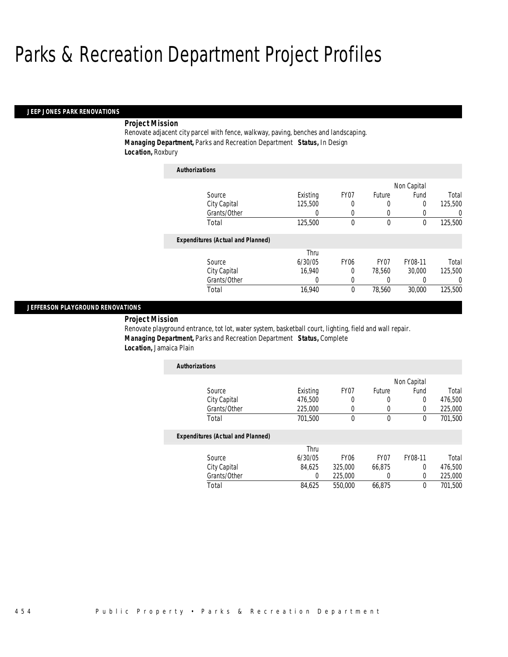*Authorizations*

#### *JEEP JONES PARK RENOVATIONS*

# *Project Mission*

Renovate adjacent city parcel with fence, walkway, paving, benches and landscaping. *Managing Department,* Parks and Recreation Department *Status,* In Design *Location,* Roxbury

| Authorizations |                                          |          |                  |                  |             |         |
|----------------|------------------------------------------|----------|------------------|------------------|-------------|---------|
|                |                                          |          |                  |                  | Non Capital |         |
| Source         |                                          | Existing | FY07             | Future           | Fund        | Total   |
| City Capital   |                                          | 125,500  | 0                | 0                | 0           | 125,500 |
|                | Grants/Other                             | 0        | 0                | 0                | 0           | 0       |
| Total          |                                          | 125,500  | 0                | 0                | 0           | 125,500 |
|                | <b>Expenditures (Actual and Planned)</b> |          |                  |                  |             |         |
|                |                                          | Thru     |                  |                  |             |         |
| Source         |                                          | 6/30/05  | FY <sub>06</sub> | FY <sub>07</sub> | FY08-11     | Total   |
| City Capital   |                                          | 16.940   | 0                | 78.560           | 30,000      | 125,500 |
|                | Grants/Other                             | 0        | 0                | 0                | 0           | 0       |
| Total          |                                          | 16,940   | 0                | 78,560           | 30,000      | 125,500 |

## *JEFFERSON PLAYGROUND RENOVATIONS*

# *Project Mission*

Renovate playground entrance, tot lot, water system, basketball court, lighting, field and wall repair. *Managing Department,* Parks and Recreation Department *Status,* Complete *Location,* Jamaica Plain

| <b>Authorizations</b>                                                                                                               |          |      |        |             |         |
|-------------------------------------------------------------------------------------------------------------------------------------|----------|------|--------|-------------|---------|
|                                                                                                                                     |          |      |        | Non Capital |         |
| Source                                                                                                                              | Existing | FY07 | Future | Fund        | Total   |
| City Capital                                                                                                                        | 476,500  |      |        |             | 476,500 |
| Grants/Other                                                                                                                        | 225,000  |      |        |             | 225,000 |
| Total                                                                                                                               | 701,500  |      |        |             | 701,500 |
| $\mathbf{F}$ and $\mathbf{F}$ and $\mathbf{F}$ and $\mathbf{F}$ and $\mathbf{F}$ and $\mathbf{F}$ and $\mathbf{F}$ and $\mathbf{F}$ |          |      |        |             |         |

|        |              | Thru    |                  |                  |         |         |
|--------|--------------|---------|------------------|------------------|---------|---------|
| Source |              | 6/30/05 | FY <sub>06</sub> | FY <sub>07</sub> | FY08-11 | Total   |
|        | City Capital | 84.625  | 325,000          | 66.875           |         | 476.500 |
|        | Grants/Other |         | 225.000          |                  |         | 225.000 |
| Total  |              | 84.625  | 550,000          | 66.875           |         | 701.500 |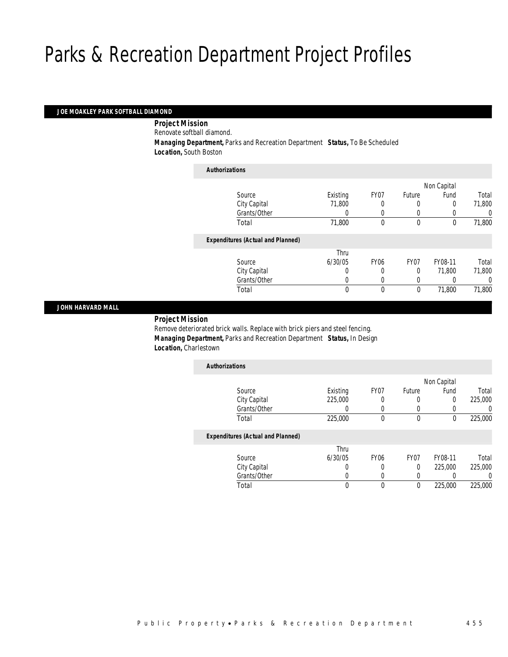## *JOE MOAKLEY PARK SOFTBALL DIAMOND*

*Project Mission* 

Renovate softball diamond.

 *Managing Department,* Parks and Recreation Department *Status,* To Be Scheduled *Location,* South Boston

| <b>Authorizations</b>                    |          |             |                  |             |        |
|------------------------------------------|----------|-------------|------------------|-------------|--------|
|                                          |          |             |                  | Non Capital |        |
| Source                                   | Existing | FY07        | Future           | Fund        | Total  |
| City Capital                             | 71,800   |             |                  | 0           | 71,800 |
| Grants/Other                             | $\Omega$ | 0           | 0                |             | 0      |
| Total                                    | 71,800   | 0           | $\mathbf 0$      | 0           | 71,800 |
| <b>Expenditures (Actual and Planned)</b> |          |             |                  |             |        |
|                                          | Thru     |             |                  |             |        |
| Source                                   | 6/30/05  | <b>FY06</b> | FY <sub>07</sub> | FY08-11     | Total  |
| City Capital                             | 0        | 0           | $\Omega$         | 71.800      | 71,800 |
| Grants/Other                             |          |             |                  |             | 0      |
| Total                                    | 0        | 0           | $\mathbf 0$      | 71,800      | 71,800 |
|                                          |          |             |                  |             |        |

## *JOHN HARVARD MALL*

*Project Mission* 

Remove deteriorated brick walls. Replace with brick piers and steel fencing. *Managing Department,* Parks and Recreation Department *Status,* In Design *Location,* Charlestown

| <b>Authorizations</b>                    |          |             |                  |             |         |
|------------------------------------------|----------|-------------|------------------|-------------|---------|
|                                          |          |             |                  | Non Capital |         |
| Source                                   | Existing | FY07        | Future           | Fund        | Total   |
| City Capital                             | 225,000  | 0           | 0                | 0           | 225,000 |
| Grants/Other                             |          | 0           | 0                | 0           |         |
| Total                                    | 225,000  | 0           | 0                | 0           | 225,000 |
| <b>Expenditures (Actual and Planned)</b> |          |             |                  |             |         |
|                                          | Thru     |             |                  |             |         |
| Source                                   | 6/30/05  | <b>FY06</b> | FY <sub>07</sub> | FY08-11     | Total   |
| City Capital                             |          | 0           | 0                | 225,000     | 225,000 |
| Grants/Other                             |          | 0           | 0                |             |         |
| Total                                    |          | 0           | 0                | 225,000     | 225,000 |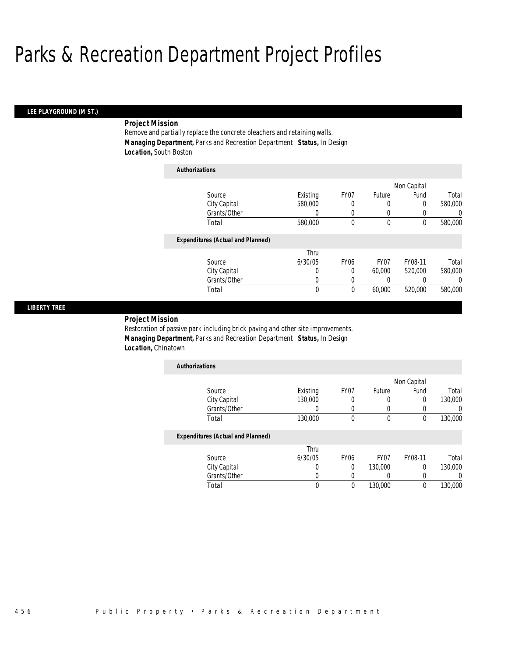## *LEE PLAYGROUND (M ST.)*

# *Project Mission*

Remove and partially replace the concrete bleachers and retaining walls. *Managing Department,* Parks and Recreation Department *Status,* In Design *Location,* South Boston

| <b>Authorizations</b>                    |          |                  |        |             |          |
|------------------------------------------|----------|------------------|--------|-------------|----------|
|                                          |          |                  |        | Non Capital |          |
| Source                                   | Existing | FY07             | Future | Fund        | Total    |
| City Capital                             | 580,000  | 0                | 0      | 0           | 580,000  |
| Grants/Other                             | 0        | 0                | 0      | 0           | 0        |
| Total                                    | 580,000  | 0                | 0      | 0           | 580,000  |
| <b>Expenditures (Actual and Planned)</b> |          |                  |        |             |          |
|                                          | Thru     |                  |        |             |          |
| Source                                   | 6/30/05  | FY <sub>06</sub> | FY07   | FY08-11     | Total    |
| City Capital                             | 0        | 0                | 60,000 | 520,000     | 580,000  |
| Grants/Other                             | 0        | 0                | 0      | 0           | $\left($ |
| Total                                    | 0        | 0                | 60,000 | 520,000     | 580,000  |

## *LIBERTY TREE*

## *Project Mission*

Restoration of passive park including brick paving and other site improvements. *Managing Department,* Parks and Recreation Department *Status,* In Design *Location,* Chinatown

| <b>Authorizations</b> |          |      |        |             |         |
|-----------------------|----------|------|--------|-------------|---------|
|                       |          |      |        | Non Capital |         |
| Source                | Existing | FY07 | Future | Fund        | Total   |
| City Capital          | 130,000  |      |        |             | 130,000 |
| Grants/Other          |          |      |        |             |         |
| Total                 | 130,000  |      |        |             | 130,000 |

|              | Thru    |      |                  |         |         |
|--------------|---------|------|------------------|---------|---------|
| Source       | 6/30/05 | FY06 | FY <sub>07</sub> | FY08-11 | Total   |
| City Capital |         |      | 130,000          |         | 130,000 |
| Grants/Other |         |      |                  |         |         |
| Total        |         |      | 130,000          |         | 130,000 |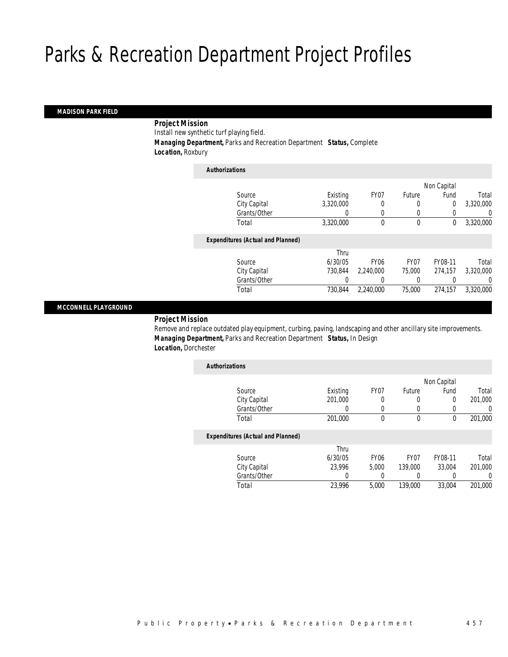# *MADISON PARK FIELD*

# *Project Mission*

Install new synthetic turf playing field.

*Managing Department,* Parks and Recreation Department *Status,* Complete

*Location,* Roxbury

| <b>Authorizations</b>                    |           |             |                  |             |           |
|------------------------------------------|-----------|-------------|------------------|-------------|-----------|
|                                          |           |             |                  | Non Capital |           |
| Source                                   | Existing  | FY07        | Future           | Fund        | Total     |
| City Capital                             | 3.320.000 | 0           | 0                | 0           | 3,320,000 |
| Grants/Other                             | 0         | 0           | 0                |             | 0         |
| Total                                    | 3,320,000 | 0           | $\mathbf 0$      | 0           | 3,320,000 |
| <b>Expenditures (Actual and Planned)</b> |           |             |                  |             |           |
|                                          | Thru      |             |                  |             |           |
| Source                                   | 6/30/05   | <b>FY06</b> | FY <sub>07</sub> | FY08-11     | Total     |
| City Capital                             | 730.844   | 2.240.000   | 75,000           | 274.157     | 3.320.000 |
| Grants/Other                             | 0         | 0           | 0                |             | 0         |
| Total                                    | 730.844   | 2.240.000   | 75,000           | 274.157     | 3.320.000 |
|                                          |           |             |                  |             |           |

## *MCCONNELL PLAYGROUND*

*Project Mission* 

Remove and replace outdated play equipment, curbing, paving, landscaping and other ancillary site improvements. *Managing Department,* Parks and Recreation Department *Status,* In Design *Location,* Dorchester

| <b>Authorizations</b>                    |          |                  |                  |             |                  |
|------------------------------------------|----------|------------------|------------------|-------------|------------------|
|                                          |          |                  |                  | Non Capital |                  |
| Source                                   | Existing | FY07             | Future           | Fund        | Total            |
| City Capital                             | 201.000  |                  | 0                | 0           | 201.000          |
| Grants/Other                             | $\cup$   | 0                | $\Omega$         | 0           | $\left( \right)$ |
| Total                                    | 201,000  | 0                | 0                | 0           | 201,000          |
| <b>Expenditures (Actual and Planned)</b> |          |                  |                  |             |                  |
|                                          | Thru     |                  |                  |             |                  |
| Source                                   | 6/30/05  | FY <sub>06</sub> | FY <sub>07</sub> | FY08-11     | Total            |
| City Capital                             | 23.996   | 5.000            | 139,000          | 33.004      | 201.000          |
| Grants/Other                             | 0        |                  | 0                | 0           | 0                |
| Total                                    | 23.996   | 5.000            | 139,000          | 33.004      | 201.000          |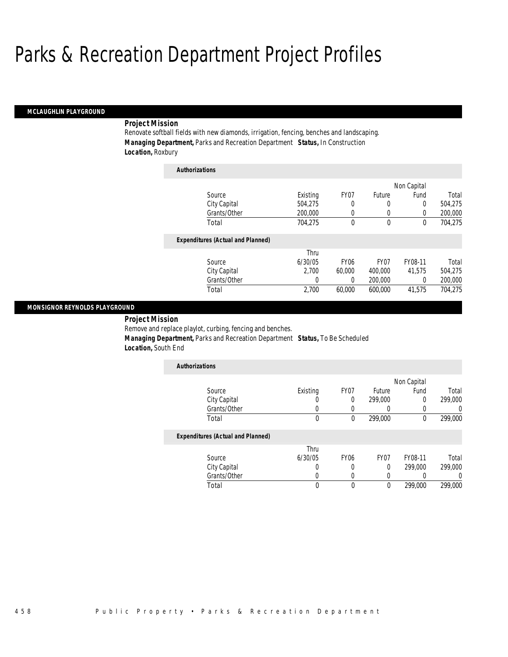#### *MCLAUGHLIN PLAYGROUND*

## *Project Mission*

Renovate softball fields with new diamonds, irrigation, fencing, benches and landscaping. *Managing Department,* Parks and Recreation Department *Status,* In Construction *Location,* Roxbury

| <b>Authorizations</b>                    |          |             |                  |             |         |
|------------------------------------------|----------|-------------|------------------|-------------|---------|
|                                          |          |             |                  | Non Capital |         |
| Source                                   | Existing | FY07        | Future           | Fund        | Total   |
| City Capital                             | 504.275  | 0           | 0                | 0           | 504,275 |
| Grants/Other                             | 200,000  | 0           | 0                | $\Omega$    | 200,000 |
| Total                                    | 704.275  | 0           | 0                | 0           | 704,275 |
| <b>Expenditures (Actual and Planned)</b> |          |             |                  |             |         |
|                                          | Thru     |             |                  |             |         |
| Source                                   | 6/30/05  | <b>FY06</b> | FY <sub>07</sub> | FY08-11     | Total   |
| City Capital                             | 2.700    | 60,000      | 400,000          | 41.575      | 504.275 |
| Grants/Other                             | 0        | 0           | 200,000          | 0           | 200,000 |
| Total                                    | 2,700    | 60.000      | 600.000          | 41.575      | 704.275 |

## *MONSIGNOR REYNOLDS PLAYGROUND*

*Project Mission* 

Remove and replace playlot, curbing, fencing and benches.

 *Managing Department,* Parks and Recreation Department *Status,* To Be Scheduled *Location,* South End

| <b>Authorizations</b> |          |      |         |             |         |
|-----------------------|----------|------|---------|-------------|---------|
|                       |          |      |         | Non Capital |         |
| Source                | Existing | FY07 | Future  | Fund        | Total   |
| City Capital          |          |      | 299,000 |             | 299,000 |
| Grants/Other          |          |      |         |             |         |
| Total                 |          |      | 299,000 |             | 299,000 |

|              | Thru    |      |      |         |         |
|--------------|---------|------|------|---------|---------|
| Source       | 6/30/05 | FY06 | FY07 | FY08-11 | Total   |
| City Capital |         |      |      | 299,000 | 299,000 |
| Grants/Other |         |      |      |         |         |
| Total        |         |      |      | 299,000 | 299,000 |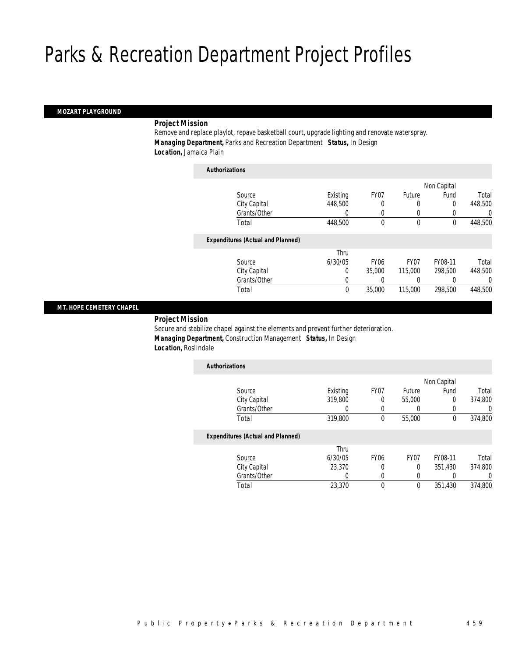## *MOZART PLAYGROUND*

# *Project Mission*

Remove and replace playlot, repave basketball court, upgrade lighting and renovate waterspray. *Managing Department,* Parks and Recreation Department *Status,* In Design *Location,* Jamaica Plain

| <b>Authorizations</b>                    |              |             |                  |             |         |
|------------------------------------------|--------------|-------------|------------------|-------------|---------|
|                                          |              |             |                  | Non Capital |         |
| Source                                   | Existing     | FY07        | Future           | Fund        | Total   |
| City Capital                             | 448,500      |             | 0                | 0           | 448,500 |
| Grants/Other                             | 0            | 0           | 0                |             | 0       |
| Total                                    | 448,500      | 0           | $\mathbf 0$      | $\mathbf 0$ | 448,500 |
| <b>Expenditures (Actual and Planned)</b> |              |             |                  |             |         |
|                                          | Thru         |             |                  |             |         |
| Source                                   | 6/30/05      | <b>FY06</b> | FY <sub>07</sub> | FY08-11     | Total   |
| City Capital                             | 0            | 35,000      | 115,000          | 298,500     | 448,500 |
| Grants/Other                             | 0            | 0           | 0                |             | 0       |
| Total                                    | $\mathbf{0}$ | 35,000      | 115,000          | 298,500     | 448,500 |

# *MT. HOPE CEMETERY CHAPEL*

## *Project Mission*

Secure and stabilize chapel against the elements and prevent further deterioration. *Managing Department,* Construction Management *Status,* In Design *Location,* Roslindale

| <b>Authorizations</b>                    |          |                  |                  |             |         |
|------------------------------------------|----------|------------------|------------------|-------------|---------|
|                                          |          |                  |                  | Non Capital |         |
| Source                                   | Existing | FY07             | Future           | Fund        | Total   |
| City Capital                             | 319,800  | 0                | 55,000           | 0           | 374,800 |
| Grants/Other                             | 0        |                  |                  | 0           | 0       |
| Total                                    | 319,800  | $\theta$         | 55,000           | 0           | 374,800 |
| <b>Expenditures (Actual and Planned)</b> |          |                  |                  |             |         |
|                                          | Thru     |                  |                  |             |         |
| Source                                   | 6/30/05  | FY <sub>06</sub> | FY <sub>07</sub> | FY08-11     | Total   |
| City Capital                             | 23,370   |                  | $\theta$         | 351.430     | 374,800 |
| Grants/Other                             | 0        |                  | 0                |             | 0       |
| Total                                    | 23,370   | $\theta$         | $\theta$         | 351.430     | 374,800 |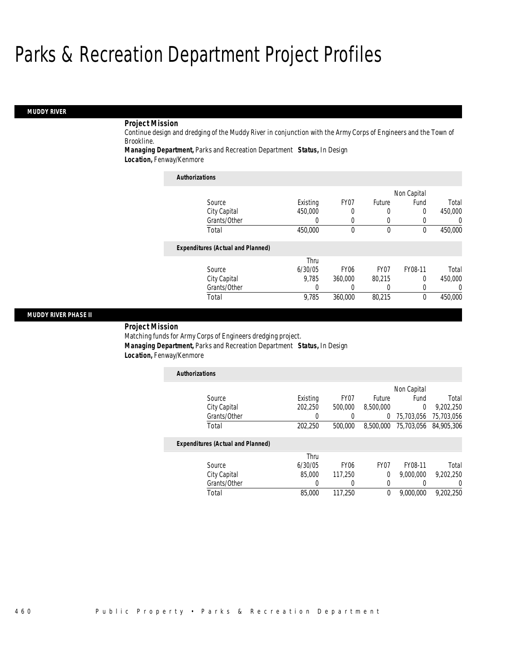# *MUDDY RIVER*

# *Project Mission*

Continue design and dredging of the Muddy River in conjunction with the Army Corps of Engineers and the Town of Brookline.

*Managing Department,* Parks and Recreation Department *Status,* In Design

*Location,* Fenway/Kenmore

| <b>Authorizations</b>                    |          |                  |                  |             |         |
|------------------------------------------|----------|------------------|------------------|-------------|---------|
|                                          |          |                  |                  | Non Capital |         |
| Source                                   | Existing | FY07             | Future           | Fund        | Total   |
| City Capital                             | 450,000  | 0                | 0                | 0           | 450,000 |
| Grants/Other                             | 0        | $\Omega$         | 0                | 0           | 0       |
| Total                                    | 450,000  | $\theta$         | $\theta$         | $\theta$    | 450,000 |
| <b>Expenditures (Actual and Planned)</b> |          |                  |                  |             |         |
|                                          | Thru     |                  |                  |             |         |
| Source                                   | 6/30/05  | FY <sub>06</sub> | FY <sub>07</sub> | FY08-11     | Total   |
| City Capital                             | 9.785    | 360,000          | 80.215           | $\Omega$    | 450,000 |
| Grants/Other                             | 0        |                  | 0                | 0           | 0       |
| Total                                    | 9,785    | 360,000          | 80,215           | 0           | 450,000 |

## *MUDDY RIVER PHASE II*

*Project Mission* 

Matching funds for Army Corps of Engineers dredging project. *Managing Department,* Parks and Recreation Department *Status,* In Design *Location,* Fenway/Kenmore

| <b>Authorizations</b>                    |          |                  |                  |             |            |
|------------------------------------------|----------|------------------|------------------|-------------|------------|
|                                          |          |                  |                  | Non Capital |            |
| Source                                   | Existing | FY <sub>07</sub> | Future           | Fund        | Total      |
| City Capital                             | 202,250  | 500,000          | 8,500,000        | 0           | 9,202,250  |
| Grants/Other                             |          |                  | 0                | 75,703,056  | 75,703,056 |
| Total                                    | 202.250  | 500,000          | 8,500,000        | 75,703,056  | 84.905.306 |
| <b>Expenditures (Actual and Planned)</b> |          |                  |                  |             |            |
|                                          | Thru     |                  |                  |             |            |
| Source                                   | 6/30/05  | FY <sub>06</sub> | FY <sub>07</sub> | FY08-11     | Total      |
| City Capital                             | 85,000   | 117.250          | 0                | 9,000,000   | 9.202.250  |
| Grants/Other                             |          | 0                | 0                | 0           | 0          |
| Total                                    | 85,000   | 117,250          | 0                | 9,000,000   | 9.202.250  |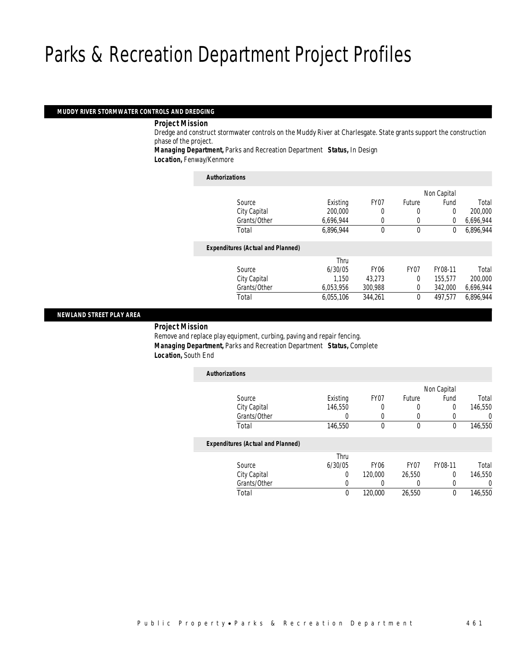## *MUDDY RIVER STORMWATER CONTROLS AND DREDGING*

## *Project Mission*

Dredge and construct stormwater controls on the Muddy River at Charlesgate. State grants support the construction phase of the project.

*Managing Department,* Parks and Recreation Department *Status,* In Design *Location,* Fenway/Kenmore

| <b>Authorizations</b>                    |           |                  |                |             |           |
|------------------------------------------|-----------|------------------|----------------|-------------|-----------|
|                                          |           |                  |                | Non Capital |           |
| Source                                   | Existing  | FY <sub>07</sub> | Future         | Fund        | Total     |
| City Capital                             | 200,000   | 0                | 0              | 0           | 200,000   |
| Grants/Other                             | 6,696,944 | 0                | 0              | 0           | 6,696,944 |
| Total                                    | 6.896.944 | 0                | $\mathbf 0$    | 0           | 6.896.944 |
| <b>Expenditures (Actual and Planned)</b> |           |                  |                |             |           |
|                                          | Thru      |                  |                |             |           |
| Source                                   | 6/30/05   | FY <sub>06</sub> | FY07           | FY08-11     | Total     |
| City Capital                             | 1.150     | 43.273           | $\Omega$       | 155.577     | 200,000   |
| Grants/Other                             | 6,053,956 | 300,988          | $\overline{0}$ | 342,000     | 6,696,944 |
| Total                                    | 6.055.106 | 344.261          | 0              | 497.577     | 6.896.944 |
|                                          |           |                  |                |             |           |

# *NEWLAND STREET PLAY AREA*

## *Project Mission*

Remove and replace play equipment, curbing, paving and repair fencing. *Managing Department,* Parks and Recreation Department *Status,* Complete *Location,* South End

| <b>Authorizations</b>                    |          |                  |        |             |         |
|------------------------------------------|----------|------------------|--------|-------------|---------|
|                                          |          |                  |        | Non Capital |         |
| Source                                   | Existing | FY07             | Future | Fund        | Total   |
| City Capital                             | 146.550  | 0                | 0      | 0           | 146,550 |
| Grants/Other                             |          | 0                | 0      | 0           | 0       |
| Total                                    | 146,550  | 0                | 0      | 0           | 146,550 |
| <b>Expenditures (Actual and Planned)</b> |          |                  |        |             |         |
|                                          | Thru     |                  |        |             |         |
| Source                                   | 6/30/05  | FY <sub>06</sub> | FY07   | FY08-11     | Total   |
| City Capital                             | $\Omega$ | 120,000          | 26,550 | 0           | 146.550 |
| Grants/Other                             | 0        |                  | 0      | 0           | 0       |
| Total                                    | 0        | 120,000          | 26,550 | 0           | 146,550 |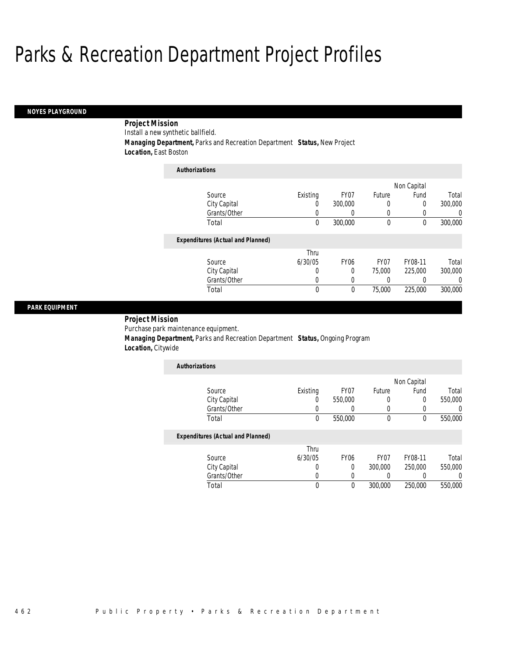### *NOYES PLAYGROUND*

*Project Mission* 

Install a new synthetic ballfield.

*Managing Department,* Parks and Recreation Department *Status,* New Project

*Location,* East Boston

| <b>Authorizations</b>                    |          |                  |                  |             |          |
|------------------------------------------|----------|------------------|------------------|-------------|----------|
|                                          |          |                  |                  | Non Capital |          |
| Source                                   | Existing | FY <sub>07</sub> | Future           | Fund        | Total    |
| City Capital                             | 0        | 300,000          | 0                | 0           | 300,000  |
| Grants/Other                             | 0        | 0                | 0                |             | $\Omega$ |
| Total                                    | 0        | 300,000          | $\theta$         | $\theta$    | 300,000  |
| <b>Expenditures (Actual and Planned)</b> |          |                  |                  |             |          |
|                                          | Thru     |                  |                  |             |          |
| Source                                   | 6/30/05  | <b>FY06</b>      | FY <sub>07</sub> | FY08-11     | Total    |
| City Capital                             | 0        | 0                | 75,000           | 225,000     | 300,000  |
| Grants/Other                             | 0        | 0                | 0                |             | $\Omega$ |
| Total                                    | 0        | $\theta$         | 75,000           | 225,000     | 300,000  |

## *PARK EQUIPMENT*

*Project Mission* 

Purchase park maintenance equipment.

 *Managing Department,* Parks and Recreation Department *Status,* Ongoing Program *Location,* Citywide

| <b>Authorizations</b> |          |         |        |             |         |
|-----------------------|----------|---------|--------|-------------|---------|
|                       |          |         |        | Non Capital |         |
| Source                | Existing | FY07    | Future | Fund        | Total   |
| City Capital          |          | 550,000 |        |             | 550,000 |
| Grants/Other          |          |         |        |             |         |
| Total                 |          | 550,000 |        |             | 550,000 |

|        |              | Thru    |      |                  |         |         |
|--------|--------------|---------|------|------------------|---------|---------|
| Source |              | 6/30/05 | FY06 | FY <sub>07</sub> | FY08-11 | Total   |
|        | City Capital |         |      | 300,000          | 250,000 | 550,000 |
|        | Grants/Other |         |      |                  |         |         |
| Total  |              |         |      | 300,000          | 250,000 | 550,000 |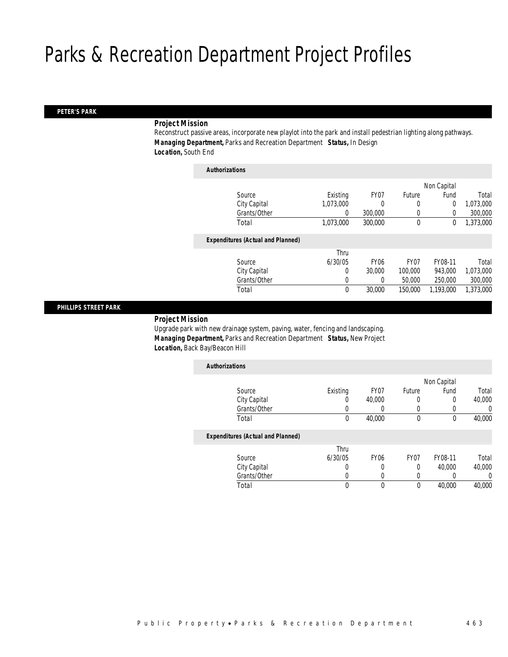## *PETER'S PARK*

# *Project Mission*

Reconstruct passive areas, incorporate new playlot into the park and install pedestrian lighting along pathways. *Managing Department,* Parks and Recreation Department *Status,* In Design *Location,* South End

| <b>Authorizations</b>                    |             |             |                  |             |           |
|------------------------------------------|-------------|-------------|------------------|-------------|-----------|
|                                          |             |             |                  | Non Capital |           |
| Source                                   | Existing    | FY07        | Future           | Fund        | Total     |
| City Capital                             | 1,073,000   | 0           | 0                | $\mathbf 0$ | 1,073,000 |
| Grants/Other                             | 0           | 300,000     | 0                | 0           | 300,000   |
| Total                                    | 1,073,000   | 300,000     | $\mathbf 0$      | 0           | 1,373,000 |
| <b>Expenditures (Actual and Planned)</b> |             |             |                  |             |           |
|                                          | Thru        |             |                  |             |           |
| Source                                   | 6/30/05     | <b>FY06</b> | FY <sub>07</sub> | FY08-11     | Total     |
| City Capital                             | 0           | 30,000      | 100,000          | 943.000     | 1,073,000 |
| Grants/Other                             | 0           | 0           | 50,000           | 250,000     | 300,000   |
| Total                                    | $\mathbf 0$ | 30,000      | 150,000          | 1,193,000   | 1,373,000 |
|                                          |             |             |                  |             |           |

## *PHILLIPS STREET PARK*

# *Project Mission*

Upgrade park with new drainage system, paving, water, fencing and landscaping. *Managing Department,* Parks and Recreation Department *Status,* New Project *Location,* Back Bay/Beacon Hill

| <b>Authorizations</b>                    |          |                  |                  |             |        |
|------------------------------------------|----------|------------------|------------------|-------------|--------|
|                                          |          |                  |                  | Non Capital |        |
| Source                                   | Existing | FY07             | Future           | Fund        | Total  |
| City Capital                             | U        | 40,000           | 0                | 0           | 40,000 |
| Grants/Other                             | 0        |                  |                  |             | 0      |
| Total                                    | 0        | 40,000           | $\theta$         | 0           | 40,000 |
| <b>Expenditures (Actual and Planned)</b> |          |                  |                  |             |        |
|                                          | Thru     |                  |                  |             |        |
| Source                                   | 6/30/05  | FY <sub>06</sub> | FY <sub>07</sub> | FY08-11     | Total  |

| Source       | 6/30/05 | FY06 | FY <sub>07</sub> | FY08-11 | Total  |
|--------------|---------|------|------------------|---------|--------|
| City Capital |         |      |                  | 40.000  | 40,000 |
| Grants/Other |         |      |                  |         |        |
| Total        |         |      |                  | 40,000  | 40,000 |
|              |         |      |                  |         |        |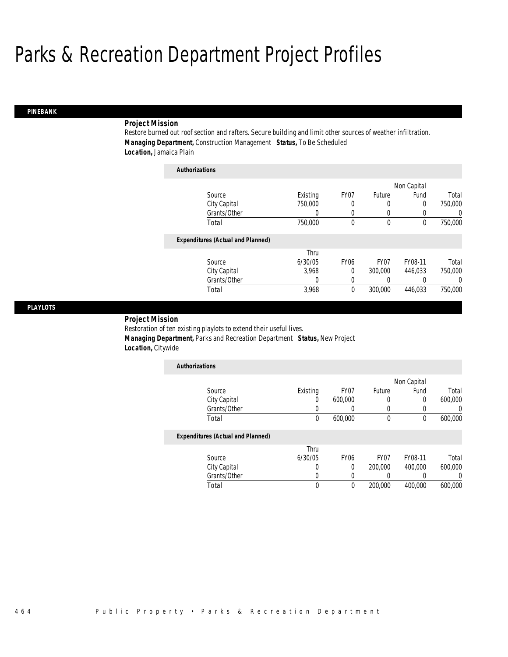# *PINEBANK*

# *Project Mission*

Restore burned out roof section and rafters. Secure building and limit other sources of weather infiltration. *Managing Department,* Construction Management *Status,* To Be Scheduled *Location,* Jamaica Plain

| <b>Authorizations</b>                    |          |                  |                  |             |          |
|------------------------------------------|----------|------------------|------------------|-------------|----------|
|                                          |          |                  |                  | Non Capital |          |
| Source                                   | Existing | FY07             | Future           | Fund        | Total    |
| City Capital                             | 750,000  | 0                | 0                | 0           | 750,000  |
| Grants/Other                             | 0        | 0                | 0                |             | $\Omega$ |
| Total                                    | 750,000  | 0                | $\mathbf 0$      | 0           | 750,000  |
| <b>Expenditures (Actual and Planned)</b> |          |                  |                  |             |          |
|                                          | Thru     |                  |                  |             |          |
| Source                                   | 6/30/05  | FY <sub>06</sub> | FY <sub>07</sub> | FY08-11     | Total    |
| City Capital                             | 3.968    | $\Omega$         | 300,000          | 446.033     | 750,000  |
| Grants/Other                             | 0        | 0                | 0                |             | $\Omega$ |
| Total                                    | 3,968    | 0                | 300,000          | 446.033     | 750,000  |

## *PLAYLOTS*

## *Project Mission*

Restoration of ten existing playlots to extend their useful lives.

*Managing Department,* Parks and Recreation Department *Status,* New Project

*Location,* Citywide

| <b>Authorizations</b> |          |         |        |             |         |
|-----------------------|----------|---------|--------|-------------|---------|
|                       |          |         |        | Non Capital |         |
| Source                | Existing | FY07    | Future | Fund        | Total   |
| City Capital          | 0        | 600,000 |        |             | 600,000 |
| Grants/Other          |          |         |        |             |         |
| Total                 | 0        | 600,000 |        |             | 600,000 |

| Source       | Thru<br>6/30/05 | FY06 | FY <sub>07</sub> | FY08-11 | Total   |
|--------------|-----------------|------|------------------|---------|---------|
| City Capital |                 |      | 200,000          | 400,000 | 600,000 |
| Grants/Other |                 |      |                  |         |         |
| Total        |                 |      | 200,000          | 400,000 | 600,000 |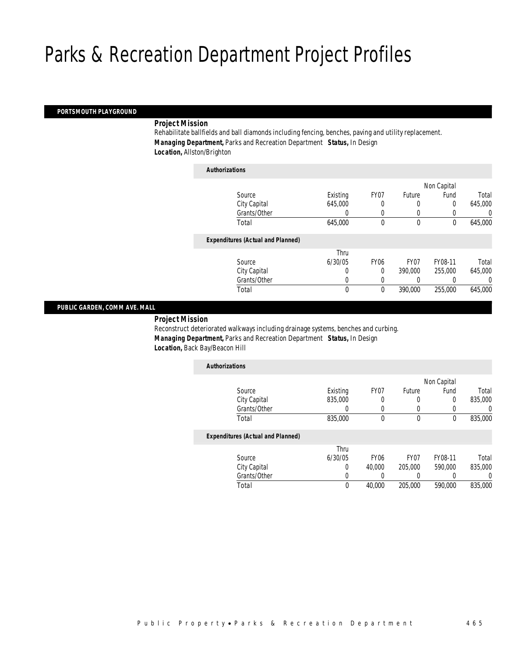# *PORTSMOUTH PLAYGROUND*

## *Project Mission*

Rehabilitate ballfields and ball diamonds including fencing, benches, paving and utility replacement. *Managing Department,* Parks and Recreation Department *Status,* In Design *Location,* Allston/Brighton

| <b>Authorizations</b>                    |          |             |                  |             |         |
|------------------------------------------|----------|-------------|------------------|-------------|---------|
|                                          |          |             |                  | Non Capital |         |
| Source                                   | Existing | FY07        | Future           | Fund        | Total   |
| City Capital                             | 645,000  | 0           | 0                | $\Omega$    | 645,000 |
| Grants/Other                             | 0        |             | 0                |             | 0       |
| Total                                    | 645,000  | 0           | $\theta$         | $\theta$    | 645,000 |
| <b>Expenditures (Actual and Planned)</b> |          |             |                  |             |         |
|                                          | Thru     |             |                  |             |         |
| Source                                   | 6/30/05  | <b>FY06</b> | FY <sub>07</sub> | FY08-11     | Total   |
| City Capital                             | 0        | 0           | 390,000          | 255,000     | 645,000 |
| Grants/Other                             | 0        | 0           | $\Omega$         |             | 0       |
| Total                                    | 0        | 0           | 390,000          | 255,000     | 645,000 |
|                                          |          |             |                  |             |         |

## *PUBLIC GARDEN, COMM AVE. MALL*

*Project Mission* 

Reconstruct deteriorated walkways including drainage systems, benches and curbing. *Managing Department,* Parks and Recreation Department *Status,* In Design *Location,* Back Bay/Beacon Hill

| <b>Authorizations</b>                    |          |                  |                  |             |         |
|------------------------------------------|----------|------------------|------------------|-------------|---------|
|                                          |          |                  |                  | Non Capital |         |
| Source                                   | Existing | FY <sub>07</sub> | Future           | Fund        | Total   |
| City Capital                             | 835,000  | 0                | 0                | 0           | 835,000 |
| Grants/Other                             |          | $\left($         | 0                | 0           |         |
| Total                                    | 835,000  | 0                | 0                | 0           | 835,000 |
| <b>Expenditures (Actual and Planned)</b> |          |                  |                  |             |         |
|                                          | Thru     |                  |                  |             |         |
| Source                                   | 6/30/05  | FY <sub>06</sub> | FY <sub>07</sub> | FY08-11     | Total   |
| City Capital                             | $\Omega$ | 40,000           | 205,000          | 590,000     | 835,000 |
| Grants/Other                             |          |                  |                  | 0           |         |

Total 0 40,000 205,000 590,000 835,000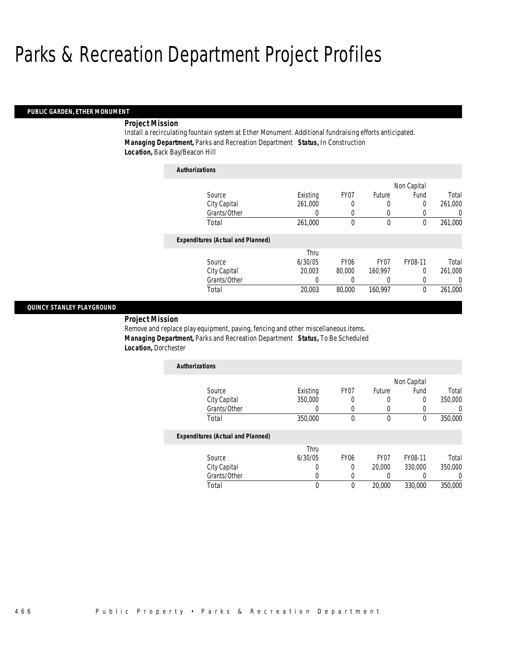#### *PUBLIC GARDEN, ETHER MONUMENT*

# *Project Mission*

Install a recirculating fountain system at Ether Monument. Additional fundraising efforts anticipated. *Managing Department,* Parks and Recreation Department *Status,* In Construction *Location,* Back Bay/Beacon Hill

| <b>Authorizations</b>                    |          |                  |             |             |          |
|------------------------------------------|----------|------------------|-------------|-------------|----------|
|                                          |          |                  |             | Non Capital |          |
| Source                                   | Existing | FY07             | Future      | Fund        | Total    |
| City Capital                             | 261,000  | 0                | 0           | 0           | 261,000  |
| Grants/Other                             | 0        | 0                | 0           |             | $\Omega$ |
| Total                                    | 261,000  | 0                | $\mathbf 0$ | 0           | 261,000  |
| <b>Expenditures (Actual and Planned)</b> |          |                  |             |             |          |
|                                          | Thru     |                  |             |             |          |
| Source                                   | 6/30/05  | FY <sub>06</sub> | FY07        | FY08-11     | Total    |
| City Capital                             | 20,003   | 80,000           | 160,997     | $\Omega$    | 261,000  |
| Grants/Other                             | 0        | 0                | 0           | 0           | 0        |
| Total                                    | 20,003   | 80,000           | 160.997     | $\theta$    | 261,000  |

## *QUINCY STANLEY PLAYGROUND*

*Project Mission* 

Remove and replace play equipment, paving, fencing and other miscellaneous items. *Managing Department,* Parks and Recreation Department *Status,* To Be Scheduled *Location,* Dorchester

| <b>Authorizations</b>                    |          |      |        |             |         |
|------------------------------------------|----------|------|--------|-------------|---------|
|                                          |          |      |        | Non Capital |         |
| Source                                   | Existing | FY07 | Future | Fund        | Total   |
| City Capital                             | 350,000  |      |        | 0           | 350,000 |
| Grants/Other                             |          |      |        |             |         |
| Total                                    | 350,000  | 0    |        |             | 350,000 |
| <b>Expenditures (Actual and Planned)</b> |          |      |        |             |         |

| Total        |         |      | 20,000           | 330,000 | 350,000 |
|--------------|---------|------|------------------|---------|---------|
| Grants/Other |         |      |                  |         |         |
| City Capital |         |      | 20,000           | 330,000 | 350,000 |
| Source       | 6/30/05 | FY06 | FY <sub>07</sub> | FY08-11 | Total   |
|              |         |      |                  |         |         |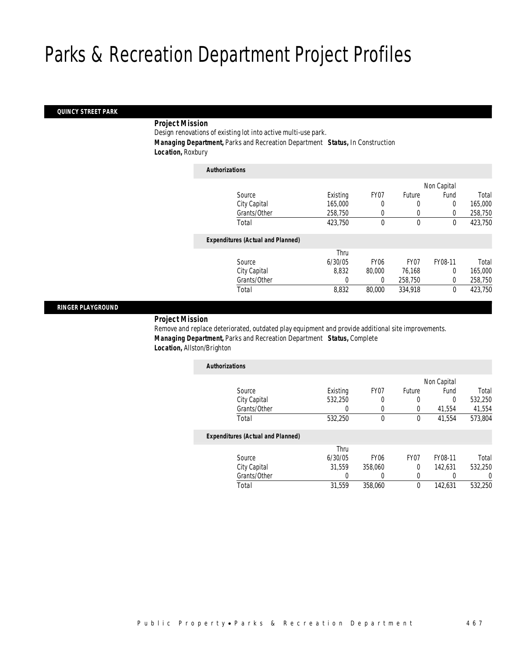## *QUINCY STREET PARK*

# *Project Mission*

Design renovations of existing lot into active multi-use park. *Managing Department,* Parks and Recreation Department *Status,* In Construction *Location,* Roxbury

| <b>Authorizations</b>                    |          |             |                  |             |         |
|------------------------------------------|----------|-------------|------------------|-------------|---------|
|                                          |          |             |                  | Non Capital |         |
| Source                                   | Existing | FY07        | Future           | Fund        | Total   |
| City Capital                             | 165,000  | 0           | 0                | 0           | 165,000 |
| Grants/Other                             | 258,750  | 0           | 0                | 0           | 258,750 |
| Total                                    | 423,750  | 0           | $\mathbf 0$      | 0           | 423,750 |
| <b>Expenditures (Actual and Planned)</b> |          |             |                  |             |         |
|                                          | Thru     |             |                  |             |         |
| Source                                   | 6/30/05  | <b>FY06</b> | FY <sub>07</sub> | FY08-11     | Total   |
| City Capital                             | 8.832    | 80,000      | 76,168           | $\Omega$    | 165,000 |
| Grants/Other                             | 0        | 0           | 258,750          | $\Omega$    | 258,750 |
| Total                                    | 8,832    | 80,000      | 334,918          | $\theta$    | 423,750 |
|                                          |          |             |                  |             |         |

## *RINGER PLAYGROUND*

## *Project Mission*

Remove and replace deteriorated, outdated play equipment and provide additional site improvements. *Managing Department,* Parks and Recreation Department *Status,* Complete *Location,* Allston/Brighton

| <b>Authorizations</b>                    |          |             |                  |             |         |
|------------------------------------------|----------|-------------|------------------|-------------|---------|
|                                          |          |             |                  | Non Capital |         |
| Source                                   | Existing | FY07        | Future           | Fund        | Total   |
| City Capital                             | 532,250  | 0           | $\Omega$         | $\Omega$    | 532,250 |
| Grants/Other                             | 0        | 0           | $\Omega$         | 41.554      | 41,554  |
| Total                                    | 532,250  | 0           | 0                | 41.554      | 573,804 |
| <b>Expenditures (Actual and Planned)</b> |          |             |                  |             |         |
|                                          | Thru     |             |                  |             |         |
| Source                                   | 6/30/05  | <b>FY06</b> | FY <sub>07</sub> | FY08-11     | Total   |
| City Capital                             | 31.559   | 358,060     | $\Omega$         | 142.631     | 532,250 |
| Grants/Other                             | 0        |             | 0                |             | 0       |
| Total                                    | 31.559   | 358,060     | $\theta$         | 142,631     | 532,250 |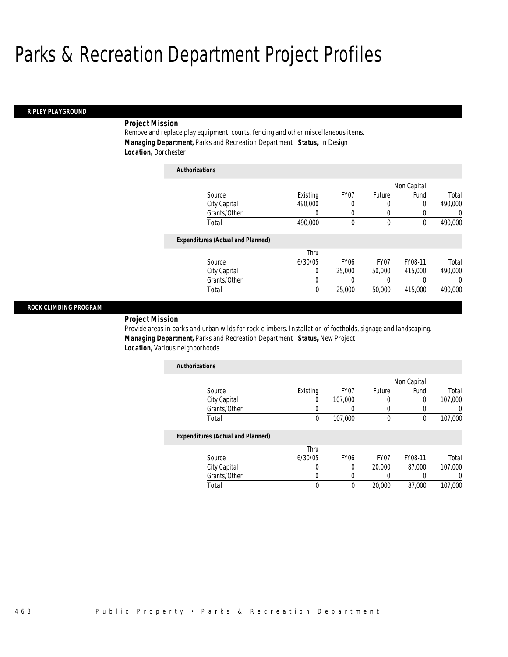*Authorizations*

## *RIPLEY PLAYGROUND*

# *Project Mission*

Remove and replace play equipment, courts, fencing and other miscellaneous items. *Managing Department,* Parks and Recreation Department *Status,* In Design *Location,* Dorchester

| Authorizations |                                          |          |                  |        |             |         |
|----------------|------------------------------------------|----------|------------------|--------|-------------|---------|
|                |                                          |          |                  |        | Non Capital |         |
|                | Source                                   | Existing | FY07             | Future | Fund        | Total   |
|                | City Capital                             | 490,000  | 0                | 0      | 0           | 490.000 |
|                | Grants/Other                             | 0        | 0                | 0      | 0           | 0       |
|                | Total                                    | 490,000  | 0                | 0      | 0           | 490,000 |
|                | <b>Expenditures (Actual and Planned)</b> |          |                  |        |             |         |
|                |                                          | Thru     |                  |        |             |         |
|                | Source                                   | 6/30/05  | FY <sub>06</sub> | FY07   | FY08-11     | Total   |
|                | City Capital                             | 0        | 25,000           | 50,000 | 415,000     | 490.000 |
|                | Grants/Other                             | 0        | 0                | 0      |             | 0       |
|                | Total                                    | 0        | 25,000           | 50,000 | 415,000     | 490,000 |

## *ROCK CLIMBING PROGRAM*

## *Project Mission*

Provide areas in parks and urban wilds for rock climbers. Installation of footholds, signage and landscaping. *Managing Department,* Parks and Recreation Department *Status,* New Project *Location,* Various neighborhoods

| <b>Authorizations</b> |          |         |        |             |         |
|-----------------------|----------|---------|--------|-------------|---------|
|                       |          |         |        | Non Capital |         |
| Source                | Existing | FY07    | Future | Fund        | Total   |
| City Capital          | U        | 107,000 |        |             | 107,000 |
| Grants/Other          |          |         |        |             |         |
| Total                 | O        | 107,000 |        |             | 107,000 |

| Source       | Thru<br>6/30/05 | FY <sub>06</sub> | FY07   | FY08-11 | Total   |
|--------------|-----------------|------------------|--------|---------|---------|
| City Capital |                 |                  | 20,000 | 87.000  | 107,000 |
| Grants/Other |                 |                  |        |         |         |
| ™otal        |                 |                  | 20,000 | 87,000  | 107,000 |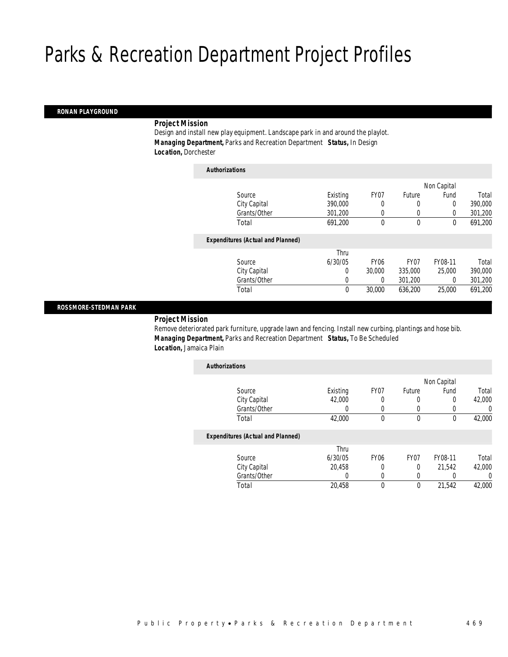## *RONAN PLAYGROUND*

# *Project Mission*

Design and install new play equipment. Landscape park in and around the playlot. *Managing Department,* Parks and Recreation Department *Status,* In Design *Location,* Dorchester

| <b>Authorizations</b>                    |             |             |                  |             |         |
|------------------------------------------|-------------|-------------|------------------|-------------|---------|
|                                          |             |             |                  | Non Capital |         |
| Source                                   | Existing    | FY07        | Future           | Fund        | Total   |
| City Capital                             | 390,000     | 0           | 0                | 0           | 390,000 |
| Grants/Other                             | 301,200     | 0           | 0                | $\Omega$    | 301,200 |
| Total                                    | 691,200     | 0           | $\mathbf 0$      | 0           | 691,200 |
| <b>Expenditures (Actual and Planned)</b> |             |             |                  |             |         |
|                                          | Thru        |             |                  |             |         |
| Source                                   | 6/30/05     | <b>FY06</b> | FY <sub>07</sub> | FY08-11     | Total   |
| City Capital                             | 0           | 30,000      | 335,000          | 25,000      | 390,000 |
| Grants/Other                             | 0           | 0           | 301.200          | 0           | 301,200 |
| Total                                    | $\mathbf 0$ | 30,000      | 636,200          | 25,000      | 691,200 |
|                                          |             |             |                  |             |         |

## *ROSSMORE-STEDMAN PARK*

*Project Mission* 

Remove deteriorated park furniture, upgrade lawn and fencing. Install new curbing, plantings and hose bib. *Managing Department,* Parks and Recreation Department *Status,* To Be Scheduled *Location,* Jamaica Plain

| <b>Authorizations</b>                    |          |             |                  |             |          |
|------------------------------------------|----------|-------------|------------------|-------------|----------|
|                                          |          |             |                  | Non Capital |          |
| Source                                   | Existing | FY07        | Future           | Fund        | Total    |
| City Capital                             | 42,000   | 0           | 0                | 0           | 42,000   |
| Grants/Other                             |          | 0           |                  |             | 0        |
| Total                                    | 42,000   | 0           | $\theta$         | $\theta$    | 42,000   |
| <b>Expenditures (Actual and Planned)</b> |          |             |                  |             |          |
|                                          | Thru     |             |                  |             |          |
| Source                                   | 6/30/05  | <b>FY06</b> | FY <sub>07</sub> | FY08-11     | Total    |
| City Capital                             | 20.458   | 0           | 0                | 21.542      | 42,000   |
| Grants/Other                             | 0        | $\left($    | 0                |             | $\Omega$ |
| Total                                    | 20.458   | 0           | $\theta$         | 21.542      | 42,000   |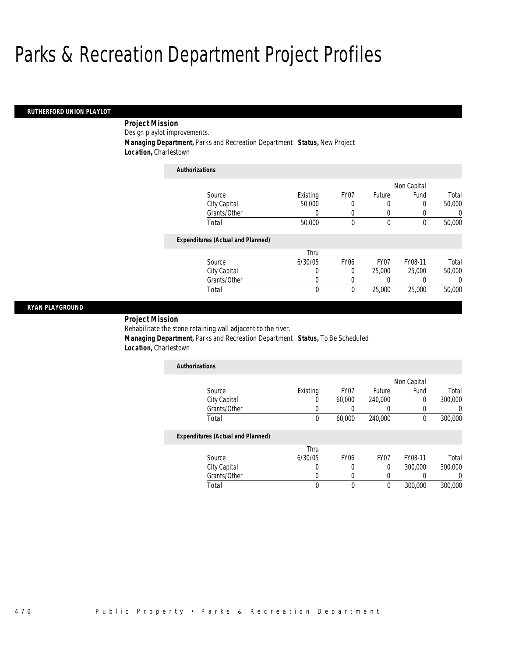## *RUTHERFORD UNION PLAYLOT*

 *Project Mission* Design playlot improvements. *Managing Department,* Parks and Recreation Department *Status,* New Project *Location,* Charlestown

| <b>Authorizations</b>                    |          |             |                  |             |          |
|------------------------------------------|----------|-------------|------------------|-------------|----------|
|                                          |          |             |                  | Non Capital |          |
| Source                                   | Existing | FY07        | Future           | Fund        | Total    |
| City Capital                             | 50,000   | 0           | 0                | 0           | 50,000   |
| Grants/Other                             | 0        | 0           | 0                | 0           | $\left($ |
| Total                                    | 50,000   | 0           | 0                | 0           | 50,000   |
| <b>Expenditures (Actual and Planned)</b> |          |             |                  |             |          |
|                                          | Thru     |             |                  |             |          |
| Source                                   | 6/30/05  | <b>FY06</b> | FY <sub>07</sub> | FY08-11     | Total    |
| City Capital                             | 0        | $\Omega$    | 25,000           | 25,000      | 50,000   |
| Grants/Other                             | 0        | 0           | 0                | 0           | $\left($ |
| Total                                    | 0        | 0           | 25,000           | 25,000      | 50,000   |

## *RYAN PLAYGROUND*

*Project Mission* 

Rehabilitate the stone retaining wall adjacent to the river.

 *Managing Department,* Parks and Recreation Department *Status,* To Be Scheduled *Location,* Charlestown

| <b>Authorizations</b> |          |        |         |             |         |
|-----------------------|----------|--------|---------|-------------|---------|
|                       |          |        |         | Non Capital |         |
| Source                | Existing | FY07   | Future  | Fund        | Total   |
| City Capital          |          | 60,000 | 240,000 |             | 300,000 |
| Grants/Other          |          |        |         |             |         |
| Total                 |          | 60,000 | 240,000 |             | 300,000 |

|              | Thru    |      |      |         |         |
|--------------|---------|------|------|---------|---------|
| Source       | 6/30/05 | FY06 | FY07 | FY08-11 | Total   |
| City Capital |         |      |      | 300,000 | 300,000 |
| Grants/Other |         |      |      |         |         |
| Total        |         |      |      | 300,000 | 300,000 |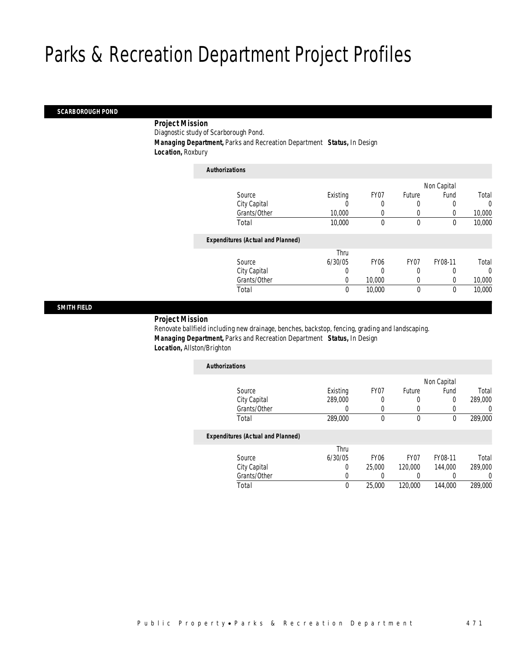## *SCARBOROUGH POND*

# *Project Mission*

Diagnostic study of Scarborough Pond.

*Managing Department,* Parks and Recreation Department *Status,* In Design

*Location,* Roxbury

| <b>Authorizations</b>                    |             |             |             |             |          |
|------------------------------------------|-------------|-------------|-------------|-------------|----------|
|                                          |             |             |             | Non Capital |          |
| Source                                   | Existing    | FY07        | Future      | Fund        | Total    |
| City Capital                             |             |             |             |             | 0        |
| Grants/Other                             | 10,000      | 0           | 0           |             | 10,000   |
| Total                                    | 10,000      | 0           | $\mathbf 0$ | $\theta$    | 10,000   |
| <b>Expenditures (Actual and Planned)</b> |             |             |             |             |          |
|                                          | Thru        |             |             |             |          |
| Source                                   | 6/30/05     | <b>FY06</b> | FY07        | FY08-11     | Total    |
| City Capital                             | 0           |             | 0           |             | $\Omega$ |
| Grants/Other                             | 0           | 10,000      | 0           | 0           | 10,000   |
| Total                                    | $\mathbf 0$ | 10,000      | $\mathbf 0$ | $\mathbf 0$ | 10,000   |
|                                          |             |             |             |             |          |

## *SMITH FIELD*

## *Project Mission*

Renovate ballfield including new drainage, benches, backstop, fencing, grading and landscaping. *Managing Department,* Parks and Recreation Department *Status,* In Design *Location,* Allston/Brighton

| <b>Authorizations</b>                    |          |                  |                  |             |         |
|------------------------------------------|----------|------------------|------------------|-------------|---------|
|                                          |          |                  |                  | Non Capital |         |
| Source                                   | Existing | FY07             | Future           | Fund        | Total   |
| City Capital                             | 289,000  | 0                | 0                | 0           | 289,000 |
| Grants/Other                             |          |                  | 0                | 0           |         |
| Total                                    | 289,000  | 0                | 0                | 0           | 289,000 |
| <b>Expenditures (Actual and Planned)</b> |          |                  |                  |             |         |
|                                          | Thru     |                  |                  |             |         |
| Source                                   | 6/30/05  | FY <sub>06</sub> | FY <sub>07</sub> | FY08-11     | Total   |
| City Capital                             | $\Omega$ | 25,000           | 120,000          | 144,000     | 289,000 |
| Grants/Other                             |          |                  | 0                |             |         |
| Total                                    | $\theta$ | 25,000           | 120,000          | 144,000     | 289,000 |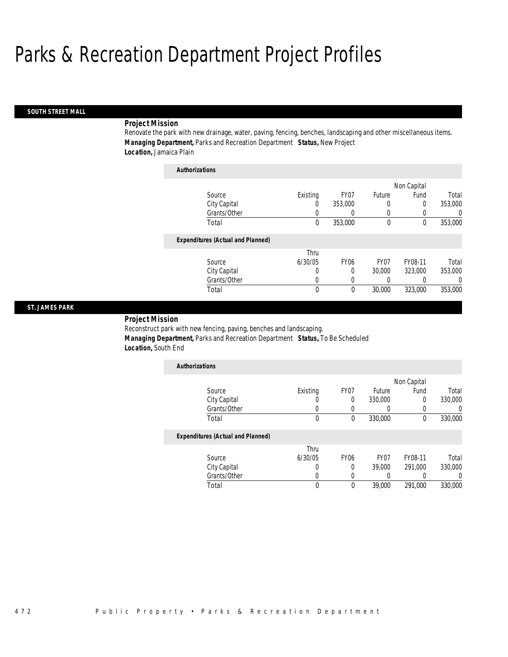*Authorizations*

#### *SOUTH STREET MALL*

# *Project Mission*

Renovate the park with new drainage, water, paving, fencing, benches, landscaping and other miscellaneous items. *Managing Department,* Parks and Recreation Department *Status,* New Project *Location,* Jamaica Plain

| Authorizations                           |             |                  |        |             |          |
|------------------------------------------|-------------|------------------|--------|-------------|----------|
|                                          |             |                  |        | Non Capital |          |
| Source                                   | Existing    | FY07             | Future | Fund        | Total    |
| City Capital                             | 0           | 353,000          | 0      | 0           | 353,000  |
| Grants/Other                             | 0           | 0                | 0      | 0           | 0        |
| Total                                    | $\mathbf 0$ | 353,000          | 0      | 0           | 353,000  |
| <b>Expenditures (Actual and Planned)</b> |             |                  |        |             |          |
|                                          | Thru        |                  |        |             |          |
| Source                                   | 6/30/05     | FY <sub>06</sub> | FY07   | FY08-11     | Total    |
| City Capital                             | 0           | 0                | 30,000 | 323,000     | 353,000  |
| Grants/Other                             | 0           | 0                | 0      | 0           | $\left($ |
| Total                                    | 0           | 0                | 30,000 | 323,000     | 353,000  |

## *ST. JAMES PARK*

*Project Mission* 

Reconstruct park with new fencing, paving, benches and landscaping. *Managing Department,* Parks and Recreation Department *Status,* To Be Scheduled *Location,* South End

| <b>Authorizations</b> |          |      |         |             |         |
|-----------------------|----------|------|---------|-------------|---------|
|                       |          |      |         | Non Capital |         |
| Source                | Existing | FY07 | Future  | Fund        | Total   |
| City Capital          |          |      | 330,000 |             | 330,000 |
| Grants/Other          |          |      |         |             |         |
| Total                 |          |      | 330,000 |             | 330,000 |

|              | Thru    |                  |                  |         |         |
|--------------|---------|------------------|------------------|---------|---------|
| Source       | 6/30/05 | FY <sub>06</sub> | FY <sub>07</sub> | FY08-11 | Total   |
| City Capital |         |                  | 39,000           | 291.000 | 330,000 |
| Grants/Other |         |                  |                  |         |         |
| ™otal        |         |                  | 39,000           | 291.000 | 330,000 |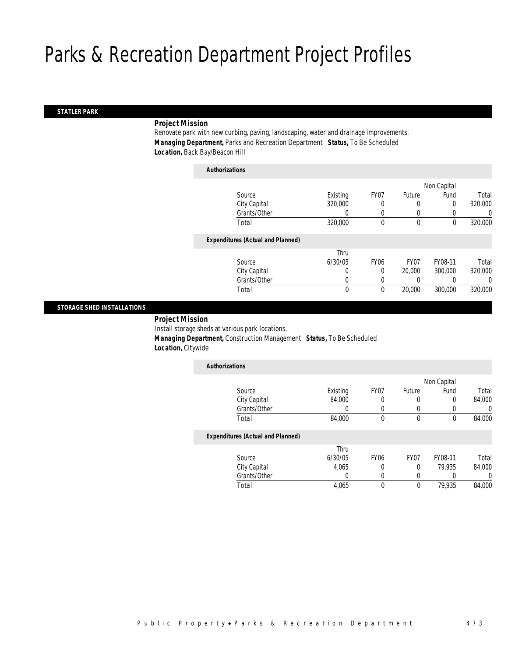#### *STATLER PARK*

# *Project Mission*

Renovate park with new curbing, paving, landscaping, water and drainage improvements. *Managing Department,* Parks and Recreation Department *Status,* To Be Scheduled *Location,* Back Bay/Beacon Hill

| <b>Authorizations</b>                    |          |             |                  |             |         |
|------------------------------------------|----------|-------------|------------------|-------------|---------|
|                                          |          |             |                  | Non Capital |         |
| Source                                   | Existing | FY07        | Future           | Fund        | Total   |
| City Capital                             | 320,000  | 0           | 0                | 0           | 320,000 |
| Grants/Other                             | 0        | 0           | 0                | 0           | 0       |
| Total                                    | 320,000  | 0           | 0                | 0           | 320,000 |
| <b>Expenditures (Actual and Planned)</b> |          |             |                  |             |         |
|                                          | Thru     |             |                  |             |         |
| Source                                   | 6/30/05  | <b>FY06</b> | FY <sub>07</sub> | FY08-11     | Total   |
| City Capital                             | 0        | 0           | 20,000           | 300,000     | 320,000 |
| Grants/Other                             | 0        | 0           | 0                | 0           | 0       |
| Total                                    | 0        | 0           | 20,000           | 300,000     | 320,000 |

## *STORAGE SHED INSTALLATIONS*

*Project Mission* 

Install storage sheds at various park locations.

 *Managing Department,* Construction Management *Status,* To Be Scheduled *Location,* Citywide

| <b>Authorizations</b>                    |          |                  |        |             |        |
|------------------------------------------|----------|------------------|--------|-------------|--------|
|                                          |          |                  |        | Non Capital |        |
| Source                                   | Existing | FY07             | Future | Fund        | Total  |
| City Capital                             | 84,000   |                  | 0      | 0           | 84,000 |
| Grants/Other                             | 0        |                  | 0      |             | 0      |
| Total                                    | 84,000   | 0                | 0      | 0           | 84,000 |
| <b>Expenditures (Actual and Planned)</b> |          |                  |        |             |        |
|                                          | Thru     |                  |        |             |        |
| Source                                   | 6/30/05  | FY <sub>06</sub> | FY07   | FY08-11     | Total  |
| City Capital                             | 4,065    |                  |        | 79.935      | 84,000 |

Total 4,065 0 0 79,935 84,000

Grants/Other 0 0 0 0 0 0<br>
Total 1,065 0 0 79,935 84,000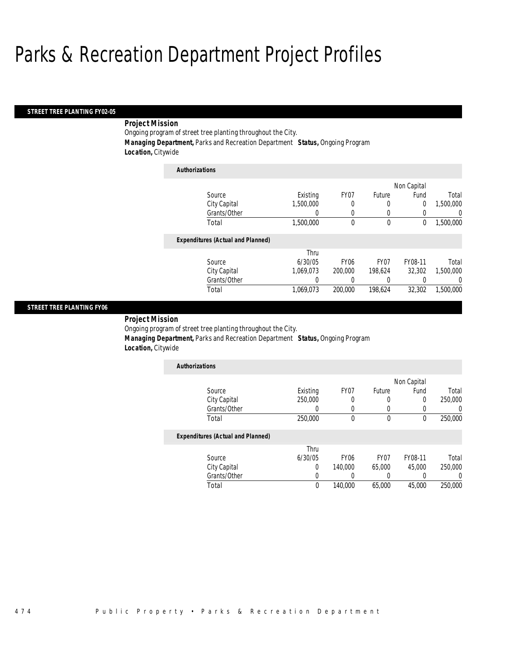*Authorizations*

## *STREET TREE PLANTING FY02-05*

# *Project Mission*

Ongoing program of street tree planting throughout the City. *Managing Department,* Parks and Recreation Department *Status,* Ongoing Program *Location,* Citywide

| Authorizations |                                          |           |             |                  |             |           |
|----------------|------------------------------------------|-----------|-------------|------------------|-------------|-----------|
|                |                                          |           |             |                  | Non Capital |           |
|                | Source                                   | Existing  | FY07        | Future           | Fund        | Total     |
|                | City Capital                             | 1,500,000 | 0           | 0                | 0           | 1,500,000 |
|                | Grants/Other                             | 0         | 0           | 0                | $\Omega$    | 0         |
|                | Total                                    | 1,500,000 | 0           | 0                | 0           | 1,500,000 |
|                | <b>Expenditures (Actual and Planned)</b> |           |             |                  |             |           |
|                |                                          | Thru      |             |                  |             |           |
|                | Source                                   | 6/30/05   | <b>FY06</b> | FY <sub>07</sub> | FY08-11     | Total     |
|                | City Capital                             | 1.069.073 | 200,000     | 198.624          | 32,302      | 1.500.000 |
|                | Grants/Other                             | 0         | 0           | 0                | 0           | 0         |
|                | Total                                    | 1,069,073 | 200,000     | 198,624          | 32,302      | 1.500.000 |

## *STREET TREE PLANTING FY06*

*Project Mission* 

Ongoing program of street tree planting throughout the City.

*Managing Department,* Parks and Recreation Department *Status,* Ongoing Program

*Location,* Citywide

| <b>Authorizations</b> |          |      |        |             |         |
|-----------------------|----------|------|--------|-------------|---------|
|                       |          |      |        | Non Capital |         |
| Source                | Existing | FY07 | Future | Fund        | Total   |
| City Capital          | 250,000  |      |        |             | 250,000 |
| Grants/Other          |          |      |        |             |         |
| Total                 | 250,000  |      |        |             | 250,000 |

|              | Thru    |         |                  |         |         |
|--------------|---------|---------|------------------|---------|---------|
| Source       | 6/30/05 | FY06    | FY <sub>07</sub> | FY08-11 | Total   |
| City Capital |         | 140,000 | 65,000           | 45,000  | 250,000 |
| Grants/Other |         |         |                  |         |         |
| Total        |         | 140,000 | 65,000           | 45,000  | 250,000 |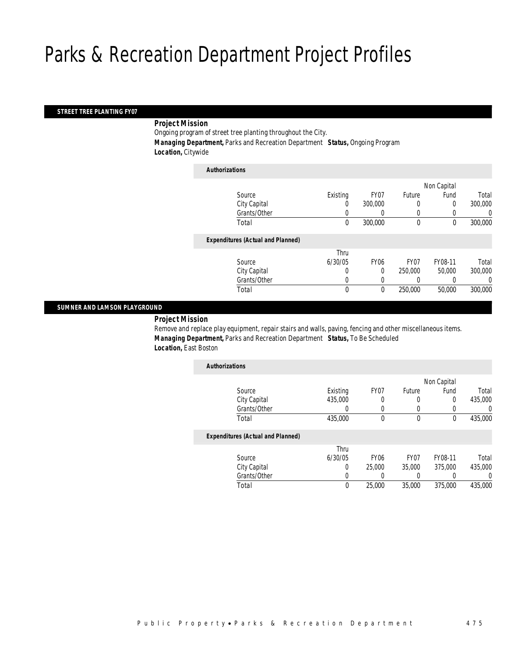# *STREET TREE PLANTING FY07*

## *Project Mission*

Ongoing program of street tree planting throughout the City. *Managing Department,* Parks and Recreation Department *Status,* Ongoing Program *Location,* Citywide

| <b>Authorizations</b>                    |              |             |             |             |         |
|------------------------------------------|--------------|-------------|-------------|-------------|---------|
|                                          |              |             |             | Non Capital |         |
| Source                                   | Existing     | FY07        | Future      | Fund        | Total   |
| City Capital                             | 0            | 300,000     | 0           | 0           | 300,000 |
| Grants/Other                             |              |             | 0           |             | 0       |
| Total                                    | $\mathbf 0$  | 300,000     | $\mathbf 0$ | $\mathbf 0$ | 300,000 |
| <b>Expenditures (Actual and Planned)</b> |              |             |             |             |         |
|                                          | Thru         |             |             |             |         |
| Source                                   | 6/30/05      | <b>FY06</b> | FY07        | FY08-11     | Total   |
| City Capital                             | 0            | $\Omega$    | 250,000     | 50,000      | 300,000 |
| Grants/Other                             | 0            |             |             |             | 0       |
| Total                                    | $\mathbf{0}$ | 0           | 250,000     | 50,000      | 300,000 |
|                                          |              |             |             |             |         |

## *SUMNER AND LAMSON PLAYGROUND*

*Project Mission* 

Remove and replace play equipment, repair stairs and walls, paving, fencing and other miscellaneous items. *Managing Department,* Parks and Recreation Department *Status,* To Be Scheduled *Location,* East Boston

| <b>Authorizations</b>                    |          |                  |                  |             |                  |
|------------------------------------------|----------|------------------|------------------|-------------|------------------|
|                                          |          |                  |                  | Non Capital |                  |
| Source                                   | Existing | FY07             | Future           | Fund        | Total            |
| City Capital                             | 435,000  |                  | 0                | 0           | 435,000          |
| Grants/Other                             | 0        |                  | 0                |             | $\left( \right)$ |
| Total                                    | 435,000  | $\theta$         | $\theta$         | 0           | 435,000          |
| <b>Expenditures (Actual and Planned)</b> |          |                  |                  |             |                  |
|                                          | Thru     |                  |                  |             |                  |
| Source                                   | 6/30/05  | FY <sub>06</sub> | FY <sub>07</sub> | FY08-11     | Total            |
| City Capital                             | 0        | 25,000           | 35,000           | 375,000     | 435,000          |
| Grants/Other                             | 0        |                  |                  |             | 0                |
| Total                                    | $\theta$ | 25,000           | 35,000           | 375,000     | 435,000          |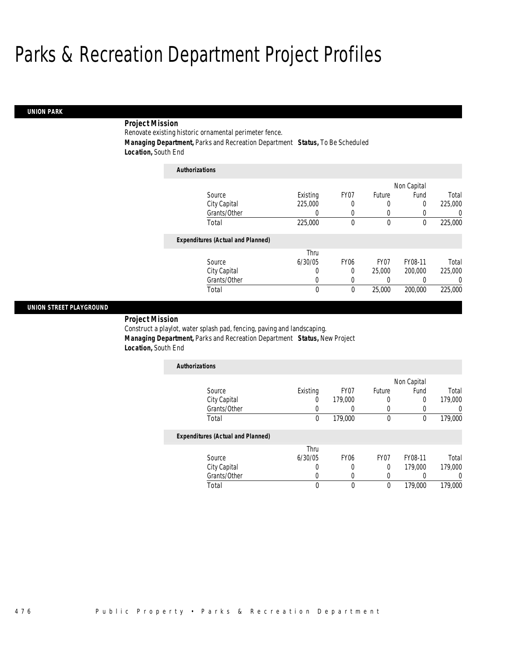# *UNION PARK*

# *Project Mission*

Renovate existing historic ornamental perimeter fence.

*Authorizations*

*Managing Department,* Parks and Recreation Department *Status,* To Be Scheduled

*Location,* South End

| <b>Authorizations</b>                    |          |                  |                  |             |          |
|------------------------------------------|----------|------------------|------------------|-------------|----------|
|                                          |          |                  |                  | Non Capital |          |
| Source                                   | Existing | FY07             | Future           | Fund        | Total    |
| City Capital                             | 225,000  | 0                | 0                | 0           | 225,000  |
| Grants/Other                             | 0        | 0                | 0                |             | 0        |
| Total                                    | 225,000  | 0                | $\mathbf 0$      | $\theta$    | 225,000  |
| <b>Expenditures (Actual and Planned)</b> |          |                  |                  |             |          |
|                                          | Thru     |                  |                  |             |          |
| Source                                   | 6/30/05  | FY <sub>06</sub> | FY <sub>07</sub> | FY08-11     | Total    |
| City Capital                             | 0        | 0                | 25,000           | 200,000     | 225,000  |
| Grants/Other                             | 0        | 0                | 0                |             | $\left($ |
| Total                                    | 0        | 0                | 25,000           | 200,000     | 225,000  |

## *UNION STREET PLAYGROUND*

*Project Mission* 

Construct a playlot, water splash pad, fencing, paving and landscaping. *Managing Department,* Parks and Recreation Department *Status,* New Project *Location,* South End

| <b>Authorizations</b> |          |         |        |             |         |
|-----------------------|----------|---------|--------|-------------|---------|
|                       |          |         |        | Non Capital |         |
| Source                | Existing | FY07    | Future | Fund        | Total   |
| City Capital          |          | 179,000 |        |             | 179,000 |
| Grants/Other          |          |         |        |             |         |
| Total                 |          | 179,000 |        |             | 179,000 |

|              | Thru    |      |      |         |         |
|--------------|---------|------|------|---------|---------|
| Source       | 6/30/05 | FY06 | FY07 | FY08-11 | Total   |
| City Capital |         |      |      | 179,000 | 179,000 |
| Grants/Other |         |      |      |         |         |
| Total        |         |      |      | 179,000 | 179,000 |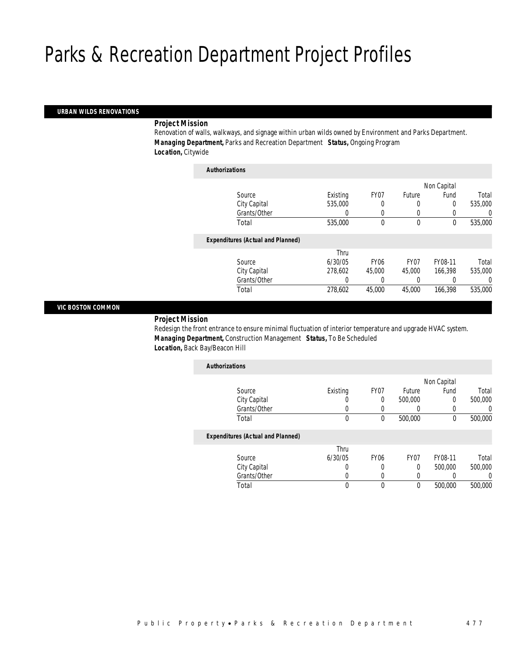## *URBAN WILDS RENOVATIONS*

## *Project Mission*

Renovation of walls, walkways, and signage within urban wilds owned by Environment and Parks Department. *Managing Department,* Parks and Recreation Department *Status,* Ongoing Program *Location,* Citywide

| <b>Authorizations</b> |                                          |          |                  |                  |             |          |
|-----------------------|------------------------------------------|----------|------------------|------------------|-------------|----------|
|                       |                                          |          |                  |                  | Non Capital |          |
|                       | Source                                   | Existing | FY07             | Future           | Fund        | Total    |
|                       | City Capital                             | 535,000  | 0                | 0                | 0           | 535,000  |
|                       | Grants/Other                             | 0        | 0                | 0                |             | $\Omega$ |
|                       | Total                                    | 535,000  | 0                | $\mathbf 0$      | 0           | 535,000  |
|                       | <b>Expenditures (Actual and Planned)</b> |          |                  |                  |             |          |
|                       |                                          | Thru     |                  |                  |             |          |
|                       | Source                                   | 6/30/05  | FY <sub>06</sub> | FY <sub>07</sub> | FY08-11     | Total    |
|                       | City Capital                             | 278,602  | 45,000           | 45,000           | 166.398     | 535,000  |
|                       | Grants/Other                             | 0        | 0                | 0                |             | 0        |
|                       | Total                                    | 278,602  | 45,000           | 45,000           | 166,398     | 535,000  |

## *VIC BOSTON COMMON*

## *Project Mission*

Redesign the front entrance to ensure minimal fluctuation of interior temperature and upgrade HVAC system. *Managing Department,* Construction Management *Status,* To Be Scheduled *Location,* Back Bay/Beacon Hill

| <b>Authorizations</b>                    |          |                  |                  |             |                  |
|------------------------------------------|----------|------------------|------------------|-------------|------------------|
|                                          |          |                  |                  | Non Capital |                  |
| Source                                   | Existing | FY07             | Future           | Fund        | Total            |
| City Capital                             |          | 0                | 500,000          | 0           | 500,000          |
| Grants/Other                             |          |                  |                  | 0           | $\left( \right)$ |
| Total                                    | 0        | 0                | 500,000          | 0           | 500,000          |
| <b>Expenditures (Actual and Planned)</b> |          |                  |                  |             |                  |
|                                          | Thru     |                  |                  |             |                  |
| Source                                   | 6/30/05  | FY <sub>06</sub> | FY <sub>07</sub> | FY08-11     | Total            |
| City Capital                             | 0        | $\Omega$         | $\Omega$         | 500,000     | 500,000          |
| Grants/Other                             |          |                  |                  |             | $\left( \right)$ |

Total 0 0 0 500,000 500,000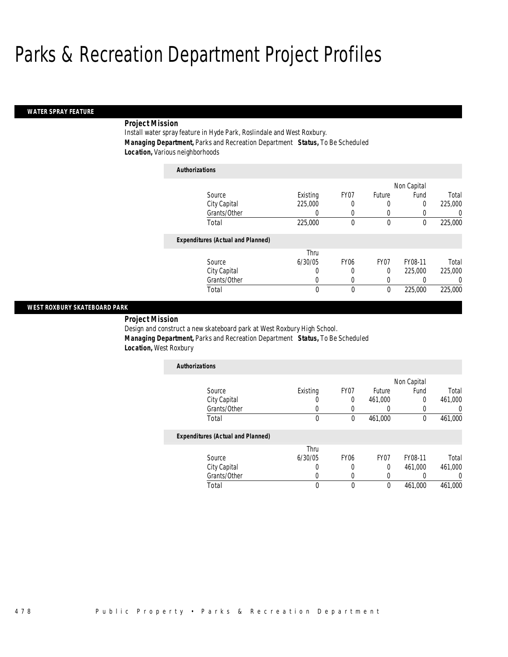### *WATER SPRAY FEATURE*

# *Project Mission*

Install water spray feature in Hyde Park, Roslindale and West Roxbury. *Managing Department,* Parks and Recreation Department *Status,* To Be Scheduled *Location,* Various neighborhoods

| <b>Authorizations</b>                    |          |                  |        |             |          |
|------------------------------------------|----------|------------------|--------|-------------|----------|
|                                          |          |                  |        | Non Capital |          |
| Source                                   | Existing | FY07             | Future | Fund        | Total    |
| City Capital                             | 225,000  | 0                | 0      | 0           | 225,000  |
| Grants/Other                             | 0        | 0                | 0      | 0           | 0        |
| Total                                    | 225,000  | 0                | 0      | 0           | 225,000  |
| <b>Expenditures (Actual and Planned)</b> |          |                  |        |             |          |
|                                          | Thru     |                  |        |             |          |
| Source                                   | 6/30/05  | FY <sub>06</sub> | FY07   | FY08-11     | Total    |
| City Capital                             | 0        | 0                | 0      | 225,000     | 225,000  |
| Grants/Other                             | 0        | 0                | 0      |             | $\left($ |
| Total                                    | 0        | 0                | 0      | 225,000     | 225,000  |

## *WEST ROXBURY SKATEBOARD PARK*

*Project Mission* 

Design and construct a new skateboard park at West Roxbury High School. *Managing Department,* Parks and Recreation Department *Status,* To Be Scheduled *Location,* West Roxbury

| <b>Authorizations</b> |          |      |         |             |         |
|-----------------------|----------|------|---------|-------------|---------|
|                       |          |      |         | Non Capital |         |
| Source                | Existing | FY07 | Future  | Fund        | Total   |
| City Capital          |          |      | 461,000 |             | 461,000 |
| Grants/Other          |          |      |         |             |         |
| Total                 |          |      | 461,000 |             | 461,000 |

|              | Thru    |      |      |         |         |
|--------------|---------|------|------|---------|---------|
| Source       | 6/30/05 | FY06 | FY07 | FY08-11 | Total   |
| City Capital |         |      |      | 461.000 | 461,000 |
| Grants/Other |         |      |      |         |         |
| Total        |         |      |      | 461.000 | 461.000 |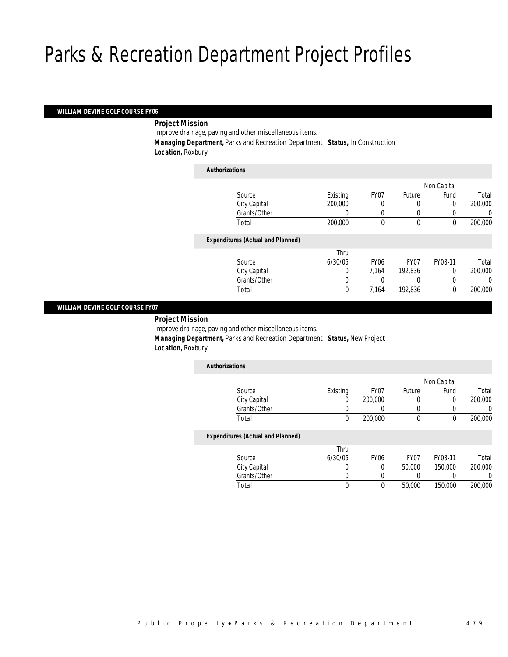## *WILLIAM DEVINE GOLF COURSE FY06*

## *Project Mission*

Improve drainage, paving and other miscellaneous items.

*Authorizations*

*Managing Department,* Parks and Recreation Department *Status,* In Construction

*Location,* Roxbury

| Authorizations                           |          |                  |             |             |          |
|------------------------------------------|----------|------------------|-------------|-------------|----------|
|                                          |          |                  |             | Non Capital |          |
| Source                                   | Existing | FY07             | Future      | Fund        | Total    |
| City Capital                             | 200,000  | 0                | 0           | 0           | 200,000  |
| Grants/Other                             |          | 0                | 0           |             | $\Omega$ |
| Total                                    | 200,000  | 0                | $\mathbf 0$ | $\mathbf 0$ | 200,000  |
| <b>Expenditures (Actual and Planned)</b> |          |                  |             |             |          |
|                                          | Thru     |                  |             |             |          |
| Source                                   | 6/30/05  | FY <sub>06</sub> | FY07        | FY08-11     | Total    |
| City Capital                             | 0        | 7.164            | 192,836     | $\Omega$    | 200,000  |
| Grants/Other                             | 0        |                  | 0           |             | $\Omega$ |
| Total                                    | 0        | 7,164            | 192,836     | 0           | 200,000  |
|                                          |          |                  |             |             |          |

## *WILLIAM DEVINE GOLF COURSE FY07*

*Project Mission* 

Improve drainage, paving and other miscellaneous items. *Managing Department,* Parks and Recreation Department *Status,* New Project *Location,* Roxbury

| Existing | FY07    | Future | Fund | Total       |
|----------|---------|--------|------|-------------|
| U        | 200,000 |        |      | 200,000     |
|          |         |        |      |             |
| 0        | 200,000 | 0      |      | 200,000     |
|          |         |        |      | Non Capital |

| Thru    |             |                  |         |         |
|---------|-------------|------------------|---------|---------|
| 6/30/05 | <b>FY06</b> | FY <sub>07</sub> | FY08-11 | Total   |
|         |             | 50,000           | 150,000 | 200,000 |
|         |             |                  |         |         |
|         |             | 50,000           | 150,000 | 200,000 |
|         |             |                  |         |         |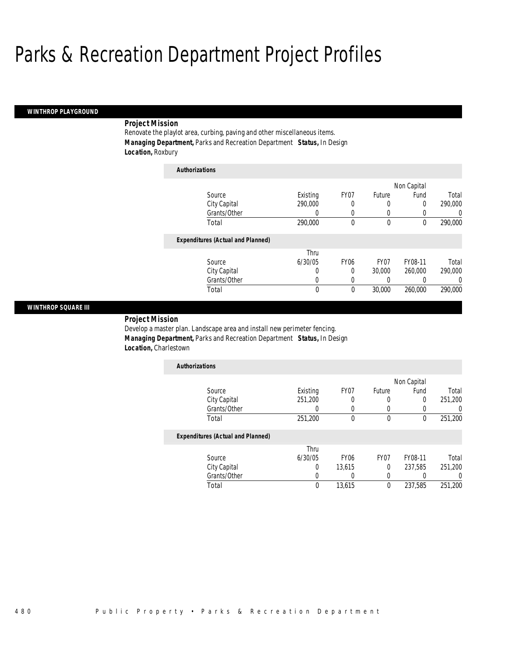#### *WINTHROP PLAYGROUND*

# *Project Mission*

Renovate the playlot area, curbing, paving and other miscellaneous items. *Managing Department,* Parks and Recreation Department *Status,* In Design *Location,* Roxbury

| <b>Authorizations</b>                    |          |                  |                  |         |          |
|------------------------------------------|----------|------------------|------------------|---------|----------|
|                                          |          |                  | Non Capital      |         |          |
| Source                                   | Existing | FY <sub>07</sub> | Future           | Fund    | Total    |
| City Capital                             | 290,000  | 0                | 0                | 0       | 290,000  |
| Grants/Other                             | 0        | 0                | 0                | 0       | 0        |
| Total                                    | 290,000  | 0                | 0                | 0       | 290,000  |
| <b>Expenditures (Actual and Planned)</b> |          |                  |                  |         |          |
|                                          | Thru     |                  |                  |         |          |
| Source                                   | 6/30/05  | <b>FY06</b>      | FY <sub>07</sub> | FY08-11 | Total    |
| City Capital                             | 0        | 0                | 30,000           | 260,000 | 290,000  |
| Grants/Other                             | 0        | 0                | 0                | 0       | $\Omega$ |
| Total                                    | 0        | 0                | 30,000           | 260,000 | 290,000  |

## *WINTHROP SQUARE III*

*Project Mission* 

Develop a master plan. Landscape area and install new perimeter fencing. *Managing Department,* Parks and Recreation Department *Status,* In Design *Location,* Charlestown

| <b>Authorizations</b> |          |      |             |      |         |
|-----------------------|----------|------|-------------|------|---------|
|                       |          |      | Non Capital |      |         |
| Source                | Existing | FY07 | Future      | Fund | Total   |
| City Capital          | 251,200  |      |             |      | 251,200 |
| Grants/Other          |          |      |             |      |         |
| Total                 | 251,200  |      |             |      | 251,200 |

|              | Thru    |                  |      |         |         |
|--------------|---------|------------------|------|---------|---------|
| Source       | 6/30/05 | FY <sub>06</sub> | FY07 | FY08-11 | Total   |
| City Capital |         | 13.615           |      | 237.585 | 251,200 |
| Grants/Other |         |                  |      |         |         |
| Total        |         | 13,615           |      | 237.585 | 251,200 |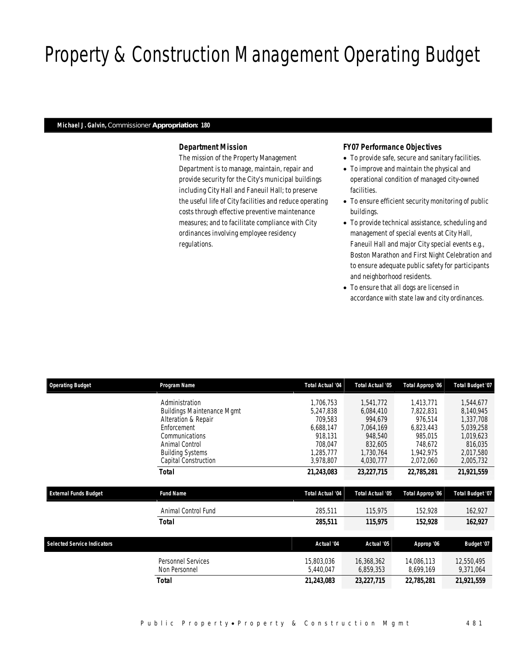# Property & Construction Management Operating Budget

## *Michael J. Galvin, Commissioner Appropriation: 180*

# *Department Mission*

The mission of the Property Management Department is to manage, maintain, repair and provide security for the City's municipal buildings including City Hall and Faneuil Hall; to preserve the useful life of City facilities and reduce operating costs through effective preventive maintenance measures; and to facilitate compliance with City ordinances involving employee residency regulations.

# *FY07 Performance Objectives*

- To provide safe, secure and sanitary facilities.
- To improve and maintain the physical and operational condition of managed city-owned facilities.
- To ensure efficient security monitoring of public buildings.
- To provide technical assistance, scheduling and management of special events at City Hall, Faneuil Hall and major City special events e.g., Boston Marathon and First Night Celebration and to ensure adequate public safety for participants and neighborhood residents.
- To ensure that all dogs are licensed in accordance with state law and city ordinances.

| <b>Operating Budget</b>            | Program Name                      | <b>Total Actual '04</b> | <b>Total Actual '05</b> | Total Approp '06 | Total Budget '07 |
|------------------------------------|-----------------------------------|-------------------------|-------------------------|------------------|------------------|
|                                    | Administration                    | 1.706.753               | 1.541.772               | 1.413.771        | 1,544,677        |
|                                    | <b>Buildings Maintenance Mgmt</b> | 5.247.838               | 6.084.410               | 7.822.831        | 8,140,945        |
|                                    | Alteration & Repair               | 709.583                 | 994.679                 | 976.514          | 1,337,708        |
|                                    | Enforcement                       | 6.688.147               | 7,064,169               | 6,823,443        | 5.039.258        |
|                                    | Communications                    | 918.131                 | 948.540                 | 985.015          | 1.019.623        |
|                                    | Animal Control                    | 708.047                 | 832,605                 | 748.672          | 816,035          |
|                                    | <b>Building Systems</b>           | 1.285.777               | 1,730,764               | 1,942,975        | 2,017,580        |
|                                    | Capital Construction              | 3,978,807               | 4,030,777               | 2,072,060        | 2,005,732        |
|                                    | Total                             | 21,243,083              | 23,227,715              | 22,785,281       | 21,921,559       |
|                                    |                                   |                         |                         |                  |                  |
| <b>External Funds Budget</b>       | <b>Fund Name</b>                  | <b>Total Actual '04</b> | <b>Total Actual '05</b> | Total Approp '06 | Total Budget '07 |
|                                    | Animal Control Fund               | 285,511                 | 115,975                 | 152,928          | 162,927          |
|                                    | <b>Total</b>                      | 285,511                 | 115,975                 | 152,928          | 162,927          |
|                                    |                                   |                         |                         |                  |                  |
| <b>Selected Service Indicators</b> |                                   | Actual '04              | Actual '05              | Approp '06       | Budget '07       |
|                                    | Personnel Services                | 15,803,036              | 16,368,362              | 14,086,113       | 12,550,495       |
|                                    | Non Personnel                     | 5,440,047               | 6,859,353               | 8,699,169        | 9,371,064        |
|                                    | Total                             | 21,243,083              | 23, 227, 715            | 22,785,281       | 21,921,559       |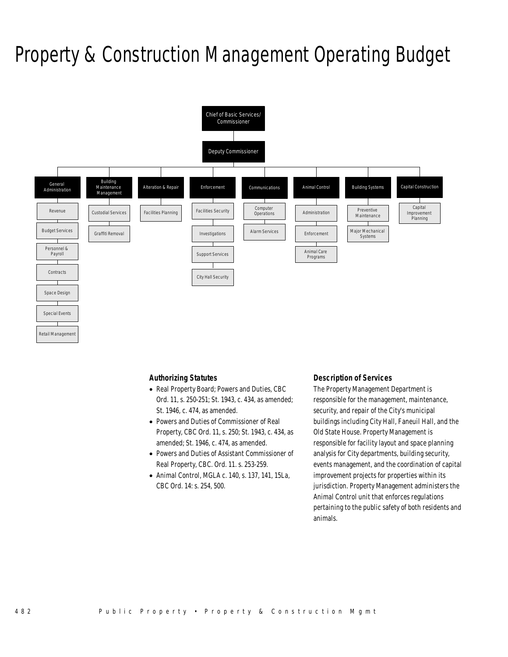# Property & Construction Management Operating Budget



# *Authorizing Statutes*

- Real Property Board; Powers and Duties, CBC Ord. 11, s. 250-251; St. 1943, c. 434, as amended; St. 1946, c. 474, as amended.
- Powers and Duties of Commissioner of Real Property, CBC Ord. 11, s. 250; St. 1943, c. 434, as amended; St. 1946, c. 474, as amended.
- Powers and Duties of Assistant Commissioner of Real Property, CBC. Ord. 11. s. 253-259.
- Animal Control, MGLA c. 140, s. 137, 141, 15La, CBC Ord. 14: s. 254, 500.

# *Description of Services*

The Property Management Department is responsible for the management, maintenance, security, and repair of the City's municipal buildings including City Hall, Faneuil Hall, and the Old State House. Property Management is responsible for facility layout and space planning analysis for City departments, building security, events management, and the coordination of capital improvement projects for properties within its jurisdiction. Property Management administers the Animal Control unit that enforces regulations pertaining to the public safety of both residents and animals.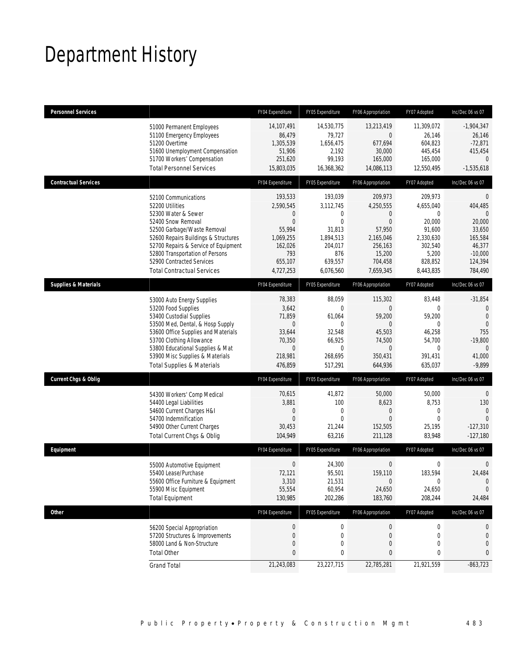# Department History

| <b>Personnel Services</b>       |                                                                                                                                                                                                                                                                                                          | FY04 Expenditure                                                                                                     | FY05 Expenditure                                                                                          | FY06 Appropriation                                                                                                           | FY07 Adopted                                                                                           | Inc/Dec 06 vs 07                                                                                                    |
|---------------------------------|----------------------------------------------------------------------------------------------------------------------------------------------------------------------------------------------------------------------------------------------------------------------------------------------------------|----------------------------------------------------------------------------------------------------------------------|-----------------------------------------------------------------------------------------------------------|------------------------------------------------------------------------------------------------------------------------------|--------------------------------------------------------------------------------------------------------|---------------------------------------------------------------------------------------------------------------------|
|                                 | 51000 Permanent Employees<br>51100 Emergency Employees<br>51200 Overtime<br>51600 Unemployment Compensation<br>51700 Workers' Compensation<br><b>Total Personnel Services</b>                                                                                                                            | 14,107,491<br>86,479<br>1,305,539<br>51,906<br>251,620<br>15,803,035                                                 | 14,530,775<br>79,727<br>1,656,475<br>2,192<br>99,193<br>16,368,362                                        | 13,213,419<br>$\overline{0}$<br>677,694<br>30,000<br>165,000<br>14,086,113                                                   | 11,309,072<br>26,146<br>604,823<br>445,454<br>165,000<br>12,550,495                                    | $-1,904,347$<br>26,146<br>$-72,871$<br>415,454<br>$\Omega$<br>$-1,535,618$                                          |
| <b>Contractual Services</b>     |                                                                                                                                                                                                                                                                                                          | FY04 Expenditure                                                                                                     | FY05 Expenditure                                                                                          | FY06 Appropriation                                                                                                           | FY07 Adopted                                                                                           | Inc/Dec 06 vs 07                                                                                                    |
|                                 | 52100 Communications<br>52200 Utilities<br>52300 Water & Sewer<br>52400 Snow Removal<br>52500 Garbage/Waste Removal<br>52600 Repairs Buildings & Structures<br>52700 Repairs & Service of Equipment<br>52800 Transportation of Persons<br>52900 Contracted Services<br><b>Total Contractual Services</b> | 193,533<br>2,590,545<br>$\mathbf 0$<br>$\mathbf{0}$<br>55,994<br>1,069,255<br>162,026<br>793<br>655,107<br>4,727,253 | 193,039<br>3,112,745<br>0<br>$\mathbf 0$<br>31,813<br>1,894,513<br>204,017<br>876<br>639,557<br>6,076,560 | 209,973<br>4,250,555<br>$\overline{0}$<br>$\overline{0}$<br>57,950<br>2,165,046<br>256,163<br>15,200<br>704,458<br>7,659,345 | 209.973<br>4,655,040<br>0<br>20,000<br>91,600<br>2,330,630<br>302,540<br>5,200<br>828,852<br>8,443,835 | $\theta$<br>404,485<br>$\Omega$<br>20,000<br>33,650<br>165,584<br>46,377<br>$-10,000$<br>124,394<br>784,490         |
| <b>Supplies &amp; Materials</b> |                                                                                                                                                                                                                                                                                                          | FY04 Expenditure                                                                                                     | FY05 Expenditure                                                                                          | FY06 Appropriation                                                                                                           | FY07 Adopted                                                                                           | Inc/Dec 06 vs 07                                                                                                    |
|                                 | 53000 Auto Energy Supplies<br>53200 Food Supplies<br>53400 Custodial Supplies<br>53500 Med, Dental, & Hosp Supply<br>53600 Office Supplies and Materials<br>53700 Clothing Allowance<br>53800 Educational Supplies & Mat<br>53900 Misc Supplies & Materials<br><b>Total Supplies &amp; Materials</b>     | 78,383<br>3,642<br>71,859<br>$\boldsymbol{0}$<br>33,644<br>70,350<br>$\theta$<br>218,981<br>476,859                  | 88,059<br>$\Omega$<br>61,064<br>$\theta$<br>32,548<br>66,925<br>$\Omega$<br>268,695<br>517,291            | 115,302<br>$\Omega$<br>59,200<br>$\overline{0}$<br>45,503<br>74,500<br>$\Omega$<br>350,431<br>644,936                        | 83,448<br>0<br>59,200<br>0<br>46,258<br>54,700<br>0<br>391,431<br>635,037                              | $-31,854$<br>$\mathbf{0}$<br>$\overline{0}$<br>$\theta$<br>755<br>$-19,800$<br>$\overline{0}$<br>41,000<br>$-9,899$ |
| <b>Current Chgs &amp; Oblig</b> |                                                                                                                                                                                                                                                                                                          | FY04 Expenditure                                                                                                     | FY05 Expenditure                                                                                          | FY06 Appropriation                                                                                                           | FY07 Adopted                                                                                           | Inc/Dec 06 vs 07                                                                                                    |
|                                 | 54300 Workers' Comp Medical<br>54400 Legal Liabilities<br>54600 Current Charges H&I<br>54700 Indemnification<br>54900 Other Current Charges<br>Total Current Chgs & Oblig                                                                                                                                | 70,615<br>3,881<br>$\mathbf 0$<br>$\mathbf{0}$<br>30,453<br>104,949                                                  | 41,872<br>100<br>$\boldsymbol{0}$<br>$\mathbf{0}$<br>21,244<br>63,216                                     | 50,000<br>8,623<br>0<br>$\Omega$<br>152,505<br>211,128                                                                       | 50,000<br>8,753<br>0<br>$\mathbf 0$<br>25,195<br>83,948                                                | 0<br>130<br>$\overline{0}$<br>$\Omega$<br>$-127,310$<br>$-127,180$                                                  |
| Equipment                       |                                                                                                                                                                                                                                                                                                          | FY04 Expenditure                                                                                                     | FY05 Expenditure                                                                                          | FY06 Appropriation                                                                                                           | FY07 Adopted                                                                                           | Inc/Dec 06 vs 07                                                                                                    |
|                                 | 55000 Automotive Equipment<br>55400 Lease/Purchase<br>55600 Office Furniture & Equipment<br>55900 Misc Equipment<br><b>Total Equipment</b>                                                                                                                                                               | $\mathbf 0$<br>72,121<br>3,310<br>55,554<br>130,985                                                                  | 24,300<br>95,501<br>21,531<br>60,954<br>202,286                                                           | $\mathbf 0$<br>159,110<br>$\mathbf 0$<br>24,650<br>183,760                                                                   | 0<br>183,594<br>0<br>24,650<br>208,244                                                                 | $\theta$<br>24,484<br>$\mathbf 0$<br>0<br>24,484                                                                    |
| Other                           |                                                                                                                                                                                                                                                                                                          | FY04 Expenditure                                                                                                     | FY05 Expenditure                                                                                          | FY06 Appropriation                                                                                                           | FY07 Adopted                                                                                           | Inc/Dec 06 vs 07                                                                                                    |
|                                 | 56200 Special Appropriation<br>57200 Structures & Improvements<br>58000 Land & Non-Structure<br><b>Total Other</b>                                                                                                                                                                                       | $\boldsymbol{0}$<br>$\mathbf 0$<br>$\mathbf 0$<br>$\bf{0}$                                                           | $\boldsymbol{0}$<br>0<br>0<br>0                                                                           | $\boldsymbol{0}$<br>0<br>0<br>0                                                                                              | 0<br>0<br>0<br>0                                                                                       | 0<br>0<br>0<br>0                                                                                                    |
|                                 | <b>Grand Total</b>                                                                                                                                                                                                                                                                                       | 21,243,083                                                                                                           | 23,227,715                                                                                                | 22,785,281                                                                                                                   | 21,921,559                                                                                             | $-863,723$                                                                                                          |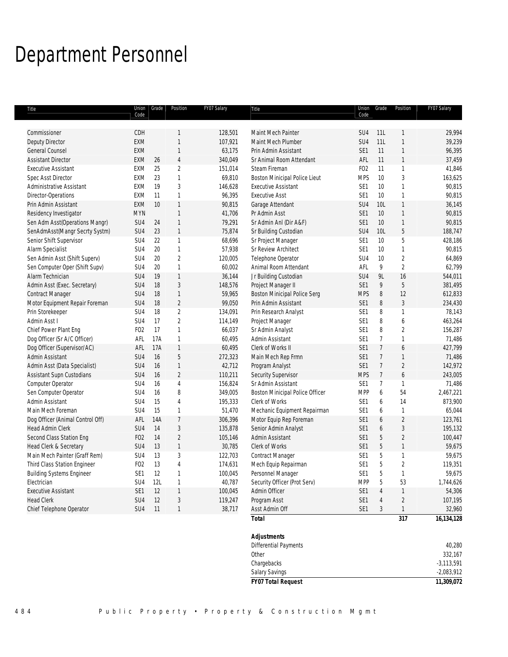# Department Personnel

| Title                            | Code             | Union Grade | Position       | FY07 Salary | Title                               | Code            | Union Grade    | Position       | FY07 Salary  |
|----------------------------------|------------------|-------------|----------------|-------------|-------------------------------------|-----------------|----------------|----------------|--------------|
| Commissioner                     | CDH              |             | 1              | 128,501     | Maint Mech Painter                  | SU <sub>4</sub> | 11L            | 1              | 29,994       |
| <b>Deputy Director</b>           | EXM              |             | $\mathbf{1}$   | 107,921     | Maint Mech Plumber                  | SU <sub>4</sub> | 11L            | $\mathbf{1}$   | 39,239       |
| <b>General Counsel</b>           | <b>EXM</b>       |             | $\mathbf{1}$   | 63,175      | Prin Admin Assistant                | SE1             | 11             | 1              | 96,395       |
| <b>Assistant Director</b>        | EXM              | 26          | $\overline{4}$ | 340,049     | Sr Animal Room Attendant            | AFL             | 11             | 1              | 37,459       |
| <b>Executive Assistant</b>       | EXM              | 25          | $\overline{2}$ | 151,014     | Steam Fireman                       | F <sub>02</sub> | 11             | 1              | 41,846       |
| Spec Asst Director               | <b>EXM</b>       | 23          | $\mathbf{1}$   | 69,810      | Boston Minicipal Police Lieut       | <b>MPS</b>      | 10             | 3              | 163,625      |
| Administrative Assistant         | EXM              | 19          | 3              | 146,628     | <b>Executive Assistant</b>          | SE1             | 10             | $\mathbf{1}$   | 90,815       |
| Director-Operations              | <b>EXM</b>       | 11          | $\mathbf{1}$   | 96,395      | <b>Executive Asst</b>               | SE <sub>1</sub> | 10             | 1              | 90,815       |
| Prin Admin Assistant             | EXM              | 10          | $\mathbf{1}$   | 90,815      | Garage Attendant                    | SU4             | 10L            | 1              | 36,145       |
| Residency Investigator           | <b>MYN</b>       |             | $\mathbf{1}$   | 41,706      | Pr Admin Asst                       | SE1             | 10             | $\mathbf{1}$   | 90,815       |
| Sen Adm Asst(Operations Mangr)   | SU4              | 24          | $\mathbf{1}$   | 79,291      | Sr Admin Anl (Dir A&F)              | SE1             | 10             | $\mathbf{1}$   | 90,815       |
| SenAdmAsst(Mangr Secrty Systm)   | SU4              | 23          | $\mathbf{1}$   | 75,874      | Sr Building Custodian               | SU <sub>4</sub> | <b>10L</b>     | 5              | 188,747      |
| Senior Shift Supervisor          | SU4              | 22          | $\mathbf{1}$   | 68,696      | Sr Project Manager                  | SE <sub>1</sub> | 10             | 5              | 428,186      |
| Alarm Specialist                 | SU4              | 20          | $\mathbf{1}$   | 57,938      | Sr Review Architect                 | SE <sub>1</sub> | 10             | 1              | 90,815       |
| Sen Admin Asst (Shift Superv)    | SU4              | 20          | $\overline{2}$ | 120,005     | Telephone Operator                  | SU4             | 10             | $\overline{c}$ | 64,869       |
| Sen Computer Oper (Shift Supv)   | SU4              | 20          | $\mathbf{1}$   | 60,002      | Animal Room Attendant               | AFL             | 9              | $\overline{2}$ | 62,799       |
| Alarm Technician                 | SU4              | 19          | $\mathbf{1}$   | 36,144      | Jr Building Custodian               | SU <sub>4</sub> | 9L             | 16             | 544,011      |
| Admin Asst (Exec. Secretary)     | SU4              | 18          | 3              | 148,576     | Project Manager II                  | SE <sub>1</sub> | 9              | 5              | 381,495      |
| Contract Manager                 | SU4              | 18          | $\mathbf{1}$   | 59,965      | <b>Boston Minicipal Police Serg</b> | <b>MPS</b>      | 8              | 12             | 612,833      |
| Motor Equipment Repair Foreman   | SU4              | 18          | $\sqrt{2}$     | 99,050      | Prin Admin Assistant                | SE <sub>1</sub> | 8              | 3              | 234,430      |
| Prin Storekeeper                 | SU4              | 18          | $\overline{2}$ | 134,091     | Prin Research Analyst               | SE <sub>1</sub> | 8              | 1              | 78,143       |
| Admin Asst I                     | SU4              | 17          | $\overline{2}$ | 114,149     | Project Manager                     | SE1             | 8              | 6              | 463,264      |
| Chief Power Plant Eng            | F <sub>O</sub> 2 | 17          | $\mathbf{1}$   | 66,037      | Sr Admin Analyst                    | SE <sub>1</sub> | 8              | $\overline{2}$ | 156,287      |
| Dog Officer (Sr A/C Officer)     | AFL              | 17A         | $\mathbf{1}$   | 60,495      | Admin Assistant                     | SE <sub>1</sub> | $\overline{7}$ | 1              | 71,486       |
| Dog Officer (Supervisor/AC)      | AFL              | 17A         | $\mathbf{1}$   | 60,495      | Clerk of Works II                   | SE <sub>1</sub> | $\overline{7}$ | 6              | 427,799      |
| Admin Assistant                  | SU4              | 16          | 5              | 272,323     | Main Mech Rep Frmn                  | SE <sub>1</sub> | $\overline{7}$ | $\mathbf{1}$   | 71,486       |
| Admin Asst (Data Specialist)     | SU <sub>4</sub>  | 16          | $\mathbf{1}$   | 42,712      | Program Analyst                     | SE1             | $\overline{7}$ | $\overline{c}$ | 142,972      |
| Assistant Supn Custodians        | SU4              | 16          | $\overline{c}$ | 110,211     | Security Supervisor                 | <b>MPS</b>      | $\overline{7}$ | 6              | 243,005      |
| Computer Operator                | SU4              | 16          | $\overline{4}$ | 156,824     | Sr Admin Assistant                  | SE1             | $\overline{7}$ | 1              | 71,486       |
| Sen Computer Operator            | SU4              | 16          | 8              | 349,005     | Boston Minicipal Police Officer     | <b>MPP</b>      | 6              | 54             | 2,467,221    |
| Admin Assistant                  | SU4              | 15          | $\overline{4}$ | 195,333     | Clerk of Works                      | SE1             | 6              | 14             | 873,900      |
| Main Mech Foreman                | SU4              | 15          | $\mathbf{1}$   | 51,470      | Mechanic Equipment Repairman        | SE1             | 6              | $\mathbf{1}$   | 65,044       |
| Dog Officer (Animal Control Off) | AFL              | 14A         | $\overline{7}$ | 306,396     | Motor Equip Rep Foreman             | SE <sub>1</sub> | 6              | $\overline{2}$ | 123,761      |
| <b>Head Admin Clerk</b>          | SU4              | 14          | 3              | 135,878     | Senior Admin Analyst                | SE <sub>1</sub> | 6              | $\sqrt{3}$     | 195,132      |
| Second Class Station Eng         | F <sub>02</sub>  | 14          | $\overline{2}$ | 105,146     | Admin Assistant                     | SE <sub>1</sub> | 5              | $\overline{2}$ | 100,447      |
| Head Clerk & Secretary           | SU4              | 13          | $\mathbf{1}$   | 30,785      | Clerk of Works                      | SE <sub>1</sub> | 5              | $\mathbf{1}$   | 59,675       |
| Main Mech Painter (Graff Rem)    | SU4              | 13          | 3              | 122,703     | Contract Manager                    | SE1             | 5              | 1              | 59,675       |
| Third Class Station Engineer     | F <sub>02</sub>  | 13          | $\overline{4}$ | 174,631     | Mech Equip Repairman                | SE <sub>1</sub> | 5              | $\overline{2}$ | 119,351      |
| <b>Building Systems Engineer</b> | SE <sub>1</sub>  | 12          | 1              | 100,045     | Personnel Manager                   | SE <sub>1</sub> | 5              |                | 59,675       |
| Electrician                      | SU4              | 12L         | $\mathbf{1}$   | 40,787      | Security Officer (Prot Serv)        | <b>MPP</b>      | 5              | 53             | 1,744,626    |
| <b>Executive Assistant</b>       | SE <sub>1</sub>  | 12          | $\mathbf{1}$   | 100,045     | Admin Officer                       | SE <sub>1</sub> | $\overline{4}$ | 1              | 54,306       |
| <b>Head Clerk</b>                | SU4              | 12          | $\mathbf{3}$   | 119,247     | Program Asst                        | SE1             | $\overline{4}$ | $\overline{2}$ | 107,195      |
| Chief Telephone Operator         | SU4              | 11          | $\mathbf{1}$   | 38,717      | Asst Admin Off                      | SE1             | 3              | 1              | 32,960       |
|                                  |                  |             |                |             | <b>Total</b>                        |                 |                | 317            | 16, 134, 128 |
|                                  |                  |             |                |             | <b>Adjustments</b>                  |                 |                |                |              |

| <b>FY07 Total Request</b> | 11,309,072   |
|---------------------------|--------------|
| <b>Salary Savings</b>     | $-2,083,912$ |
| Chargebacks               | $-3,113,591$ |
| Other                     | 332,167      |
| Differential Payments     | 40,280       |
| Adjustments               |              |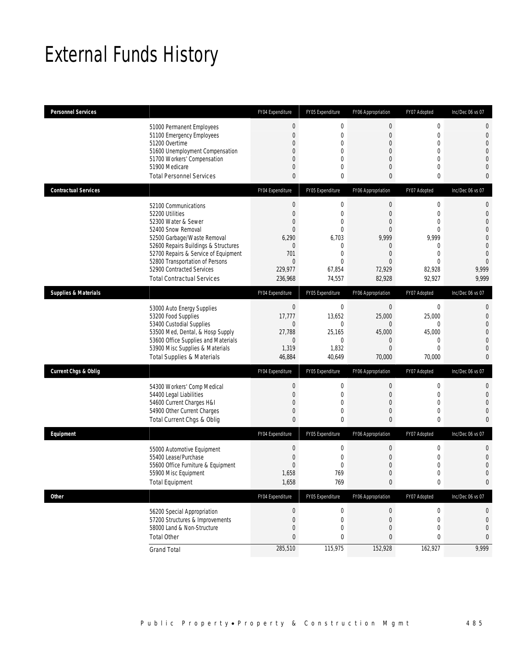# External Funds History

| <b>Personnel Services</b>       |                                                                                                                                                                                                                                                                                                          | FY04 Expenditure                                                                                                                     | FY05 Expenditure                                                                                                      | FY06 Appropriation                                                                                                        | FY07 Adopted                                                                                        | Inc/Dec 06 vs 07                                                                                                                          |
|---------------------------------|----------------------------------------------------------------------------------------------------------------------------------------------------------------------------------------------------------------------------------------------------------------------------------------------------------|--------------------------------------------------------------------------------------------------------------------------------------|-----------------------------------------------------------------------------------------------------------------------|---------------------------------------------------------------------------------------------------------------------------|-----------------------------------------------------------------------------------------------------|-------------------------------------------------------------------------------------------------------------------------------------------|
|                                 | 51000 Permanent Employees<br>51100 Emergency Employees<br>51200 Overtime<br>51600 Unemployment Compensation<br>51700 Workers' Compensation<br>51900 Medicare<br><b>Total Personnel Services</b>                                                                                                          | $\mathbf 0$<br>$\mathbf{0}$<br>$\mathbf{0}$<br>$\mathbf{0}$<br>$\mathbf{0}$<br>$\mathbf{0}$<br>$\mathbf{0}$                          | $\mathbf 0$<br>$\mathbf{0}$<br>$\mathbf{0}$<br>$\mathbf{0}$<br>$\mathbf{0}$<br>$\mathbf{0}$<br>$\mathbf 0$            | $\mathbf 0$<br>$\overline{0}$<br>$\overline{0}$<br>$\overline{0}$<br>$\overline{0}$<br>$\overline{0}$<br>0                | $\boldsymbol{0}$<br>$\mathbf 0$<br>$\boldsymbol{0}$<br>$\mathbf 0$<br>0<br>$\mathbf 0$<br>0         | $\mathbf 0$<br>$\mathbf 0$<br>$\overline{0}$<br>$\overline{0}$<br>$\overline{0}$<br>$\overline{0}$<br>0                                   |
| <b>Contractual Services</b>     |                                                                                                                                                                                                                                                                                                          | FY04 Expenditure                                                                                                                     | FY05 Expenditure                                                                                                      | FY06 Appropriation                                                                                                        | FY07 Adopted                                                                                        | Inc/Dec 06 vs 07                                                                                                                          |
|                                 | 52100 Communications<br>52200 Utilities<br>52300 Water & Sewer<br>52400 Snow Removal<br>52500 Garbage/Waste Removal<br>52600 Repairs Buildings & Structures<br>52700 Repairs & Service of Equipment<br>52800 Transportation of Persons<br>52900 Contracted Services<br><b>Total Contractual Services</b> | $\mathbf 0$<br>$\mathbf{0}$<br>$\overline{0}$<br>$\overline{0}$<br>6,290<br>$\mathbf 0$<br>701<br>$\mathbf{0}$<br>229,977<br>236,968 | $\mathbf 0$<br>$\mathbf{0}$<br>0<br>$\mathbf{0}$<br>6,703<br>$\mathbf{0}$<br>$\theta$<br>$\theta$<br>67,854<br>74,557 | $\boldsymbol{0}$<br>$\mathbf{0}$<br>$\Omega$<br>$\Omega$<br>9,999<br>$\Omega$<br>$\Omega$<br>$\Omega$<br>72,929<br>82,928 | $\boldsymbol{0}$<br>0<br>$\mathbf 0$<br>0<br>9,999<br>0<br>$\theta$<br>$\Omega$<br>82,928<br>92,927 | 0<br>$\overline{0}$<br>$\overline{0}$<br>$\overline{0}$<br>$\overline{0}$<br>$\mathbf{0}$<br>$\overline{0}$<br>$\Omega$<br>9,999<br>9,999 |
| <b>Supplies &amp; Materials</b> |                                                                                                                                                                                                                                                                                                          | FY04 Expenditure                                                                                                                     | FY05 Expenditure                                                                                                      | FY06 Appropriation                                                                                                        | FY07 Adopted                                                                                        | Inc/Dec 06 vs 07                                                                                                                          |
|                                 | 53000 Auto Energy Supplies<br>53200 Food Supplies<br>53400 Custodial Supplies<br>53500 Med, Dental, & Hosp Supply<br>53600 Office Supplies and Materials<br>53900 Misc Supplies & Materials<br><b>Total Supplies &amp; Materials</b>                                                                     | $\boldsymbol{0}$<br>17,777<br>$\mathbf 0$<br>27,788<br>$\mathbf 0$<br>1,319<br>46,884                                                | $\mathbf 0$<br>13,652<br>$\mathbf{0}$<br>25,165<br>$\mathbf 0$<br>1,832<br>40,649                                     | $\boldsymbol{0}$<br>25,000<br>$\overline{0}$<br>45,000<br>0<br>$\Omega$<br>70,000                                         | 0<br>25,000<br>0<br>45,000<br>$\boldsymbol{0}$<br>$\mathbf 0$<br>70,000                             | 0<br>$\overline{0}$<br>$\overline{0}$<br>$\overline{0}$<br>$\overline{0}$<br>$\overline{0}$<br>$\mathbf{0}$                               |
| <b>Current Chgs &amp; Oblig</b> |                                                                                                                                                                                                                                                                                                          | FY04 Expenditure                                                                                                                     | FY05 Expenditure                                                                                                      | FY06 Appropriation                                                                                                        | FY07 Adopted                                                                                        | Inc/Dec 06 vs 07                                                                                                                          |
|                                 | 54300 Workers' Comp Medical<br>54400 Legal Liabilities<br>54600 Current Charges H&I<br>54900 Other Current Charges<br>Total Current Chgs & Oblig                                                                                                                                                         | $\mathbf 0$<br>$\mathbf{0}$<br>$\overline{0}$<br>$\mathbf{0}$<br>$\mathbf{0}$                                                        | $\mathbf 0$<br>$\mathbf{0}$<br>$\mathbf{0}$<br>$\mathbf{0}$<br>$\mathbf 0$                                            | $\boldsymbol{0}$<br>$\boldsymbol{0}$<br>$\overline{0}$<br>$\overline{0}$<br>$\mathbf{0}$                                  | $\boldsymbol{0}$<br>$\boldsymbol{0}$<br>$\mathbf 0$<br>0<br>0                                       | $\mathbf{0}$<br>$\mathbf{0}$<br>$\overline{0}$<br>$\overline{0}$<br>0                                                                     |
| Equipment                       |                                                                                                                                                                                                                                                                                                          | FY04 Expenditure                                                                                                                     | FY05 Expenditure                                                                                                      | FY06 Appropriation                                                                                                        | FY07 Adopted                                                                                        | Inc/Dec 06 vs 07                                                                                                                          |
|                                 | 55000 Automotive Equipment<br>55400 Lease/Purchase<br>55600 Office Furniture & Equipment<br>55900 Misc Equipment<br><b>Total Equipment</b>                                                                                                                                                               | $\mathbf{0}$<br>$\mathbf{0}$<br>$\mathbf{0}$<br>1,658<br>1,658                                                                       | $\mathbf{0}$<br>$\mathbf{0}$<br>$\mathbf{0}$<br>769<br>769                                                            | $\boldsymbol{0}$<br>0<br>$\overline{0}$<br>$\Omega$<br>$\pmb{0}$                                                          | $\boldsymbol{0}$<br>0<br>0<br>$\Omega$<br>$\pmb{0}$                                                 | 0<br>$\mathbf{0}$<br>$\mathbf 0$<br>$\Omega$<br>0                                                                                         |
| Other                           |                                                                                                                                                                                                                                                                                                          | FY04 Expenditure                                                                                                                     | FY05 Expenditure                                                                                                      | FY06 Appropriation                                                                                                        | FY07 Adopted                                                                                        | Inc/Dec 06 vs 07                                                                                                                          |
|                                 | 56200 Special Appropriation<br>57200 Structures & Improvements<br>58000 Land & Non-Structure<br><b>Total Other</b>                                                                                                                                                                                       | $\boldsymbol{0}$<br>$\boldsymbol{0}$<br>$\mathbf{0}$<br>$\bf{0}$                                                                     | $\boldsymbol{0}$<br>$\mathbf 0$<br>$\mathbf{0}$<br>0                                                                  | $\boldsymbol{0}$<br>$\boldsymbol{0}$<br>$\overline{0}$<br>0                                                               | $\boldsymbol{0}$<br>$\boldsymbol{0}$<br>0<br>0                                                      | 0<br>0<br>$\mathbf 0$<br>0                                                                                                                |
|                                 | <b>Grand Total</b>                                                                                                                                                                                                                                                                                       | 285,510                                                                                                                              | 115,975                                                                                                               | 152,928                                                                                                                   | 162,927                                                                                             | 9,999                                                                                                                                     |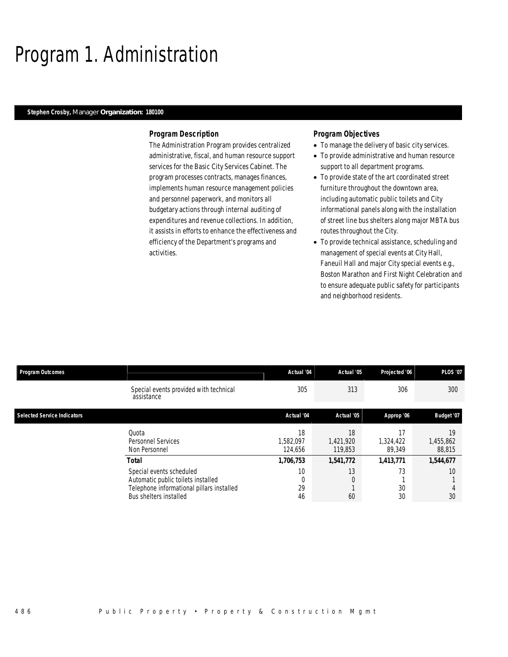# Program 1. Administration

#### *Stephen Crosby, Manager Organization: 180100*

#### *Program Description*

The Administration Program provides centralized administrative, fiscal, and human resource support services for the Basic City Services Cabinet. The program processes contracts, manages finances, implements human resource management policies and personnel paperwork, and monitors all budgetary actions through internal auditing of expenditures and revenue collections. In addition, it assists in efforts to enhance the effectiveness and efficiency of the Department's programs and activities.

#### *Program Objectives*

- To manage the delivery of basic city services.
- To provide administrative and human resource support to all department programs.
- To provide state of the art coordinated street furniture throughout the downtown area, including automatic public toilets and City informational panels along with the installation of street line bus shelters along major MBTA bus routes throughout the City.
- To provide technical assistance, scheduling and management of special events at City Hall, Faneuil Hall and major City special events e.g., Boston Marathon and First Night Celebration and to ensure adequate public safety for participants and neighborhood residents.

| <b>Program Outcomes</b>            |                                                                                                                                       | Actual '04                 | Actual '05                 | Projected '06             | <b>PLOS '07</b>           |
|------------------------------------|---------------------------------------------------------------------------------------------------------------------------------------|----------------------------|----------------------------|---------------------------|---------------------------|
|                                    | Special events provided with technical<br>assistance                                                                                  | 305                        | 313                        | 306                       | 300                       |
| <b>Selected Service Indicators</b> |                                                                                                                                       | Actual '04                 | Actual '05                 | Approp '06                | Budget '07                |
|                                    | Quota<br>Personnel Services<br>Non Personnel                                                                                          | 18<br>1,582,097<br>124.656 | 18<br>1,421,920<br>119,853 | 17<br>1,324,422<br>89,349 | 19<br>1,455,862<br>88,815 |
|                                    | <b>Total</b>                                                                                                                          | 1,706,753                  | 1,541,772                  | 1,413,771                 | 1,544,677                 |
|                                    | Special events scheduled<br>Automatic public toilets installed<br>Telephone informational pillars installed<br>Bus shelters installed | 10<br>29<br>46             | 13<br>0<br>60              | 73<br>30<br>30            | 10<br>30                  |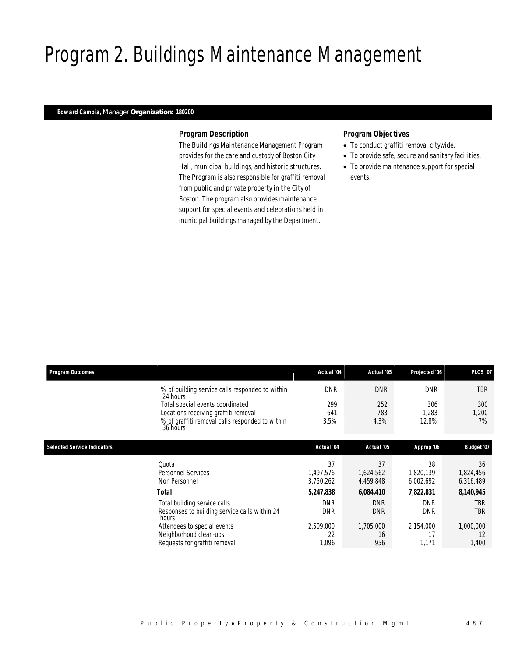# Program 2. Buildings Maintenance Management

### *Edward Campia, Manager Organization: 180200*

#### *Program Description*

The Buildings Maintenance Management Program provides for the care and custody of Boston City Hall, municipal buildings, and historic structures. The Program is also responsible for graffiti removal from public and private property in the City of Boston. The program also provides maintenance support for special events and celebrations held in municipal buildings managed by the Department.

### *Program Objectives*

- To conduct graffiti removal citywide.
- To provide safe, secure and sanitary facilities.
- To provide maintenance support for special events.

| <b>Program Outcomes</b>            |                                                             | Actual '04 | Actual '05 | Projected '06 | <b>PLOS '07</b> |
|------------------------------------|-------------------------------------------------------------|------------|------------|---------------|-----------------|
|                                    | % of building service calls responded to within<br>24 hours | <b>DNR</b> | <b>DNR</b> | <b>DNR</b>    | <b>TBR</b>      |
|                                    | Total special events coordinated                            | 299        | 252        | 306           | 300             |
|                                    | Locations receiving graffiti removal                        | 641        | 783        | 1,283         | 1,200           |
|                                    | % of graffiti removal calls responded to within<br>36 hours | 3.5%       | 4.3%       | 12.8%         | 7%              |
|                                    |                                                             |            |            |               |                 |
| <b>Selected Service Indicators</b> |                                                             | Actual '04 | Actual '05 | Approp '06    | Budget '07      |
|                                    | Quota                                                       | 37         | 37         | 38            | 36              |
|                                    | Personnel Services                                          | 1,497,576  | 1,624,562  | 1,820,139     | 1,824,456       |
|                                    | Non Personnel                                               | 3,750,262  | 4,459,848  | 6,002,692     | 6,316,489       |
|                                    | <b>Total</b>                                                | 5,247,838  | 6,084,410  | 7,822,831     | 8,140,945       |
|                                    | Total building service calls                                | <b>DNR</b> | <b>DNR</b> | <b>DNR</b>    | TBR             |
|                                    | Responses to building service calls within 24<br>hours      | <b>DNR</b> | <b>DNR</b> | <b>DNR</b>    | <b>TBR</b>      |
|                                    | Attendees to special events                                 | 2,509,000  | 1,705,000  | 2.154,000     | 1,000,000       |
|                                    | Neighborhood clean-ups                                      | 22         | 16         | 17            | 12              |
|                                    | Requests for graffiti removal                               | 1,096      | 956        | 1,171         | 1,400           |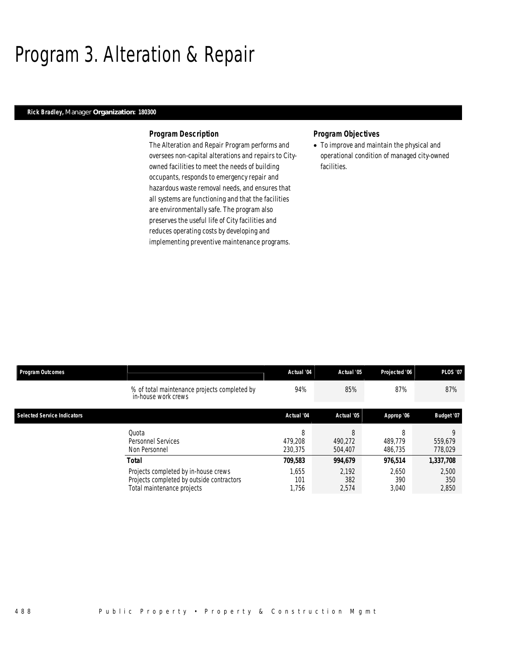## Program 3. Alteration & Repair

### *Rick Bradley, Manager Organization: 180300*

#### *Program Description*

The Alteration and Repair Program performs and oversees non-capital alterations and repairs to Cityowned facilities to meet the needs of building occupants, responds to emergency repair and hazardous waste removal needs, and ensures that all systems are functioning and that the facilities are environmentally safe. The program also preserves the useful life of City facilities and reduces operating costs by developing and implementing preventive maintenance programs.

#### *Program Objectives*

• To improve and maintain the physical and operational condition of managed city-owned facilities.

| <b>Program Outcomes</b>            |                                                                                                                                 | Actual '04                       | Actual '05                       | Projected '06                    | <b>PLOS '07</b>                    |
|------------------------------------|---------------------------------------------------------------------------------------------------------------------------------|----------------------------------|----------------------------------|----------------------------------|------------------------------------|
|                                    | % of total maintenance projects completed by<br>in-house work crews                                                             | 94%                              | 85%                              | 87%                              | 87%                                |
| <b>Selected Service Indicators</b> |                                                                                                                                 | Actual '04                       | Actual '05                       | Approp '06                       | Budget '07                         |
|                                    | Ouota<br>Personnel Services<br>Non Personnel                                                                                    | 8<br>479.208<br>230.375          | 8<br>490.272<br>504,407          | 8<br>489.779<br>486.735          | Q<br>559.679<br>778,029            |
|                                    | <b>Total</b><br>Projects completed by in-house crews<br>Projects completed by outside contractors<br>Total maintenance projects | 709,583<br>1.655<br>101<br>1.756 | 994.679<br>2.192<br>382<br>2,574 | 976.514<br>2.650<br>390<br>3,040 | 1,337,708<br>2,500<br>350<br>2,850 |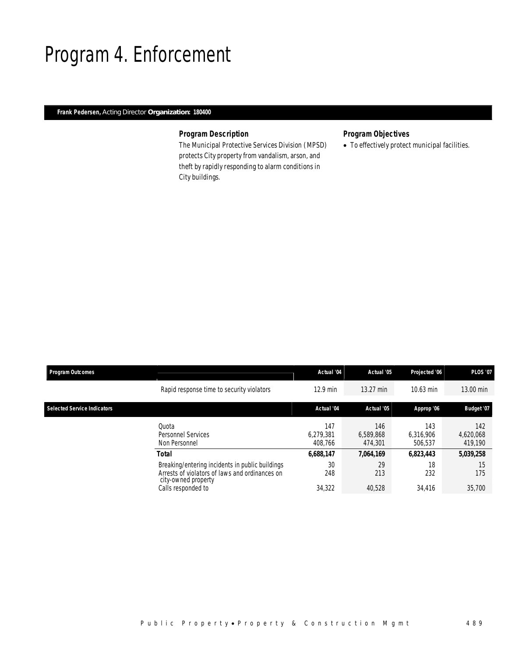### Program 4. Enforcement

### *Frank Pedersen, Acting Director Organization: 180400*

### *Program Description*

The Municipal Protective Services Division (MPSD) protects City property from vandalism, arson, and theft by rapidly responding to alarm conditions in City buildings.

### *Program Objectives*

• To effectively protect municipal facilities.

| <b>Program Outcomes</b>            |                                                                                                                          | Actual '04                  | Actual '05                  | Projected '06               | <b>PLOS '07</b>             |
|------------------------------------|--------------------------------------------------------------------------------------------------------------------------|-----------------------------|-----------------------------|-----------------------------|-----------------------------|
|                                    | Rapid response time to security violators                                                                                | $12.9$ min                  | 13.27 min                   | 10.63 min                   | 13.00 min                   |
| <b>Selected Service Indicators</b> |                                                                                                                          | Actual '04                  | Actual '05                  | Approp '06                  | Budget '07                  |
|                                    | Quota<br><b>Personnel Services</b><br>Non Personnel                                                                      | 147<br>6.279.381<br>408.766 | 146<br>6.589.868<br>474.301 | 143<br>6.316.906<br>506,537 | 142<br>4,620,068<br>419,190 |
|                                    | <b>Total</b>                                                                                                             | 6,688,147                   | 7,064,169                   | 6.823.443                   | 5,039,258                   |
|                                    | Breaking/entering incidents in public buildings<br>Arrests of violators of laws and ordinances on<br>city-owned property | 30<br>248                   | 29<br>213                   | 18<br>232                   | 15<br>175                   |
|                                    | Calls responded to                                                                                                       | 34,322                      | 40,528                      | 34.416                      | 35,700                      |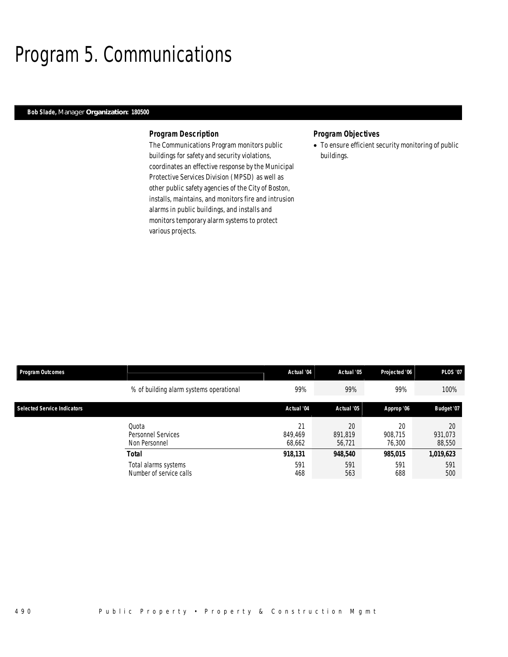# Program 5. Communications

### *Bob Slade, Manager Organization: 180500*

#### *Program Description*

The Communications Program monitors public buildings for safety and security violations, coordinates an effective response by the Municipal Protective Services Division (MPSD) as well as other public safety agencies of the City of Boston, installs, maintains, and monitors fire and intrusion alarms in public buildings, and installs and monitors temporary alarm systems to protect various projects.

### *Program Objectives*

• To ensure efficient security monitoring of public buildings.

| <b>Program Outcomes</b>            |                                                 | Actual '04              | Actual '05              | Projected '06           | <b>PLOS '07</b>         |
|------------------------------------|-------------------------------------------------|-------------------------|-------------------------|-------------------------|-------------------------|
|                                    | % of building alarm systems operational         | 99%                     | 99%                     | 99%                     | 100%                    |
| <b>Selected Service Indicators</b> |                                                 | Actual '04              | Actual '05              | Approp '06              | Budget '07              |
|                                    | Quota<br>Personnel Services<br>Non Personnel    | 21<br>849.469<br>68,662 | 20<br>891.819<br>56.721 | 20<br>908.715<br>76,300 | 20<br>931,073<br>88,550 |
|                                    | <b>Total</b>                                    | 918,131                 | 948,540                 | 985,015                 | 1,019,623               |
|                                    | Total alarms systems<br>Number of service calls | 591<br>468              | 591<br>563              | 591<br>688              | 591<br>500              |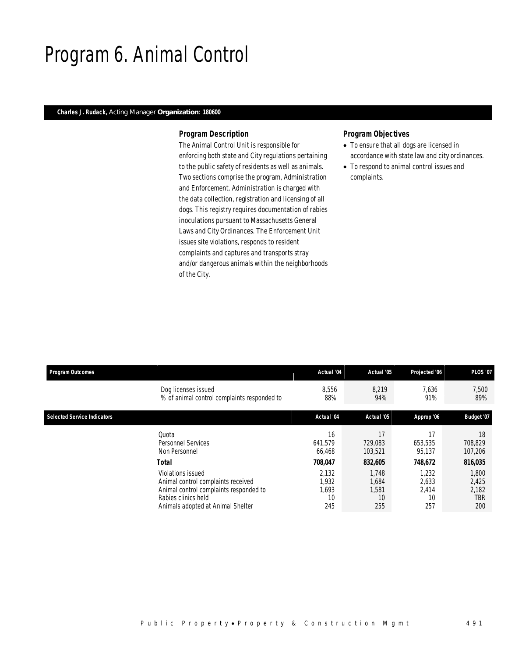### Program 6. Animal Control

### *Charles J. Rudack, Acting Manager Organization: 180600*

#### *Program Description*

The Animal Control Unit is responsible for enforcing both state and City regulations pertaining to the public safety of residents as well as animals. Two sections comprise the program, Administration and Enforcement. Administration is charged with the data collection, registration and licensing of all dogs. This registry requires documentation of rabies inoculations pursuant to Massachusetts General Laws and City Ordinances. The Enforcement Unit issues site violations, responds to resident complaints and captures and transports stray and/or dangerous animals within the neighborhoods of the City.

### *Program Objectives*

- To ensure that all dogs are licensed in accordance with state law and city ordinances.
- To respond to animal control issues and complaints.

| <b>Program Outcomes</b>            |                                             | Actual '04 | Actual '05 | Projected '06 | <b>PLOS '07</b> |
|------------------------------------|---------------------------------------------|------------|------------|---------------|-----------------|
|                                    | Dog licenses issued                         | 8,556      | 8.219      | 7,636         | 7,500           |
|                                    | % of animal control complaints responded to | 88%        | 94%        | 91%           | 89%             |
| <b>Selected Service Indicators</b> |                                             | Actual '04 | Actual '05 | Approp '06    | Budget '07      |
|                                    | Quota                                       | 16         | 17         | 17            | 18              |
|                                    | Personnel Services                          | 641,579    | 729,083    | 653,535       | 708,829         |
|                                    | Non Personnel                               | 66.468     | 103,521    | 95,137        | 107,206         |
|                                    | Total                                       | 708,047    | 832,605    | 748,672       | 816,035         |
|                                    | Violations issued                           | 2,132      | 1,748      | 1,232         | 1,800           |
|                                    | Animal control complaints received          | 1,932      | 1,684      | 2,633         | 2,425           |
|                                    | Animal control complaints responded to      | 1.693      | 1.581      | 2,414         | 2,182           |
|                                    | Rabies clinics held                         | 10         | 10         | 10            | TBR             |
|                                    | Animals adopted at Animal Shelter           | 245        | 255        | 257           | 200             |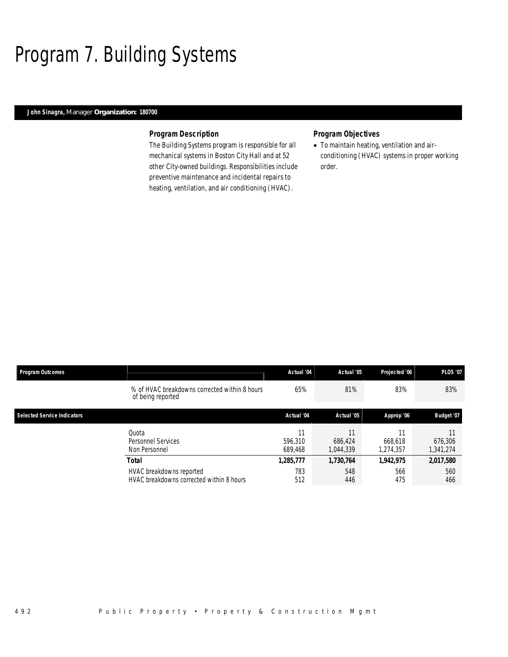# Program 7. Building Systems

### *John Sinagra, Manager Organization: 180700*

#### *Program Description*

The Building Systems program is responsible for all mechanical systems in Boston City Hall and at 52 other City-owned buildings. Responsibilities include preventive maintenance and incidental repairs to heating, ventilation, and air conditioning (HVAC).

### *Program Objectives*

• To maintain heating, ventilation and airconditioning (HVAC) systems in proper working order.

| <b>Program Outcomes</b>            |                                                                      | Actual '04         | Actual '05           | Projected '06              | <b>PLOS '07</b>      |
|------------------------------------|----------------------------------------------------------------------|--------------------|----------------------|----------------------------|----------------------|
|                                    | % of HVAC breakdowns corrected within 8 hours<br>of being reported   | 65%                | 81%                  | 83%                        | 83%                  |
| <b>Selected Service Indicators</b> |                                                                      | Actual '04         | Actual '05           | Approp '06                 | Budget '07           |
|                                    | Quota<br>Personnel Services<br>Non Personnel                         | 596.310<br>689.468 | 686.424<br>1.044.339 | 11<br>668.618<br>1.274.357 | 676.306<br>1,341,274 |
|                                    | Total                                                                | 1,285,777          | 1,730,764            | 1,942,975                  | 2,017,580            |
|                                    | HVAC breakdowns reported<br>HVAC breakdowns corrected within 8 hours | 783<br>512         | 548<br>446           | 566<br>475                 | 560<br>466           |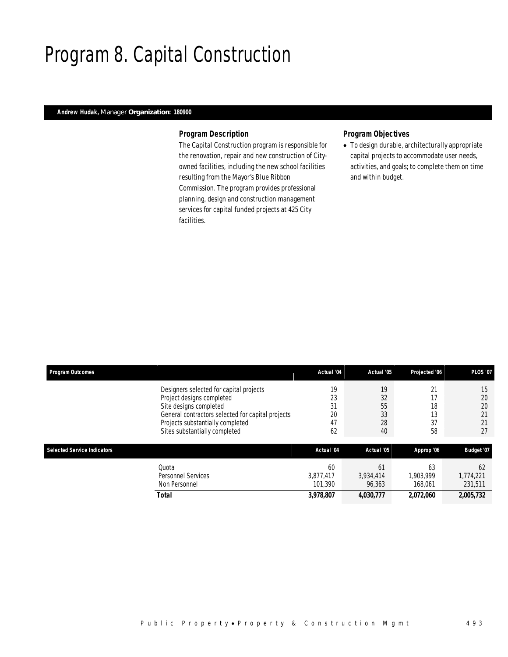### Program 8. Capital Construction

### *Andrew Hudak, Manager Organization: 180900*

#### *Program Description*

The Capital Construction program is responsible for the renovation, repair and new construction of Cityowned facilities, including the new school facilities resulting from the Mayor's Blue Ribbon Commission. The program provides professional planning, design and construction management services for capital funded projects at 425 City facilities.

### *Program Objectives*

• To design durable, architecturally appropriate capital projects to accommodate user needs, activities, and goals; to complete them on time and within budget.

| <b>Program Outcomes</b>            |                                                                                                                 | Actual '04                 | Actual '05                | Projected '06              | <b>PLOS '07</b>            |
|------------------------------------|-----------------------------------------------------------------------------------------------------------------|----------------------------|---------------------------|----------------------------|----------------------------|
|                                    | Designers selected for capital projects<br>Project designs completed                                            | 19<br>23                   | 19<br>32                  | 21<br>17                   | 15<br>20                   |
|                                    | Site designs completed<br>General contractors selected for capital projects<br>Projects substantially completed | 31<br>20<br>47             | 55<br>33<br>28            | 18<br>13<br>37             | 20<br>21<br>21             |
|                                    | Sites substantially completed                                                                                   | 62                         | 40                        | 58                         | 27                         |
| <b>Selected Service Indicators</b> |                                                                                                                 | Actual '04                 | Actual '05                | Approp '06                 | Budget '07                 |
|                                    | Quota<br>Personnel Services<br>Non Personnel                                                                    | 60<br>3.877.417<br>101.390 | 61<br>3,934,414<br>96,363 | 63<br>1.903.999<br>168,061 | 62<br>1,774,221<br>231,511 |
|                                    | <b>Total</b>                                                                                                    | 3,978,807                  | 4,030,777                 | 2,072,060                  | 2,005,732                  |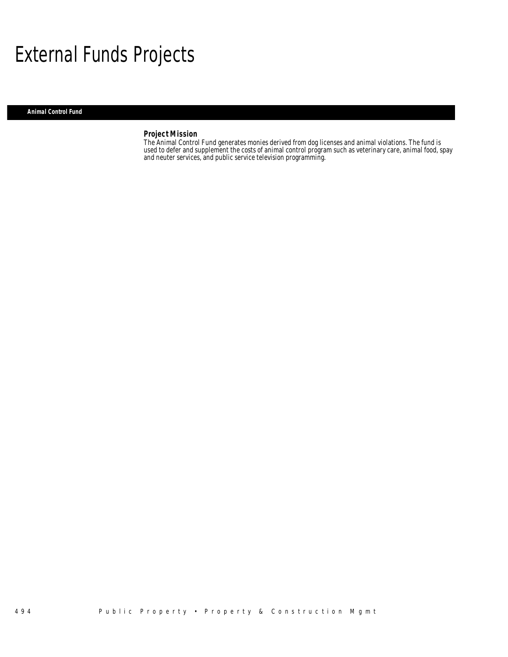## External Funds Projects

#### *Animal Control Fund*

### *Project Mission*

The Animal Control Fund generates monies derived from dog licenses and animal violations. The fund is used to defer and supplement the costs of animal control program such as veterinary care, animal food, spay and neuter services, and public service television programming.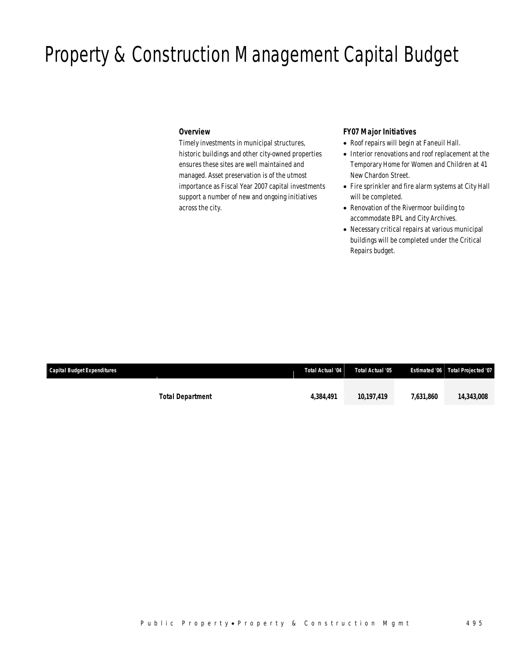# Property & Construction Management Capital Budget

#### *Overview*

Timely investments in municipal structures, historic buildings and other city-owned properties ensures these sites are well maintained and managed. Asset preservation is of the utmost importance as Fiscal Year 2007 capital investments support a number of new and ongoing initiatives across the city.

### *FY07 Major Initiatives*

- Roof repairs will begin at Faneuil Hall.
- Interior renovations and roof replacement at the Temporary Home for Women and Children at 41 New Chardon Street.
- Fire sprinkler and fire alarm systems at City Hall will be completed.
- Renovation of the Rivermoor building to accommodate BPL and City Archives.
- Necessary critical repairs at various municipal buildings will be completed under the Critical Repairs budget.

| <b>Capital Budget Expenditures</b> |                         | <b>Total Actual '04</b> | Total Actual '05 |           | Estimated '06 Total Projected '07 |
|------------------------------------|-------------------------|-------------------------|------------------|-----------|-----------------------------------|
|                                    |                         |                         |                  |           |                                   |
|                                    | <b>Total Department</b> | 4.384.491               | 10,197,419       | 7.631.860 | 14,343,008                        |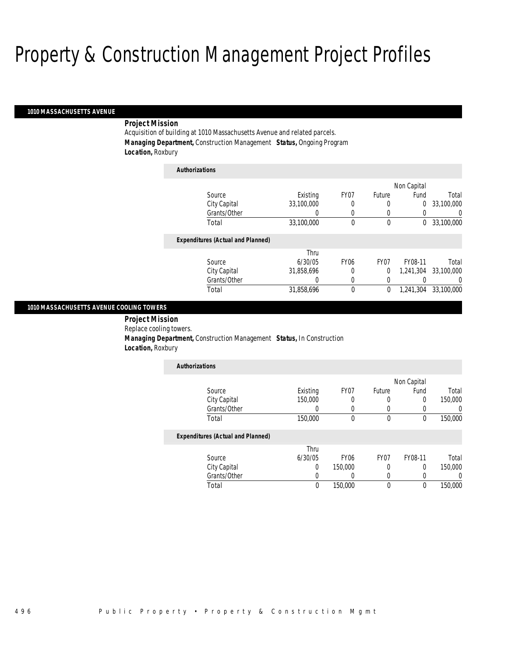#### *1010 MASSACHUSETTS AVENUE*

### *Project Mission*

Acquisition of building at 1010 Massachusetts Avenue and related parcels. *Managing Department,* Construction Management *Status,* Ongoing Program *Location,* Roxbury

*Authorizations*

| Authorizations                           |            |                  |                  |             |            |
|------------------------------------------|------------|------------------|------------------|-------------|------------|
|                                          |            |                  |                  | Non Capital |            |
| Source                                   | Existing   | FY <sub>07</sub> | Future           | Fund        | Total      |
| City Capital                             | 33,100,000 | 0                | 0                | 0           | 33,100,000 |
| Grants/Other                             |            |                  | 0                |             | $\left($   |
| Total                                    | 33,100,000 | 0                | $\boldsymbol{0}$ | 0           | 33,100,000 |
| <b>Expenditures (Actual and Planned)</b> |            |                  |                  |             |            |
|                                          | Thru       |                  |                  |             |            |
| Source                                   | 6/30/05    | FY <sub>06</sub> | FY <sub>07</sub> | FY08-11     | Total      |
| City Capital                             | 31,858,696 | 0                | $\overline{0}$   | 1.241.304   | 33,100,000 |
| Grants/Other                             | 0          | 0                | 0                |             | $\left($   |
| Total                                    | 31.858.696 | 0                | 0                | 1.241.304   | 33,100,000 |
|                                          |            |                  |                  |             |            |

#### *1010 MASSACHUSETTS AVENUE COOLING TOWERS*

 *Project Mission* Replace cooling towers. *Managing Department,* Construction Management *Status,* In Construction *Location,* Roxbury

| Authorizations |          |      |        |             |         |
|----------------|----------|------|--------|-------------|---------|
|                |          |      |        | Non Capital |         |
| Source         | Existing | FY07 | Future | Fund        | Total   |
| City Capital   | 150,000  |      |        |             | 150,000 |
| Grants/Other   |          |      |        |             |         |
| Total          | 150,000  |      |        |             | 150,000 |

#### *Expenditures (Actual and Planned)*

|              | Thru    |                  |      |         |         |
|--------------|---------|------------------|------|---------|---------|
| Source       | 6/30/05 | FY <sub>06</sub> | FY07 | FY08-11 | Total   |
| City Capital |         | 150,000          |      |         | 150,000 |
| Grants/Other |         |                  |      |         |         |
| Total        |         | 150,000          |      |         | 150,000 |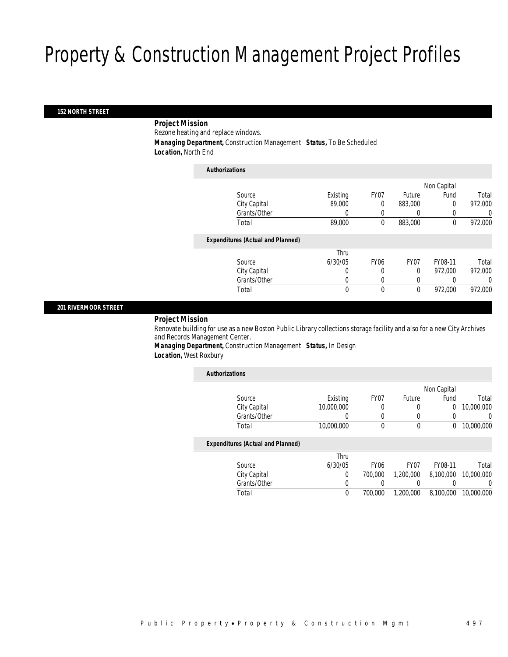#### *152 NORTH STREET*

### *Project Mission*

Rezone heating and replace windows.

*Managing Department,* Construction Management *Status,* To Be Scheduled

*Location,* North End

| <b>Authorizations</b>                    |          |             |              |             |         |
|------------------------------------------|----------|-------------|--------------|-------------|---------|
|                                          |          |             |              | Non Capital |         |
| Source                                   | Existing | FY07        | Future       | Fund        | Total   |
| City Capital                             | 89,000   | 0           | 883,000      | $\Omega$    | 972,000 |
| Grants/Other                             | 0        | 0           | 0            |             | 0       |
| Total                                    | 89,000   | 0           | 883,000      | $\theta$    | 972,000 |
| <b>Expenditures (Actual and Planned)</b> |          |             |              |             |         |
|                                          | Thru     |             |              |             |         |
| Source                                   | 6/30/05  | <b>FY06</b> | FY07         | FY08-11     | Total   |
| City Capital                             | 0        | 0           | $\Omega$     | 972,000     | 972,000 |
| Grants/Other                             | 0        | 0           | 0            |             | 0       |
| Total                                    | 0        | $\theta$    | $\mathbf{0}$ | 972,000     | 972,000 |

#### *201 RIVERMOOR STREET*

### *Project Mission*

Renovate building for use as a new Boston Public Library collections storage facility and also for a new City Archives and Records Management Center.

*Managing Department,* Construction Management *Status,* In Design *Location,* West Roxbury

| Existing   | FY07        | Future           | Fund      | Total       |
|------------|-------------|------------------|-----------|-------------|
| 10,000,000 | 0           | 0                | 0         | 10,000,000  |
|            | 0           | 0                |           | $\Omega$    |
| 10,000,000 | 0           | 0                | 0         | 10.000.000  |
|            |             |                  |           |             |
| Thru       |             |                  |           |             |
| 6/30/05    | <b>FY06</b> | FY <sub>07</sub> | FY08-11   | Total       |
| 0          | 700,000     | 1,200,000        | 8.100.000 | 10,000,000  |
| 0          |             |                  |           | $\left($    |
|            |             |                  |           |             |
|            |             |                  |           | Non Capital |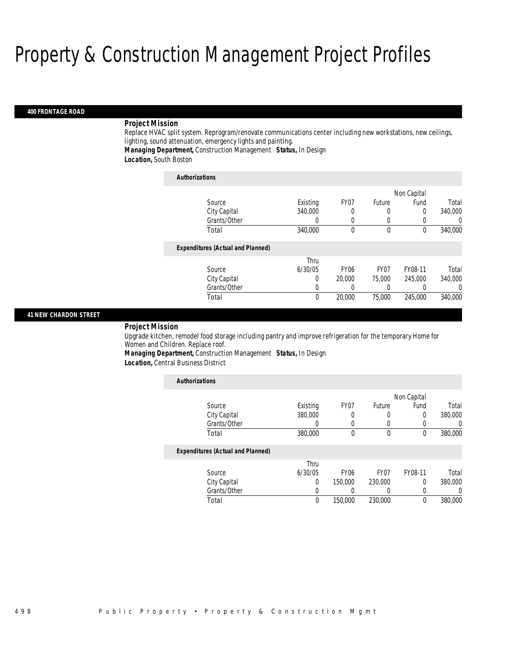#### *400 FRONTAGE ROAD*

#### *Project Mission*

Replace HVAC split system. Reprogram/renovate communications center including new workstations, new ceilings, lighting, sound attenuation, emergency lights and painting.

*Managing Department,* Construction Management *Status,* In Design

*Location,* South Boston

| <b>Authorizations</b>                    |          |             |                  |             |          |
|------------------------------------------|----------|-------------|------------------|-------------|----------|
|                                          |          |             |                  | Non Capital |          |
| Source                                   | Existing | FY07        | Future           | Fund        | Total    |
| City Capital                             | 340,000  | 0           |                  | $\Omega$    | 340,000  |
| Grants/Other                             | 0        | $\left($    | $\left($         |             | $\Omega$ |
| Total                                    | 340,000  | $\theta$    | $\theta$         | $\Omega$    | 340,000  |
| <b>Expenditures (Actual and Planned)</b> |          |             |                  |             |          |
|                                          | Thru     |             |                  |             |          |
| Source                                   | 6/30/05  | <b>FY06</b> | FY <sub>07</sub> | FY08-11     | Total    |
| City Capital                             | $\left($ | 20,000      | 75,000           | 245,000     | 340,000  |
| Grants/Other                             | 0        |             |                  |             | $\Omega$ |
| Total                                    | $\theta$ | 20,000      | 75,000           | 245,000     | 340,000  |

#### *41 NEW CHARDON STREET*

#### *Project Mission*

Upgrade kitchen, remodel food storage including pantry and improve refrigeration for the temporary Home for Women and Children. Replace roof.

*Managing Department,* Construction Management *Status,* In Design

*Location,* Central Business District

| <b>Authorizations</b>                    |          |             |                  |             |         |
|------------------------------------------|----------|-------------|------------------|-------------|---------|
|                                          |          |             |                  | Non Capital |         |
| Source                                   | Existing | FY07        | Future           | Fund        | Total   |
| City Capital                             | 380,000  | 0           | 0                | 0           | 380,000 |
| Grants/Other                             |          | 0           | 0                | 0           |         |
| Total                                    | 380,000  | 0           | $\theta$         | $\theta$    | 380,000 |
| <b>Expenditures (Actual and Planned)</b> |          |             |                  |             |         |
|                                          | Thru     |             |                  |             |         |
| Source                                   | 6/30/05  | <b>FY06</b> | FY <sub>07</sub> | FY08-11     | Total   |
| City Capital                             | $\Omega$ | 150,000     | 230,000          | 0           | 380,000 |
| Grants/Other                             |          |             | 0                | 0           | 0       |
| Total                                    | 0        | 150,000     | 230,000          | 0           | 380,000 |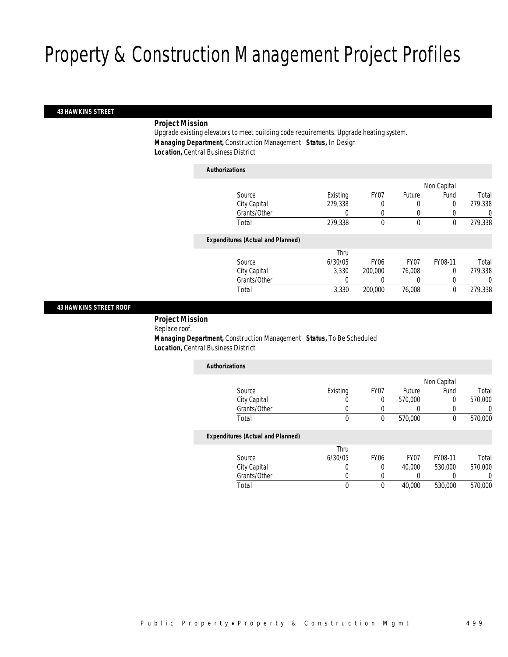#### *43 HAWKINS STREET*

### *Project Mission*

Upgrade existing elevators to meet building code requirements. Upgrade heating system. *Managing Department,* Construction Management *Status,* In Design *Location,* Central Business District

### *Authorizations*

|                                          |          |                  |             | Non Capital |         |
|------------------------------------------|----------|------------------|-------------|-------------|---------|
| Source                                   | Existing | FY07             | Future      | Fund        | Total   |
| City Capital                             | 279,338  | 0                | 0           | 0           | 279,338 |
| Grants/Other                             | 0        |                  | 0           |             | 0       |
| Total                                    | 279,338  | 0                | $\mathbf 0$ | $\mathbf 0$ | 279,338 |
| <b>Expenditures (Actual and Planned)</b> |          |                  |             |             |         |
|                                          | Thru     |                  |             |             |         |
| Source                                   | 6/30/05  | FY <sub>06</sub> | FY07        | FY08-11     | Total   |
| City Capital                             | 3.330    | 200,000          | 76,008      | $\Omega$    | 279,338 |
| Grants/Other                             | 0        |                  | 0           |             | 0       |
| Total                                    | 3,330    | 200,000          | 76,008      | $\theta$    | 279,338 |
|                                          |          |                  |             |             |         |

#### *43 HAWKINS STREET ROOF*

*Project Mission* 

Replace roof.

 *Managing Department,* Construction Management *Status,* To Be Scheduled *Location,* Central Business District

| <b>Authorizations</b>                    |          |      |         |             |         |
|------------------------------------------|----------|------|---------|-------------|---------|
|                                          |          |      |         | Non Capital |         |
| Source                                   | Existing | FY07 | Future  | Fund        | Total   |
| City Capital                             | U        | 0    | 570,000 | 0           | 570,000 |
| Grants/Other                             | 0        |      |         |             | 0       |
| Total                                    | 0        | 0    | 570,000 | 0           | 570,000 |
| <b>Expenditures (Actual and Planned)</b> |          |      |         |             |         |
|                                          | Thru     |      |         |             |         |

|              | Thru    |      |                  |         |         |
|--------------|---------|------|------------------|---------|---------|
| Source       | 6/30/05 | FY06 | FY <sub>07</sub> | FY08-11 | Total   |
| City Capital |         |      | 40.000           | 530,000 | 570,000 |
| Grants/Other |         |      |                  |         |         |
| Total        |         |      | 40,000           | 530,000 | 570,000 |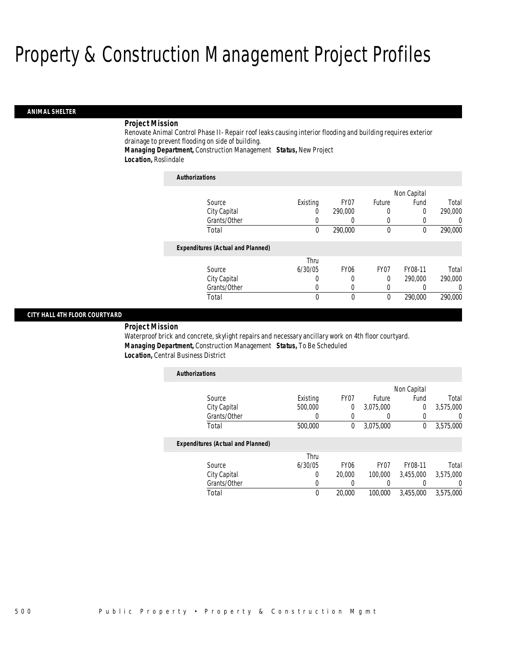#### *ANIMAL SHELTER*

#### *Project Mission*

Renovate Animal Control Phase II- Repair roof leaks causing interior flooding and building requires exterior drainage to prevent flooding on side of building.

*Managing Department,* Construction Management *Status,* New Project

*Location,* Roslindale

| <b>Authorizations</b>                    |          |                  |                  |             |                  |
|------------------------------------------|----------|------------------|------------------|-------------|------------------|
|                                          |          |                  |                  | Non Capital |                  |
| Source                                   | Existing | FY07             | Future           | Fund        | Total            |
| City Capital                             | 0        | 290,000          | 0                | 0           | 290,000          |
| Grants/Other                             | O        |                  | 0                | 0           | $\left( \right)$ |
| Total                                    | 0        | 290,000          | $\mathbf{0}$     | 0           | 290,000          |
| <b>Expenditures (Actual and Planned)</b> |          |                  |                  |             |                  |
|                                          | Thru     |                  |                  |             |                  |
| Source                                   | 6/30/05  | FY <sub>06</sub> | FY <sub>07</sub> | FY08-11     | Total            |
| City Capital                             | 0        |                  | $\theta$         | 290,000     | 290,000          |
| Grants/Other                             | O        |                  | 0                |             | 0                |
| Total                                    | $\theta$ | $\theta$         | $\theta$         | 290,000     | 290,000          |

#### *CITY HALL 4TH FLOOR COURTYARD*

*Project Mission* 

Waterproof brick and concrete, skylight repairs and necessary ancillary work on 4th floor courtyard. *Managing Department,* Construction Management *Status,* To Be Scheduled *Location,* Central Business District

| <b>Authorizations</b>                    |          |                  |                  |             |                  |
|------------------------------------------|----------|------------------|------------------|-------------|------------------|
|                                          |          |                  |                  | Non Capital |                  |
| Source                                   | Existing | FY07             | Future           | Fund        | Total            |
| City Capital                             | 500,000  | $\theta$         | 3,075,000        | 0           | 3,575,000        |
| Grants/Other                             | 0        |                  |                  | 0           | 0                |
| Total                                    | 500,000  | $\theta$         | 3,075,000        | 0           | 3,575,000        |
| <b>Expenditures (Actual and Planned)</b> |          |                  |                  |             |                  |
|                                          | Thru     |                  |                  |             |                  |
| Source                                   | 6/30/05  | FY <sub>06</sub> | FY <sub>07</sub> | FY08-11     | Total            |
| City Capital                             | 0        | 20,000           | 100,000          | 3,455,000   | 3,575,000        |
| Grants/Other                             | 0        |                  |                  |             | $\left( \right)$ |
| Total                                    | $\theta$ | 20,000           | 100,000          | 3.455.000   | 3.575.000        |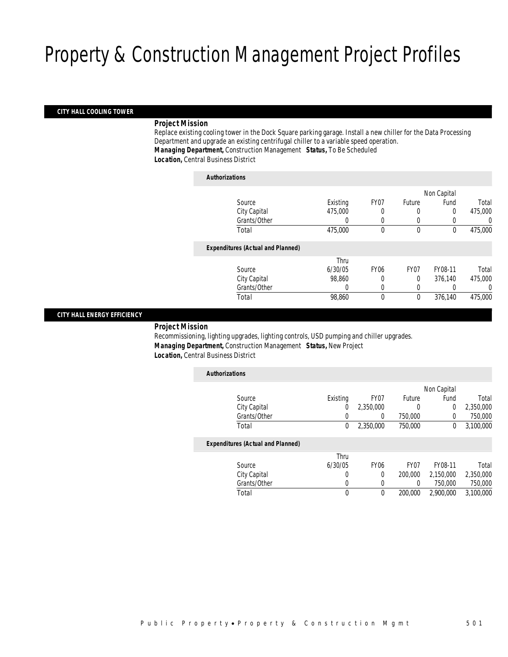### *CITY HALL COOLING TOWER*

#### *Project Mission*

Replace existing cooling tower in the Dock Square parking garage. Install a new chiller for the Data Processing Department and upgrade an existing centrifugal chiller to a variable speed operation. *Managing Department,* Construction Management *Status,* To Be Scheduled *Location,* Central Business District

| <b>Authorizations</b>                    |          |             |             |             |         |
|------------------------------------------|----------|-------------|-------------|-------------|---------|
|                                          |          |             |             | Non Capital |         |
| Source                                   | Existing | FY07        | Future      | Fund        | Total   |
| City Capital                             | 475,000  | 0           | 0           | 0           | 475,000 |
| Grants/Other                             | $\left($ | 0           | 0           |             | 0       |
| Total                                    | 475,000  | 0           | $\mathbf 0$ | $\mathbf 0$ | 475,000 |
| <b>Expenditures (Actual and Planned)</b> |          |             |             |             |         |
|                                          | Thru     |             |             |             |         |
| Source                                   | 6/30/05  | <b>FY06</b> | FY07        | FY08-11     | Total   |
| City Capital                             | 98,860   |             | $\Omega$    | 376,140     | 475,000 |
| Grants/Other                             | 0        | 0           | 0           |             | 0       |
| Total                                    | 98,860   | 0           | $\mathbf 0$ | 376,140     | 475,000 |
|                                          |          |             |             |             |         |

### *CITY HALL ENERGY EFFICIENCY*

#### *Project Mission*

Recommissioning, lighting upgrades, lighting controls, USD pumping and chiller upgrades. *Managing Department,* Construction Management *Status,* New Project *Location,* Central Business District

| <b>Authorizations</b> |                                          |             |             |                  |             |           |
|-----------------------|------------------------------------------|-------------|-------------|------------------|-------------|-----------|
|                       |                                          |             |             |                  | Non Capital |           |
|                       | Source                                   | Existing    | FY07        | Future           | Fund        | Total     |
|                       | City Capital                             | 0           | 2,350,000   | 0                | 0           | 2,350,000 |
|                       | Grants/Other                             | 0           | 0           | 750,000          | 0           | 750,000   |
|                       | Total                                    | $\mathbf 0$ | 2,350,000   | 750,000          | 0           | 3,100,000 |
|                       | <b>Expenditures (Actual and Planned)</b> |             |             |                  |             |           |
|                       |                                          | Thru        |             |                  |             |           |
|                       | Source                                   | 6/30/05     | <b>FY06</b> | FY <sub>07</sub> | FY08-11     | Total     |
|                       | City Capital                             | 0           | $\Omega$    | 200,000          | 2,150,000   | 2,350,000 |
|                       | Grants/Other                             | 0           |             | 0                | 750,000     | 750,000   |
|                       | Total                                    | 0           | $\theta$    | 200,000          | 2.900.000   | 3.100.000 |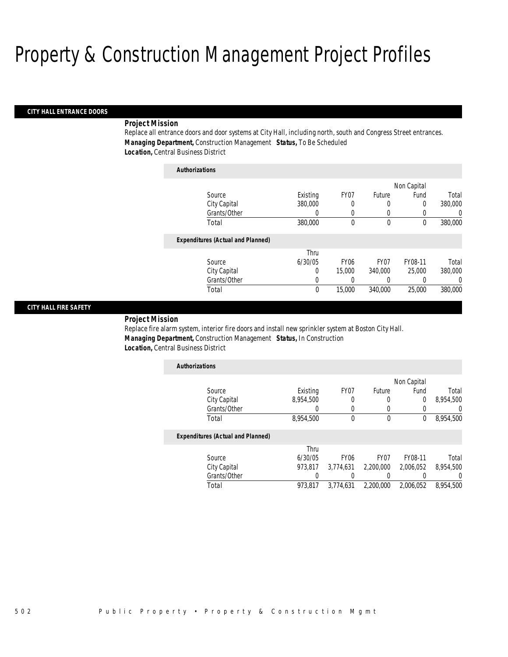#### *CITY HALL ENTRANCE DOORS*

#### *Project Mission*

Replace all entrance doors and door systems at City Hall, including north, south and Congress Street entrances. *Managing Department,* Construction Management *Status,* To Be Scheduled *Location,* Central Business District

| <b>Authorizations</b>                    |          |             |                  |             |         |
|------------------------------------------|----------|-------------|------------------|-------------|---------|
|                                          |          |             |                  | Non Capital |         |
| Source                                   | Existing | FY07        | Future           | Fund        | Total   |
| City Capital                             | 380,000  | 0           | 0                | 0           | 380,000 |
| Grants/Other                             | 0        | 0           | 0                |             | 0       |
| Total                                    | 380,000  | 0           | $\theta$         | $\theta$    | 380,000 |
| <b>Expenditures (Actual and Planned)</b> |          |             |                  |             |         |
|                                          | Thru     |             |                  |             |         |
| Source                                   | 6/30/05  | <b>FY06</b> | FY <sub>07</sub> | FY08-11     | Total   |
| City Capital                             | 0        | 15,000      | 340,000          | 25,000      | 380,000 |
| Grants/Other                             | 0        |             | 0                |             | 0       |
| Total                                    | $\theta$ | 15,000      | 340,000          | 25,000      | 380,000 |
|                                          |          |             |                  |             |         |

#### *CITY HALL FIRE SAFETY*

#### *Project Mission*

Replace fire alarm system, interior fire doors and install new sprinkler system at Boston City Hall. *Managing Department,* Construction Management *Status,* In Construction *Location,* Central Business District

| <b>Authorizations</b> |           |      |        |             |           |
|-----------------------|-----------|------|--------|-------------|-----------|
|                       |           |      |        | Non Capital |           |
| Source                | Existing  | FY07 | Future | Fund        | Total     |
| City Capital          | 8,954,500 |      |        |             | 8,954,500 |
| Grants/Other          |           |      |        |             |           |
| Total                 | 8,954,500 |      |        |             | 8,954,500 |

#### *Expenditures (Actual and Planned)*

|              | Thru    |                  |                  |           |           |
|--------------|---------|------------------|------------------|-----------|-----------|
| Source       | 6/30/05 | FY <sub>06</sub> | FY <sub>07</sub> | FY08-11   | Total     |
| City Capital | 973.817 | 3.774.631        | 2,200,000        | 2.006.052 | 8,954,500 |
| Grants/Other |         |                  |                  |           |           |
| Total        | 973.817 | 3.774.631        | 2,200,000        | 2,006,052 | 8,954,500 |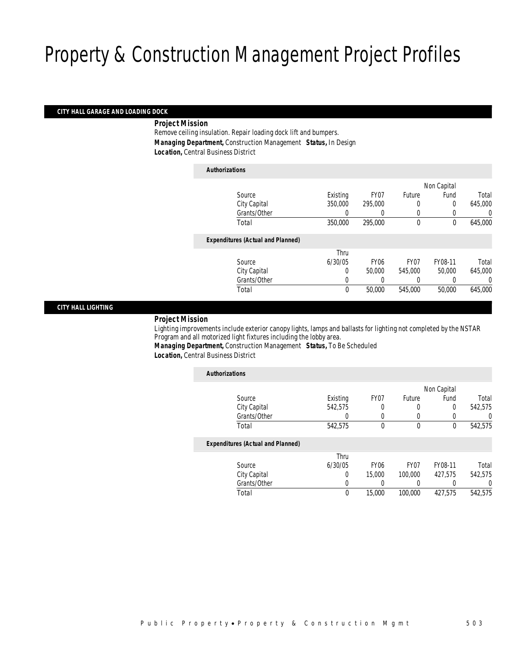#### *CITY HALL GARAGE AND LOADING DOCK*

*Project Mission* 

Remove ceiling insulation. Repair loading dock lift and bumpers. *Managing Department,* Construction Management *Status,* In Design *Location,* Central Business District

| <b>Authorizations</b> |                                          |          |                  |                  |             |         |
|-----------------------|------------------------------------------|----------|------------------|------------------|-------------|---------|
|                       |                                          |          |                  |                  | Non Capital |         |
|                       | Source                                   | Existing | FY07             | Future           | Fund        | Total   |
|                       | City Capital                             | 350,000  | 295,000          | 0                | 0           | 645,000 |
|                       | Grants/Other                             |          | $\left($         | 0                | $\left($    |         |
|                       | Total                                    | 350,000  | 295,000          | $\mathbf 0$      | $\theta$    | 645,000 |
|                       | <b>Expenditures (Actual and Planned)</b> |          |                  |                  |             |         |
|                       |                                          | Thru     |                  |                  |             |         |
|                       | Source                                   | 6/30/05  | FY <sub>06</sub> | FY <sub>07</sub> | FY08-11     | Total   |
|                       | City Capital                             | 0        | 50,000           | 545,000          | 50,000      | 645,000 |
|                       | Grants/Other                             | 0        | 0                | 0                |             | 0       |
|                       | Total                                    | 0        | 50,000           | 545,000          | 50,000      | 645,000 |
|                       |                                          |          |                  |                  |             |         |

#### *CITY HALL LIGHTING*

### *Project Mission*

Lighting improvements include exterior canopy lights, lamps and ballasts for lighting not completed by the NSTAR Program and all motorized light fixtures including the lobby area.

*Managing Department,* Construction Management *Status,* To Be Scheduled

| <b>Authorizations</b>                    |          |                  |                  |             |          |
|------------------------------------------|----------|------------------|------------------|-------------|----------|
|                                          |          |                  |                  | Non Capital |          |
| Source                                   | Existing | FY07             | Future           | Fund        | Total    |
| City Capital                             | 542.575  | 0                | 0                | 0           | 542.575  |
| Grants/Other                             | 0        | 0                | 0                |             | $\Omega$ |
| Total                                    | 542,575  | 0                | 0                | 0           | 542,575  |
| <b>Expenditures (Actual and Planned)</b> |          |                  |                  |             |          |
|                                          | Thru     |                  |                  |             |          |
| Source                                   | 6/30/05  | FY <sub>06</sub> | FY <sub>07</sub> | FY08-11     | Total    |
| City Capital                             | 0        | 15,000           | 100,000          | 427.575     | 542,575  |
| Grants/Other                             | 0        | 0                |                  |             | 0        |
| Total                                    | 0        | 15,000           | 100,000          | 427,575     | 542,575  |
|                                          |          |                  |                  |             |          |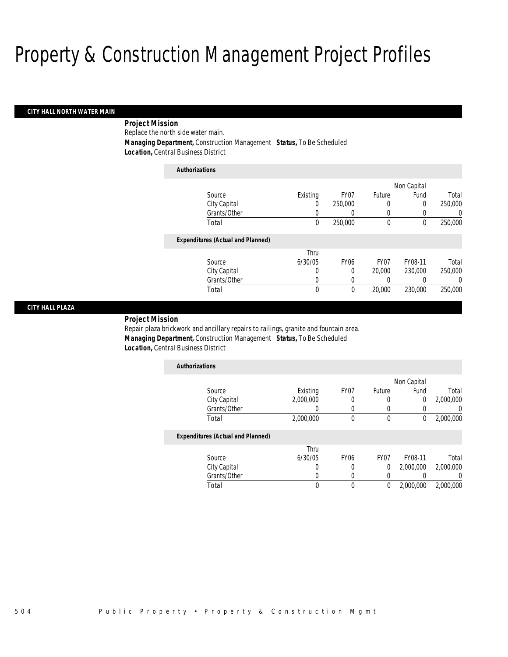#### *CITY HALL NORTH WATER MAIN*

 *Project Mission* Replace the north side water main. *Managing Department,* Construction Management *Status,* To Be Scheduled *Location,* Central Business District

| <b>Authorizations</b>                    |             |                  |                  |                  |          |
|------------------------------------------|-------------|------------------|------------------|------------------|----------|
|                                          |             |                  |                  | Non Capital      |          |
| Source                                   | Existing    | FY07             | Future           | Fund             | Total    |
| City Capital                             | 0           | 250,000          | 0                | $\Omega$         | 250,000  |
| Grants/Other                             | 0           | 0                | 0                |                  | 0        |
| Total                                    | 0           | 250,000          | $\mathbf 0$      | $\Omega$         | 250,000  |
| <b>Expenditures (Actual and Planned)</b> |             |                  |                  |                  |          |
|                                          | Thru        |                  |                  |                  |          |
| Source                                   | 6/30/05     | FY <sub>06</sub> | FY <sub>07</sub> | FY08-11          | Total    |
| City Capital                             | 0           | 0                | 20,000           | 230,000          | 250,000  |
| Grants/Other                             | 0           | 0                | 0                | $\left( \right)$ | $\Omega$ |
| Total                                    | $\mathbf 0$ | 0                | 20,000           | 230,000          | 250,000  |

#### *CITY HALL PLAZA*

*Project Mission* 

Repair plaza brickwork and ancillary repairs to railings, granite and fountain area. *Managing Department,* Construction Management *Status,* To Be Scheduled *Location,* Central Business District

| <b>Authorizations</b> |           |      |        |             |           |
|-----------------------|-----------|------|--------|-------------|-----------|
|                       |           |      |        | Non Capital |           |
| Source                | Existing  | FY07 | Future | Fund        | Total     |
| City Capital          | 2,000,000 |      |        |             | 2,000,000 |
| Grants/Other          |           |      |        |             |           |
| Total                 | 2,000,000 |      |        |             | 2,000,000 |
|                       |           |      |        |             |           |

#### *Expenditures (Actual and Planned)*

|              | Thru    |                  |      |           |           |
|--------------|---------|------------------|------|-----------|-----------|
| Source       | 6/30/05 | FY <sub>06</sub> | FY07 | FY08-11   | Total     |
| City Capital |         |                  |      | 2,000,000 | 2,000,000 |
| Grants/Other |         |                  |      |           |           |
| Total        |         |                  |      | 2,000,000 | 2,000,000 |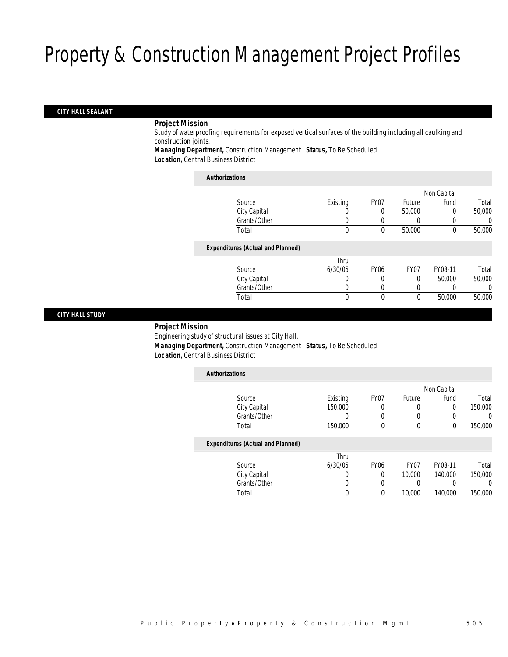### *CITY HALL SEALANT*

#### *Project Mission*

Study of waterproofing requirements for exposed vertical surfaces of the building including all caulking and construction joints.

*Managing Department,* Construction Management *Status,* To Be Scheduled *Location,* Central Business District

#### *Authorizations*

|                                          |          |             |                  | Non Capital |        |
|------------------------------------------|----------|-------------|------------------|-------------|--------|
| Source                                   | Existing | FY07        | Future           | Fund        | Total  |
| City Capital                             | U        | 0           | 50,000           | 0           | 50,000 |
| Grants/Other                             |          |             |                  |             | O      |
| Total                                    | 0        | 0           | 50,000           | $\theta$    | 50,000 |
| <b>Expenditures (Actual and Planned)</b> |          |             |                  |             |        |
|                                          | Thru     |             |                  |             |        |
| Source                                   | 6/30/05  | <b>FY06</b> | FY <sub>07</sub> | FY08-11     | Total  |
| City Capital                             | 0        |             | 0                | 50,000      | 50,000 |
| Grants/Other                             | 0        |             | 0                |             | 0      |
| Total                                    | 0        | 0           | $\theta$         | 50,000      | 50,000 |
|                                          |          |             |                  |             |        |

#### *CITY HALL STUDY*

#### *Project Mission* Engineering study of structural issues at City Hall. *Managing Department,* Construction Management *Status,* To Be Scheduled *Location,* Central Business District

| <b>Authorizations</b>                    |          |             |             |             |         |
|------------------------------------------|----------|-------------|-------------|-------------|---------|
|                                          |          |             |             | Non Capital |         |
| Source                                   | Existing | FY07        | Future      | Fund        | Total   |
| City Capital                             | 150,000  | 0           | 0           | 0           | 150,000 |
| Grants/Other                             | 0        |             | 0           |             | 0       |
| Total                                    | 150,000  | 0           | $\mathbf 0$ | $\mathbf 0$ | 150,000 |
| <b>Expenditures (Actual and Planned)</b> |          |             |             |             |         |
|                                          | Thru     |             |             |             |         |
| Source                                   | 6/30/05  | <b>FY06</b> | FY07        | FY08-11     | Total   |
| City Capital                             | 0        | 0           | 10,000      | 140,000     | 150,000 |
| Grants/Other                             | 0        | 0           |             |             | 0       |
| Total                                    | 0        | 0           | 10,000      | 140,000     | 150,000 |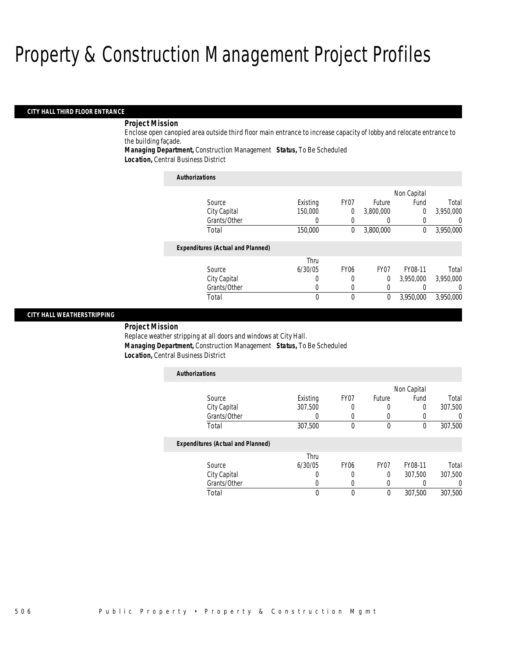#### *CITY HALL THIRD FLOOR ENTRANCE*

### *Project Mission*

Enclose open canopied area outside third floor main entrance to increase capacity of lobby and relocate entrance to the building façade.

*Managing Department,* Construction Management *Status,* To Be Scheduled

*Location,* Central Business District

| <b>Authorizations</b>                    |          |                  |                  |             |           |
|------------------------------------------|----------|------------------|------------------|-------------|-----------|
|                                          |          |                  |                  | Non Capital |           |
| Source                                   | Existing | FY <sub>07</sub> | Future           | Fund        | Total     |
| City Capital                             | 150,000  | 0                | 3,800,000        | 0           | 3,950,000 |
| Grants/Other                             | 0        | 0                |                  |             | $\Omega$  |
| Total                                    | 150,000  | $\theta$         | 3,800,000        | $\theta$    | 3,950,000 |
| <b>Expenditures (Actual and Planned)</b> |          |                  |                  |             |           |
|                                          | Thru     |                  |                  |             |           |
| Source                                   | 6/30/05  | <b>FY06</b>      | FY <sub>07</sub> | FY08-11     | Total     |
| City Capital                             | 0        | 0                | 0                | 3.950.000   | 3.950.000 |
| Grants/Other                             | 0        | $\theta$         | $\left( \right)$ |             | $\Omega$  |
| Total                                    | 0        | 0                | 0                | 3,950,000   | 3,950,000 |

#### *CITY HALL WEATHERSTRIPPING*

*Project Mission* 

Replace weather stripping at all doors and windows at City Hall. *Managing Department,* Construction Management *Status,* To Be Scheduled *Location,* Central Business District

| <b>Authorizations</b>                    |          |                  |                  |             |         |
|------------------------------------------|----------|------------------|------------------|-------------|---------|
|                                          |          |                  |                  | Non Capital |         |
| Source                                   | Existing | FY <sub>07</sub> | Future           | Fund        | Total   |
| City Capital                             | 307,500  | 0                | 0                | 0           | 307,500 |
| Grants/Other                             |          | 0                | 0                | 0           |         |
| Total                                    | 307,500  | 0                | $\mathbf{0}$     | $\theta$    | 307,500 |
| <b>Expenditures (Actual and Planned)</b> |          |                  |                  |             |         |
|                                          | Thru     |                  |                  |             |         |
| Source                                   | 6/30/05  | <b>FY06</b>      | FY <sub>07</sub> | FY08-11     | Total   |
| City Capital                             |          | 0                | 0                | 307.500     | 307.500 |
| Grants/Other                             |          | 0                | 0                | 0           |         |
| Total                                    | 0        | 0                | 0                | 307.500     | 307.500 |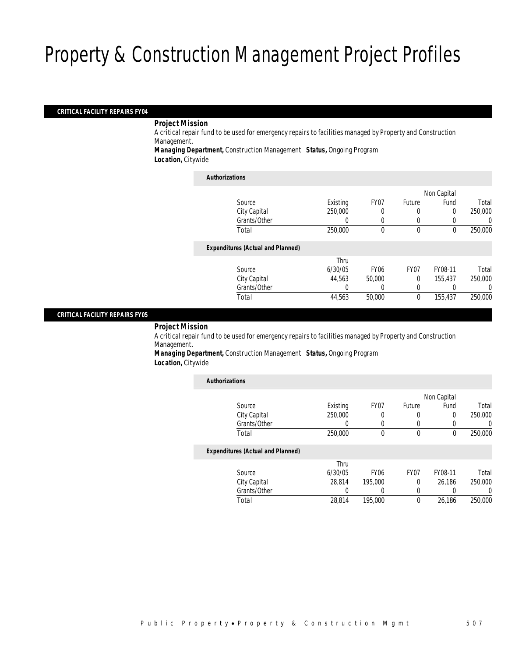#### *CRITICAL FACILITY REPAIRS FY04*

*Project Mission* 

A critical repair fund to be used for emergency repairs to facilities managed by Property and Construction Management.

*Managing Department,* Construction Management *Status,* Ongoing Program *Location,* Citywide

#### *Authorizations*

|                                          |          |                  |                  | Non Capital |         |
|------------------------------------------|----------|------------------|------------------|-------------|---------|
| Source                                   | Existing | FY <sub>07</sub> | Future           | Fund        | Total   |
| City Capital                             | 250,000  | 0                | 0                |             | 250,000 |
| Grants/Other                             | 0        |                  | 0                |             | 0       |
| Total                                    | 250,000  | 0                | $\mathbf 0$      | 0           | 250,000 |
| <b>Expenditures (Actual and Planned)</b> |          |                  |                  |             |         |
|                                          | Thru     |                  |                  |             |         |
| Source                                   | 6/30/05  | <b>FY06</b>      | FY <sub>07</sub> | FY08-11     | Total   |
| City Capital                             | 44.563   | 50,000           | $\Omega$         | 155.437     | 250,000 |
| Grants/Other                             |          |                  | 0                |             | 0       |
| Total                                    | 44,563   | 50,000           | $\theta$         | 155,437     | 250,000 |
|                                          |          |                  |                  |             |         |

#### *CRITICAL FACILITY REPAIRS FY05*

*Project Mission* 

A critical repair fund to be used for emergency repairs to facilities managed by Property and Construction Management.

*Managing Department,* Construction Management *Status,* Ongoing Program *Location,* Citywide

| <b>Authorizations</b> |                                          |                  |                  |                  |             |          |
|-----------------------|------------------------------------------|------------------|------------------|------------------|-------------|----------|
|                       |                                          |                  |                  |                  | Non Capital |          |
|                       | Source                                   | Existing         | FY07             | Future           | Fund        | Total    |
|                       | City Capital                             | 250,000          | 0                | 0                | $\Omega$    | 250,000  |
|                       | Grants/Other                             | $\left( \right)$ | 0                | 0                | 0           | 0        |
|                       | Total                                    | 250,000          | $\theta$         | $\theta$         | $\theta$    | 250,000  |
|                       | <b>Expenditures (Actual and Planned)</b> |                  |                  |                  |             |          |
|                       |                                          | Thru             |                  |                  |             |          |
|                       | Source                                   | 6/30/05          | FY <sub>06</sub> | FY <sub>07</sub> | FY08-11     | Total    |
|                       | City Capital                             | 28.814           | 195,000          | 0                | 26.186      | 250,000  |
|                       | Grants/Other                             |                  |                  | 0                | 0           | $\left($ |
|                       | Total                                    | 28.814           | 195,000          | 0                | 26.186      | 250,000  |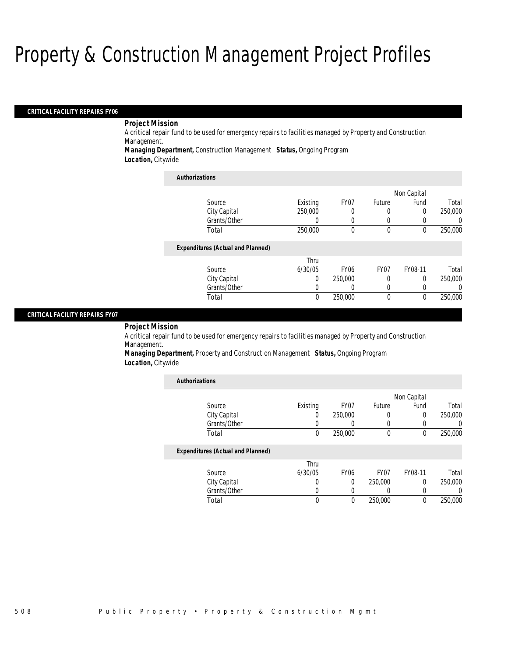#### *CRITICAL FACILITY REPAIRS FY06*

### *Project Mission*

A critical repair fund to be used for emergency repairs to facilities managed by Property and Construction Management.

*Managing Department,* Construction Management *Status,* Ongoing Program

*Location,* Citywide

| <b>Authorizations</b>                    |                  |                  |                  |             |         |
|------------------------------------------|------------------|------------------|------------------|-------------|---------|
|                                          |                  |                  |                  | Non Capital |         |
| Source                                   | Existing         | FY07             | <b>Future</b>    | Fund        | Total   |
| City Capital                             | 250,000          | 0                | 0                | 0           | 250,000 |
| Grants/Other                             | $\left( \right)$ | 0                | 0                |             |         |
| Total                                    | 250,000          | $\boldsymbol{0}$ | 0                | 0           | 250,000 |
| <b>Expenditures (Actual and Planned)</b> |                  |                  |                  |             |         |
|                                          | Thru             |                  |                  |             |         |
| Source                                   | 6/30/05          | FY <sub>06</sub> | FY <sub>07</sub> | FY08-11     | Total   |
| City Capital                             | 0                | 250,000          | 0                | 0           | 250,000 |
| Grants/Other                             | 0                | 0                | 0                | 0           |         |
| Total                                    | 0                | 250,000          | $\Omega$         | $\theta$    | 250,000 |

#### *CRITICAL FACILITY REPAIRS FY07*

#### *Project Mission*

A critical repair fund to be used for emergency repairs to facilities managed by Property and Construction Management.

*Managing Department,* Property and Construction Management *Status,* Ongoing Program *Location,* Citywide

| <b>Authorizations</b>                    |          |                  |         |             |         |
|------------------------------------------|----------|------------------|---------|-------------|---------|
|                                          |          |                  |         | Non Capital |         |
| Source                                   | Existing | FY <sub>07</sub> | Future  | Fund        | Total   |
| City Capital                             |          | 250,000          | 0       | 0           | 250,000 |
| Grants/Other                             |          | $\left($         | 0       | 0           | 0       |
| Total                                    | $\theta$ | 250,000          | 0       | $\theta$    | 250,000 |
| <b>Expenditures (Actual and Planned)</b> |          |                  |         |             |         |
|                                          | Thru     |                  |         |             |         |
| Source                                   | 6/30/05  | <b>FY06</b>      | FY07    | FY08-11     | Total   |
| City Capital                             | 0        | 0                | 250,000 | 0           | 250,000 |
| Grants/Other                             |          | 0                | 0       | 0           | 0       |
| Total                                    |          | 0                | 250,000 | 0           | 250,000 |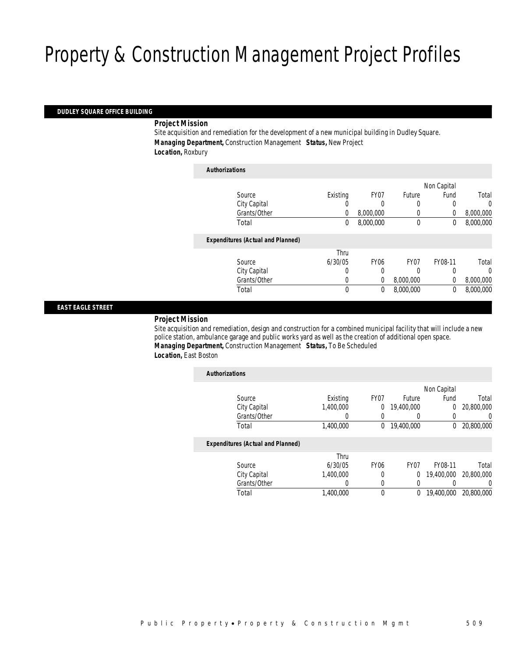#### *DUDLEY SQUARE OFFICE BUILDING*

*Project Mission* 

Site acquisition and remediation for the development of a new municipal building in Dudley Square. *Managing Department,* Construction Management *Status,* New Project *Location,* Roxbury

| <b>Authorizations</b>                    |          |                  |             |             |           |
|------------------------------------------|----------|------------------|-------------|-------------|-----------|
|                                          |          |                  |             | Non Capital |           |
| Source                                   | Existing | FY07             | Future      | Fund        | Total     |
| City Capital                             | 0        | 0                | 0           | 0           | 0         |
| Grants/Other                             | 0        | 8,000,000        | 0           | 0           | 8,000,000 |
| Total                                    | 0        | 8,000,000        | $\mathbf 0$ | 0           | 8,000,000 |
| <b>Expenditures (Actual and Planned)</b> |          |                  |             |             |           |
|                                          | Thru     |                  |             |             |           |
| Source                                   | 6/30/05  | FY <sub>06</sub> | FY07        | FY08-11     | Total     |
| City Capital                             | 0        | 0                | 0           | 0           | 0         |
| Grants/Other                             | 0        | 0                | 8,000,000   | 0           | 8,000,000 |
| Total                                    | 0        | 0                | 8,000,000   | 0           | 8,000,000 |
|                                          |          |                  |             |             |           |

#### *EAST EAGLE STREET*

### *Project Mission*

Site acquisition and remediation, design and construction for a combined municipal facility that will include a new police station, ambulance garage and public works yard as well as the creation of additional open space. *Managing Department,* Construction Management *Status,* To Be Scheduled *Location,* East Boston

| <b>Authorizations</b>                    |           |                |                  |             |            |
|------------------------------------------|-----------|----------------|------------------|-------------|------------|
|                                          |           |                |                  | Non Capital |            |
| Source                                   | Existing  | FY07           | Future           | Fund        | Total      |
| City Capital                             | 1,400,000 | $\overline{0}$ | 19,400,000       | $\mathbf 0$ | 20,800,000 |
| Grants/Other                             |           |                |                  |             | 0          |
| Total                                    | 1.400.000 | $\bf{0}$       | 19,400,000       | 0           | 20,800,000 |
| <b>Expenditures (Actual and Planned)</b> |           |                |                  |             |            |
|                                          | Thru      |                |                  |             |            |
| Source                                   | 6/30/05   | <b>FY06</b>    | FY <sub>07</sub> | FY08-11     | Total      |
| City Capital                             | 1.400.000 | 0              | $\overline{0}$   | 19,400,000  | 20,800,000 |
| Grants/Other                             |           |                |                  |             | 0          |
| Total                                    | 1,400,000 | 0              | 0                | 19,400,000  | 20,800,000 |
|                                          |           |                |                  |             |            |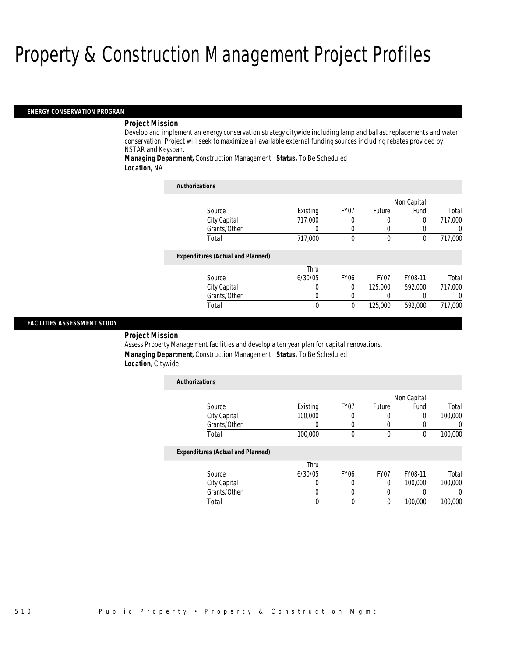#### *ENERGY CONSERVATION PROGRAM*

#### *Project Mission*

Develop and implement an energy conservation strategy citywide including lamp and ballast replacements and water conservation. Project will seek to maximize all available external funding sources including rebates provided by NSTAR and Keyspan.

*Managing Department,* Construction Management *Status,* To Be Scheduled *Location,* NA

| <b>Authorizations</b>                    |          |                  |                  |             |                  |
|------------------------------------------|----------|------------------|------------------|-------------|------------------|
|                                          |          |                  |                  | Non Capital |                  |
| Source                                   | Existing | FY07             | Future           | Fund        | Total            |
| City Capital                             | 717,000  |                  |                  | 0           | 717,000          |
| Grants/Other                             | 0        | 0                | $\left($         | 0           | $\left( \right)$ |
| Total                                    | 717,000  | $\theta$         | $\mathbf{0}$     | 0           | 717,000          |
| <b>Expenditures (Actual and Planned)</b> |          |                  |                  |             |                  |
|                                          | Thru     |                  |                  |             |                  |
| Source                                   | 6/30/05  | FY <sub>06</sub> | FY <sub>07</sub> | FY08-11     | Total            |
| City Capital                             | 0        | 0                | 125,000          | 592,000     | 717,000          |
| Grants/Other                             | 0        |                  |                  |             | 0                |
| Total                                    | $\theta$ | $\theta$         | 125,000          | 592,000     | 717,000          |

#### *FACILITIES ASSESSMENT STUDY*

*Project Mission* 

Assess Property Management facilities and develop a ten year plan for capital renovations. *Managing Department,* Construction Management *Status,* To Be Scheduled *Location,* Citywide

| <b>Authorizations</b>                    |          |                  |                  |             |         |
|------------------------------------------|----------|------------------|------------------|-------------|---------|
|                                          |          |                  |                  | Non Capital |         |
| Source                                   | Existing | FY07             | Future           | Fund        | Total   |
| City Capital                             | 100,000  | 0                |                  | $\Omega$    | 100,000 |
| Grants/Other                             | 0        | $\left($         |                  |             |         |
| Total                                    | 100,000  | $\theta$         | $\mathbf 0$      | $\theta$    | 100,000 |
| <b>Expenditures (Actual and Planned)</b> |          |                  |                  |             |         |
|                                          | Thru     |                  |                  |             |         |
| Source                                   | 6/30/05  | FY <sub>06</sub> | FY <sub>07</sub> | FY08-11     | Total   |
| City Capital                             | 0        | 0                | 0                | 100,000     | 100,000 |
| Grants/Other                             | O        | 0                |                  |             |         |
| Total                                    |          | 0                | $\theta$         | 100,000     | 100,000 |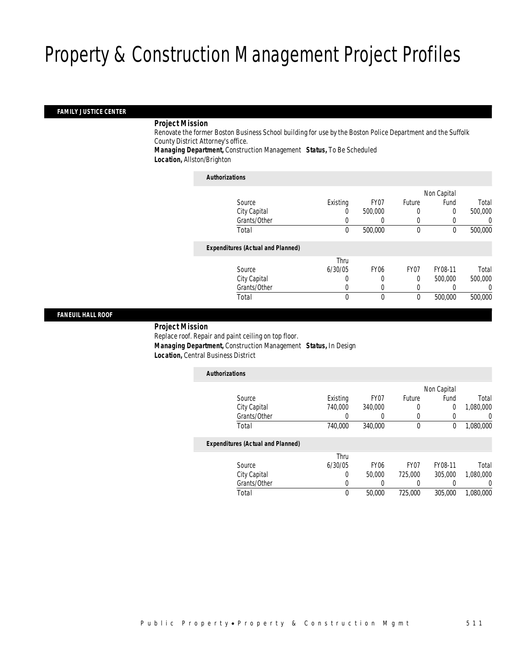#### *FAMILY JUSTICE CENTER*

#### *Project Mission*

Renovate the former Boston Business School building for use by the Boston Police Department and the Suffolk County District Attorney's office.

*Managing Department,* Construction Management *Status,* To Be Scheduled *Location,* Allston/Brighton

#### *Authorizations*

|                                          |          |                  |                  | Non Capital |          |
|------------------------------------------|----------|------------------|------------------|-------------|----------|
| Source                                   | Existing | FY <sub>07</sub> | Future           | Fund        | Total    |
| City Capital                             | 0        | 500,000          | 0                | 0           | 500,000  |
| Grants/Other                             | 0        |                  | 0                |             | $\Omega$ |
| Total                                    | 0        | 500,000          | 0                | 0           | 500,000  |
| <b>Expenditures (Actual and Planned)</b> |          |                  |                  |             |          |
|                                          | Thru     |                  |                  |             |          |
| Source                                   | 6/30/05  | <b>FY06</b>      | FY <sub>07</sub> | FY08-11     | Total    |
| City Capital                             | 0        | 0                | 0                | 500,000     | 500,000  |
| Grants/Other                             | 0        | 0                | 0                |             | $\Omega$ |
| Total                                    | 0        | 0                | 0                | 500,000     | 500,000  |
|                                          |          |                  |                  |             |          |

### *FANEUIL HALL ROOF*

 *Project Mission* Replace roof. Repair and paint ceiling on top floor. *Managing Department,* Construction Management *Status,* In Design *Location,* Central Business District

| <b>Authorizations</b>                    |          |                  |                  |             |           |
|------------------------------------------|----------|------------------|------------------|-------------|-----------|
|                                          |          |                  |                  | Non Capital |           |
| Source                                   | Existing | FY07             | Future           | Fund        | Total     |
| City Capital                             | 740,000  | 340,000          | 0                | 0           | 1,080,000 |
| Grants/Other                             |          | 0                | 0                | 0           | $\Omega$  |
| Total                                    | 740,000  | 340,000          | $\boldsymbol{0}$ | 0           | 1,080,000 |
| <b>Expenditures (Actual and Planned)</b> |          |                  |                  |             |           |
|                                          | Thru     |                  |                  |             |           |
| Source                                   | 6/30/05  | FY <sub>06</sub> | FY <sub>07</sub> | FY08-11     | Total     |
| City Capital                             | 0        | 50,000           | 725,000          | 305,000     | 1.080.000 |
| Grants/Other                             | 0        |                  |                  |             | $\left($  |
| Total                                    | 0        | 50,000           | 725,000          | 305,000     | 1.080.000 |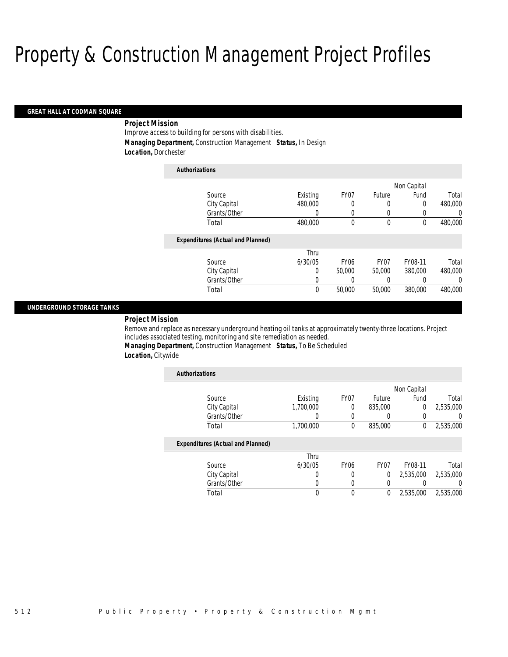#### *GREAT HALL AT CODMAN SQUARE*

### *Project Mission*

Improve access to building for persons with disabilities. *Managing Department,* Construction Management *Status,* In Design *Location,* Dorchester

| <b>Authorizations</b>                    |          |                  |                  |             |          |
|------------------------------------------|----------|------------------|------------------|-------------|----------|
|                                          |          |                  |                  | Non Capital |          |
| Source                                   | Existing | FY07             | Future           | Fund        | Total    |
| City Capital                             | 480,000  | 0                | 0                | 0           | 480,000  |
| Grants/Other                             | 0        | 0                | 0                |             | U        |
| Total                                    | 480,000  | 0                | 0                | 0           | 480,000  |
| <b>Expenditures (Actual and Planned)</b> |          |                  |                  |             |          |
|                                          | Thru     |                  |                  |             |          |
| Source                                   | 6/30/05  | FY <sub>06</sub> | FY <sub>07</sub> | FY08-11     | Total    |
| City Capital                             | 0        | 50,000           | 50,000           | 380,000     | 480,000  |
| Grants/Other                             | 0        | 0                | 0                |             | $\left($ |
| Total                                    | 0        | 50,000           | 50,000           | 380,000     | 480,000  |

#### *UNDERGROUND STORAGE TANKS*

*Project Mission* 

Remove and replace as necessary underground heating oil tanks at approximately twenty-three locations. Project includes associated testing, monitoring and site remediation as needed.

*Managing Department,* Construction Management *Status,* To Be Scheduled *Location,* Citywide

| <b>Authorizations</b>                    |           |                  |         |             |                |
|------------------------------------------|-----------|------------------|---------|-------------|----------------|
|                                          |           |                  |         | Non Capital |                |
| Source                                   | Existing  | FY07             | Future  | Fund        | Total          |
| City Capital                             | 1.700.000 | 0                | 835,000 | 0           | 2,535,000      |
| Grants/Other                             | 0         | 0                | 0       |             | $\overline{0}$ |
| Total                                    | 1,700,000 | 0                | 835,000 | 0           | 2,535,000      |
| <b>Expenditures (Actual and Planned)</b> |           |                  |         |             |                |
|                                          | Thru      |                  |         |             |                |
| Source                                   | 6/30/05   | FY <sub>06</sub> | FY07    | FY08-11     | Total          |
| City Capital                             | 0         | 0                | 0       | 2,535,000   | 2,535,000      |
| Grants/Other                             | 0         |                  | 0       |             | 0              |
| Total                                    | 0         | 0                | 0       | 2,535,000   | 2,535,000      |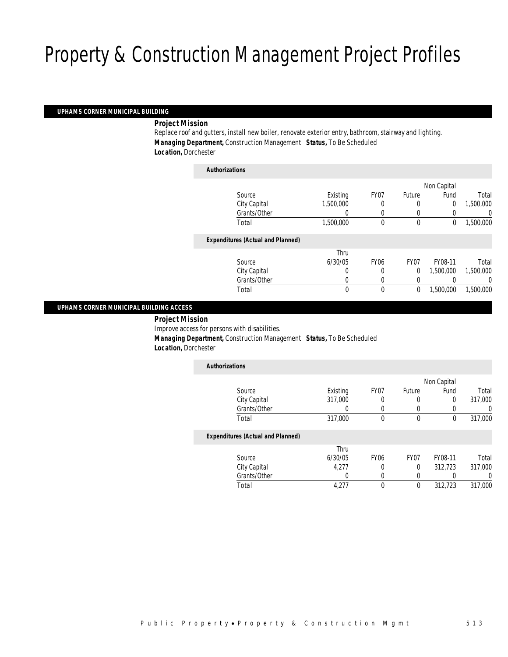#### *UPHAMS CORNER MUNICIPAL BUILDING*

*Project Mission* 

Replace roof and gutters, install new boiler, renovate exterior entry, bathroom, stairway and lighting. *Managing Department,* Construction Management *Status,* To Be Scheduled *Location,* Dorchester

| Authorizations                           |           |             |                  |             |           |
|------------------------------------------|-----------|-------------|------------------|-------------|-----------|
|                                          |           |             |                  | Non Capital |           |
| Source                                   | Existing  | FY07        | Future           | Fund        | Total     |
| City Capital                             | 1,500,000 | 0           | 0                | 0           | 1,500,000 |
| Grants/Other                             |           | 0           | 0                |             | 0         |
| Total                                    | 1,500,000 | 0           | $\mathbf 0$      | 0           | 1,500,000 |
| <b>Expenditures (Actual and Planned)</b> |           |             |                  |             |           |
|                                          | Thru      |             |                  |             |           |
| Source                                   | 6/30/05   | <b>FY06</b> | FY <sub>07</sub> | FY08-11     | Total     |
| City Capital                             | 0         | 0           | $\overline{0}$   | 1.500.000   | 1,500,000 |
| Grants/Other                             | 0         | 0           | 0                |             | 0         |
| Total                                    | 0         | 0           | 0                | 1,500,000   | 1,500,000 |
|                                          |           |             |                  |             |           |

#### *UPHAMS CORNER MUNICIPAL BUILDING ACCESS*

*Project Mission* 

Improve access for persons with disabilities.

*Authorizations*

*Managing Department,* Construction Management *Status,* To Be Scheduled

*Location,* Dorchester

| <b>Authorizations</b>                    |          |                  |                  |             |          |
|------------------------------------------|----------|------------------|------------------|-------------|----------|
|                                          |          |                  |                  | Non Capital |          |
| Source                                   | Existing | FY07             | Future           | Fund        | Total    |
| City Capital                             | 317,000  | 0                | O                | $\Omega$    | 317,000  |
| Grants/Other                             | 0        | $\Omega$         | $\left( \right)$ |             | $\Omega$ |
| Total                                    | 317,000  | 0                | $\theta$         | $\Omega$    | 317,000  |
| <b>Expenditures (Actual and Planned)</b> |          |                  |                  |             |          |
|                                          | Thru     |                  |                  |             |          |
| Source                                   | 6/30/05  | FY <sub>06</sub> | FY <sub>07</sub> | FY08-11     | Total    |
| City Capital                             | 4.277    | 0                | $\Omega$         | 312,723     | 317.000  |
| Grants/Other                             | 0        | 0                | 0                |             |          |
| Total                                    | 4.277    |                  | 0                | 312.723     | 317.000  |

Total 4,277 0 0 312,723 317,000